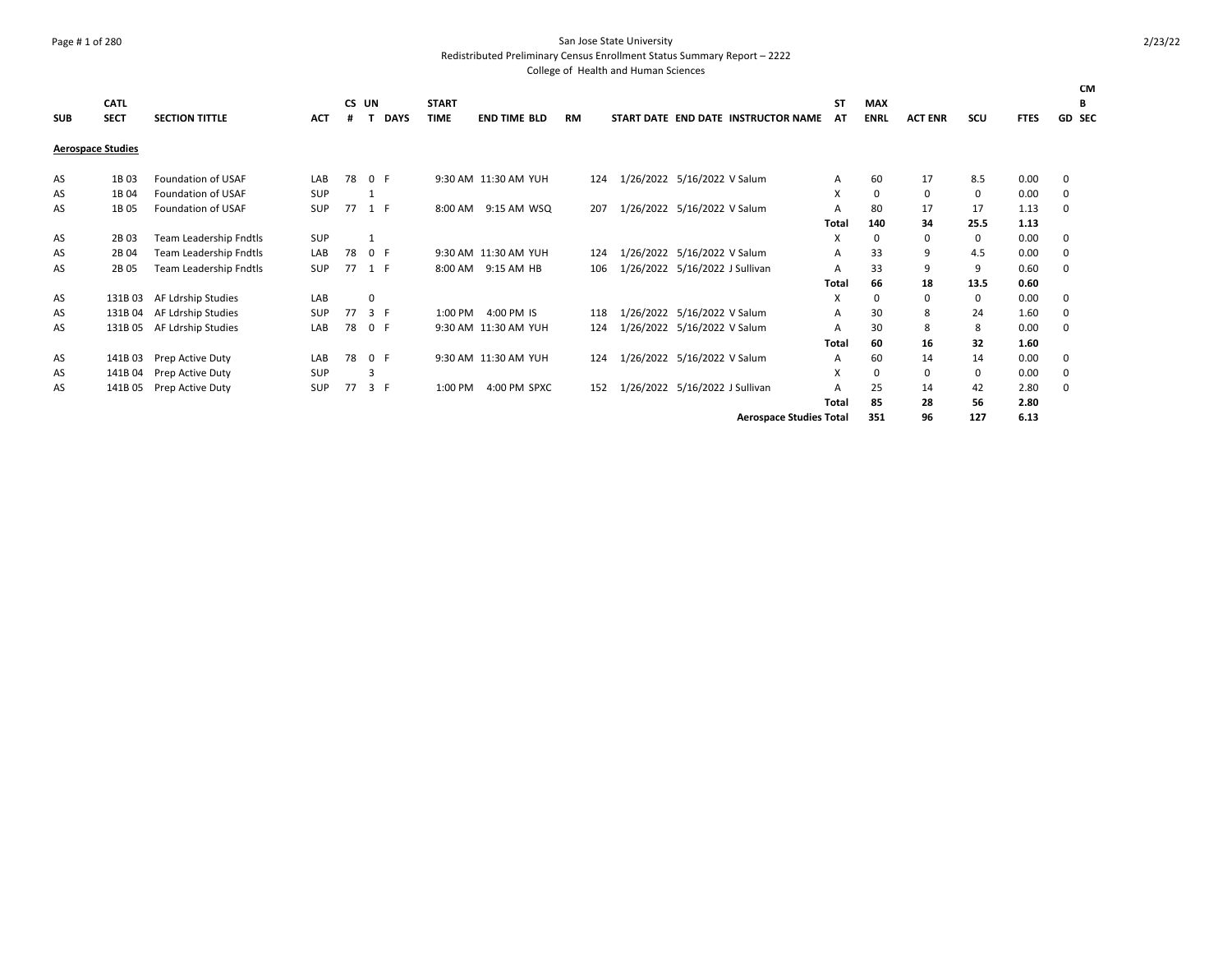### Page # 1 of 280 San Jose State University

Redistributed Preliminary Census Enrollment Status Summary Report – 2222

|            | <b>CATL</b>              |                           |            | CS UN |             |             | <b>START</b> |                      |           |                                |                                     | SΤ    | <b>MAX</b>  |                |             |             | <b>CM</b><br>в |
|------------|--------------------------|---------------------------|------------|-------|-------------|-------------|--------------|----------------------|-----------|--------------------------------|-------------------------------------|-------|-------------|----------------|-------------|-------------|----------------|
| <b>SUB</b> | <b>SECT</b>              | <b>SECTION TITTLE</b>     | <b>ACT</b> | #     | $\mathbf T$ | <b>DAYS</b> | <b>TIME</b>  | <b>END TIME BLD</b>  | <b>RM</b> |                                | START DATE END DATE INSTRUCTOR NAME | AT    | <b>ENRL</b> | <b>ACT ENR</b> | SCU         | <b>FTES</b> | <b>GD SEC</b>  |
|            | <b>Aerospace Studies</b> |                           |            |       |             |             |              |                      |           |                                |                                     |       |             |                |             |             |                |
| AS         | 1B03                     | <b>Foundation of USAF</b> | LAB        | 78    | 0 F         |             |              | 9:30 AM 11:30 AM YUH | 124       | 1/26/2022 5/16/2022 V Salum    |                                     | Α     | 60          | 17             | 8.5         | 0.00        | 0              |
| AS         | 1B <sub>04</sub>         | <b>Foundation of USAF</b> | SUP        |       | 1           |             |              |                      |           |                                |                                     | X     | 0           | 0              | $\mathbf 0$ | 0.00        | 0              |
| AS         | 1B 05                    | <b>Foundation of USAF</b> | <b>SUP</b> | 77    | 1 F         |             |              | 8:00 AM 9:15 AM WSQ  | 207       | 1/26/2022 5/16/2022 V Salum    |                                     | A     | 80          | 17             | 17          | 1.13        | 0              |
|            |                          |                           |            |       |             |             |              |                      |           |                                |                                     | Total | 140         | 34             | 25.5        | 1.13        |                |
| AS         | 2B 03                    | Team Leadership Fndtls    | SUP        |       |             |             |              |                      |           |                                |                                     | X     | 0           | $\Omega$       | 0           | 0.00        | 0              |
| AS         | 2B 04                    | Team Leadership Fndtls    | LAB        | 78    | 0 F         |             |              | 9:30 AM 11:30 AM YUH | 124       | 1/26/2022 5/16/2022 V Salum    |                                     | Α     | 33          | 9              | 4.5         | 0.00        | 0              |
| AS         | 2B 05                    | Team Leadership Fndtls    | SUP        | 77    | 1 F         |             |              | 8:00 AM 9:15 AM HB   | 106       | 1/26/2022 5/16/2022 J Sullivan |                                     | А     | 33          | 9              | 9           | 0.60        | 0              |
|            |                          |                           |            |       |             |             |              |                      |           |                                |                                     | Total | 66          | 18             | 13.5        | 0.60        |                |
| AS         | 131B03                   | AF Ldrship Studies        | LAB        |       | 0           |             |              |                      |           |                                |                                     | X     | 0           | 0              | 0           | 0.00        | 0              |
| AS         | 131B 04                  | AF Ldrship Studies        | <b>SUP</b> | 77    | 3 F         |             | 1:00 PM      | 4:00 PM IS           | 118       | 1/26/2022 5/16/2022 V Salum    |                                     | А     | 30          | 8              | 24          | 1.60        | 0              |
| AS         | 131B05                   | AF Ldrship Studies        | LAB        | 78    | 0 F         |             |              | 9:30 AM 11:30 AM YUH | 124       | 1/26/2022 5/16/2022 V Salum    |                                     | А     | 30          | 8              | 8           | 0.00        | 0              |
|            |                          |                           |            |       |             |             |              |                      |           |                                |                                     | Total | 60          | 16             | 32          | 1.60        |                |
| AS         | 141B 03                  | Prep Active Duty          | LAB        | 78    | 0 F         |             |              | 9:30 AM 11:30 AM YUH | 124       | 1/26/2022 5/16/2022 V Salum    |                                     | А     | 60          | 14             | 14          | 0.00        | 0              |
| AS         | 141B 04                  | Prep Active Duty          | <b>SUP</b> |       | 3           |             |              |                      |           |                                |                                     | X     | 0           | $\Omega$       | 0           | 0.00        | 0              |
| AS         | 141B 05                  | Prep Active Duty          | <b>SUP</b> | 77    |             | 3 F         | 1:00 PM      | 4:00 PM SPXC         | 152       | 1/26/2022 5/16/2022 J Sullivan |                                     | A     | 25          | 14             | 42          | 2.80        | 0              |
|            |                          |                           |            |       |             |             |              |                      |           |                                |                                     | Total | 85          | 28             | 56          | 2.80        |                |
|            |                          |                           |            |       |             |             |              |                      |           |                                | <b>Aerospace Studies Total</b>      |       | 351         | 96             | 127         | 6.13        |                |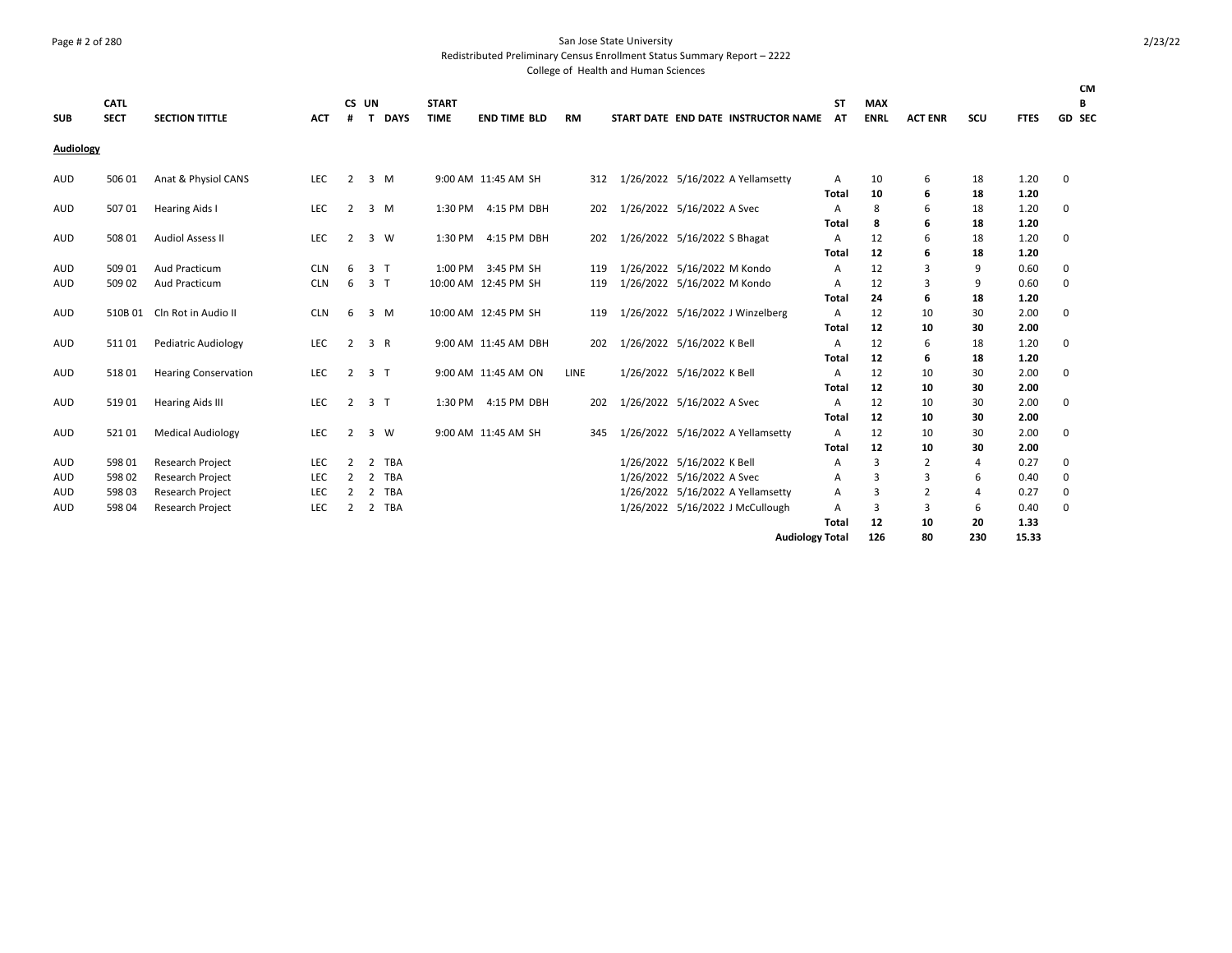### Page # 2 of 280 San Jose State University

Redistributed Preliminary Census Enrollment Status Summary Report – 2222

| <b>SUB</b> | <b>CATL</b><br><b>SECT</b> | <b>SECTION TITTLE</b>       | <b>ACT</b> | #              | CS UN<br>$\mathbf{T}$ | <b>DAYS</b>    | <b>START</b><br><b>TIME</b> | <b>END TIME BLD</b>  | RM   |                              | START DATE END DATE INSTRUCTOR NAME | <b>ST</b><br>AT   | <b>MAX</b><br><b>ENRL</b> | <b>ACT ENR</b> | SCU      | <b>FTES</b>  | <b>CM</b><br>В<br>GD SEC |
|------------|----------------------------|-----------------------------|------------|----------------|-----------------------|----------------|-----------------------------|----------------------|------|------------------------------|-------------------------------------|-------------------|---------------------------|----------------|----------|--------------|--------------------------|
| Audiology  |                            |                             |            |                |                       |                |                             |                      |      |                              |                                     |                   |                           |                |          |              |                          |
| <b>AUD</b> | 506 01                     | Anat & Physiol CANS         | LEC        | $\overline{2}$ |                       | 3 M            |                             | 9:00 AM 11:45 AM SH  | 312  |                              | 1/26/2022 5/16/2022 A Yellamsetty   | A<br><b>Total</b> | 10<br>10                  | 6<br>6         | 18<br>18 | 1.20<br>1.20 | 0                        |
| <b>AUD</b> | 50701                      | <b>Hearing Aids I</b>       | LEC        | 2              |                       | 3 M            | 1:30 PM                     | 4:15 PM DBH          | 202  | 1/26/2022 5/16/2022 A Svec   |                                     | А                 | 8                         | 6              | 18       | 1.20         | 0                        |
| <b>AUD</b> | 508 01                     | <b>Audiol Assess II</b>     | LEC        | 2              |                       | 3 W            |                             | 1:30 PM 4:15 PM DBH  | 202  | 1/26/2022 5/16/2022 S Bhagat |                                     | Total<br>A        | 8<br>12                   | 6<br>6         | 18<br>18 | 1.20<br>1.20 | 0                        |
| <b>AUD</b> | 509 01                     | Aud Practicum               | <b>CLN</b> | 6              |                       | 3 <sub>1</sub> |                             | 1:00 PM 3:45 PM SH   | 119  | 1/26/2022 5/16/2022 M Kondo  |                                     | Total<br>A        | 12<br>12                  | 6<br>3         | 18<br>9  | 1.20<br>0.60 | $\mathbf 0$              |
| <b>AUD</b> | 509 02                     | Aud Practicum               | <b>CLN</b> | 6              |                       | 3 <sub>1</sub> |                             | 10:00 AM 12:45 PM SH | 119  | 1/26/2022 5/16/2022 M Kondo  |                                     | A<br>Total        | 12<br>24                  | 3<br>6         | 9<br>18  | 0.60<br>1.20 | 0                        |
| <b>AUD</b> |                            | 510B 01 Cln Rot in Audio II | <b>CLN</b> | 6              |                       | 3 M            |                             | 10:00 AM 12:45 PM SH | 119  |                              | 1/26/2022 5/16/2022 J Winzelberg    | A<br><b>Total</b> | 12<br>12                  | 10<br>10       | 30<br>30 | 2.00<br>2.00 | 0                        |
| AUD        | 51101                      | <b>Pediatric Audiology</b>  | <b>LEC</b> | 2              |                       | 3 R            |                             | 9:00 AM 11:45 AM DBH | 202  | 1/26/2022 5/16/2022 K Bell   |                                     | A<br>Total        | 12<br>12                  | 6<br>6         | 18<br>18 | 1.20<br>1.20 | 0                        |
| <b>AUD</b> | 51801                      | <b>Hearing Conservation</b> | LEC        | $\overline{2}$ |                       | 3 <sub>1</sub> |                             | 9:00 AM 11:45 AM ON  | LINE | 1/26/2022 5/16/2022 K Bell   |                                     | A                 | 12                        | 10<br>10       | 30       | 2.00         | 0                        |
| <b>AUD</b> | 51901                      | <b>Hearing Aids III</b>     | LEC        | $\overline{2}$ |                       | 3 <sub>1</sub> | 1:30 PM                     | 4:15 PM DBH          | 202  | 1/26/2022 5/16/2022 A Svec   |                                     | Total<br>А        | 12<br>12                  | 10             | 30<br>30 | 2.00<br>2.00 | $\mathbf 0$              |
| <b>AUD</b> | 52101                      | <b>Medical Audiology</b>    | <b>LEC</b> | 2              | 3                     | <b>W</b>       |                             | 9:00 AM 11:45 AM SH  | 345  |                              | 1/26/2022 5/16/2022 A Yellamsetty   | <b>Total</b><br>A | 12<br>12                  | 10<br>10       | 30<br>30 | 2.00<br>2.00 | 0                        |
| <b>AUD</b> | 598 01                     | Research Project            | <b>LEC</b> | 2              | 2                     | TBA            |                             |                      |      | 1/26/2022 5/16/2022 K Bell   |                                     | Total<br>Α        | 12<br>3                   | 10<br>2        | 30<br>4  | 2.00<br>0.27 | 0                        |
| <b>AUD</b> | 598 02                     | Research Project            | LEC        | 2              | 2                     | TBA            |                             |                      |      | 1/26/2022 5/16/2022 A Svec   |                                     | А                 | 3                         | 3              | 6        | 0.40         | 0                        |
| <b>AUD</b> | 598 03                     | <b>Research Project</b>     | <b>LEC</b> | $\overline{2}$ |                       | 2 TBA          |                             |                      |      |                              | 1/26/2022 5/16/2022 A Yellamsetty   | А                 | 3                         | $\overline{2}$ | 4        | 0.27         | 0                        |
| <b>AUD</b> | 598 04                     | Research Project            | <b>LEC</b> | 2              |                       | 2 TBA          |                             |                      |      |                              | 1/26/2022 5/16/2022 J McCullough    | А                 | 3                         | 3              | 6        | 0.40         | $\mathbf 0$              |
|            |                            |                             |            |                |                       |                |                             |                      |      |                              |                                     | Total             | 12                        | 10             | 20       | 1.33         |                          |
|            |                            |                             |            |                |                       |                |                             |                      |      |                              | <b>Audiology Total</b>              |                   | 126                       | 80             | 230      | 15.33        |                          |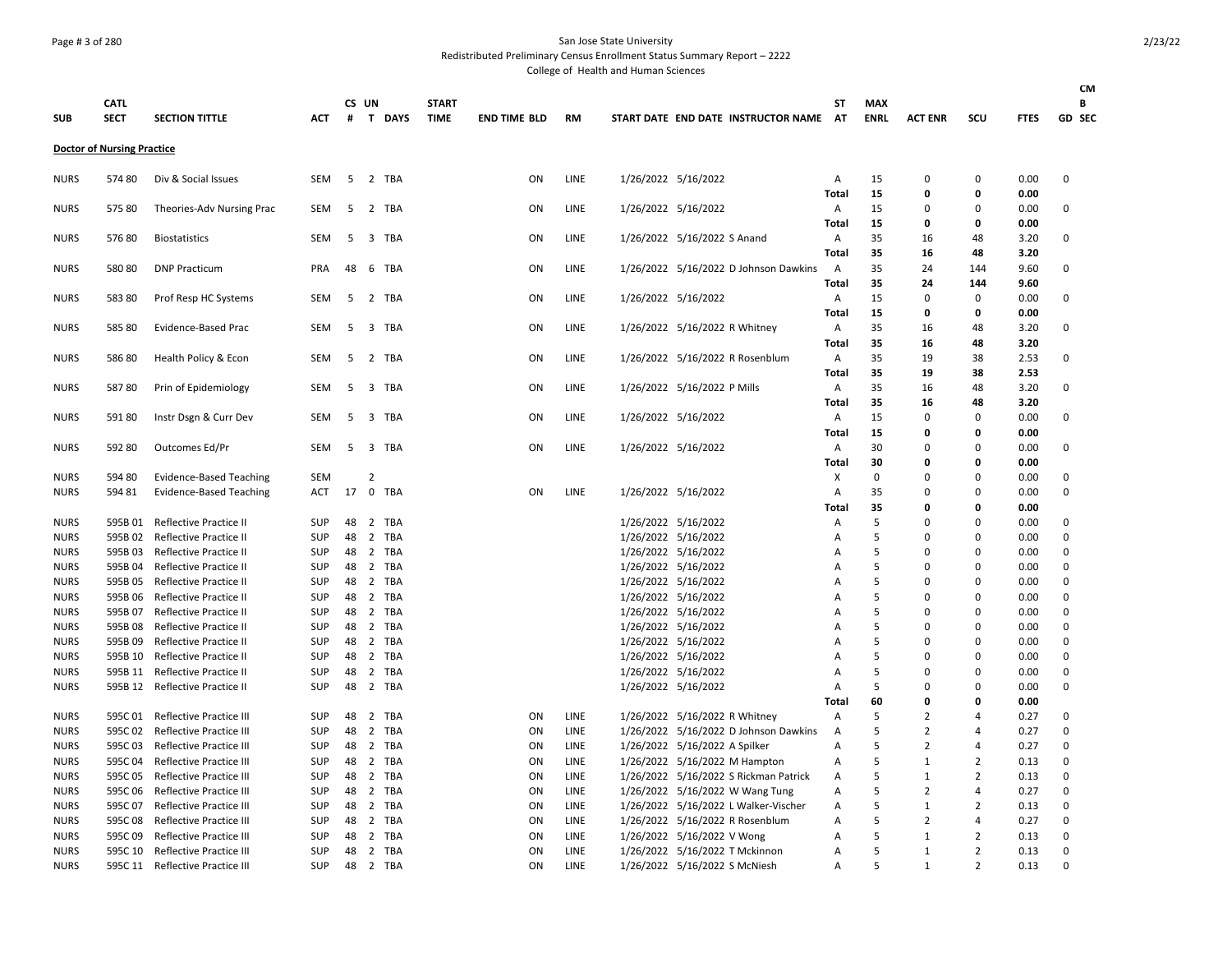## Page # 3 of 280 San Jose State University

Redistributed Preliminary Census Enrollment Status Summary Report – 2222

|                            |                                   |                                                  |                   |          |                |                |                             |                     |      |                                            |                                       |                   |                           |                      |                |              | CM                   |
|----------------------------|-----------------------------------|--------------------------------------------------|-------------------|----------|----------------|----------------|-----------------------------|---------------------|------|--------------------------------------------|---------------------------------------|-------------------|---------------------------|----------------------|----------------|--------------|----------------------|
| <b>SUB</b>                 | <b>CATL</b><br><b>SECT</b>        | <b>SECTION TITTLE</b>                            | <b>ACT</b>        | #        | CS UN          | T DAYS         | <b>START</b><br><b>TIME</b> | <b>END TIME BLD</b> | RM   |                                            | START DATE END DATE INSTRUCTOR NAME   | SΤ<br>AT          | <b>MAX</b><br><b>ENRL</b> | <b>ACT ENR</b>       | SCU            | <b>FTES</b>  | B<br>GD SEC          |
|                            |                                   |                                                  |                   |          |                |                |                             |                     |      |                                            |                                       |                   |                           |                      |                |              |                      |
|                            | <b>Doctor of Nursing Practice</b> |                                                  |                   |          |                |                |                             |                     |      |                                            |                                       |                   |                           |                      |                |              |                      |
| <b>NURS</b>                | 57480                             | Div & Social Issues                              | SEM               | 5        |                | 2 TBA          |                             | ΟN                  | LINE | 1/26/2022 5/16/2022                        |                                       | Α<br><b>Total</b> | 15<br>15                  | 0<br>$\mathbf 0$     | $\Omega$<br>0  | 0.00<br>0.00 | $\Omega$             |
| <b>NURS</b>                | 57580                             | Theories-Adv Nursing Prac                        | <b>SEM</b>        | 5        |                | 2 TBA          |                             | ON                  | LINE | 1/26/2022 5/16/2022                        |                                       | Α                 | 15                        | $\Omega$             | $\Omega$       | 0.00         | 0                    |
|                            |                                   |                                                  |                   |          |                |                |                             |                     |      |                                            |                                       | Total             | 15                        | 0                    | 0              | 0.00         |                      |
| <b>NURS</b>                | 57680                             | <b>Biostatistics</b>                             | SEM               |          |                | 5 3 TBA        |                             | ON                  | LINE | 1/26/2022 5/16/2022 S Anand                |                                       | Α                 | 35                        | 16                   | 48             | 3.20         | $\Omega$             |
|                            |                                   |                                                  |                   |          |                |                |                             |                     |      |                                            |                                       | <b>Total</b>      | 35                        | 16                   | 48             | 3.20         |                      |
| <b>NURS</b>                | 58080                             | <b>DNP Practicum</b>                             | <b>PRA</b>        | 48       |                | 6 TBA          |                             | ON                  | LINE |                                            | 1/26/2022 5/16/2022 D Johnson Dawkins | A                 | 35                        | 24                   | 144            | 9.60         | $\Omega$             |
|                            |                                   |                                                  |                   |          |                |                |                             |                     |      |                                            |                                       | Total             | 35                        | 24                   | 144            | 9.60         |                      |
| <b>NURS</b>                | 58380                             | Prof Resp HC Systems                             | SEM               | 5        |                | 2 TBA          |                             | ON                  | LINE | 1/26/2022 5/16/2022                        |                                       | Α                 | 15                        | $\mathbf 0$          | 0              | 0.00         | $\Omega$             |
|                            |                                   |                                                  |                   |          |                |                |                             |                     |      |                                            |                                       | Total             | 15                        | 0                    | 0              | 0.00         |                      |
| <b>NURS</b>                | 58580                             | Evidence-Based Prac                              | SEM               | 5        |                | 3 TBA          |                             | ON                  | LINE | 1/26/2022 5/16/2022 R Whitney              |                                       | Α                 | 35                        | 16                   | 48             | 3.20         | 0                    |
|                            |                                   |                                                  |                   |          |                |                |                             |                     |      |                                            |                                       | <b>Total</b>      | 35                        | 16                   | 48             | 3.20         |                      |
| <b>NURS</b>                | 58680                             | Health Policy & Econ                             | <b>SEM</b>        | 5        |                | 2 TBA          |                             | ON                  | LINE |                                            | 1/26/2022 5/16/2022 R Rosenblum       | Α                 | 35                        | 19                   | 38             | 2.53         | $\Omega$             |
|                            |                                   |                                                  |                   |          |                |                |                             |                     | LINE |                                            |                                       | Total             | 35                        | 19                   | 38             | 2.53         |                      |
| <b>NURS</b>                | 58780                             | Prin of Epidemiology                             | SEM               | 5        |                | 3 TBA          |                             | ON                  |      | 1/26/2022 5/16/2022 P Mills                |                                       | Α<br><b>Total</b> | 35<br>35                  | 16<br>16             | 48<br>48       | 3.20<br>3.20 | 0                    |
| <b>NURS</b>                | 59180                             | Instr Dsgn & Curr Dev                            | SEM               | 5        |                | 3 TBA          |                             | ON                  | LINE | 1/26/2022 5/16/2022                        |                                       | Α                 | 15                        | $\mathbf 0$          | $\Omega$       | 0.00         | 0                    |
|                            |                                   |                                                  |                   |          |                |                |                             |                     |      |                                            |                                       | <b>Total</b>      | 15                        | $\Omega$             | o              | 0.00         |                      |
| <b>NURS</b>                | 592 80                            | Outcomes Ed/Pr                                   | <b>SEM</b>        |          |                | 5 3 TBA        |                             | ON                  | LINE | 1/26/2022 5/16/2022                        |                                       | Α                 | 30                        | $\mathbf 0$          | O              | 0.00         | $\Omega$             |
|                            |                                   |                                                  |                   |          |                |                |                             |                     |      |                                            |                                       | <b>Total</b>      | 30                        | 0                    | o              | 0.00         |                      |
| <b>NURS</b>                | 594 80                            | Evidence-Based Teaching                          | SEM               |          | $\overline{2}$ |                |                             |                     |      |                                            |                                       | X                 | $\mathbf 0$               | $\mathbf 0$          | 0              | 0.00         | 0                    |
| <b>NURS</b>                | 594 81                            | <b>Evidence-Based Teaching</b>                   | <b>ACT</b>        | 17       | $\mathbf 0$    | TBA            |                             | ON                  | LINE | 1/26/2022 5/16/2022                        |                                       | Α                 | 35                        | $\mathbf{0}$         | O              | 0.00         | $\mathbf 0$          |
|                            |                                   |                                                  |                   |          |                |                |                             |                     |      |                                            |                                       | Total             | 35                        | 0                    | 0              | 0.00         |                      |
| <b>NURS</b>                | 595B 01                           | Reflective Practice II                           | <b>SUP</b>        | 48       |                | 2 TBA          |                             |                     |      | 1/26/2022 5/16/2022                        |                                       | Α                 | 5                         | $\mathbf 0$          | O              | 0.00         | 0                    |
| <b>NURS</b>                | 595B02                            | Reflective Practice II                           | <b>SUP</b>        | 48       |                | 2 TBA          |                             |                     |      | 1/26/2022 5/16/2022                        |                                       | Α                 | 5                         | $\Omega$             | O              | 0.00         | $\Omega$             |
| <b>NURS</b>                | 595B03                            | <b>Reflective Practice II</b>                    | <b>SUP</b>        | 48       |                | 2 TBA          |                             |                     |      | 1/26/2022 5/16/2022                        |                                       | A                 | .5                        | $\Omega$             | O              | 0.00         | $\Omega$             |
| <b>NURS</b>                | 595B 04                           | <b>Reflective Practice II</b>                    | <b>SUP</b>        | 48       |                | 2 TBA          |                             |                     |      | 1/26/2022 5/16/2022                        |                                       | A                 | 5                         | $\Omega$             | 0              | 0.00         | $\Omega$             |
| <b>NURS</b>                | 595B 05                           | Reflective Practice II                           | <b>SUP</b>        | 48       |                | 2 TBA          |                             |                     |      | 1/26/2022 5/16/2022                        |                                       | A                 | 5                         | 0                    | 0              | 0.00         | 0                    |
| <b>NURS</b>                | 595B 06                           | <b>Reflective Practice II</b>                    | <b>SUP</b>        | 48       |                | 2 TBA          |                             |                     |      | 1/26/2022 5/16/2022                        |                                       | A                 | 5                         | $\Omega$             | $\Omega$       | 0.00         | $\Omega$             |
| <b>NURS</b>                | 595B 07                           | <b>Reflective Practice II</b>                    | <b>SUP</b>        | 48       |                | 2 TBA          |                             |                     |      | 1/26/2022 5/16/2022                        |                                       | Α                 | 5                         | $\Omega$             | $\Omega$       | 0.00         | 0                    |
| <b>NURS</b>                | 595B08<br>595B 09                 | Reflective Practice II                           | SUP<br><b>SUP</b> | 48<br>48 |                | 2 TBA<br>2 TBA |                             |                     |      | 1/26/2022 5/16/2022                        |                                       | A<br>A            | 5<br>.5                   | $\Omega$<br>$\Omega$ | O<br>O         | 0.00         | 0<br>0               |
| <b>NURS</b><br><b>NURS</b> | 595B 10                           | Reflective Practice II<br>Reflective Practice II | <b>SUP</b>        | 48       |                | 2 TBA          |                             |                     |      | 1/26/2022 5/16/2022<br>1/26/2022 5/16/2022 |                                       | A                 | 5                         | $\Omega$             | O              | 0.00<br>0.00 | $\Omega$             |
| <b>NURS</b>                | 595B 11                           | <b>Reflective Practice II</b>                    | <b>SUP</b>        | 48       |                | 2 TBA          |                             |                     |      | 1/26/2022 5/16/2022                        |                                       | A                 | 5                         | $\mathbf 0$          | 0              | 0.00         | $\mathbf 0$          |
| <b>NURS</b>                |                                   | 595B 12 Reflective Practice II                   | SUP               | 48       |                | 2 TBA          |                             |                     |      | 1/26/2022 5/16/2022                        |                                       | Α                 | 5                         | $\Omega$             | 0              | 0.00         | $\Omega$             |
|                            |                                   |                                                  |                   |          |                |                |                             |                     |      |                                            |                                       | Total             | 60                        | 0                    | 0              | 0.00         |                      |
| <b>NURS</b>                | 595C01                            | Reflective Practice III                          | <b>SUP</b>        | 48       |                | 2 TBA          |                             | ON                  | LINE | 1/26/2022 5/16/2022 R Whitney              |                                       | Α                 | 5                         | $\overline{2}$       | 4              | 0.27         | 0                    |
| <b>NURS</b>                | 595C02                            | Reflective Practice III                          | SUP               | 48       |                | 2 TBA          |                             | ON                  | LINE |                                            | 1/26/2022 5/16/2022 D Johnson Dawkins | Α                 | 5                         | $\overline{2}$       | 4              | 0.27         | 0                    |
| <b>NURS</b>                | 595C03                            | <b>Reflective Practice III</b>                   | <b>SUP</b>        | 48       |                | 2 TBA          |                             | ON                  | LINE | 1/26/2022 5/16/2022 A Spilker              |                                       | A                 | .5                        | $\overline{2}$       | 4              | 0.27         | $\Omega$             |
| <b>NURS</b>                | 595C 04                           | <b>Reflective Practice III</b>                   | SUP               | 48       |                | 2 TBA          |                             | ON                  | LINE | 1/26/2022 5/16/2022 M Hampton              |                                       | Α                 | 5                         | 1                    | $\overline{2}$ | 0.13         | $\Omega$             |
| <b>NURS</b>                | 595C 05                           | <b>Reflective Practice III</b>                   | <b>SUP</b>        | 48       |                | 2 TBA          |                             | ON                  | LINE |                                            | 1/26/2022 5/16/2022 S Rickman Patrick | A                 | 5                         | 1                    | 2              | 0.13         | $\mathbf 0$          |
| <b>NURS</b>                | 595C06                            | <b>Reflective Practice III</b>                   | <b>SUP</b>        | 48       |                | 2 TBA          |                             | ON                  | LINE |                                            | 1/26/2022 5/16/2022 W Wang Tung       | Α                 | 5                         | $\overline{2}$       | 4              | 0.27         | $\Omega$             |
| <b>NURS</b>                | 595C 07                           | <b>Reflective Practice III</b>                   | <b>SUP</b>        | 48       |                | 2 TBA          |                             | ON                  | LINE |                                            | 1/26/2022 5/16/2022 L Walker-Vischer  | Α                 | 5                         | $\mathbf{1}$         | 2              | 0.13         | $\mathbf 0$          |
| <b>NURS</b>                | 595C08                            | Reflective Practice III                          | <b>SUP</b>        | 48       |                | 2 TBA          |                             | ON                  | LINE |                                            | 1/26/2022 5/16/2022 R Rosenblum       | Α                 | .5                        | $\overline{2}$       | 4              | 0.27         | $\Omega$             |
| <b>NURS</b>                | 595C09                            | Reflective Practice III                          | <b>SUP</b>        | 48       |                | 2 TBA          |                             | ON                  | LINE | 1/26/2022 5/16/2022 V Wong                 |                                       | A                 | 5                         | 1                    | $\overline{2}$ | 0.13         | $\Omega$             |
| <b>NURS</b>                | 595C 10                           | <b>Reflective Practice III</b>                   | <b>SUP</b>        | 48       |                | 2 TBA          |                             | ON                  | LINE | 1/26/2022 5/16/2022 T Mckinnon             |                                       | A                 | 5                         | 1                    | $\overline{2}$ | 0.13         | $\Omega$<br>$\Omega$ |
| <b>NURS</b>                | 595C 11                           | <b>Reflective Practice III</b>                   | SUP               | 48       |                | 2 TBA          |                             | ON                  | LINE | 1/26/2022 5/16/2022 S McNiesh              |                                       | А                 | 5                         | 1                    | $\overline{2}$ | 0.13         |                      |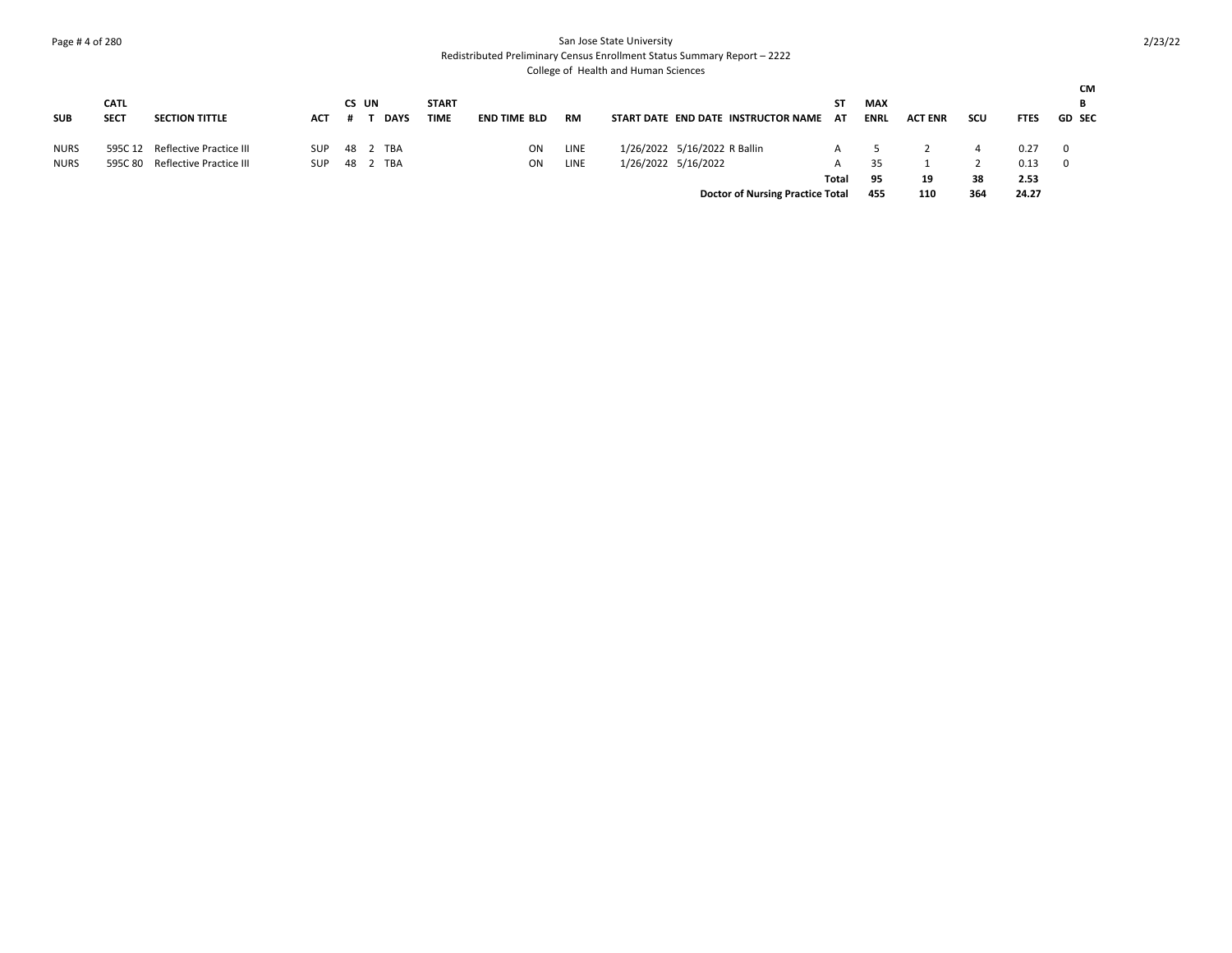## Page # 4 of 280 San Jose State University

Redistributed Preliminary Census Enrollment Status Summary Report – 2222

| <b>SUB</b>  | <b>CATL</b><br><b>SECT</b> | <b>SECTION TITTLE</b>           | ACT        | CS UN    | <b>DAYS</b> | <b>START</b><br><b>TIME</b> | <b>END TIME BLD</b> | <b>RM</b> | START DATE END DATE INSTRUCTOR NAME AT  | ST    | <b>MAX</b><br><b>ENRL</b> | <b>ACT ENR</b> | scu | <b>FTES</b> | <b>CM</b><br>В<br><b>GD SEC</b> |
|-------------|----------------------------|---------------------------------|------------|----------|-------------|-----------------------------|---------------------|-----------|-----------------------------------------|-------|---------------------------|----------------|-----|-------------|---------------------------------|
| <b>NURS</b> |                            | 595C 12 Reflective Practice III | <b>SUP</b> | 48 2 TBA |             |                             | ON                  | LINE      | 1/26/2022 5/16/2022 R Ballin            |       |                           |                |     | 0.27        | $\overline{0}$                  |
| <b>NURS</b> |                            | 595C 80 Reflective Practice III | <b>SUP</b> | 48       | TBA         |                             | ON                  | LINE      | 1/26/2022 5/16/2022                     |       | 35                        |                |     | 0.13        | 0                               |
|             |                            |                                 |            |          |             |                             |                     |           |                                         | Total | 95                        | 19             | 38  | 2.53        |                                 |
|             |                            |                                 |            |          |             |                             |                     |           | <b>Doctor of Nursing Practice Total</b> |       | 455                       | 110            | 364 | 24.27       |                                 |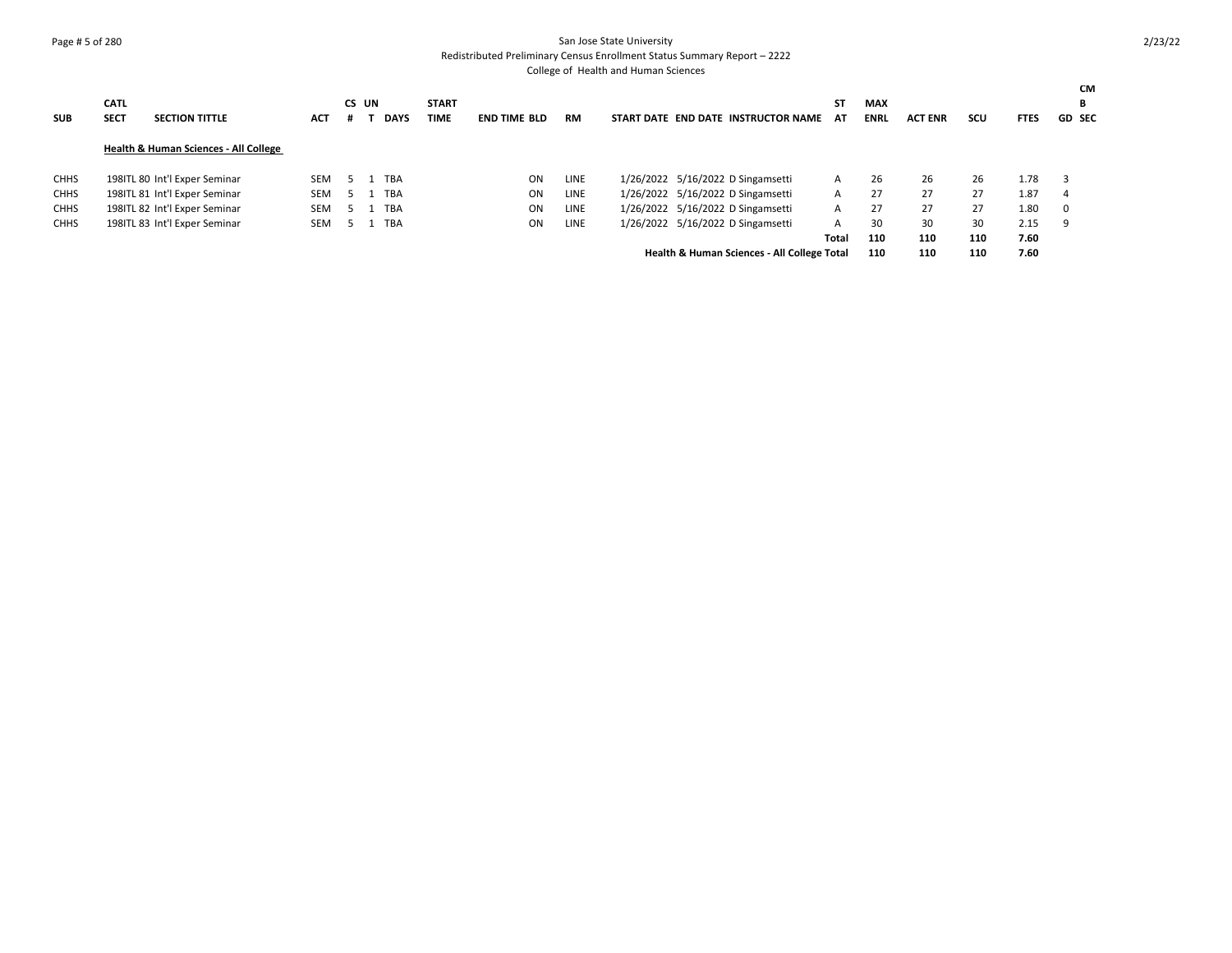### Page # 5 of 280 San Jose State University Redistributed Preliminary Census Enrollment Status Summary Report – 2222

| <b>SUB</b>  | <b>CATL</b><br><b>SECT</b> | <b>SECTION TITTLE</b>                            | ACT | CS UN<br># | <b>DAYS</b> | <b>START</b><br><b>TIME</b> | <b>END TIME BLD</b> | <b>RM</b>   |  | START DATE END DATE INSTRUCTOR NAME         | SΤ<br>AT | <b>MAX</b><br><b>ENRL</b> | <b>ACT ENR</b> | scu | <b>FTES</b> | CМ<br>В<br><b>GD SEC</b> |
|-------------|----------------------------|--------------------------------------------------|-----|------------|-------------|-----------------------------|---------------------|-------------|--|---------------------------------------------|----------|---------------------------|----------------|-----|-------------|--------------------------|
|             |                            |                                                  |     |            |             |                             |                     |             |  |                                             |          |                           |                |     |             |                          |
|             |                            | <b>Health &amp; Human Sciences - All College</b> |     |            |             |                             |                     |             |  |                                             |          |                           |                |     |             |                          |
| <b>CHHS</b> |                            | 198ITL 80 Int'l Exper Seminar                    | SEM | 5.         | <b>TBA</b>  |                             | ON                  | <b>LINE</b> |  | 1/26/2022 5/16/2022 D Singamsetti           | A        | 26                        | 26             | 26  | 1.78        | 3                        |
| <b>CHHS</b> |                            | 198ITL 81 Int'l Exper Seminar                    | SEM | 5.         | <b>TBA</b>  |                             | ON                  | LINE        |  | 1/26/2022 5/16/2022 D Singamsetti           | A        | 27                        | 27             | 27  | 1.87        | 4                        |
| <b>CHHS</b> |                            | 198ITL 82 Int'l Exper Seminar                    | SEM | -5         | <b>TBA</b>  |                             | ON                  | LINE        |  | 1/26/2022 5/16/2022 D Singamsetti           | A        | 27                        | 27             | 27  | 1.80        | $\mathbf 0$              |
| <b>CHHS</b> |                            | 198ITL 83 Int'l Exper Seminar                    | SEM | 5          | <b>TBA</b>  |                             | ON                  | LINE        |  | 1/26/2022 5/16/2022 D Singamsetti           | A        | 30                        | 30             | 30  | 2.15        | 9                        |
|             |                            |                                                  |     |            |             |                             |                     |             |  |                                             | Total    | 110                       | 110            | 110 | 7.60        |                          |
|             |                            |                                                  |     |            |             |                             |                     |             |  | Health & Human Sciences - All College Total |          | 110                       | 110            | 110 | 7.60        |                          |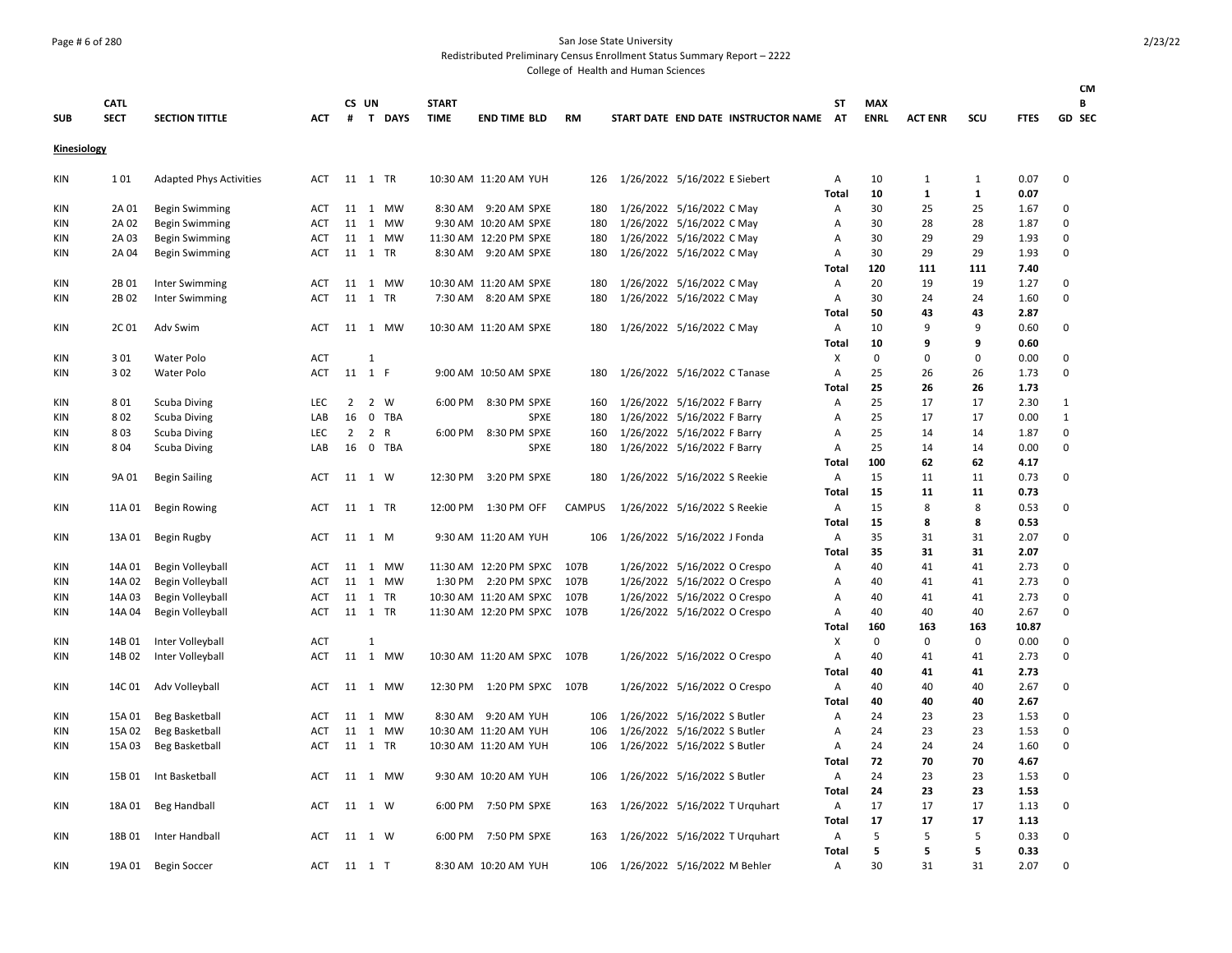### Page # 6 of 280 San Jose State University

Redistributed Preliminary Census Enrollment Status Summary Report – 2222

| <b>SUB</b>         | <b>CATL</b><br><b>SECT</b> | <b>SECTION TITTLE</b>                          | <b>ACT</b>               |                | CS UN        | # T DAYS           | <b>START</b><br><b>TIME</b> | <b>END TIME BLD</b>    | <b>RM</b>     |                              |                                                        | START DATE END DATE INSTRUCTOR NAME | ST<br><b>AT</b> | <b>MAX</b><br><b>ENRL</b> | <b>ACT ENR</b>     | SCU                | <b>FTES</b>  | <b>CM</b><br>В<br>GD SEC |
|--------------------|----------------------------|------------------------------------------------|--------------------------|----------------|--------------|--------------------|-----------------------------|------------------------|---------------|------------------------------|--------------------------------------------------------|-------------------------------------|-----------------|---------------------------|--------------------|--------------------|--------------|--------------------------|
| <b>Kinesiology</b> |                            |                                                |                          |                |              |                    |                             |                        |               |                              |                                                        |                                     |                 |                           |                    |                    |              |                          |
| KIN                | 101                        | <b>Adapted Phys Activities</b>                 | <b>ACT</b>               | 11 1 TR        |              |                    |                             | 10:30 AM 11:20 AM YUH  | 126           |                              | 1/26/2022 5/16/2022 E Siebert                          |                                     | Α               | 10                        | 1                  | $\mathbf{1}$       | 0.07         | $\Omega$                 |
|                    |                            |                                                |                          |                |              |                    |                             | 8:30 AM 9:20 AM SPXE   |               |                              |                                                        |                                     | Total           | 10<br>30                  | $\mathbf{1}$<br>25 | $\mathbf{1}$<br>25 | 0.07         | 0                        |
| KIN<br>KIN         | 2A 01<br>2A 02             | <b>Begin Swimming</b>                          | <b>ACT</b><br><b>ACT</b> |                |              | 11 1 MW<br>11 1 MW |                             | 9:30 AM 10:20 AM SPXE  | 180<br>180    |                              | 1/26/2022 5/16/2022 C May<br>1/26/2022 5/16/2022 C May |                                     | Α<br>Α          | 30                        | 28                 | 28                 | 1.67<br>1.87 | $\Omega$                 |
| KIN                | 2A 03                      | <b>Begin Swimming</b><br><b>Begin Swimming</b> | ACT                      |                |              | 11 1 MW            |                             | 11:30 AM 12:20 PM SPXE | 180           |                              | 1/26/2022 5/16/2022 C May                              |                                     | Α               | 30                        | 29                 | 29                 | 1.93         | $\Omega$                 |
| KIN                | 2A 04                      | <b>Begin Swimming</b>                          | <b>ACT</b>               | 11 1 TR        |              |                    |                             | 8:30 AM 9:20 AM SPXE   | 180           |                              | 1/26/2022 5/16/2022 C May                              |                                     | Α               | 30                        | 29                 | 29                 | 1.93         | $\Omega$                 |
|                    |                            |                                                |                          |                |              |                    |                             |                        |               |                              |                                                        |                                     | Total           | 120                       | 111                | 111                | 7.40         |                          |
| KIN                | 2B 01                      | Inter Swimming                                 | ACT                      | 11             |              | 1 MW               |                             | 10:30 AM 11:20 AM SPXE | 180           |                              | 1/26/2022 5/16/2022 C May                              |                                     | Α               | 20                        | 19                 | 19                 | 1.27         | $\mathbf 0$              |
| KIN                | 2B 02                      | Inter Swimming                                 | <b>ACT</b>               | 11 1 TR        |              |                    |                             | 7:30 AM 8:20 AM SPXE   | 180           |                              | 1/26/2022 5/16/2022 C May                              |                                     | Α               | 30                        | 24                 | 24                 | 1.60         | $\Omega$                 |
|                    |                            |                                                |                          |                |              |                    |                             |                        |               |                              |                                                        |                                     | Total           | 50                        | 43                 | 43                 | 2.87         |                          |
| KIN                | 2C 01                      | Adv Swim                                       | ACT                      |                |              | 11 1 MW            |                             | 10:30 AM 11:20 AM SPXE | 180           |                              | 1/26/2022 5/16/2022 C May                              |                                     | A               | 10                        | 9                  | 9                  | 0.60         | $\mathbf 0$              |
|                    |                            |                                                |                          |                |              |                    |                             |                        |               |                              |                                                        |                                     | Total           | 10                        | 9                  | 9                  | 0.60         |                          |
| <b>KIN</b>         | 301                        | Water Polo                                     | <b>ACT</b>               |                | $\mathbf{1}$ |                    |                             |                        |               |                              |                                                        |                                     | X               | $\mathbf 0$               | $\mathbf 0$        | $\Omega$           | 0.00         | 0                        |
| KIN                | 302                        | Water Polo                                     | <b>ACT</b>               | 11 1 F         |              |                    |                             | 9:00 AM 10:50 AM SPXE  | 180           |                              | 1/26/2022 5/16/2022 C Tanase                           |                                     | Α               | 25                        | 26                 | 26                 | 1.73         | $\Omega$                 |
|                    |                            |                                                |                          |                |              |                    |                             |                        |               |                              |                                                        |                                     | Total           | 25                        | 26                 | 26                 | 1.73         |                          |
| <b>KIN</b>         | 801                        | <b>Scuba Diving</b>                            | LEC                      | $\overline{2}$ |              | 2 W                | 6:00 PM                     | 8:30 PM SPXE           | 160           |                              | 1/26/2022 5/16/2022 F Barry                            |                                     | Α               | 25                        | 17                 | 17                 | 2.30         | 1                        |
| KIN                | 802                        | Scuba Diving                                   | LAB                      | 16             |              | 0 TBA              |                             | <b>SPXE</b>            | 180           |                              | 1/26/2022 5/16/2022 F Barry                            |                                     | Α               | 25                        | 17                 | 17                 | 0.00         | $\mathbf 1$              |
| KIN                | 803                        | <b>Scuba Diving</b>                            | LEC                      | $\overline{2}$ |              | 2 R                |                             | 6:00 PM 8:30 PM SPXE   | 160           |                              | 1/26/2022 5/16/2022 F Barry                            |                                     | Α               | 25                        | 14                 | 14                 | 1.87         | 0                        |
| KIN                | 804                        | Scuba Diving                                   | LAB                      |                |              | 16 0 TBA           |                             | <b>SPXE</b>            | 180           |                              | 1/26/2022 5/16/2022 F Barry                            |                                     | Α               | 25                        | 14                 | 14                 | 0.00         | $\mathbf 0$              |
|                    |                            |                                                |                          |                |              |                    |                             |                        |               |                              |                                                        |                                     | Total           | 100                       | 62                 | 62                 | 4.17         |                          |
| KIN                | 9A 01                      | <b>Begin Sailing</b>                           | <b>ACT</b>               | 11 1 W         |              |                    |                             | 12:30 PM 3:20 PM SPXE  | 180           |                              | 1/26/2022 5/16/2022 S Reekie                           |                                     | Α               | 15                        | 11                 | 11                 | 0.73         | 0                        |
|                    |                            |                                                |                          |                |              |                    |                             |                        |               |                              |                                                        |                                     | <b>Total</b>    | 15                        | 11                 | 11                 | 0.73         |                          |
| KIN                | 11A 01                     | <b>Begin Rowing</b>                            | <b>ACT</b>               | 11 1 TR        |              |                    | 12:00 PM                    | 1:30 PM OFF            | <b>CAMPUS</b> |                              | 1/26/2022 5/16/2022 S Reekie                           |                                     | Α               | 15                        | 8                  | 8                  | 0.53         | 0                        |
|                    |                            |                                                |                          |                |              |                    |                             |                        |               |                              |                                                        |                                     | <b>Total</b>    | 15                        | 8                  | 8                  | 0.53         |                          |
| KIN                | 13A 01                     | Begin Rugby                                    | <b>ACT</b>               | 11 1 M         |              |                    |                             | 9:30 AM 11:20 AM YUH   | 106           |                              | 1/26/2022 5/16/2022 J Fonda                            |                                     | Α               | 35                        | 31                 | 31                 | 2.07         | $\Omega$                 |
|                    |                            |                                                |                          |                |              |                    |                             |                        |               |                              |                                                        |                                     | Total           | 35                        | 31                 | 31                 | 2.07         |                          |
| KIN                | 14A 01                     | Begin Volleyball                               | <b>ACT</b>               |                |              | 11 1 MW            |                             | 11:30 AM 12:20 PM SPXC | 107B          |                              | 1/26/2022 5/16/2022 O Crespo                           |                                     | Α               | 40                        | 41                 | 41                 | 2.73         | $\pmb{0}$                |
| KIN                | 14A 02                     | Begin Volleyball                               | <b>ACT</b>               |                |              | 11 1 MW            |                             | 1:30 PM 2:20 PM SPXC   | 107B          |                              | 1/26/2022 5/16/2022 O Crespo                           |                                     | Α               | 40                        | 41                 | 41                 | 2.73         | 0                        |
| KIN                | 14A 03                     | Begin Volleyball                               | <b>ACT</b>               | 11 1 TR        |              |                    |                             | 10:30 AM 11:20 AM SPXC | 107B          |                              | 1/26/2022 5/16/2022 O Crespo                           |                                     | Α               | 40                        | 41                 | 41                 | 2.73         | 0                        |
| KIN                | 14A 04                     | <b>Begin Volleyball</b>                        | <b>ACT</b>               | 11 1 TR        |              |                    |                             | 11:30 AM 12:20 PM SPXC | 107B          |                              | 1/26/2022 5/16/2022 O Crespo                           |                                     | Α               | 40                        | 40                 | 40                 | 2.67         | $\Omega$                 |
|                    |                            |                                                |                          |                |              |                    |                             |                        |               |                              |                                                        |                                     | Total           | 160                       | 163                | 163<br>0           | 10.87        | $\mathsf 0$              |
| KIN                | 14B 01<br>14B 02           | Inter Volleyball                               | ACT                      |                | 1            |                    |                             |                        | 107B          |                              |                                                        |                                     | X               | 0<br>40                   | 0<br>41            | 41                 | 0.00         | 0                        |
| KIN                |                            | Inter Volleyball                               | <b>ACT</b>               |                |              | 11 1 MW            |                             | 10:30 AM 11:20 AM SPXC |               |                              | 1/26/2022 5/16/2022 O Crespo                           |                                     | Α<br>Total      | 40                        | 41                 | 41                 | 2.73<br>2.73 |                          |
| KIN                | 14C 01                     | Adv Volleyball                                 | <b>ACT</b>               |                |              | 11 1 MW            |                             | 12:30 PM 1:20 PM SPXC  | 107B          |                              | 1/26/2022 5/16/2022 O Crespo                           |                                     | Α               | 40                        | 40                 | 40                 | 2.67         | 0                        |
|                    |                            |                                                |                          |                |              |                    |                             |                        |               |                              |                                                        |                                     | Total           | 40                        | 40                 | 40                 | 2.67         |                          |
| KIN                | 15A 01                     | <b>Beg Basketball</b>                          | <b>ACT</b>               | 11             |              | 1 MW               |                             | 8:30 AM 9:20 AM YUH    | 106           |                              | 1/26/2022 5/16/2022 S Butler                           |                                     | Α               | 24                        | 23                 | 23                 | 1.53         | 0                        |
| KIN                | 15A 02                     | <b>Beg Basketball</b>                          | ACT                      |                |              | 11 1 MW            |                             | 10:30 AM 11:20 AM YUH  | 106           |                              | 1/26/2022 5/16/2022 S Butler                           |                                     | Α               | 24                        | 23                 | 23                 | 1.53         | 0                        |
| KIN                | 15A 03                     | <b>Beg Basketball</b>                          | ACT                      | 11 1 TR        |              |                    |                             | 10:30 AM 11:20 AM YUH  | 106           |                              | 1/26/2022 5/16/2022 S Butler                           |                                     | Α               | 24                        | 24                 | 24                 | 1.60         | $\Omega$                 |
|                    |                            |                                                |                          |                |              |                    |                             |                        |               |                              |                                                        |                                     | <b>Total</b>    | 72                        | 70                 | 70                 | 4.67         |                          |
| KIN                | 15B 01                     | Int Basketball                                 | <b>ACT</b>               |                |              | 11 1 MW            |                             | 9:30 AM 10:20 AM YUH   | 106           |                              | 1/26/2022 5/16/2022 S Butler                           |                                     | Α               | 24                        | 23                 | 23                 | 1.53         | 0                        |
|                    |                            |                                                |                          |                |              |                    |                             |                        |               |                              |                                                        |                                     | <b>Total</b>    | 24                        | 23                 | 23                 | 1.53         |                          |
| KIN                | 18A 01                     | <b>Beg Handball</b>                            | ACT                      | 11 1 W         |              |                    | 6:00 PM                     | 7:50 PM SPXE           | 163           |                              |                                                        | 1/26/2022 5/16/2022 T Urquhart      | Α               | 17                        | 17                 | 17                 | 1.13         | 0                        |
|                    |                            |                                                |                          |                |              |                    |                             |                        |               |                              |                                                        |                                     | <b>Total</b>    | 17                        | 17                 | 17                 | 1.13         |                          |
| KIN                |                            | 18B 01 Inter Handball                          | <b>ACT</b>               | 11 1 W         |              |                    | 6:00 PM                     | 7:50 PM SPXE           | 163           |                              |                                                        | 1/26/2022 5/16/2022 T Urquhart      | Α               | 5                         | 5                  | 5                  | 0.33         | $\Omega$                 |
|                    |                            |                                                |                          |                |              |                    |                             |                        |               |                              |                                                        |                                     | <b>Total</b>    | 5                         | 5                  | 5                  | 0.33         |                          |
| KIN                | 19A 01                     | <b>Begin Soccer</b>                            | ACT                      | 11 1 T         |              |                    |                             | 8:30 AM 10:20 AM YUH   | 106           | 1/26/2022 5/16/2022 M Behler |                                                        |                                     | Α               | 30                        | 31                 | 31                 | 2.07         | $\Omega$                 |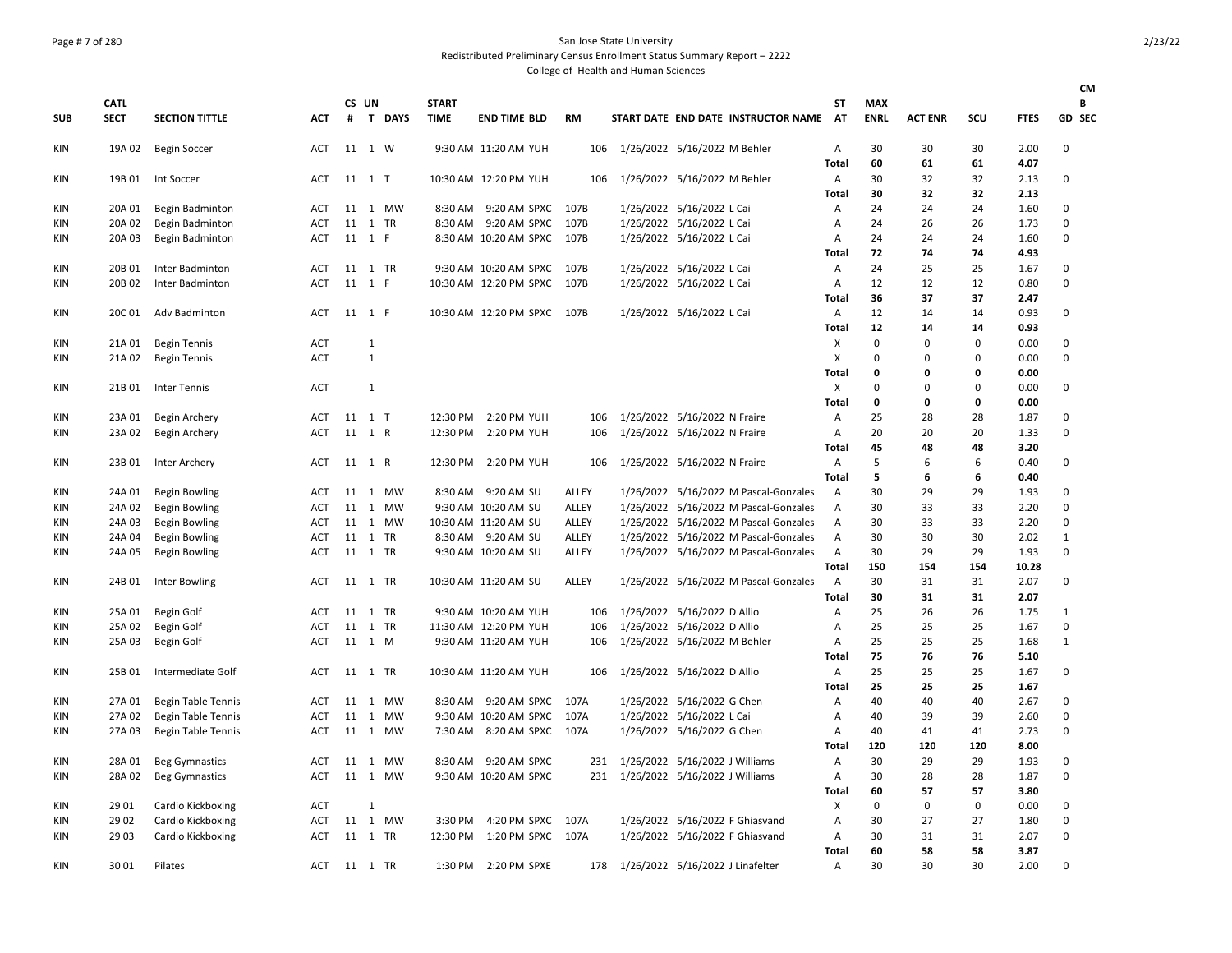# Page # 7 of 280 San Jose State University

Redistributed Preliminary Census Enrollment Status Summary Report – 2222

|            |             |                           |            |         |              |               |              |                             |       |                                  |                                       |              |             |                |          |             | <b>CM</b>     |
|------------|-------------|---------------------------|------------|---------|--------------|---------------|--------------|-----------------------------|-------|----------------------------------|---------------------------------------|--------------|-------------|----------------|----------|-------------|---------------|
|            | <b>CATL</b> |                           |            | CS UN   |              |               | <b>START</b> |                             |       |                                  |                                       | SΤ           | <b>MAX</b>  |                |          |             | В             |
| <b>SUB</b> | <b>SECT</b> | <b>SECTION TITTLE</b>     | <b>ACT</b> | #       |              | <b>T DAYS</b> | <b>TIME</b>  | <b>END TIME BLD</b>         | RM    |                                  | START DATE END DATE INSTRUCTOR NAME   | AT           | <b>ENRL</b> | <b>ACT ENR</b> | scu      | <b>FTES</b> | <b>GD SEC</b> |
| KIN        | 19A 02      | <b>Begin Soccer</b>       | ACT        | 11 1 W  |              |               |              | 9:30 AM 11:20 AM YUH        | 106   | 1/26/2022 5/16/2022 M Behler     |                                       | Α            | 30          | 30             | 30       | 2.00        | 0             |
|            |             |                           |            |         |              |               |              |                             |       |                                  |                                       | Total        | 60          | 61             | 61       | 4.07        |               |
| KIN        | 19B 01      | Int Soccer                | ACT        | 11 1 T  |              |               |              | 10:30 AM 12:20 PM YUH       | 106   | 1/26/2022 5/16/2022 M Behler     |                                       | Α            | 30          | 32             | 32       | 2.13        | 0             |
|            |             |                           |            |         |              |               |              |                             |       |                                  |                                       | Total        | 30          | 32             | 32       | 2.13        |               |
| KIN        | 20A 01      | Begin Badminton           | ACT        |         |              | 11 1 MW       | 8:30 AM      | 9:20 AM SPXC                | 107B  | 1/26/2022 5/16/2022 L Cai        |                                       | Α            | 24          | 24             | 24       | 1.60        | 0             |
| KIN        | 20A 02      | Begin Badminton           | ACT        | 11 1 TR |              |               | 8:30 AM      | 9:20 AM SPXC                | 107B  | 1/26/2022 5/16/2022 L Cai        |                                       | Α            | 24          | 26             | 26       | 1.73        | 0             |
| KIN        | 20A 03      | Begin Badminton           | <b>ACT</b> | 11 1 F  |              |               |              | 8:30 AM 10:20 AM SPXC       | 107B  | 1/26/2022 5/16/2022 L Cai        |                                       | A            | 24          | 24             | 24       | 1.60        | 0             |
|            |             |                           |            |         |              |               |              |                             |       |                                  |                                       | Total        | 72          | 74             | 74       | 4.93        |               |
| <b>KIN</b> | 20B 01      | Inter Badminton           | ACT        | 11 1 TR |              |               |              | 9:30 AM 10:20 AM SPXC       | 107B  | 1/26/2022 5/16/2022 L Cai        |                                       | Α            | 24          | 25             | 25       | 1.67        | 0             |
| KIN        | 20B 02      | Inter Badminton           | <b>ACT</b> | 11 1 F  |              |               |              | 10:30 AM 12:20 PM SPXC      | 107B  | 1/26/2022 5/16/2022 L Cai        |                                       | Α            | 12          | 12             | 12       | 0.80        | 0             |
|            |             |                           |            |         |              |               |              |                             |       |                                  |                                       | Total        | 36          | 37             | 37       | 2.47        |               |
| KIN        | 20C 01      | Adv Badminton             | ACT        | 11 1 F  |              |               |              | 10:30 AM 12:20 PM SPXC 107B |       | 1/26/2022 5/16/2022 L Cai        |                                       | A            | 12          | 14             | 14       | 0.93        | 0             |
|            |             |                           |            |         |              |               |              |                             |       |                                  |                                       | Total        | 12          | 14             | 14       | 0.93        |               |
| KIN        | 21A 01      | <b>Begin Tennis</b>       | ACT        |         | $\mathbf{1}$ |               |              |                             |       |                                  |                                       | X            | 0           | $\mathbf 0$    | $\Omega$ | 0.00        | 0             |
| KIN        | 21A 02      | <b>Begin Tennis</b>       | <b>ACT</b> |         | $\mathbf{1}$ |               |              |                             |       |                                  |                                       | X            | 0           | $\mathbf 0$    | 0        | 0.00        | $\mathbf 0$   |
|            |             |                           |            |         |              |               |              |                             |       |                                  |                                       | Total        | 0           | 0              | 0        | 0.00        |               |
| KIN        | 21B 01      | <b>Inter Tennis</b>       | <b>ACT</b> |         | $\mathbf{1}$ |               |              |                             |       |                                  |                                       | X            | 0           | 0              | 0        | 0.00        | 0             |
|            |             |                           |            |         |              |               |              |                             |       |                                  |                                       | <b>Total</b> | $\mathbf 0$ | $\mathbf 0$    | 0        | 0.00        |               |
| KIN        | 23A 01      | Begin Archery             | ACT        | 11 1 T  |              |               | 12:30 PM     | 2:20 PM YUH                 | 106   | 1/26/2022 5/16/2022 N Fraire     |                                       | A            | 25          | 28             | 28       | 1.87        | 0             |
| KIN        | 23A 02      | Begin Archery             | ACT        | 11 1 R  |              |               | 12:30 PM     | 2:20 PM YUH                 | 106   | 1/26/2022 5/16/2022 N Fraire     |                                       | А            | 20          | 20             | 20       | 1.33        | 0             |
|            |             |                           |            |         |              |               |              |                             |       |                                  |                                       | Total        | 45          | 48             | 48       | 3.20        |               |
| KIN        | 23B 01      | Inter Archery             | ACT        | 11 1 R  |              |               | 12:30 PM     | 2:20 PM YUH                 | 106   | 1/26/2022 5/16/2022 N Fraire     |                                       | Α            | 5           | 6              | 6        | 0.40        | 0             |
|            |             |                           |            |         |              |               |              |                             |       |                                  |                                       | <b>Total</b> | 5           | 6              | 6        | 0.40        |               |
| KIN        | 24A 01      | <b>Begin Bowling</b>      | ACT        |         |              | 11 1 MW       |              | 8:30 AM 9:20 AM SU          | ALLEY |                                  | 1/26/2022 5/16/2022 M Pascal-Gonzales | Α            | 30          | 29             | 29       | 1.93        | 0             |
| KIN        | 24A 02      | <b>Begin Bowling</b>      | ACT        |         |              | 11 1 MW       |              | 9:30 AM 10:20 AM SU         | ALLEY |                                  | 1/26/2022 5/16/2022 M Pascal-Gonzales | Α            | 30          | 33             | 33       | 2.20        | 0             |
| <b>KIN</b> | 24A 03      | <b>Begin Bowling</b>      | ACT        |         |              | 11 1 MW       |              | 10:30 AM 11:20 AM SU        | ALLEY |                                  | 1/26/2022 5/16/2022 M Pascal-Gonzales | Α            | 30          | 33             | 33       | 2.20        | 0             |
| KIN        | 24A 04      | <b>Begin Bowling</b>      | ACT        | 11 1 TR |              |               |              | 8:30 AM 9:20 AM SU          | ALLEY |                                  | 1/26/2022 5/16/2022 M Pascal-Gonzales | Α            | 30          | 30             | 30       | 2.02        | 1             |
| KIN        | 24A 05      | <b>Begin Bowling</b>      | ACT        | 11 1 TR |              |               |              | 9:30 AM 10:20 AM SU         | ALLEY |                                  | 1/26/2022 5/16/2022 M Pascal-Gonzales | Α            | 30          | 29             | 29       | 1.93        | $\mathbf 0$   |
|            |             |                           |            |         |              |               |              |                             |       |                                  |                                       | <b>Total</b> | 150         | 154            | 154      | 10.28       |               |
| KIN        | 24B 01      | Inter Bowling             | ACT        | 11 1 TR |              |               |              | 10:30 AM 11:20 AM SU        | ALLEY |                                  | 1/26/2022 5/16/2022 M Pascal-Gonzales | Α            | 30          | 31             | 31       | 2.07        | 0             |
|            |             |                           |            |         |              |               |              |                             |       |                                  |                                       | <b>Total</b> | 30          | 31             | 31       | 2.07        |               |
| KIN        | 25A 01      | Begin Golf                | ACT        | 11 1 TR |              |               |              | 9:30 AM 10:20 AM YUH        | 106   | 1/26/2022 5/16/2022 D Allio      |                                       | Α            | 25          | 26             | 26       | 1.75        | $\mathbf{1}$  |
| KIN        | 25A 02      | <b>Begin Golf</b>         | ACT        | 11 1 TR |              |               |              | 11:30 AM 12:20 PM YUH       | 106   | 1/26/2022 5/16/2022 D Allio      |                                       | A            | 25          | 25             | 25       | 1.67        | 0             |
| KIN        | 25A 03      | Begin Golf                | ACT        | 11 1 M  |              |               |              | 9:30 AM 11:20 AM YUH        | 106   | 1/26/2022 5/16/2022 M Behler     |                                       | A            | 25          | 25             | 25       | 1.68        | 1             |
|            |             |                           |            |         |              |               |              |                             |       |                                  |                                       | Total        | 75          | 76             | 76       | 5.10        |               |
| KIN        | 25B 01      | Intermediate Golf         | ACT        | 11 1 TR |              |               |              | 10:30 AM 11:20 AM YUH       | 106   | 1/26/2022 5/16/2022 D Allio      |                                       | Α            | 25          | 25             | 25       | 1.67        | 0             |
|            |             |                           |            |         |              |               |              |                             |       |                                  |                                       | Total        | 25          | 25             | 25       | 1.67        |               |
| KIN        | 27A 01      | <b>Begin Table Tennis</b> | <b>ACT</b> |         |              | 11 1 MW       | 8:30 AM      | 9:20 AM SPXC                | 107A  | 1/26/2022 5/16/2022 G Chen       |                                       | Α            | 40          | 40             | 40       | 2.67        | 0             |
| KIN        | 27A 02      | <b>Begin Table Tennis</b> | ACT        |         |              | 11 1 MW       |              | 9:30 AM 10:20 AM SPXC       | 107A  | 1/26/2022 5/16/2022 L Cai        |                                       | Α            | 40          | 39             | 39       | 2.60        | 0             |
| KIN        | 27A 03      | <b>Begin Table Tennis</b> | ACT        |         |              | 11 1 MW       | 7:30 AM      | 8:20 AM SPXC 107A           |       | 1/26/2022 5/16/2022 G Chen       |                                       | Α            | 40          | 41             | 41       | 2.73        | 0             |
|            |             |                           |            |         |              |               |              |                             |       |                                  |                                       | Total        | 120         | 120            | 120      | 8.00        |               |
| KIN        | 28A 01      | <b>Beg Gymnastics</b>     | ACT        |         |              | 11 1 MW       | 8:30 AM      | 9:20 AM SPXC                | 231   | 1/26/2022 5/16/2022 J Williams   |                                       | Α            | 30          | 29             | 29       | 1.93        | 0             |
| KIN        | 28A 02      | <b>Beg Gymnastics</b>     | ACT        |         |              | 11 1 MW       |              | 9:30 AM 10:20 AM SPXC       | 231   | 1/26/2022 5/16/2022 J Williams   |                                       | А            | 30          | 28             | 28       | 1.87        | 0             |
|            |             |                           |            |         |              |               |              |                             |       |                                  |                                       | Total        | 60          | 57             | 57       | 3.80        |               |
| KIN        | 29 01       | Cardio Kickboxing         | <b>ACT</b> |         | $\mathbf{1}$ |               |              |                             |       |                                  |                                       | х            | 0           | $\mathbf 0$    | 0        | 0.00        | 0             |
| KIN        | 29 02       | Cardio Kickboxing         | ACT        |         |              | 11 1 MW       | 3:30 PM      | 4:20 PM SPXC                | 107A  | 1/26/2022 5/16/2022 F Ghiasvand  |                                       | А            | 30          | 27             | 27       | 1.80        | 0             |
| KIN        | 29 03       | Cardio Kickboxing         | <b>ACT</b> | 11 1 TR |              |               |              | 12:30 PM 1:20 PM SPXC 107A  |       | 1/26/2022 5/16/2022 F Ghiasvand  |                                       | A            | 30          | 31             | 31       | 2.07        | 0             |
|            |             |                           |            |         |              |               |              |                             |       |                                  |                                       | Total        | 60          | 58             | 58       | 3.87        |               |
| KIN        | 3001        | Pilates                   | ACT        | 11 1 TR |              |               | 1:30 PM      | 2:20 PM SPXE                | 178   | 1/26/2022 5/16/2022 J Linafelter |                                       | Α            | 30          | 30             | 30       | 2.00        | $\Omega$      |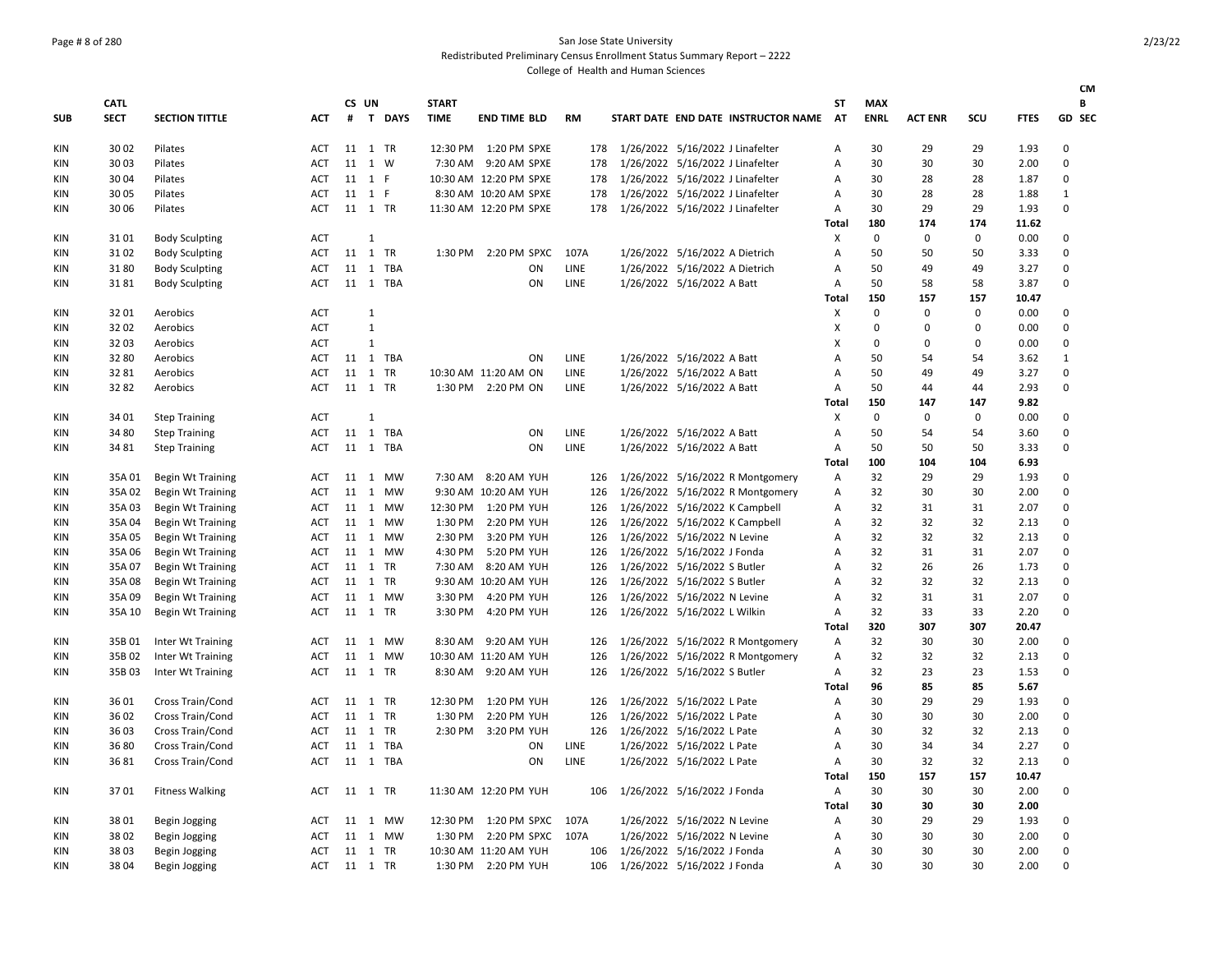# Page # 8 of 280 San Jose State University

Redistributed Preliminary Census Enrollment Status Summary Report – 2222

|            |             |                          |            |         |              |          |              |                        |           |  |                                  |                                     |              |             |                |             |             | <b>CM</b>    |
|------------|-------------|--------------------------|------------|---------|--------------|----------|--------------|------------------------|-----------|--|----------------------------------|-------------------------------------|--------------|-------------|----------------|-------------|-------------|--------------|
|            | <b>CATL</b> |                          |            |         | CS UN        |          | <b>START</b> |                        |           |  |                                  |                                     | SΤ           | <b>MAX</b>  |                |             |             | В            |
| <b>SUB</b> | <b>SECT</b> | <b>SECTION TITTLE</b>    | <b>ACT</b> | #       |              | T DAYS   | <b>TIME</b>  | <b>END TIME BLD</b>    | <b>RM</b> |  |                                  | START DATE END DATE INSTRUCTOR NAME | AT           | <b>ENRL</b> | <b>ACT ENR</b> | scu         | <b>FTES</b> | GD SEC       |
| KIN        | 30 02       | Pilates                  | ACT        |         | 11 1 TR      |          |              | 12:30 PM 1:20 PM SPXE  | 178       |  | 1/26/2022 5/16/2022 J Linafelter |                                     | Α            | 30          | 29             | 29          | 1.93        | 0            |
| KIN        | 30 03       | Pilates                  | <b>ACT</b> |         | 11 1         | W        | 7:30 AM      | 9:20 AM SPXE           | 178       |  | 1/26/2022 5/16/2022 J Linafelter |                                     | A            | 30          | 30             | 30          | 2.00        | $\Omega$     |
| KIN        | 30 04       | Pilates                  | <b>ACT</b> |         | 11 1 F       |          |              | 10:30 AM 12:20 PM SPXE | 178       |  | 1/26/2022 5/16/2022 J Linafelter |                                     | A            | 30          | 28             | 28          | 1.87        | 0            |
| KIN        | 30 05       | Pilates                  | <b>ACT</b> |         | 11 1 F       |          |              | 8:30 AM 10:20 AM SPXE  | 178       |  | 1/26/2022 5/16/2022 J Linafelter |                                     | Α            | 30          | 28             | 28          | 1.88        | $\mathbf{1}$ |
| KIN        | 30 06       | Pilates                  | <b>ACT</b> |         | 11 1 TR      |          |              | 11:30 AM 12:20 PM SPXE | 178       |  | 1/26/2022 5/16/2022 J Linafelter |                                     | Α            | 30          | 29             | 29          | 1.93        | $\Omega$     |
|            |             |                          |            |         |              |          |              |                        |           |  |                                  |                                     | Total        | 180         | 174            | 174         | 11.62       |              |
| KIN        | 3101        | <b>Body Sculpting</b>    | <b>ACT</b> |         | 1            |          |              |                        |           |  |                                  |                                     | х            | $\Omega$    | $\mathbf 0$    | $\Omega$    | 0.00        | $\Omega$     |
| KIN        | 3102        | <b>Body Sculpting</b>    | <b>ACT</b> |         | 11 1 TR      |          | 1:30 PM      | 2:20 PM SPXC           | 107A      |  | 1/26/2022 5/16/2022 A Dietrich   |                                     | Α            | 50          | 50             | 50          | 3.33        | $\Omega$     |
| KIN        | 3180        | <b>Body Sculpting</b>    | <b>ACT</b> |         |              | 11 1 TBA |              | ON                     | LINE      |  | 1/26/2022 5/16/2022 A Dietrich   |                                     | Α            | 50          | 49             | 49          | 3.27        | $\Omega$     |
| KIN        | 3181        | <b>Body Sculpting</b>    | <b>ACT</b> |         |              | 11 1 TBA |              | ON                     | LINE      |  | 1/26/2022 5/16/2022 A Batt       |                                     | Α            | 50          | 58             | 58          | 3.87        | $\Omega$     |
|            |             |                          |            |         |              |          |              |                        |           |  |                                  |                                     | Total        | 150         | 157            | 157         | 10.47       |              |
| KIN        | 3201        | Aerobics                 | <b>ACT</b> |         | 1            |          |              |                        |           |  |                                  |                                     | X            | $\Omega$    | $\mathbf 0$    | 0           | 0.00        | 0            |
| KIN        | 32 02       | Aerobics                 | <b>ACT</b> |         | $\mathbf{1}$ |          |              |                        |           |  |                                  |                                     | X            | $\Omega$    | $\Omega$       | 0           | 0.00        | 0            |
| KIN        | 3203        | Aerobics                 | <b>ACT</b> |         | 1            |          |              |                        |           |  |                                  |                                     | X            | $\Omega$    | 0              | $\pmb{0}$   | 0.00        | 0            |
| KIN        | 32 80       | Aerobics                 | ACT        |         |              | 11 1 TBA |              | ON                     | LINE      |  | 1/26/2022 5/16/2022 A Batt       |                                     | A            | 50          | 54             | 54          | 3.62        | 1            |
| KIN        | 3281        | Aerobics                 | <b>ACT</b> |         | 11 1 TR      |          |              | 10:30 AM 11:20 AM ON   | LINE      |  | 1/26/2022 5/16/2022 A Batt       |                                     | Α            | 50          | 49             | 49          | 3.27        | 0            |
| KIN        | 3282        | Aerobics                 | <b>ACT</b> |         | 11 1 TR      |          |              | 1:30 PM 2:20 PM ON     | LINE      |  | 1/26/2022 5/16/2022 A Batt       |                                     | А            | 50          | 44             | 44          | 2.93        | 0            |
|            |             |                          |            |         |              |          |              |                        |           |  |                                  |                                     | <b>Total</b> | 150         | 147            | 147         | 9.82        |              |
| KIN        | 34 01       | <b>Step Training</b>     | <b>ACT</b> |         | 1            |          |              |                        |           |  |                                  |                                     | X            | $\Omega$    | $\mathbf 0$    | $\mathbf 0$ | 0.00        | $\Omega$     |
| KIN        | 34 80       | <b>Step Training</b>     | ACT        |         |              | 11 1 TBA |              | ON                     | LINE      |  | 1/26/2022 5/16/2022 A Batt       |                                     | A            | 50          | 54             | 54          | 3.60        | 0            |
| KIN        | 34 81       | <b>Step Training</b>     | <b>ACT</b> |         |              | 11 1 TBA |              | ON                     | LINE      |  | 1/26/2022 5/16/2022 A Batt       |                                     | Α            | 50          | 50             | 50          | 3.33        | 0            |
|            |             |                          |            |         |              |          |              |                        |           |  |                                  |                                     | Total        | 100         | 104            | 104         | 6.93        |              |
| KIN        | 35A 01      | <b>Begin Wt Training</b> | ACT        |         |              | 11 1 MW  |              | 7:30 AM 8:20 AM YUH    | 126       |  |                                  | 1/26/2022 5/16/2022 R Montgomery    | Α            | 32          | 29             | 29          | 1.93        | 0            |
| KIN        | 35A 02      | <b>Begin Wt Training</b> | <b>ACT</b> |         |              | 11 1 MW  |              | 9:30 AM 10:20 AM YUH   | 126       |  |                                  | 1/26/2022 5/16/2022 R Montgomery    | Α            | 32          | 30             | 30          | 2.00        | 0            |
| KIN        | 35A 03      | <b>Begin Wt Training</b> | <b>ACT</b> |         |              | 11 1 MW  |              | 12:30 PM 1:20 PM YUH   | 126       |  | 1/26/2022 5/16/2022 K Campbell   |                                     | Α            | 32          | 31             | 31          | 2.07        | 0            |
| KIN        | 35A 04      | <b>Begin Wt Training</b> | <b>ACT</b> |         |              | 11 1 MW  | 1:30 PM      | 2:20 PM YUH            | 126       |  | 1/26/2022 5/16/2022 K Campbell   |                                     | A            | 32          | 32             | 32          | 2.13        | 0            |
| KIN        | 35A 05      | <b>Begin Wt Training</b> | <b>ACT</b> |         |              | 11 1 MW  | 2:30 PM      | 3:20 PM YUH            | 126       |  | 1/26/2022 5/16/2022 N Levine     |                                     | A            | 32          | 32             | 32          | 2.13        | 0            |
| KIN        | 35A 06      | <b>Begin Wt Training</b> | <b>ACT</b> |         |              | 11 1 MW  | 4:30 PM      | 5:20 PM YUH            | 126       |  | 1/26/2022 5/16/2022 J Fonda      |                                     | Α            | 32          | 31             | 31          | 2.07        | 0            |
| KIN        | 35A 07      | <b>Begin Wt Training</b> | <b>ACT</b> |         | 11 1 TR      |          | 7:30 AM      | 8:20 AM YUH            | 126       |  | 1/26/2022 5/16/2022 S Butler     |                                     | A            | 32          | 26             | 26          | 1.73        | 0            |
| KIN        | 35A 08      | <b>Begin Wt Training</b> | <b>ACT</b> |         | 11 1 TR      |          |              | 9:30 AM 10:20 AM YUH   | 126       |  | 1/26/2022 5/16/2022 S Butler     |                                     | А            | 32          | 32             | 32          | 2.13        | 0            |
| KIN        | 35A 09      | <b>Begin Wt Training</b> | <b>ACT</b> |         |              | 11 1 MW  | 3:30 PM      | 4:20 PM YUH            | 126       |  | 1/26/2022 5/16/2022 N Levine     |                                     | Α            | 32          | 31             | 31          | 2.07        | 0            |
| KIN        | 35A 10      | <b>Begin Wt Training</b> | <b>ACT</b> |         | 11 1 TR      |          | 3:30 PM      | 4:20 PM YUH            | 126       |  | 1/26/2022 5/16/2022 L Wilkin     |                                     | А            | 32          | 33             | 33          | 2.20        | 0            |
|            |             |                          |            |         |              |          |              |                        |           |  |                                  |                                     | Total        | 320         | 307            | 307         | 20.47       |              |
| KIN        | 35B 01      | Inter Wt Training        | <b>ACT</b> |         |              | 11 1 MW  | 8:30 AM      | 9:20 AM YUH            | 126       |  |                                  | 1/26/2022 5/16/2022 R Montgomery    | Α            | 32          | 30             | 30          | 2.00        | 0            |
| KIN        | 35B02       | Inter Wt Training        | <b>ACT</b> |         |              | 11 1 MW  |              | 10:30 AM 11:20 AM YUH  | 126       |  |                                  | 1/26/2022 5/16/2022 R Montgomery    | A            | 32          | 32             | 32          | 2.13        | 0            |
| KIN        | 35B03       | Inter Wt Training        | <b>ACT</b> |         | 11 1 TR      |          | 8:30 AM      | 9:20 AM YUH            | 126       |  | 1/26/2022 5/16/2022 S Butler     |                                     | Α            | 32          | 23             | 23          | 1.53        | 0            |
|            |             |                          |            |         |              |          |              |                        |           |  |                                  |                                     | Total        | 96          | 85             | 85          | 5.67        |              |
| <b>KIN</b> | 36 01       | Cross Train/Cond         | <b>ACT</b> |         | 11 1 TR      |          | 12:30 PM     | 1:20 PM YUH            | 126       |  | 1/26/2022 5/16/2022 L Pate       |                                     | Α            | 30          | 29             | 29          | 1.93        | 0            |
| KIN        | 36 02       | Cross Train/Cond         | <b>ACT</b> |         | 11 1 TR      |          | 1:30 PM      | 2:20 PM YUH            | 126       |  | 1/26/2022 5/16/2022 L Pate       |                                     | А            | 30          | 30             | 30          | 2.00        | 0            |
| KIN        | 3603        | Cross Train/Cond         | <b>ACT</b> |         | 11 1 TR      |          | 2:30 PM      | 3:20 PM YUH            | 126       |  | 1/26/2022 5/16/2022 L Pate       |                                     | Α            | 30          | 32             | 32          | 2.13        | 0            |
| KIN        | 3680        | Cross Train/Cond         | <b>ACT</b> |         |              | 11 1 TBA |              | ON                     | LINE      |  | 1/26/2022 5/16/2022 L Pate       |                                     | Α            | 30          | 34             | 34          | 2.27        | 0            |
| KIN        | 3681        | Cross Train/Cond         | <b>ACT</b> |         |              | 11 1 TBA |              | ON                     | LINE      |  | 1/26/2022 5/16/2022 L Pate       |                                     | А            | 30          | 32             | 32          | 2.13        | 0            |
|            |             |                          |            |         |              |          |              |                        |           |  |                                  |                                     | Total        | 150         | 157            | 157         | 10.47       |              |
| <b>KIN</b> | 3701        | <b>Fitness Walking</b>   | <b>ACT</b> | 11 1 TR |              |          |              | 11:30 AM 12:20 PM YUH  | 106       |  | 1/26/2022 5/16/2022 J Fonda      |                                     | Α            | 30          | 30             | 30          | 2.00        | 0            |
|            |             |                          |            |         |              |          |              |                        |           |  |                                  |                                     | <b>Total</b> | 30          | 30             | 30          | 2.00        |              |
| KIN        | 3801        | Begin Jogging            | <b>ACT</b> |         |              | 11 1 MW  | 12:30 PM     | 1:20 PM SPXC           | 107A      |  | 1/26/2022 5/16/2022 N Levine     |                                     | Α            | 30          | 29             | 29          | 1.93        | 0            |
| KIN        | 3802        | Begin Jogging            | ACT        |         |              | 11 1 MW  | 1:30 PM      | 2:20 PM SPXC           | 107A      |  | 1/26/2022 5/16/2022 N Levine     |                                     | A            | 30          | 30             | 30          | 2.00        | 0            |
| KIN        | 3803        | Begin Jogging            | <b>ACT</b> | 11 1 TR |              |          |              | 10:30 AM 11:20 AM YUH  | 106       |  | 1/26/2022 5/16/2022 J Fonda      |                                     | A            | 30          | 30             | 30          | 2.00        | $\Omega$     |
| KIN        | 3804        | Begin Jogging            | ACT        | 11 1 TR |              |          | 1:30 PM      | 2:20 PM YUH            | 106       |  | 1/26/2022 5/16/2022 J Fonda      |                                     | А            | 30          | 30             | 30          | 2.00        | $\Omega$     |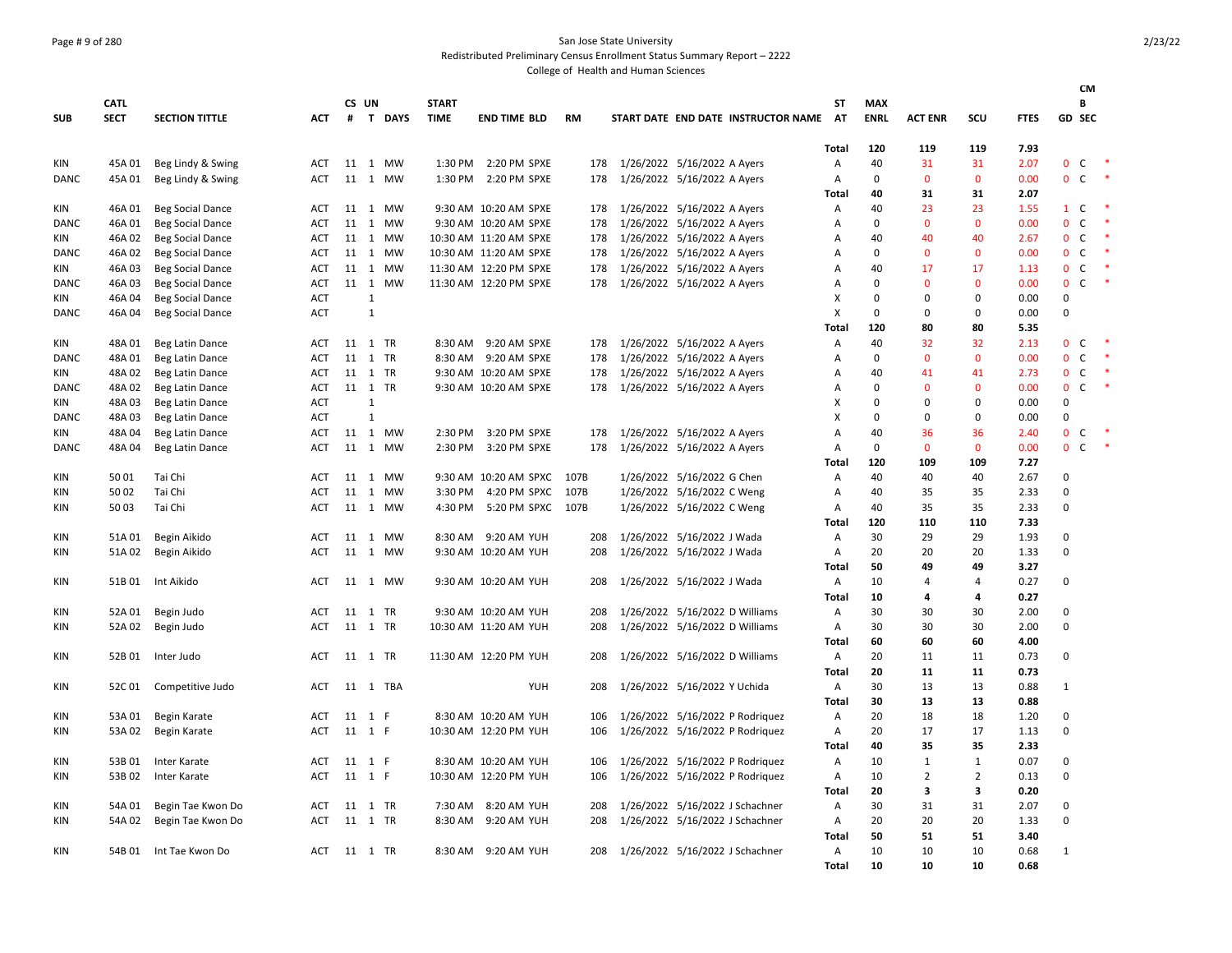## Page # 9 of 280 San Jose State University

Redistributed Preliminary Census Enrollment Status Summary Report – 2222

|             |             |                         |            |         |              |          |              |                            |           |                                     |              |             |                |                |             | <b>CM</b>                    |                      |
|-------------|-------------|-------------------------|------------|---------|--------------|----------|--------------|----------------------------|-----------|-------------------------------------|--------------|-------------|----------------|----------------|-------------|------------------------------|----------------------|
|             | <b>CATL</b> |                         |            |         | CS UN        |          | <b>START</b> |                            |           |                                     | SΤ           | <b>MAX</b>  |                |                |             | В                            |                      |
| <b>SUB</b>  | <b>SECT</b> | <b>SECTION TITTLE</b>   | <b>ACT</b> |         |              | # T DAYS | <b>TIME</b>  | <b>END TIME BLD</b>        | <b>RM</b> | START DATE END DATE INSTRUCTOR NAME | <b>AT</b>    | <b>ENRL</b> | <b>ACT ENR</b> | SCU            | <b>FTES</b> | <b>GD SEC</b>                |                      |
|             |             |                         |            |         |              |          |              |                            |           |                                     | Total        | 120         | 119            | 119            | 7.93        |                              |                      |
| KIN         | 45A 01      | Beg Lindy & Swing       | <b>ACT</b> |         |              | 11 1 MW  |              | 1:30 PM 2:20 PM SPXE       | 178       | 1/26/2022 5/16/2022 A Ayers         | Α            | 40          | 31             | 31             | 2.07        | $\mathsf{C}$<br>$\mathbf{0}$ |                      |
| DANC        | 45A 01      | Beg Lindy & Swing       | <b>ACT</b> |         |              | 11 1 MW  | 1:30 PM      | 2:20 PM SPXE               | 178       | 1/26/2022 5/16/2022 A Ayers         | Α            | $\Omega$    | $\Omega$       | $\Omega$       | 0.00        | $0\quad C$                   |                      |
|             |             |                         |            |         |              |          |              |                            |           |                                     | Total        | 40          | 31             | 31             | 2.07        |                              |                      |
| KIN         | 46A 01      | <b>Beg Social Dance</b> | ACT        | 11      |              | 1 MW     |              | 9:30 AM 10:20 AM SPXE      | 178       | 1/26/2022 5/16/2022 A Ayers         | Α            | 40          | 23             | 23             | 1.55        | C<br>$\mathbf{1}$            |                      |
| <b>DANC</b> | 46A 01      | <b>Beg Social Dance</b> | ACT        | 11      |              | 1 MW     |              | 9:30 AM 10:20 AM SPXE      | 178       | 1/26/2022 5/16/2022 A Ayers         | Α            | $\mathbf 0$ | $\mathbf{0}$   | $\mathbf{0}$   | 0.00        | $\mathbf{0}$<br>$\mathsf{C}$ | $\;$ $\;$            |
| KIN         | 46A 02      | <b>Beg Social Dance</b> | <b>ACT</b> | 11      |              | 1 MW     |              | 10:30 AM 11:20 AM SPXE     | 178       | 1/26/2022 5/16/2022 A Ayers         | Α            | 40          | 40             | 40             | 2.67        | $\mathsf{C}$<br>$\mathbf 0$  | $\ast$               |
| <b>DANC</b> | 46A 02      | <b>Beg Social Dance</b> | <b>ACT</b> |         |              | 11 1 MW  |              | 10:30 AM 11:20 AM SPXE     | 178       | 1/26/2022 5/16/2022 A Ayers         | Α            | $\mathbf 0$ | $\mathbf{0}$   | $\mathbf{0}$   | 0.00        | $\mathbf{0}$<br>$\mathsf{C}$ | $\ddot{\phantom{1}}$ |
| KIN         | 46A 03      | <b>Beg Social Dance</b> | <b>ACT</b> |         |              | 11 1 MW  |              | 11:30 AM 12:20 PM SPXE     | 178       | 1/26/2022 5/16/2022 A Ayers         | Α            | 40          | 17             | 17             | 1.13        | $\mathsf{C}$<br>$\mathbf{0}$ | $\ast$               |
| DANC        | 46A 03      | <b>Beg Social Dance</b> | ACT        |         |              | 11 1 MW  |              | 11:30 AM 12:20 PM SPXE     | 178       | 1/26/2022 5/16/2022 A Ayers         | А            | $\Omega$    | $\Omega$       | $\Omega$       | 0.00        | $\mathbf 0$<br>$\mathsf{C}$  |                      |
| KIN         | 46A 04      | <b>Beg Social Dance</b> | ACT        |         | $\mathbf{1}$ |          |              |                            |           |                                     | X            | $\mathbf 0$ | $\Omega$       | $\mathbf 0$    | 0.00        | $\mathbf 0$                  |                      |
| DANC        | 46A 04      | <b>Beg Social Dance</b> | <b>ACT</b> |         | $\mathbf{1}$ |          |              |                            |           |                                     | X            | $\mathbf 0$ | $\Omega$       | 0              | 0.00        | 0                            |                      |
|             |             |                         |            |         |              |          |              |                            |           |                                     | Total        | 120         | 80             | 80             | 5.35        |                              |                      |
| KIN         | 48A 01      | Beg Latin Dance         | ACT        |         |              | 11 1 TR  | 8:30 AM      | 9:20 AM SPXE               | 178       | 1/26/2022 5/16/2022 A Ayers         | Α            | 40          | 32             | 32             | 2.13        | $\mathbf{0}$<br>$\mathsf{C}$ | $\;$ $\;$            |
| DANC        | 48A 01      | Beg Latin Dance         | <b>ACT</b> |         |              | 11 1 TR  |              | 8:30 AM 9:20 AM SPXE       | 178       | 1/26/2022 5/16/2022 A Ayers         | Α            | $\mathbf 0$ | $\mathbf{0}$   | $\mathbf{0}$   | 0.00        | $\mathbf{0}$<br>$\mathsf{C}$ | $\ast$               |
| KIN         | 48A 02      | Beg Latin Dance         | <b>ACT</b> |         |              | 11 1 TR  |              | 9:30 AM 10:20 AM SPXE      | 178       | 1/26/2022 5/16/2022 A Ayers         | А            | 40          | 41             | 41             | 2.73        | $\mathsf{C}$<br>$\mathbf{0}$ |                      |
| DANC        | 48A 02      | Beg Latin Dance         | <b>ACT</b> |         |              | 11 1 TR  |              | 9:30 AM 10:20 AM SPXE      | 178       | 1/26/2022 5/16/2022 A Ayers         | Α            | $\mathbf 0$ | $\Omega$       | $\mathbf{0}$   | 0.00        | $\mathbf 0$<br>$\mathsf{C}$  |                      |
| KIN         | 48A 03      | Beg Latin Dance         | <b>ACT</b> |         | $\mathbf{1}$ |          |              |                            |           |                                     | X            | $\mathbf 0$ | $\Omega$       | $\mathbf 0$    | 0.00        | 0                            |                      |
| <b>DANC</b> | 48A 03      | Beg Latin Dance         | <b>ACT</b> |         | $\mathbf{1}$ |          |              |                            |           |                                     | X            | $\Omega$    | $\Omega$       | 0              | 0.00        | $\mathbf 0$                  |                      |
| KIN         | 48A 04      | Beg Latin Dance         | <b>ACT</b> |         |              | 11 1 MW  | 2:30 PM      | 3:20 PM SPXE               | 178       | 1/26/2022 5/16/2022 A Ayers         | A            | 40          | 36             | 36             | 2.40        | $\mathbf{0}$<br>$\mathsf{C}$ | $\rightarrow$        |
| DANC        | 48A 04      | Beg Latin Dance         | <b>ACT</b> |         |              | 11 1 MW  |              | 2:30 PM 3:20 PM SPXE       | 178       | 1/26/2022 5/16/2022 A Ayers         | Α            | $\mathbf 0$ | $\mathbf{0}$   | $\mathbf{0}$   | 0.00        | $0-$                         | $\ddot{\phantom{1}}$ |
|             |             |                         |            |         |              |          |              |                            |           |                                     | <b>Total</b> | 120         | 109            | 109            | 7.27        |                              |                      |
| KIN         | 5001        | Tai Chi                 | <b>ACT</b> |         |              | 11 1 MW  |              | 9:30 AM 10:20 AM SPXC 107B |           | 1/26/2022 5/16/2022 G Chen          | Α            | 40          | 40             | 40             | 2.67        | 0                            |                      |
| KIN         | 50 02       | Tai Chi                 | ACT        | 11      | 1            | MW       | 3:30 PM      | 4:20 PM SPXC               | 107B      | 1/26/2022 5/16/2022 C Weng          | Α            | 40          | 35             | 35             | 2.33        | 0                            |                      |
| <b>KIN</b>  | 5003        | Tai Chi                 | ACT        | 11      |              | 1 MW     | 4:30 PM      | 5:20 PM SPXC               | 107B      | 1/26/2022 5/16/2022 C Weng          | Α            | 40          | 35             | 35             | 2.33        | $\mathbf 0$                  |                      |
|             |             |                         |            |         |              |          |              |                            |           |                                     | Total        | 120         | 110            | 110            | 7.33        |                              |                      |
| KIN         | 51A 01      | Begin Aikido            | <b>ACT</b> |         |              | 11 1 MW  |              | 8:30 AM 9:20 AM YUH        | 208       | 1/26/2022 5/16/2022 J Wada          | Α            | 30          | 29             | 29             | 1.93        | $\mathbf 0$                  |                      |
| KIN         | 51A 02      | Begin Aikido            | <b>ACT</b> | 11      |              | 1 MW     |              | 9:30 AM 10:20 AM YUH       | 208       | 1/26/2022 5/16/2022 J Wada          | Α            | 20          | 20             | 20             | 1.33        | 0                            |                      |
|             |             |                         |            |         |              |          |              |                            |           |                                     | <b>Total</b> | 50          | 49             | 49             | 3.27        |                              |                      |
| KIN         | 51B01       | Int Aikido              | ACT        |         |              | 11 1 MW  |              | 9:30 AM 10:20 AM YUH       | 208       | 1/26/2022 5/16/2022 J Wada          | Α            | 10          | 4              | $\overline{4}$ | 0.27        | 0                            |                      |
|             |             |                         |            |         |              |          |              |                            |           |                                     | Total        | 10          | 4              | 4              | 0.27        |                              |                      |
| <b>KIN</b>  | 52A 01      | Begin Judo              | ACT        | 11      |              | 1 TR     |              | 9:30 AM 10:20 AM YUH       | 208       | 1/26/2022 5/16/2022 D Williams      | Α            | 30          | 30             | 30             | 2.00        | 0                            |                      |
| <b>KIN</b>  | 52A 02      | Begin Judo              | <b>ACT</b> |         |              | 11 1 TR  |              | 10:30 AM 11:20 AM YUH      | 208       | 1/26/2022 5/16/2022 D Williams      | Α            | 30          | 30             | 30             | 2.00        | $\mathbf 0$                  |                      |
|             |             |                         |            |         |              |          |              |                            |           |                                     | Total        | 60          | 60             | 60             | 4.00        |                              |                      |
| KIN         | 52B 01      | Inter Judo              | <b>ACT</b> |         |              | 11 1 TR  |              | 11:30 AM 12:20 PM YUH      | 208       | 1/26/2022 5/16/2022 D Williams      | Α            | 20          | 11             | 11             | 0.73        | $\mathbf 0$                  |                      |
|             |             |                         |            |         |              |          |              |                            |           |                                     | <b>Total</b> | 20          | 11             | 11             | 0.73        |                              |                      |
| KIN         | 52C01       | Competitive Judo        | ACT        |         |              | 11 1 TBA |              | YUH                        | 208       | 1/26/2022 5/16/2022 Y Uchida        | Α            | 30          | 13             | 13             | 0.88        | $\mathbf{1}$                 |                      |
|             |             |                         |            |         |              |          |              |                            |           |                                     | Total        | 30          | 13             | 13             | 0.88        |                              |                      |
| <b>KIN</b>  | 53A 01      | Begin Karate            | ACT        | 11      | 1 F          |          |              | 8:30 AM 10:20 AM YUH       | 106       | 1/26/2022 5/16/2022 P Rodriquez     | Α            | 20          | 18             | 18             | 1.20        | 0                            |                      |
| <b>KIN</b>  | 53A 02      | Begin Karate            | <b>ACT</b> |         | 11 1 F       |          |              | 10:30 AM 12:20 PM YUH      | 106       | 1/26/2022 5/16/2022 P Rodriquez     | Α            | 20          | 17             | 17             | 1.13        | $\mathbf 0$                  |                      |
|             |             |                         |            |         |              |          |              |                            |           |                                     | Total        | 40          | 35             | 35             | 2.33        |                              |                      |
| KIN         | 53B 01      | Inter Karate            | ACT        |         | 11 1 F       |          |              | 8:30 AM 10:20 AM YUH       | 106       | 1/26/2022 5/16/2022 P Rodriquez     | Α            | 10          | 1              | 1              | 0.07        | 0                            |                      |
| KIN         | 53B02       | Inter Karate            | ACT        | 11      | 1 F          |          |              | 10:30 AM 12:20 PM YUH      | 106       | 1/26/2022 5/16/2022 P Rodriquez     | Α            | 10          | $\overline{2}$ | $\overline{2}$ | 0.13        | 0                            |                      |
|             |             |                         |            |         |              |          |              |                            |           |                                     | <b>Total</b> | 20          | 3              | 3              | 0.20        |                              |                      |
| <b>KIN</b>  | 54A 01      | Begin Tae Kwon Do       | <b>ACT</b> |         |              | 11 1 TR  | 7:30 AM      | 8:20 AM YUH                | 208       | 1/26/2022 5/16/2022 J Schachner     | Α            | 30          | 31             | 31             | 2.07        | 0                            |                      |
| KIN         | 54A 02      | Begin Tae Kwon Do       | ACT        | 11      |              | 1 TR     | 8:30 AM      | 9:20 AM YUH                | 208       | 1/26/2022 5/16/2022 J Schachner     | Α            | 20          | 20             | 20             | 1.33        | 0                            |                      |
|             |             |                         |            |         |              |          |              |                            |           |                                     | Total        | 50          | 51             | 51             | 3.40        |                              |                      |
| <b>KIN</b>  |             | 54B 01 Int Tae Kwon Do  | ACT        | 11 1 TR |              |          |              | 8:30 AM 9:20 AM YUH        | 208       | 1/26/2022 5/16/2022 J Schachner     | A            | 10          | 10             | 10             | 0.68        | $\mathbf{1}$                 |                      |
|             |             |                         |            |         |              |          |              |                            |           |                                     | Total        | 10          | 10             | 10             | 0.68        |                              |                      |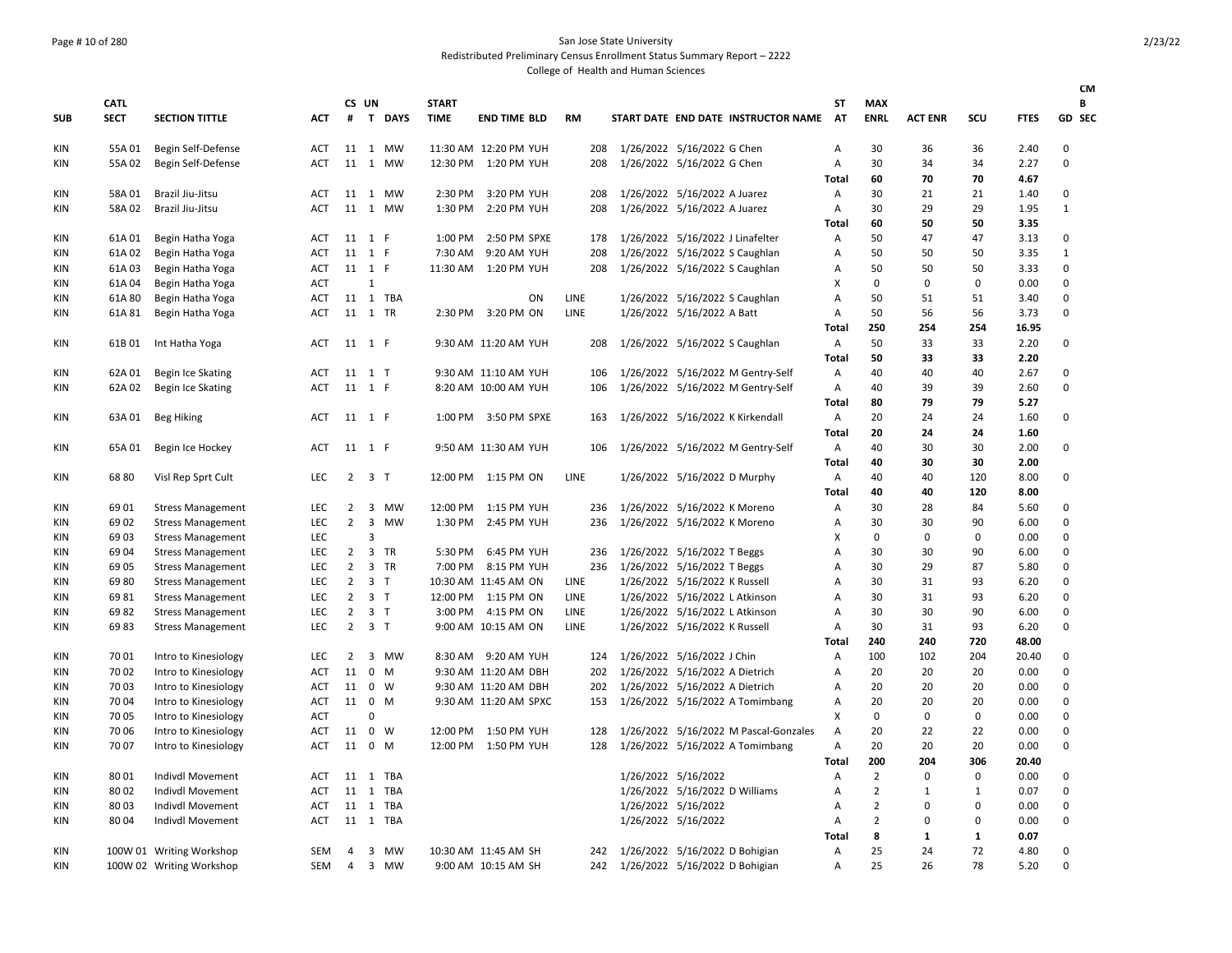### Page # 10 of 280 San Jose State University Redistributed Preliminary Census Enrollment Status Summary Report – 2222

|            |             |                          |            |                |                     |             |              |                       |           |                                |                                |                                       |                |                |                |              |             | <b>CM</b>    |
|------------|-------------|--------------------------|------------|----------------|---------------------|-------------|--------------|-----------------------|-----------|--------------------------------|--------------------------------|---------------------------------------|----------------|----------------|----------------|--------------|-------------|--------------|
|            | <b>CATL</b> |                          |            | CS UN          |                     |             | <b>START</b> |                       |           |                                |                                |                                       | ST             | <b>MAX</b>     |                |              |             | В            |
| <b>SUB</b> | <b>SECT</b> | <b>SECTION TITTLE</b>    | ACT        | #              |                     | T DAYS      | <b>TIME</b>  | <b>END TIME BLD</b>   | <b>RM</b> |                                |                                | START DATE END DATE INSTRUCTOR NAME   | AT             | <b>ENRL</b>    | <b>ACT ENR</b> | <b>SCU</b>   | <b>FTES</b> | GD SEC       |
| KIN        | 55A 01      | Begin Self-Defense       | ACT        |                |                     | 11 1 MW     |              | 11:30 AM 12:20 PM YUH | 208       | 1/26/2022 5/16/2022 G Chen     |                                |                                       | Α              | 30             | 36             | 36           | 2.40        | $\mathbf 0$  |
| KIN        | 55A 02      | Begin Self-Defense       | <b>ACT</b> |                |                     | 11 1 MW     | 12:30 PM     | 1:20 PM YUH           | 208       |                                | 1/26/2022 5/16/2022 G Chen     |                                       | $\overline{A}$ | 30             | 34             | 34           | 2.27        | $\mathbf 0$  |
|            |             |                          |            |                |                     |             |              |                       |           |                                |                                |                                       | Total          | 60             | 70             | 70           | 4.67        |              |
| <b>KIN</b> | 58A 01      | Brazil Jiu-Jitsu         | <b>ACT</b> |                |                     | 11 1 MW     | 2:30 PM      | 3:20 PM YUH           | 208       | 1/26/2022 5/16/2022 A Juarez   |                                |                                       | A              | 30             | 21             | 21           | 1.40        | 0            |
| <b>KIN</b> | 58A 02      | Brazil Jiu-Jitsu         | <b>ACT</b> |                |                     | 11 1 MW     | 1:30 PM      | 2:20 PM YUH           | 208       |                                | 1/26/2022 5/16/2022 A Juarez   |                                       | $\overline{A}$ | 30             | 29             | 29           | 1.95        | $\mathbf{1}$ |
|            |             |                          |            |                |                     |             |              |                       |           |                                |                                |                                       | Total          | 60             | 50             | 50           | 3.35        |              |
| <b>KIN</b> | 61A 01      | Begin Hatha Yoga         | <b>ACT</b> | 11 1 F         |                     |             | 1:00 PM      | 2:50 PM SPXE          | 178       |                                |                                | 1/26/2022 5/16/2022 J Linafelter      | $\overline{A}$ | 50             | 47             | 47           | 3.13        | 0            |
| <b>KIN</b> | 61A 02      | Begin Hatha Yoga         | ACT        | 11 1 F         |                     |             | 7:30 AM      | 9:20 AM YUH           | 208       |                                |                                | 1/26/2022 5/16/2022 S Caughlan        | Α              | 50             | 50             | 50           | 3.35        | $\mathbf{1}$ |
| KIN        | 61A03       | Begin Hatha Yoga         | ACT        | 11 1 F         |                     |             | 11:30 AM     | 1:20 PM YUH           | 208       |                                |                                | 1/26/2022 5/16/2022 S Caughlan        | Α              | 50             | 50             | 50           | 3.33        | $\mathbf 0$  |
| <b>KIN</b> | 61A 04      | Begin Hatha Yoga         | <b>ACT</b> |                | $\mathbf{1}$        |             |              |                       |           |                                |                                |                                       | х              | 0              | 0              | 0            | 0.00        | $\mathbf 0$  |
| KIN        | 61A 80      | Begin Hatha Yoga         | ACT        |                |                     | 11 1 TBA    |              | ON                    | LINE      |                                |                                | 1/26/2022 5/16/2022 S Caughlan        | Α              | 50             | 51             | 51           | 3.40        | $\mathbf 0$  |
| KIN        | 61A 81      | Begin Hatha Yoga         | ACT        | 11 1 TR        |                     |             |              | 2:30 PM 3:20 PM ON    | LINE      |                                | 1/26/2022 5/16/2022 A Batt     |                                       | Α              | 50             | 56             | 56           | 3.73        | $\Omega$     |
|            |             |                          |            |                |                     |             |              |                       |           |                                |                                |                                       | Total          | 250            | 254            | 254          | 16.95       |              |
| KIN        | 61B01       | Int Hatha Yoga           | ACT        | 11 1 F         |                     |             |              | 9:30 AM 11:20 AM YUH  | 208       |                                |                                | 1/26/2022 5/16/2022 S Caughlan        | A              | 50             | 33             | 33           | 2.20        | 0            |
|            |             |                          |            |                |                     |             |              |                       |           |                                |                                |                                       | Total          | 50             | 33             | 33           | 2.20        |              |
| <b>KIN</b> | 62A 01      | Begin Ice Skating        | ACT        | 11 1 T         |                     |             |              | 9:30 AM 11:10 AM YUH  | 106       |                                |                                | 1/26/2022 5/16/2022 M Gentry-Self     | A              | 40             | 40             | 40           | 2.67        | $\mathbf 0$  |
| <b>KIN</b> | 62A 02      | Begin Ice Skating        | ACT        | 11 1 F         |                     |             |              | 8:20 AM 10:00 AM YUH  | 106       |                                |                                | 1/26/2022 5/16/2022 M Gentry-Self     | Α              | 40             | 39             | 39           | 2.60        | $\mathbf 0$  |
|            |             |                          |            |                |                     |             |              |                       |           |                                |                                |                                       | Total          | 80             | 79             | 79           | 5.27        |              |
| KIN        | 63A 01      | <b>Beg Hiking</b>        | <b>ACT</b> | 11 1 F         |                     |             | 1:00 PM      | 3:50 PM SPXE          | 163       |                                |                                | 1/26/2022 5/16/2022 K Kirkendall      | A              | 20             | 24             | 24           | 1.60        | 0            |
|            |             |                          |            |                |                     |             |              |                       |           |                                |                                |                                       | Total          | 20             | 24             | 24           | 1.60        |              |
| KIN        | 65A 01      |                          | <b>ACT</b> | 11 1 F         |                     |             |              | 9:50 AM 11:30 AM YUH  | 106       |                                |                                |                                       | A              | 40             | 30             | 30           | 2.00        | 0            |
|            |             | Begin Ice Hockey         |            |                |                     |             |              |                       |           |                                |                                | 1/26/2022 5/16/2022 M Gentry-Self     |                | 40             | 30             | 30           | 2.00        |              |
|            |             |                          |            |                | $2 \quad 3 \quad T$ |             |              |                       | LINE      |                                |                                |                                       | Total          |                | 40             | 120          |             | 0            |
| <b>KIN</b> | 6880        | Visl Rep Sprt Cult       | <b>LEC</b> |                |                     |             |              | 12:00 PM 1:15 PM ON   |           |                                |                                | 1/26/2022 5/16/2022 D Murphy          | A              | 40             |                |              | 8.00        |              |
|            |             |                          |            |                |                     |             |              |                       |           |                                |                                |                                       | Total          | 40             | 40             | 120          | 8.00        |              |
| <b>KIN</b> | 6901        | <b>Stress Management</b> | <b>LEC</b> |                |                     | 2 3 MW      | 12:00 PM     | 1:15 PM YUH           | 236       |                                | 1/26/2022 5/16/2022 K Moreno   |                                       | Α              | 30             | 28             | 84           | 5.60        | $\mathbf 0$  |
| <b>KIN</b> | 69 02       | <b>Stress Management</b> | LEC        | $\overline{2}$ | $\mathbf{3}$        | MW          | 1:30 PM      | 2:45 PM YUH           | 236       |                                | 1/26/2022 5/16/2022 K Moreno   |                                       | Α              | 30             | 30             | 90           | 6.00        | $\mathbf 0$  |
| <b>KIN</b> | 69 03       | <b>Stress Management</b> | LEC        |                | 3                   |             |              |                       |           |                                |                                |                                       | X              | $\mathbf 0$    | 0              | $\mathbf 0$  | 0.00        | $\mathbf 0$  |
| <b>KIN</b> | 6904        | <b>Stress Management</b> | LEC        | $\overline{2}$ |                     | 3 TR        | 5:30 PM      | 6:45 PM YUH           | 236       |                                | 1/26/2022 5/16/2022 T Beggs    |                                       | Α              | 30             | 30             | 90           | 6.00        | $\mathbf 0$  |
| <b>KIN</b> | 69 05       | <b>Stress Management</b> | <b>LEC</b> | $\overline{2}$ |                     | 3 TR        | 7:00 PM      | 8:15 PM YUH           | 236       | 1/26/2022 5/16/2022 T Beggs    |                                |                                       | Α              | 30             | 29             | 87           | 5.80        | $\mathbf 0$  |
| <b>KIN</b> | 6980        | <b>Stress Management</b> | LEC        | $\overline{2}$ | 3 <sub>7</sub>      |             |              | 10:30 AM 11:45 AM ON  | LINE      |                                | 1/26/2022 5/16/2022 K Russell  |                                       | А              | 30             | 31             | 93           | 6.20        | $\mathbf 0$  |
| KIN        | 6981        | <b>Stress Management</b> | LEC        | $\overline{2}$ | 3 <sub>1</sub>      |             | 12:00 PM     | 1:15 PM ON            | LINE      |                                |                                | 1/26/2022 5/16/2022 L Atkinson        | Α              | 30             | 31             | 93           | 6.20        | $\mathbf 0$  |
| KIN        | 6982        | <b>Stress Management</b> | LEC        | $\overline{2}$ | 3 <sub>1</sub>      |             | 3:00 PM      | 4:15 PM ON            | LINE      |                                |                                | 1/26/2022 5/16/2022 L Atkinson        | А              | 30             | 30             | 90           | 6.00        | $\mathbf 0$  |
| <b>KIN</b> | 6983        | <b>Stress Management</b> | LEC.       | $\overline{2}$ | 3 <sub>1</sub>      |             |              | 9:00 AM 10:15 AM ON   | LINE      |                                | 1/26/2022 5/16/2022 K Russell  |                                       | A              | 30             | 31             | 93           | 6.20        | $\mathbf 0$  |
|            |             |                          |            |                |                     |             |              |                       |           |                                |                                |                                       | Total          | 240            | 240            | 720          | 48.00       |              |
| <b>KIN</b> | 70 01       | Intro to Kinesiology     | LEC        | $\overline{2}$ |                     | 3 MW        |              | 8:30 AM 9:20 AM YUH   | 124       | 1/26/2022 5/16/2022 J Chin     |                                |                                       | Α              | 100            | 102            | 204          | 20.40       | $\mathsf 0$  |
| <b>KIN</b> | 70 02       | Intro to Kinesiology     | ACT        | 11             |                     | $0 \quad M$ |              | 9:30 AM 11:20 AM DBH  | 202       | 1/26/2022 5/16/2022 A Dietrich |                                |                                       | A              | 20             | 20             | 20           | 0.00        | $\mathbf 0$  |
| <b>KIN</b> | 70 03       | Intro to Kinesiology     | ACT        | 11             | $\mathbf 0$         | W           |              | 9:30 AM 11:20 AM DBH  | 202       |                                | 1/26/2022 5/16/2022 A Dietrich |                                       | А              | 20             | 20             | 20           | 0.00        | $\mathbf 0$  |
| KIN        | 70 04       | Intro to Kinesiology     | ACT        | 11 0           |                     | M           |              | 9:30 AM 11:20 AM SPXC | 153       |                                |                                | 1/26/2022 5/16/2022 A Tomimbang       | Α              | 20             | 20             | 20           | 0.00        | $\mathbf 0$  |
| <b>KIN</b> | 70 05       | Intro to Kinesiology     | ACT        |                | $\Omega$            |             |              |                       |           |                                |                                |                                       | X              | $\mathbf{0}$   | $\mathbf 0$    | 0            | 0.00        | $\mathbf 0$  |
| KIN        | 70 06       | Intro to Kinesiology     | ACT        | 11             | $\mathbf{0}$        | W           |              | 12:00 PM 1:50 PM YUH  | 128       |                                |                                | 1/26/2022 5/16/2022 M Pascal-Gonzales | Α              | 20             | 22             | 22           | 0.00        | $\mathbf 0$  |
| KIN        | 70 07       | Intro to Kinesiology     | <b>ACT</b> | 11 0 M         |                     |             |              | 12:00 PM 1:50 PM YUH  | 128       |                                |                                | 1/26/2022 5/16/2022 A Tomimbang       | A              | 20             | 20             | 20           | 0.00        | $\mathbf 0$  |
|            |             |                          |            |                |                     |             |              |                       |           |                                |                                |                                       | Total          | 200            | 204            | 306          | 20.40       |              |
| ΚIΝ        | 8001        | Indivdl Movement         | ACT        | 11             | 1                   | TBA         |              |                       |           |                                | 1/26/2022 5/16/2022            |                                       | А              | $\overline{2}$ | $\Omega$       | $\mathbf 0$  | 0.00        | $\mathsf 0$  |
| <b>KIN</b> | 80 02       | Indivdl Movement         | ACT        |                |                     | 11 1 TBA    |              |                       |           |                                |                                | 1/26/2022 5/16/2022 D Williams        | А              | $\overline{2}$ | 1              | $\mathbf{1}$ | 0.07        | $\mathbf 0$  |
| KIN        | 8003        | <b>Indivdl Movement</b>  | ACT        |                |                     | 11 1 TBA    |              |                       |           |                                | 1/26/2022 5/16/2022            |                                       | A              | $\overline{2}$ | $\Omega$       | $\Omega$     | 0.00        | $\mathbf 0$  |
| KIN        | 8004        | Indivdl Movement         | ACT        |                |                     | 11 1 TBA    |              |                       |           |                                | 1/26/2022 5/16/2022            |                                       | Α              | $\overline{2}$ | $\Omega$       | $\mathbf 0$  | 0.00        | $\mathbf 0$  |
|            |             |                          |            |                |                     |             |              |                       |           |                                |                                |                                       | Total          | 8              | $\mathbf{1}$   | 1            | 0.07        |              |
| KIN        |             | 100W 01 Writing Workshop | SEM        | $\overline{4}$ |                     | 3 MW        |              | 10:30 AM 11:45 AM SH  | 242       |                                |                                | 1/26/2022 5/16/2022 D Bohigian        | A              | 25             | 24             | 72           | 4.80        | $\mathbf 0$  |
| KIN        |             | 100W 02 Writing Workshop | SEM        | $\overline{4}$ |                     | 3 MW        |              | 9:00 AM 10:15 AM SH   | 242       |                                |                                | 1/26/2022 5/16/2022 D Bohigian        | А              | 25             | 26             | 78           | 5.20        | $\Omega$     |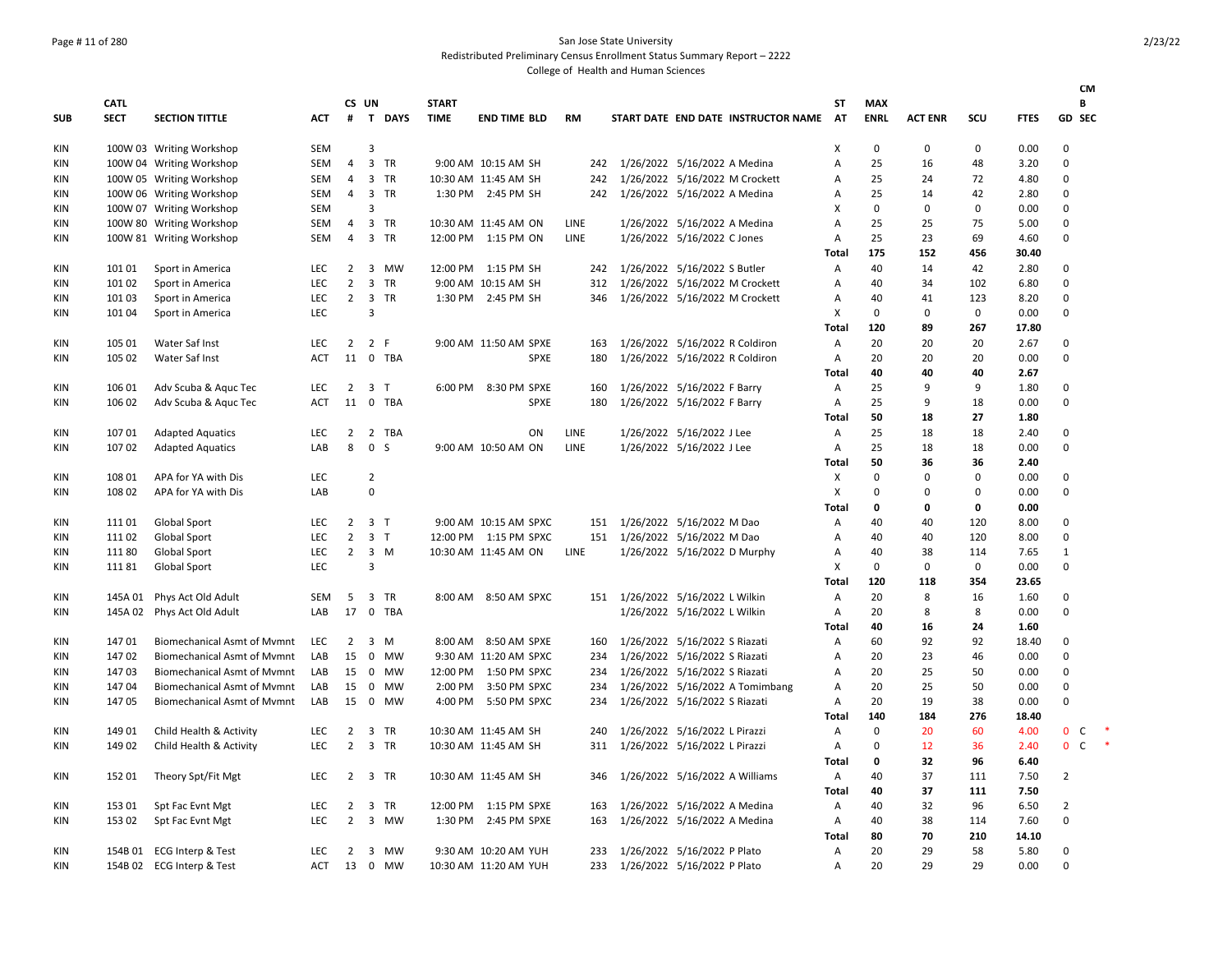### Page # 11 of 280 San Jose State University Redistributed Preliminary Census Enrollment Status Summary Report – 2222

|            |                            |                                    |            |                |                         |          |                             |                        |             |                                     |                 |                           |                |             |             | CМ                |        |
|------------|----------------------------|------------------------------------|------------|----------------|-------------------------|----------|-----------------------------|------------------------|-------------|-------------------------------------|-----------------|---------------------------|----------------|-------------|-------------|-------------------|--------|
| <b>SUB</b> | <b>CATL</b><br><b>SECT</b> | <b>SECTION TITTLE</b>              | <b>ACT</b> | CS UN<br>#     |                         | T DAYS   | <b>START</b><br><b>TIME</b> | <b>END TIME BLD</b>    | <b>RM</b>   | START DATE END DATE INSTRUCTOR NAME | SΤ<br><b>AT</b> | <b>MAX</b><br><b>ENRL</b> | <b>ACT ENR</b> | SCU         | <b>FTES</b> | В<br>GD SEC       |        |
|            |                            |                                    |            |                |                         |          |                             |                        |             |                                     |                 |                           |                |             |             |                   |        |
| KIN        |                            | 100W 03 Writing Workshop           | <b>SEM</b> |                | 3                       |          |                             |                        |             |                                     | X               | $\Omega$                  | 0              | $\mathbf 0$ | 0.00        | $\mathbf 0$       |        |
| KIN        |                            | 100W 04 Writing Workshop           | SEM        | 4              |                         | 3 TR     |                             | 9:00 AM 10:15 AM SH    | 242         | 1/26/2022 5/16/2022 A Medina        | Α               | 25                        | 16             | 48          | 3.20        | $\mathbf 0$       |        |
| KIN        |                            | 100W 05 Writing Workshop           | <b>SEM</b> | 4              |                         | 3 TR     |                             | 10:30 AM 11:45 AM SH   | 242         | 1/26/2022 5/16/2022 M Crockett      | Α               | 25                        | 24             | 72          | 4.80        | 0                 |        |
| KIN        |                            | 100W 06 Writing Workshop           | SEM        | $\overline{4}$ |                         | 3 TR     |                             | 1:30 PM 2:45 PM SH     | 242         | 1/26/2022 5/16/2022 A Medina        | Α               | 25                        | 14             | 42          | 2.80        | $\mathbf 0$       |        |
| KIN        |                            | 100W 07 Writing Workshop           | <b>SEM</b> |                | $\overline{\mathbf{3}}$ |          |                             |                        |             |                                     | X               | 0                         | 0              | 0           | 0.00        | 0                 |        |
| ΚIΝ        |                            | 100W 80 Writing Workshop           | <b>SEM</b> | 4              |                         | 3 TR     |                             | 10:30 AM 11:45 AM ON   | LINE        | 1/26/2022 5/16/2022 A Medina        | $\overline{A}$  | 25                        | 25             | 75          | 5.00        | $\mathbf 0$       |        |
| KIN        |                            | 100W 81 Writing Workshop           | <b>SEM</b> | $\overline{4}$ |                         | 3 TR     |                             | 12:00 PM 1:15 PM ON    | LINE        | 1/26/2022 5/16/2022 C Jones         | $\overline{A}$  | 25                        | 23             | 69          | 4.60        | 0                 |        |
|            |                            |                                    |            |                |                         |          |                             |                        |             |                                     | <b>Total</b>    | 175                       | 152            | 456         | 30.40       |                   |        |
| KIN        | 101 01                     | Sport in America                   | LEC        | $\overline{2}$ |                         | 3 MW     |                             | 12:00 PM 1:15 PM SH    | 242         | 1/26/2022 5/16/2022 S Butler        | A               | 40                        | 14             | 42          | 2.80        | 0                 |        |
| KIN        | 101 02                     | Sport in America                   | LEC        | $\overline{2}$ |                         | 3 TR     |                             | 9:00 AM 10:15 AM SH    | 312         | 1/26/2022 5/16/2022 M Crockett      | A               | 40                        | 34             | 102         | 6.80        | 0                 |        |
| KIN        | 101 03                     | Sport in America                   | LEC        | $\overline{2}$ |                         | 3 TR     |                             | 1:30 PM 2:45 PM SH     | 346         | 1/26/2022 5/16/2022 M Crockett      | Α               | 40                        | 41             | 123         | 8.20        | 0                 |        |
| KIN        | 101 04                     | Sport in America                   | LEC        |                | 3                       |          |                             |                        |             |                                     | X               | 0                         | 0              | $\mathbf 0$ | 0.00        | $\mathbf 0$       |        |
|            |                            |                                    |            |                |                         |          |                             |                        |             |                                     | Total           | 120                       | 89             | 267         | 17.80       |                   |        |
| KIN        | 105 01                     | Water Saf Inst                     | LEC        | $2^{\circ}$    | 2 F                     |          |                             | 9:00 AM 11:50 AM SPXE  | 163         | 1/26/2022 5/16/2022 R Coldiron      | A               | 20                        | 20             | 20          | 2.67        | $\mathbf 0$       |        |
| ΚIΝ        | 105 02                     | Water Saf Inst                     | ACT        | 11             | $\mathbf 0$             | TBA      |                             | SPXE                   | 180         | 1/26/2022 5/16/2022 R Coldiron      | A               | 20                        | 20             | 20          | 0.00        | 0                 |        |
|            |                            |                                    |            |                |                         |          |                             |                        |             |                                     | Total           | 40                        | 40             | 40          | 2.67        |                   |        |
| KIN        | 106 01                     | Adv Scuba & Aquc Tec               | <b>LEC</b> | $\overline{2}$ | 3 <sub>1</sub>          |          |                             | 6:00 PM 8:30 PM SPXE   | 160         | 1/26/2022 5/16/2022 F Barry         | Α               | 25                        | 9              | 9           | 1.80        | 0                 |        |
| KIN        | 106 02                     | Adv Scuba & Aguc Tec               | <b>ACT</b> | 11             |                         | 0 TBA    |                             | <b>SPXE</b>            | 180         | 1/26/2022 5/16/2022 F Barry         | $\overline{A}$  | 25                        | 9              | 18          | 0.00        | $\mathbf 0$       |        |
|            |                            |                                    |            |                |                         |          |                             |                        |             |                                     | Total           | 50                        | 18             | 27          | 1.80        |                   |        |
| KIN        | 107 01                     | <b>Adapted Aquatics</b>            | LEC        | $\overline{2}$ |                         | 2 TBA    |                             | ON                     | <b>LINE</b> | 1/26/2022 5/16/2022 J Lee           | A               | 25                        | 18             | 18          | 2.40        | $\mathbf 0$       |        |
| KIN        | 107 02                     | <b>Adapted Aquatics</b>            | LAB        | 8              | $\mathbf 0$             | S        |                             | 9:00 AM 10:50 AM ON    | LINE        | 1/26/2022 5/16/2022 J Lee           | A               | 25                        | 18             | 18          | 0.00        | 0                 |        |
|            |                            |                                    |            |                |                         |          |                             |                        |             |                                     | Total           | 50                        | 36             | 36          | 2.40        |                   |        |
| KIN        | 108 01                     | APA for YA with Dis                | <b>LEC</b> |                | $\overline{2}$          |          |                             |                        |             |                                     | X               | 0                         | 0              | $\mathbf 0$ | 0.00        | $\mathbf 0$       |        |
| KIN        | 108 02                     | APA for YA with Dis                | LAB        |                | $\mathbf 0$             |          |                             |                        |             |                                     | X               | $\Omega$                  | 0              | $\Omega$    | 0.00        | $\mathbf 0$       |        |
|            |                            |                                    |            |                |                         |          |                             |                        |             |                                     | Total           | 0                         | 0              | $\mathbf 0$ | 0.00        |                   |        |
| KIN        | 11101                      | <b>Global Sport</b>                | LEC        |                | $2 \quad 3 \quad T$     |          |                             | 9:00 AM 10:15 AM SPXC  | 151         | 1/26/2022 5/16/2022 M Dao           | Α               | 40                        | 40             | 120         | 8.00        | 0                 |        |
| KIN        | 11102                      | <b>Global Sport</b>                | LEC        | $\overline{2}$ | 3 <sub>1</sub>          |          |                             | 12:00 PM 1:15 PM SPXC  |             | 151 1/26/2022 5/16/2022 M Dao       | A               | 40                        | 40             | 120         | 8.00        | $\mathbf 0$       |        |
| KIN        | 11180                      | Global Sport                       | LEC        | $\overline{2}$ |                         | $3 \, M$ |                             | 10:30 AM 11:45 AM ON   | LINE        | 1/26/2022 5/16/2022 D Murphy        | Α               | 40                        | 38             | 114         | 7.65        | $\mathbf{1}$      |        |
| ΚIΝ        | 11181                      | Global Sport                       | <b>LEC</b> |                | 3                       |          |                             |                        |             |                                     | X               | 0                         | 0              | 0           | 0.00        | 0                 |        |
|            |                            |                                    |            |                |                         |          |                             |                        |             |                                     | Total           | 120                       | 118            | 354         | 23.65       |                   |        |
| KIN        |                            | 145A 01 Phys Act Old Adult         | <b>SEM</b> | 5              |                         | 3 TR     |                             | 8:00 AM 8:50 AM SPXC   | 151         | 1/26/2022 5/16/2022 L Wilkin        | A               | 20                        | 8              | 16          | 1.60        | 0                 |        |
| KIN        |                            | 145A 02 Phys Act Old Adult         | LAB        | 17             |                         | 0 TBA    |                             |                        |             | 1/26/2022 5/16/2022 L Wilkin        | A               | 20                        | 8              | 8           | 0.00        | $\mathbf 0$       |        |
|            |                            |                                    |            |                |                         |          |                             |                        |             |                                     | Total           | 40                        | 16             | 24          | 1.60        |                   |        |
| KIN        | 14701                      | <b>Biomechanical Asmt of Mymnt</b> | LEC        | $\overline{2}$ |                         | 3 M      |                             | 8:00 AM 8:50 AM SPXE   | 160         | 1/26/2022 5/16/2022 S Riazati       | $\overline{A}$  | 60                        | 92             | 92          | 18.40       | 0                 |        |
| KIN        | 14702                      | <b>Biomechanical Asmt of Mvmnt</b> | LAB        | 15             |                         | 0 MW     |                             | 9:30 AM 11:20 AM SPXC  | 234         | 1/26/2022 5/16/2022 S Riazati       | Α               | 20                        | 23             | 46          | 0.00        | 0                 |        |
| KIN        | 14703                      | <b>Biomechanical Asmt of Mymnt</b> | LAB        | 15             |                         | 0 MW     |                             | 12:00 PM  1:50 PM SPXC | 234         | 1/26/2022 5/16/2022 S Riazati       | A               | 20                        | 25             | 50          | 0.00        | $\mathbf 0$       |        |
| KIN        | 14704                      | <b>Biomechanical Asmt of Mymnt</b> | LAB        | 15             |                         | 0 MW     | 2:00 PM                     | 3:50 PM SPXC           | 234         | 1/26/2022 5/16/2022 A Tomimbang     | A               | 20                        | 25             | 50          | 0.00        | $\mathbf 0$       |        |
| KIN        | 14705                      | <b>Biomechanical Asmt of Mymnt</b> | LAB        | 15             |                         | 0 MW     | 4:00 PM                     | 5:50 PM SPXC           | 234         | 1/26/2022 5/16/2022 S Riazati       | Α               | 20                        | 19             | 38          | 0.00        | $\mathbf 0$       |        |
|            |                            |                                    |            |                |                         |          |                             |                        |             |                                     | <b>Total</b>    | 140                       | 184            | 276         | 18.40       |                   |        |
| KIN        | 149 01                     | Child Health & Activity            | LEC        | $\overline{2}$ |                         | 3 TR     |                             | 10:30 AM 11:45 AM SH   | 240         | 1/26/2022 5/16/2022 L Pirazzi       | Α               | 0                         | 20             | 60          | 4.00        | $\mathbf 0$<br>C  |        |
| ΚIΝ        | 149 02                     | Child Health & Activity            | LEC        | $\overline{2}$ |                         | 3 TR     |                             | 10:30 AM 11:45 AM SH   | 311         | 1/26/2022 5/16/2022 L Pirazzi       | $\overline{A}$  | $\Omega$                  | 12             | 36          | 2.40        | $\mathbf{0}$<br>C | $\ast$ |
|            |                            |                                    |            |                |                         |          |                             |                        |             |                                     | Total           | 0                         | 32             | 96          | 6.40        |                   |        |
| KIN        | 152 01                     | Theory Spt/Fit Mgt                 | LEC        | $\overline{2}$ |                         | 3 TR     |                             | 10:30 AM 11:45 AM SH   | 346         | 1/26/2022 5/16/2022 A Williams      | A               | 40                        | 37             | 111         | 7.50        | $\overline{2}$    |        |
|            |                            |                                    |            |                |                         |          |                             |                        |             |                                     | <b>Total</b>    | 40                        | 37             | 111         | 7.50        |                   |        |
| KIN        | 153 01                     | Spt Fac Evnt Mgt                   | LEC        | $\overline{2}$ |                         | 3 TR     |                             | 12:00 PM 1:15 PM SPXE  | 163         | 1/26/2022 5/16/2022 A Medina        | A               | 40                        | 32             | 96          | 6.50        | $\overline{2}$    |        |
| KIN        | 153 02                     | Spt Fac Evnt Mgt                   | <b>LEC</b> | $\overline{2}$ |                         | 3 MW     |                             | 1:30 PM 2:45 PM SPXE   | 163         | 1/26/2022 5/16/2022 A Medina        | A               | 40                        | 38             | 114         | 7.60        | $\Omega$          |        |
|            |                            |                                    |            |                |                         |          |                             |                        |             |                                     | <b>Total</b>    | 80                        | 70             | 210         | 14.10       |                   |        |
| KIN        |                            | 154B 01 ECG Interp & Test          | <b>LEC</b> | 2              |                         | 3 MW     |                             | 9:30 AM 10:20 AM YUH   | 233         | 1/26/2022 5/16/2022 P Plato         | $\overline{A}$  | 20                        | 29             | 58          | 5.80        | 0                 |        |
| KIN        |                            | 154B 02 ECG Interp & Test          | ACT        | 13             |                         | 0 MW     |                             | 10:30 AM 11:20 AM YUH  | 233         | 1/26/2022 5/16/2022 P Plato         | A               | 20                        | 29             | 29          | 0.00        | $\Omega$          |        |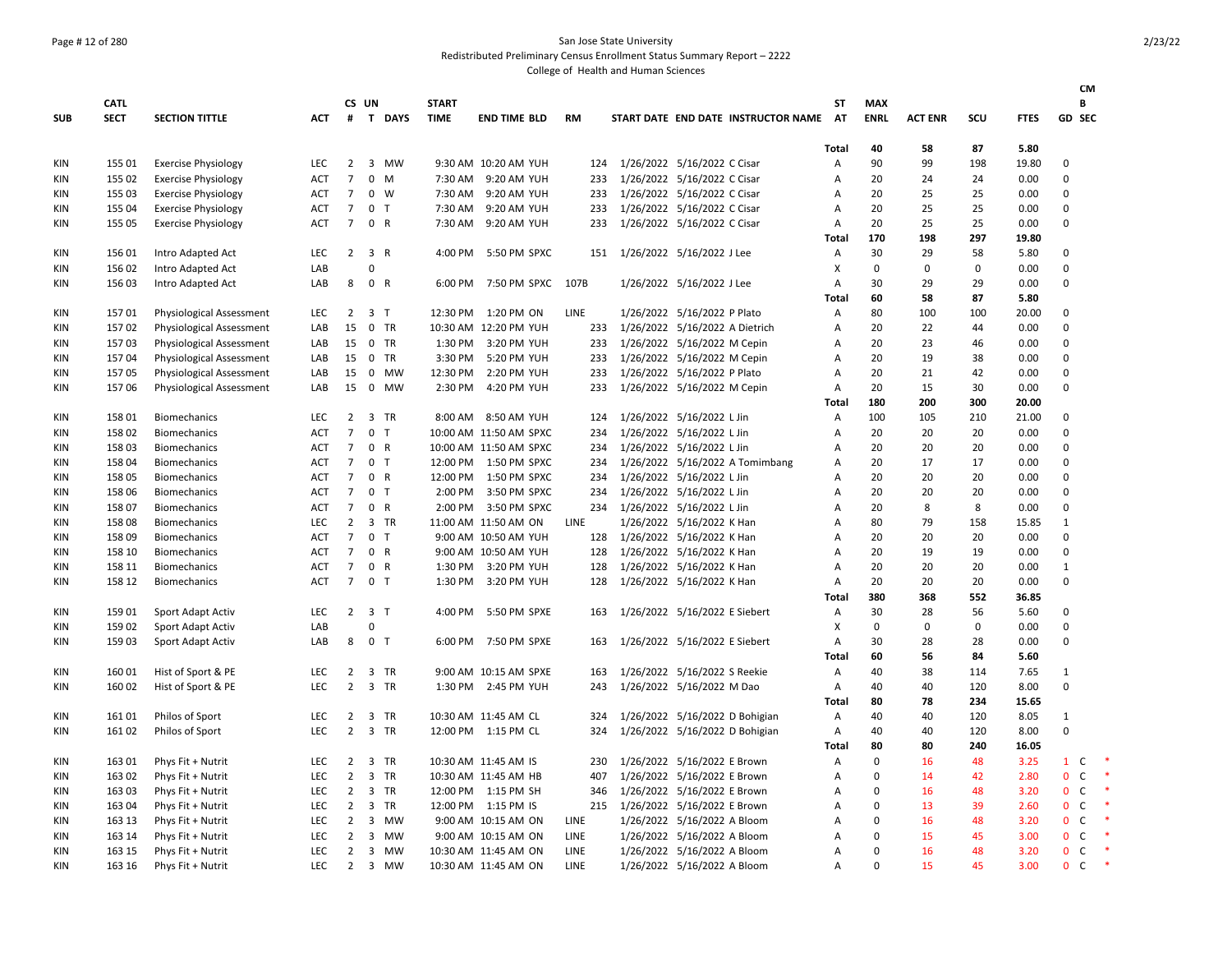## Page # 12 of 280 San Jose State University

Redistributed Preliminary Census Enrollment Status Summary Report – 2222

|            |             |                                 |            |                 |                |                |              |                        |           |                                        |                |             |                |             |             |                              | CM          |        |
|------------|-------------|---------------------------------|------------|-----------------|----------------|----------------|--------------|------------------------|-----------|----------------------------------------|----------------|-------------|----------------|-------------|-------------|------------------------------|-------------|--------|
|            | <b>CATL</b> |                                 |            |                 | CS UN          |                | <b>START</b> |                        |           |                                        | SΤ             | <b>MAX</b>  |                |             |             |                              | B           |        |
| <b>SUB</b> | <b>SECT</b> | <b>SECTION TITTLE</b>           | <b>ACT</b> |                 |                | # T DAYS       | <b>TIME</b>  | <b>END TIME BLD</b>    | <b>RM</b> | START DATE END DATE INSTRUCTOR NAME AT |                | <b>ENRL</b> | <b>ACT ENR</b> | scu         | <b>FTES</b> | <b>GD SEC</b>                |             |        |
|            |             |                                 |            |                 |                |                |              |                        |           |                                        | Total          | 40          | 58             | 87          | 5.80        |                              |             |        |
| KIN        | 155 01      | <b>Exercise Physiology</b>      | <b>LEC</b> | $2^{\circ}$     |                | 3 MW           |              | 9:30 AM 10:20 AM YUH   | 124       | 1/26/2022 5/16/2022 C Cisar            | Α              | 90          | 99             | 198         | 19.80       | $\mathsf 0$                  |             |        |
| KIN        | 155 02      | <b>Exercise Physiology</b>      | ACT        | $\overline{7}$  |                | $0 \quad M$    | 7:30 AM      | 9:20 AM YUH            | 233       | 1/26/2022 5/16/2022 C Cisar            | A              | 20          | 24             | 24          | 0.00        | 0                            |             |        |
| KIN        | 155 03      | <b>Exercise Physiology</b>      | ACT        | $\overline{7}$  |                | $0 \quad W$    | 7:30 AM      | 9:20 AM YUH            | 233       | 1/26/2022 5/16/2022 C Cisar            | Α              | 20          | 25             | 25          | 0.00        | 0                            |             |        |
| KIN        | 155 04      | <b>Exercise Physiology</b>      | ACT        | $\overline{7}$  |                | 0 <sub>T</sub> | 7:30 AM      | 9:20 AM YUH            | 233       | 1/26/2022 5/16/2022 C Cisar            | A              | 20          | 25             | 25          | 0.00        | 0                            |             |        |
| KIN        | 155 05      | <b>Exercise Physiology</b>      | <b>ACT</b> | $\overline{7}$  |                | 0 R            |              | 7:30 AM 9:20 AM YUH    | 233       | 1/26/2022 5/16/2022 C Cisar            | А              | 20          | 25             | 25          | 0.00        | 0                            |             |        |
|            |             |                                 |            |                 |                |                |              |                        |           |                                        | Total          | 170         | 198            | 297         | 19.80       |                              |             |        |
| KIN        | 15601       | Intro Adapted Act               | LEC        | $\overline{2}$  |                | 3 R            | 4:00 PM      | 5:50 PM SPXC           | 151       | 1/26/2022 5/16/2022 J Lee              | Α              | 30          | 29             | 58          | 5.80        | 0                            |             |        |
| KIN        | 156 02      | Intro Adapted Act               | LAB        |                 | $\Omega$       |                |              |                        |           |                                        | Χ              | $\mathbf 0$ | $\mathbf 0$    | $\mathbf 0$ | 0.00        | 0                            |             |        |
| KIN        | 156 03      | Intro Adapted Act               | LAB        | 8               |                | 0 R            | 6:00 PM      | 7:50 PM SPXC           | 107B      | 1/26/2022 5/16/2022 J Lee              | Α              | 30          | 29             | 29          | 0.00        | 0                            |             |        |
|            |             |                                 |            |                 |                |                |              |                        |           |                                        | Total          | 60          | 58             | 87          | 5.80        |                              |             |        |
| KIN        | 15701       | <b>Physiological Assessment</b> | <b>LEC</b> | $\overline{2}$  |                | 3 <sub>1</sub> |              | 12:30 PM 1:20 PM ON    | LINE      | 1/26/2022 5/16/2022 P Plato            | Α              | 80          | 100            | 100         | 20.00       | 0                            |             |        |
| KIN        | 15702       | Physiological Assessment        | LAB        | 15              |                | 0 TR           |              | 10:30 AM 12:20 PM YUH  | 233       | 1/26/2022 5/16/2022 A Dietrich         | Α              | 20          | 22             | 44          | 0.00        | 0                            |             |        |
| KIN        | 15703       | <b>Physiological Assessment</b> | LAB        | 15              |                | 0 TR           |              | 1:30 PM 3:20 PM YUH    | 233       | 1/26/2022 5/16/2022 M Cepin            | А              | 20          | 23             | 46          | 0.00        | 0                            |             |        |
| KIN        | 15704       | Physiological Assessment        | LAB        | 15              |                | 0 TR           | 3:30 PM      | 5:20 PM YUH            | 233       | 1/26/2022 5/16/2022 M Cepin            | A              | 20          | 19             | 38          | 0.00        | 0                            |             |        |
| ΚIΝ        | 15705       | Physiological Assessment        | LAB        | 15              |                | 0 MW           | 12:30 PM     | 2:20 PM YUH            | 233       | 1/26/2022 5/16/2022 P Plato            | A              | 20          | 21             | 42          | 0.00        | 0                            |             |        |
| ΚIΝ        | 15706       | <b>Physiological Assessment</b> | LAB        | 15              | $\mathbf{0}$   | MW             | 2:30 PM      | 4:20 PM YUH            | 233       | 1/26/2022 5/16/2022 M Cepin            | A              | 20          | 15             | 30          | 0.00        | 0                            |             |        |
|            |             |                                 |            |                 |                |                |              |                        |           |                                        | Total          | 180         | 200            | 300         | 20.00       |                              |             |        |
| <b>KIN</b> | 15801       | <b>Biomechanics</b>             | <b>LEC</b> | $2^{\circ}$     |                | 3 TR           |              | 8:00 AM 8:50 AM YUH    | 124       | 1/26/2022 5/16/2022 L Jin              | Α              | 100         | 105            | 210         | 21.00       | $\mathbf 0$                  |             |        |
| KIN        | 158 02      | <b>Biomechanics</b>             | <b>ACT</b> | $\overline{7}$  |                | 0 <sub>T</sub> |              | 10:00 AM 11:50 AM SPXC | 234       | 1/26/2022 5/16/2022 L Jin              | Α              | 20          | 20             | 20          | 0.00        | 0                            |             |        |
| KIN        | 158 03      | <b>Biomechanics</b>             | <b>ACT</b> | $\overline{7}$  |                | 0 R            |              | 10:00 AM 11:50 AM SPXC | 234       | 1/26/2022 5/16/2022 L Jin              | A              | 20          | 20             | 20          | 0.00        | $\Omega$                     |             |        |
| KIN        | 158 04      | <b>Biomechanics</b>             | <b>ACT</b> | $\overline{7}$  |                | 0 <sub>T</sub> |              | 12:00 PM  1:50 PM SPXC | 234       | 1/26/2022 5/16/2022 A Tomimbang        | A              | 20          | 17             | 17          | 0.00        | 0                            |             |        |
| KIN        | 158 05      | <b>Biomechanics</b>             | ACT        | $\overline{7}$  |                | 0 R            |              | 12:00 PM  1:50 PM SPXC | 234       | 1/26/2022 5/16/2022 L Jin              | A              | 20          | 20             | 20          | 0.00        | 0                            |             |        |
| KIN        | 158 06      | <b>Biomechanics</b>             | <b>ACT</b> | $\overline{7}$  |                | 0 <sub>T</sub> |              | 2:00 PM 3:50 PM SPXC   | 234       | 1/26/2022 5/16/2022 L Jin              | A              | 20          | 20             | 20          | 0.00        | 0                            |             |        |
| KIN        | 15807       | <b>Biomechanics</b>             | <b>ACT</b> | $\overline{7}$  |                | 0 R            | 2:00 PM      | 3:50 PM SPXC           | 234       | 1/26/2022 5/16/2022 L Jin              | А              | 20          | 8              | 8           | 0.00        | 0                            |             |        |
| KIN        | 15808       | <b>Biomechanics</b>             | LEC        | $\overline{2}$  |                | 3 TR           |              | 11:00 AM 11:50 AM ON   | LINE      | 1/26/2022 5/16/2022 K Han              | A              | 80          | 79             | 158         | 15.85       | $\mathbf{1}$                 |             |        |
| KIN        | 15809       | Biomechanics                    | <b>ACT</b> | $\overline{7}$  | 0 <sub>T</sub> |                |              | 9:00 AM 10:50 AM YUH   | 128       | 1/26/2022 5/16/2022 K Han              | А              | 20          | 20             | 20          | 0.00        | $\mathbf 0$                  |             |        |
| ΚIΝ        | 158 10      | Biomechanics                    | ACT        | $\overline{7}$  |                | 0 R            |              | 9:00 AM 10:50 AM YUH   | 128       | 1/26/2022 5/16/2022 K Han              | А              | 20          | 19             | 19          | 0.00        | 0                            |             |        |
| ΚIΝ        | 158 11      | Biomechanics                    | ACT        | $\overline{7}$  |                | 0 R            | 1:30 PM      | 3:20 PM YUH            | 128       | 1/26/2022 5/16/2022 K Han              | А              | 20          | 20             | 20          | 0.00        | $\mathbf{1}$                 |             |        |
| KIN        | 158 12      | <b>Biomechanics</b>             | <b>ACT</b> | $7\overline{ }$ |                | 0 <sub>T</sub> |              | 1:30 PM 3:20 PM YUH    | 128       | 1/26/2022 5/16/2022 K Han              | А              | 20          | 20             | 20          | 0.00        | 0                            |             |        |
|            |             |                                 |            |                 |                |                |              |                        |           |                                        | Total          | 380         | 368            | 552         | 36.85       |                              |             |        |
| KIN        | 15901       | Sport Adapt Activ               | LEC        | $\overline{2}$  | 3 <sub>7</sub> |                | 4:00 PM      | 5:50 PM SPXE           | 163       | 1/26/2022 5/16/2022 E Siebert          | Α              | 30          | 28             | 56          | 5.60        | 0                            |             |        |
| KIN        | 159 02      | Sport Adapt Activ               | LAB        |                 | $\Omega$       |                |              |                        |           |                                        | Χ              | $\mathbf 0$ | $\mathbf 0$    | $\mathbf 0$ | 0.00        | 0                            |             |        |
| ΚIΝ        | 159 03      | Sport Adapt Activ               | LAB        | 8               | 0 <sub>T</sub> |                | 6:00 PM      | 7:50 PM SPXE           | 163       | 1/26/2022 5/16/2022 E Siebert          | Α              | 30          | 28             | 28          | 0.00        | 0                            |             |        |
|            |             |                                 |            |                 |                |                |              |                        |           |                                        | <b>Total</b>   | 60          | 56             | 84          | 5.60        |                              |             |        |
| KIN        | 160 01      | Hist of Sport & PE              | <b>LEC</b> | $\overline{2}$  |                | 3 TR           |              | 9:00 AM 10:15 AM SPXE  | 163       | 1/26/2022 5/16/2022 S Reekie           | A              | 40          | 38             | 114         | 7.65        | 1                            |             |        |
| KIN        | 160 02      | Hist of Sport & PE              | <b>LEC</b> | $\overline{2}$  |                | 3 TR           |              | 1:30 PM 2:45 PM YUH    | 243       | 1/26/2022 5/16/2022 M Dao              | A              | 40          | 40             | 120         | 8.00        | 0                            |             |        |
|            |             |                                 |            |                 |                |                |              |                        |           |                                        | Total          | 80          | 78             | 234         | 15.65       |                              |             |        |
| KIN        | 16101       | Philos of Sport                 | <b>LEC</b> | 2               |                | 3 TR           |              | 10:30 AM 11:45 AM CL   | 324       | 1/26/2022 5/16/2022 D Bohigian         | A              | 40          | 40             | 120         | 8.05        | 1                            |             |        |
| KIN        | 16102       | Philos of Sport                 | <b>LEC</b> | $\overline{2}$  |                | 3 TR           |              | 12:00 PM 1:15 PM CL    | 324       | 1/26/2022 5/16/2022 D Bohigian         | A              | 40          | 40             | 120         | 8.00        | 0                            |             |        |
|            |             |                                 |            |                 |                |                |              |                        |           |                                        | Total          | 80          | 80             | 240         | 16.05       |                              |             |        |
| KIN        | 163 01      | Phys Fit + Nutrit               | LEC        | $\overline{2}$  |                | 3 TR           |              | 10:30 AM 11:45 AM IS   | 230       | 1/26/2022 5/16/2022 E Brown            | А              | $\pmb{0}$   | 16             | 48          | 3.25        | $\mathbf{1}$                 | C           | $\ast$ |
| KIN        | 163 02      | Phys Fit + Nutrit               | <b>LEC</b> | $\overline{2}$  |                | 3 TR           |              | 10:30 AM 11:45 AM HB   | 407       | 1/26/2022 5/16/2022 E Brown            | $\overline{A}$ | $\mathbf 0$ | 14             | 42          | 2.80        | 0                            | $\mathsf C$ | $\ast$ |
| KIN        | 163 03      | Phys Fit + Nutrit               | LEC        | $\overline{2}$  |                | 3 TR           |              | 12:00 PM 1:15 PM SH    | 346       | 1/26/2022 5/16/2022 E Brown            | А              | $\mathbf 0$ | 16             | 48          | 3.20        | $\mathbf{0}$                 | $\mathsf C$ |        |
| KIN        | 163 04      | Phys Fit + Nutrit               | <b>LEC</b> | $\overline{2}$  |                | 3 TR           |              | 12:00 PM 1:15 PM IS    | 215       | 1/26/2022 5/16/2022 E Brown            | A              | $\mathbf 0$ | 13             | 39          | 2.60        | $\mathbf{0}$<br>$\mathsf{C}$ |             |        |
| KIN        | 163 13      | Phys Fit + Nutrit               | <b>LEC</b> | $\overline{2}$  | 3              | MW             |              | 9:00 AM 10:15 AM ON    | LINE      | 1/26/2022 5/16/2022 A Bloom            | А              | $\Omega$    | 16             | 48          | 3.20        | 0<br>C                       |             |        |
| KIN        | 163 14      | Phys Fit + Nutrit               | LEC        | $\overline{2}$  |                | 3 MW           |              | 9:00 AM 10:15 AM ON    | LINE      | 1/26/2022 5/16/2022 A Bloom            | А              | $\mathbf 0$ | 15             | 45          | 3.00        | $\mathbf{0}$<br>$\mathsf C$  |             |        |
| KIN        | 163 15      | Phys Fit + Nutrit               | LEC        | $\overline{2}$  |                | 3 MW           |              | 10:30 AM 11:45 AM ON   | LINE      | 1/26/2022 5/16/2022 A Bloom            | A              | $\Omega$    | 16             | 48          | 3.20        | 0<br>$\mathsf C$             |             |        |
| KIN        | 163 16      | Phys Fit + Nutrit               | LEC        | $\overline{2}$  |                | 3 MW           |              | 10:30 AM 11:45 AM ON   | LINE      | 1/26/2022 5/16/2022 A Bloom            | A              | $\Omega$    | 15             | 45          | 3.00        | $\mathsf C$<br>$\mathbf{0}$  |             | $\ast$ |
|            |             |                                 |            |                 |                |                |              |                        |           |                                        |                |             |                |             |             |                              |             |        |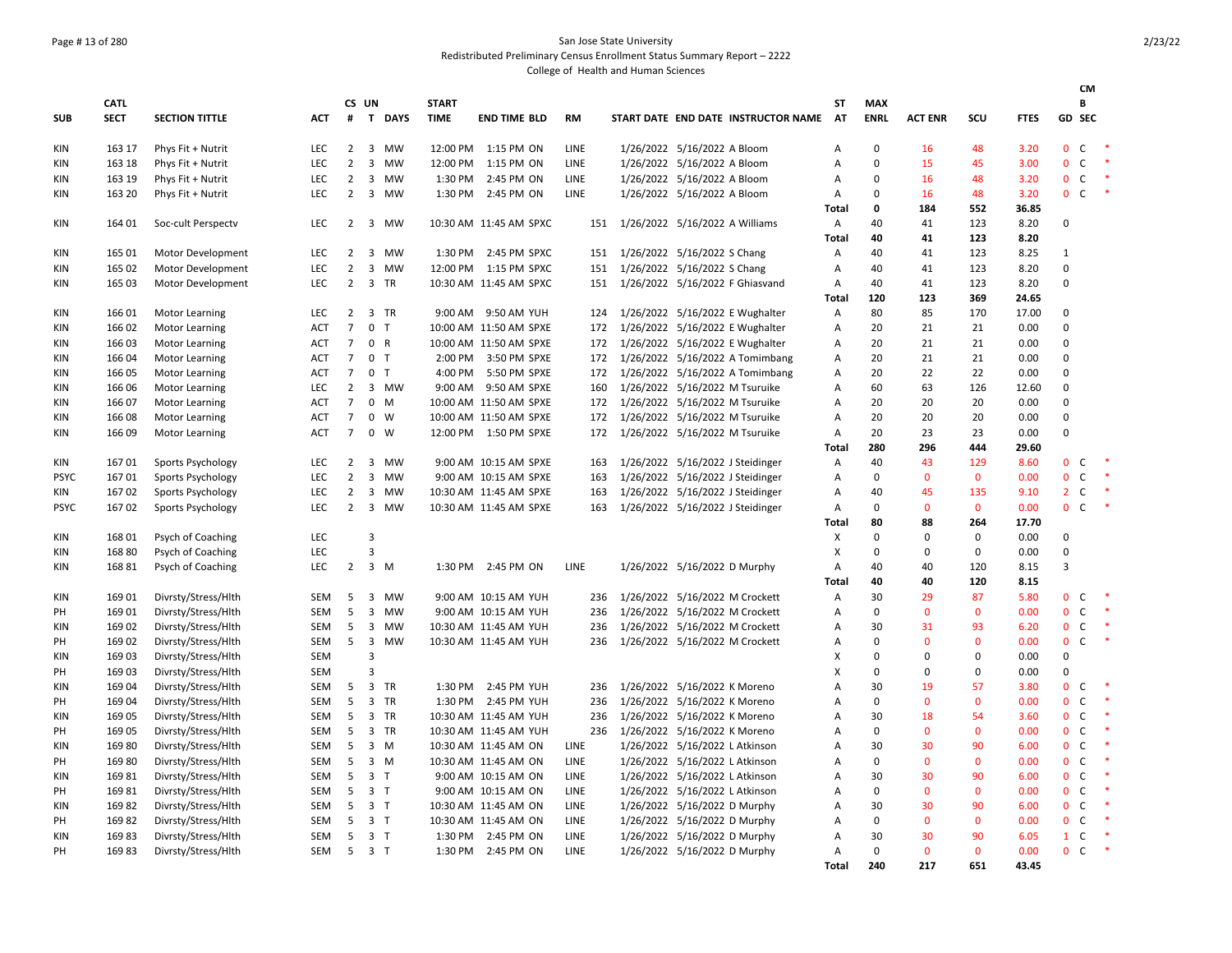### Page # 13 of 280 San Jose State University Redistributed Preliminary Census Enrollment Status Summary Report – 2222

|             |             |                       |            |                |                         |             |              |                        |             |                                     |                |                   |                |              |             |                | CM                |                          |
|-------------|-------------|-----------------------|------------|----------------|-------------------------|-------------|--------------|------------------------|-------------|-------------------------------------|----------------|-------------------|----------------|--------------|-------------|----------------|-------------------|--------------------------|
|             | <b>CATL</b> |                       |            |                | CS UN                   |             | <b>START</b> |                        |             |                                     | SΤ             | <b>MAX</b>        |                |              |             |                | В                 |                          |
| <b>SUB</b>  | <b>SECT</b> | <b>SECTION TITTLE</b> | <b>ACT</b> | #              |                         | T DAYS      | <b>TIME</b>  | <b>END TIME BLD</b>    | <b>RM</b>   | START DATE END DATE INSTRUCTOR NAME | AT             | <b>ENRL</b>       | <b>ACT ENR</b> | SCU          | <b>FTES</b> |                | GD SEC            |                          |
| KIN         | 163 17      | Phys Fit + Nutrit     | <b>LEC</b> | $\overline{2}$ | 3                       | MW          |              | 12:00 PM 1:15 PM ON    | LINE        | 1/26/2022 5/16/2022 A Bloom         | A              | $\mathbf 0$       | 16             | 48           | 3.20        | $\Omega$       | <sub>c</sub>      |                          |
| KIN         | 163 18      | Phys Fit + Nutrit     | LEC        | $\overline{2}$ | $\mathbf{3}$            | MW          |              | 12:00 PM 1:15 PM ON    | LINE        | 1/26/2022 5/16/2022 A Bloom         | А              | $\mathbf 0$       | 15             | 45           | 3.00        | $\mathbf{0}$   | $\mathsf{C}$      | $\overline{\phantom{a}}$ |
| KIN         | 163 19      | Phys Fit + Nutrit     | LEC        | $\overline{2}$ | $\overline{\mathbf{3}}$ | MW          |              | 1:30 PM 2:45 PM ON     | LINE        | 1/26/2022 5/16/2022 A Bloom         | А              | $\mathbf 0$       | 16             | 48           | 3.20        | $\mathbf{0}$   | $\mathsf{C}$      | $\ast$                   |
| KIN         | 163 20      | Phys Fit + Nutrit     | LEC        | $\overline{2}$ |                         | 3 MW        |              | 1:30 PM 2:45 PM ON     | LINE        | 1/26/2022 5/16/2022 A Bloom         | Α              | $\mathbf 0$       | 16             | 48           | 3.20        | $0\quad C$     |                   | $\;$ $\;$                |
|             |             |                       |            |                |                         |             |              |                        |             |                                     | Total          | $\mathbf 0$       | 184            | 552          | 36.85       |                |                   |                          |
| KIN         | 164 01      | Soc-cult Perspectv    | LEC        | $\overline{2}$ |                         | 3 MW        |              | 10:30 AM 11:45 AM SPXC | 151         | 1/26/2022 5/16/2022 A Williams      | A              | 40                | 41             | 123          | 8.20        | 0              |                   |                          |
|             |             |                       |            |                |                         |             |              |                        |             |                                     | Total          | 40                | 41             | 123          | 8.20        |                |                   |                          |
| KIN         | 165 01      | Motor Development     | LEC        | $\overline{2}$ | 3                       | MW          |              | 1:30 PM 2:45 PM SPXC   | 151         | 1/26/2022 5/16/2022 S Chang         | $\overline{A}$ | 40                | 41             | 123          | 8.25        | $\mathbf{1}$   |                   |                          |
| KIN         | 165 02      | Motor Development     | LEC        | $\overline{2}$ | $\overline{3}$          | MW          |              | 12:00 PM 1:15 PM SPXC  | 151         | 1/26/2022 5/16/2022 S Chang         | А              | 40                | 41             | 123          | 8.20        | $\mathbf 0$    |                   |                          |
| KIN         | 165 03      | Motor Development     | <b>LEC</b> | $\overline{2}$ | 3                       | <b>TR</b>   |              | 10:30 AM 11:45 AM SPXC | 151         | 1/26/2022 5/16/2022 F Ghiasvand     | A              | 40                | 41             | 123          | 8.20        | $\Omega$       |                   |                          |
|             |             |                       |            |                |                         |             |              |                        |             |                                     | Total          | 120               | 123            | 369          | 24.65       |                |                   |                          |
| KIN         | 166 01      | Motor Learning        | LEC        | $\overline{2}$ |                         | 3 TR        |              | 9:00 AM 9:50 AM YUH    | 124         | 1/26/2022 5/16/2022 E Wughalter     | Α              | 80                | 85             | 170          | 17.00       | 0              |                   |                          |
| KIN         | 166 02      | <b>Motor Learning</b> | <b>ACT</b> | $\overline{7}$ | 0 <sub>T</sub>          |             |              | 10:00 AM 11:50 AM SPXE | 172         | 1/26/2022 5/16/2022 E Wughalter     | Α              | 20                | 21             | 21           | 0.00        | $\Omega$       |                   |                          |
| KIN         | 166 03      | Motor Learning        | <b>ACT</b> | $\overline{7}$ | 0 R                     |             |              | 10:00 AM 11:50 AM SPXE | 172         | 1/26/2022 5/16/2022 E Wughalter     | А              | 20                | 21             | 21           | 0.00        | $\Omega$       |                   |                          |
| KIN         | 166 04      | Motor Learning        | <b>ACT</b> | $\overline{7}$ | 0 <sub>T</sub>          |             |              | 2:00 PM 3:50 PM SPXE   | 172         | 1/26/2022 5/16/2022 A Tomimbang     | Α              | 20                | 21             | 21           | 0.00        | $\Omega$       |                   |                          |
| KIN         | 166 05      | Motor Learning        | ACT        | $\overline{7}$ | 0 <sub>0</sub>          |             |              | 4:00 PM 5:50 PM SPXE   | 172         | 1/26/2022 5/16/2022 A Tomimbang     | Α              | 20                | 22             | 22           | 0.00        | $\Omega$       |                   |                          |
| KIN         | 166 06      | Motor Learning        | <b>LEC</b> | $\overline{2}$ |                         | 3 MW        |              | 9:00 AM 9:50 AM SPXE   | 160         | 1/26/2022 5/16/2022 M Tsuruike      | А              | 60                | 63             | 126          | 12.60       | $\mathbf 0$    |                   |                          |
| KIN         | 166 07      | Motor Learning        | <b>ACT</b> | $\overline{7}$ | $0 \quad M$             |             |              | 10:00 AM 11:50 AM SPXE | 172         | 1/26/2022 5/16/2022 M Tsuruike      | A              | 20                | 20             | 20           | 0.00        | $\Omega$       |                   |                          |
| KIN         | 166 08      | Motor Learning        | <b>ACT</b> | $\overline{7}$ |                         | $0 \quad W$ |              | 10:00 AM 11:50 AM SPXE | 172         | 1/26/2022 5/16/2022 M Tsuruike      | Α              | 20                | 20             | 20           | 0.00        | $\mathbf 0$    |                   |                          |
| ΚIΝ         | 166 09      | <b>Motor Learning</b> | <b>ACT</b> | $\overline{7}$ |                         | $0 \quad W$ |              | 12:00 PM  1:50 PM SPXE | 172         | 1/26/2022 5/16/2022 M Tsuruike      | Α              | 20                | 23             | 23           | 0.00        | $\Omega$       |                   |                          |
|             |             |                       |            |                |                         |             |              |                        |             |                                     | Total          | 280               | 296            | 444          | 29.60       |                |                   |                          |
| KIN         | 16701       | Sports Psychology     | <b>LEC</b> | 2              | 3                       | MW          |              | 9:00 AM 10:15 AM SPXE  | 163         | 1/26/2022 5/16/2022 J Steidinger    | $\overline{A}$ | 40                | 43             | 129          | 8.60        | $\mathbf{0}$   | C                 |                          |
| <b>PSYC</b> | 16701       | Sports Psychology     | LEC        | $\overline{2}$ | $\mathbf{3}$            | MW          |              | 9:00 AM 10:15 AM SPXE  | 163         | 1/26/2022 5/16/2022 J Steidinger    | Α              | $\mathbf 0$       | $\mathbf{0}$   | $\mathbf 0$  | 0.00        | $\mathbf{0}$   | $\mathsf{C}$      | $\;$                     |
| KIN         | 16702       | Sports Psychology     | LEC        | $\overline{2}$ | 3                       | MW          |              | 10:30 AM 11:45 AM SPXE | 163         | 1/26/2022 5/16/2022 J Steidinger    | Α              | 40                | 45             | 135          | 9.10        | $2^{\circ}$    | $\mathsf C$       | $\ast$                   |
| <b>PSYC</b> | 16702       | Sports Psychology     | LEC        | $\overline{2}$ | 3                       | MW          |              | 10:30 AM 11:45 AM SPXE | 163         | 1/26/2022 5/16/2022 J Steidinger    | Α              | $\mathbf 0$       | $\mathbf 0$    | $\mathbf 0$  | 0.00        | $0\quad C$     |                   | $\;$ $\;$                |
|             |             |                       |            |                |                         |             |              |                        |             |                                     | <b>Total</b>   | 80                | 88             | 264          | 17.70       |                |                   |                          |
| KIN         | 168 01      | Psych of Coaching     | LEC        |                | 3                       |             |              |                        |             |                                     | X              | $\Omega$          | $\Omega$       | $\Omega$     | 0.00        | $\Omega$       |                   |                          |
| KIN         | 16880       | Psych of Coaching     | <b>LEC</b> |                | $\overline{3}$          |             |              |                        |             |                                     | X              | $\mathbf 0$       | 0              | $\mathbf 0$  | 0.00        | $\Omega$       |                   |                          |
| KIN         | 168 81      | Psych of Coaching     | LEC        | $\overline{2}$ | 3 M                     |             | 1:30 PM      | 2:45 PM ON             | LINE        | 1/26/2022 5/16/2022 D Murphy        | Α              | 40                | 40             | 120          | 8.15        | $\overline{3}$ |                   |                          |
|             |             |                       |            |                |                         |             |              |                        |             |                                     | Total          | 40                | 40             | 120          | 8.15        |                |                   |                          |
| KIN         | 169 01      | Divrsty/Stress/Hlth   | SEM        | 5              |                         | 3 MW        |              | 9:00 AM 10:15 AM YUH   | 236         | 1/26/2022 5/16/2022 M Crockett      | Α              | 30                | 29             | 87           | 5.80        | $\Omega$       | C                 | $\ast$                   |
| PH          | 169 01      | Divrsty/Stress/Hlth   | <b>SEM</b> | 5              |                         | 3 MW        |              | 9:00 AM 10:15 AM YUH   | 236         | 1/26/2022 5/16/2022 M Crockett      | A              | $\mathbf 0$       | $\mathbf{0}$   | $\mathbf{0}$ | 0.00        | $\mathbf{0}$   | $\mathsf{C}$      | $\;$ $\;$                |
| KIN         | 169 02      | Divrsty/Stress/Hlth   | SEM        | 5              |                         | 3 MW        |              | 10:30 AM 11:45 AM YUH  | 236         | 1/26/2022 5/16/2022 M Crockett      | Α              | 30                | 31             | 93           | 6.20        | $\mathbf{0}$   | C                 |                          |
| PH          | 169 02      | Divrsty/Stress/Hlth   | SEM        | 5              | $\overline{\mathbf{3}}$ | <b>MW</b>   |              | 10:30 AM 11:45 AM YUH  | 236         | 1/26/2022 5/16/2022 M Crockett      | А              | $\mathbf 0$       | $\mathbf{0}$   | $\mathbf{0}$ | 0.00        | $\mathbf{0}$   | $\mathsf{C}$      | $\ast$                   |
| KIN         | 169 03      | Divrsty/Stress/Hlth   | <b>SEM</b> |                | $\overline{3}$          |             |              |                        |             |                                     | X              | $\mathbf 0$       | $\Omega$       | $\mathbf 0$  | 0.00        | $\mathbf 0$    |                   |                          |
| PH          | 169 03      | Divrsty/Stress/Hlth   | <b>SEM</b> |                | з                       |             |              |                        |             |                                     | X              | $\mathbf 0$       | $\mathbf 0$    | 0            | 0.00        | $\mathbf 0$    |                   |                          |
| KIN         | 169 04      | Divrsty/Stress/Hlth   | SEM        | 5              | 3 TR                    |             |              | 1:30 PM 2:45 PM YUH    | 236         | 1/26/2022 5/16/2022 K Moreno        | Α              | 30                | 19             | 57           | 3.80        | $\mathbf{0}$   | C                 | $\ast$                   |
| PH          | 169 04      | Divrsty/Stress/Hlth   | <b>SEM</b> | 5              |                         | 3 TR        |              | 1:30 PM 2:45 PM YUH    | 236         | 1/26/2022 5/16/2022 K Moreno        | A              | $\mathbf 0$       | $\mathbf{0}$   | $\mathbf{0}$ | 0.00        | $\mathbf{0}$   | $\mathsf{C}$      | $\ast$                   |
| KIN         | 169 05      | Divrsty/Stress/Hlth   | SEM        | 5              |                         | 3 TR        |              | 10:30 AM 11:45 AM YUH  | 236         | 1/26/2022 5/16/2022 K Moreno        | Α              | 30                | 18             | 54           | 3.60        | $\mathbf{0}$   | $\mathsf{C}$      | $\ast$                   |
| PH          | 169 05      | Divrsty/Stress/Hlth   | SEM        | 5              |                         | 3 TR        |              | 10:30 AM 11:45 AM YUH  | 236         | 1/26/2022 5/16/2022 K Moreno        | Α              | $\mathbf 0$       | $\mathbf{0}$   | $\mathbf 0$  | 0.00        | $\mathbf{0}$   | $\mathsf{C}$      | -*                       |
| KIN         | 16980       |                       | SEM        | 5              | $3 \, M$                |             |              | 10:30 AM 11:45 AM ON   | LINE        | 1/26/2022 5/16/2022 L Atkinson      | A              | 30                | 30             | 90           | 6.00        | $\mathbf{0}$   | C                 | -*                       |
|             |             | Divrsty/Stress/Hlth   |            | 5              | 3 M                     |             |              |                        |             |                                     |                | $\mathbf 0$       | $\mathbf 0$    | $\mathbf 0$  |             | $\Omega$       | $\mathsf{C}$      | -*                       |
| PH          | 16980       | Divrsty/Stress/Hlth   | SEM        |                |                         |             |              | 10:30 AM 11:45 AM ON   | LINE        | 1/26/2022 5/16/2022 L Atkinson      | Α              |                   |                |              | 0.00        |                |                   |                          |
| KIN         | 16981       | Divrsty/Stress/Hlth   | <b>SEM</b> | 5<br>5         | 3 <sub>1</sub>          |             |              | 9:00 AM 10:15 AM ON    | <b>LINE</b> | 1/26/2022 5/16/2022 L Atkinson      | A              | 30<br>$\mathbf 0$ | 30             | 90           | 6.00        | $\mathbf{0}$   | C<br><sub>c</sub> | $\ast$                   |
| PH          | 16981       | Divrsty/Stress/Hlth   | <b>SEM</b> |                | 3 <sub>T</sub>          |             |              | 9:00 AM 10:15 AM ON    | LINE        | 1/26/2022 5/16/2022 L Atkinson      | Α              |                   | $\mathbf{0}$   | $\mathbf{0}$ | 0.00        | $\mathbf{0}$   |                   | $\ast$                   |
| KIN         | 16982       | Divrsty/Stress/Hlth   | <b>SEM</b> | 5              | 3 <sub>T</sub>          |             |              | 10:30 AM 11:45 AM ON   | LINE        | 1/26/2022 5/16/2022 D Murphy        | Α              | 30                | 30             | 90           | 6.00        | $\mathbf{0}$   | $\mathsf C$       |                          |
| PH          | 16982       | Divrsty/Stress/Hlth   | SEM        | 5              | 3 <sub>1</sub>          |             |              | 10:30 AM 11:45 AM ON   | LINE        | 1/26/2022 5/16/2022 D Murphy        | Α              | $\mathbf 0$       | $\mathbf 0$    | $\mathbf 0$  | 0.00        | $\mathbf{0}$   | $\mathsf{C}$      | ×                        |
| KIN         | 16983       | Divrsty/Stress/Hlth   | SEM        | 5              | 3 <sub>1</sub>          |             |              | 1:30 PM 2:45 PM ON     | LINE        | 1/26/2022 5/16/2022 D Murphy        | Α              | 30                | 30             | 90           | 6.05        | $1\quad C$     |                   |                          |
| PH          | 16983       | Divrsty/Stress/Hlth   | <b>SEM</b> | 5              | 3 <sub>1</sub>          |             |              | 1:30 PM 2:45 PM ON     | LINE        | 1/26/2022 5/16/2022 D Murphy        | A              | $\Omega$          | $\Omega$       | $\Omega$     | 0.00        | $0-$           |                   | $\;$ $\;$                |
|             |             |                       |            |                |                         |             |              |                        |             |                                     | Total          | 240               | 217            | 651          | 43.45       |                |                   |                          |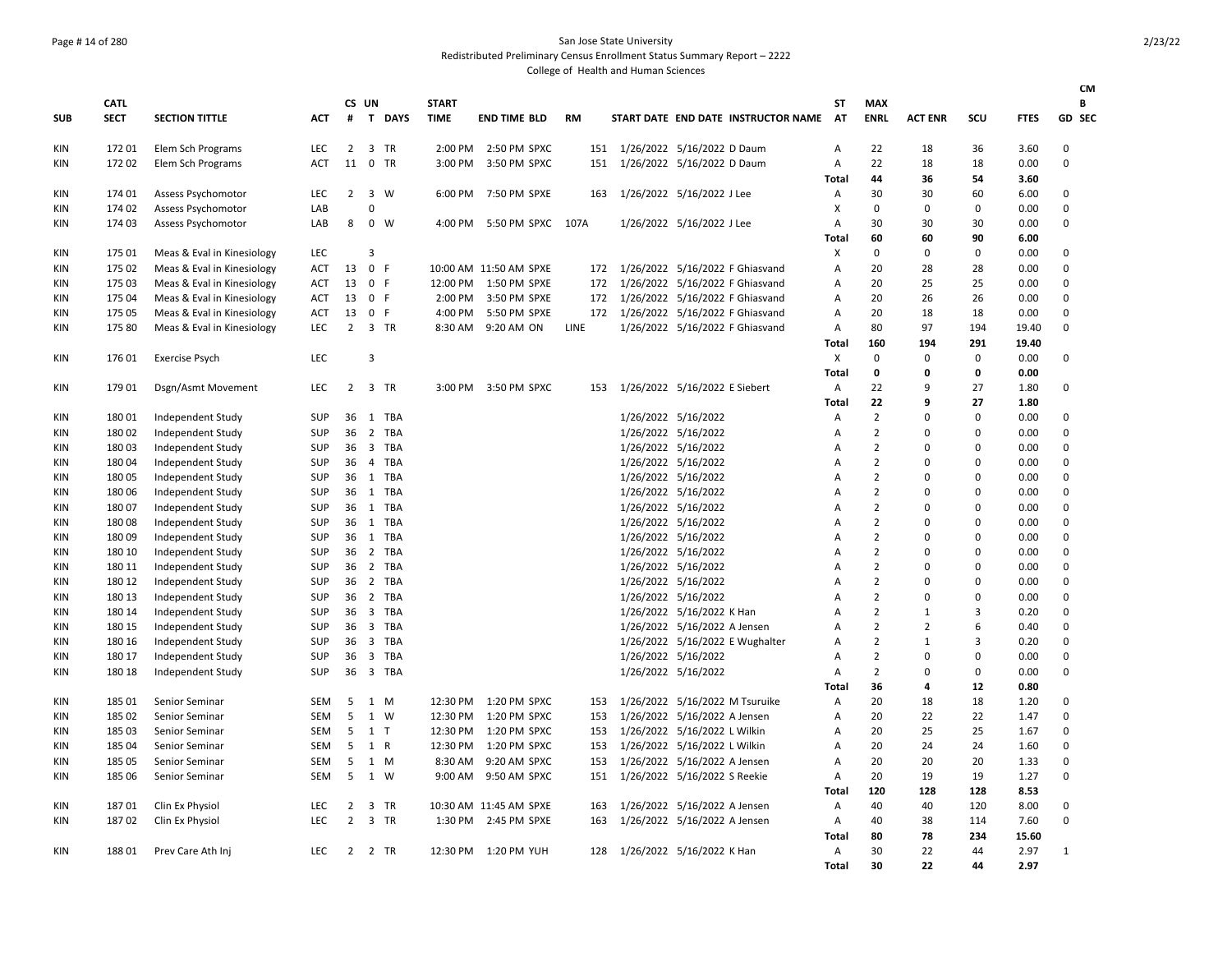### Page # 14 of 280 San Jose State University Redistributed Preliminary Census Enrollment Status Summary Report – 2222

|            |                |                            |                          |                     |                |              |              |                                        |            |                                     |                                                              |                                     |              |                                  |                         |                      |              | <b>CM</b>     |
|------------|----------------|----------------------------|--------------------------|---------------------|----------------|--------------|--------------|----------------------------------------|------------|-------------------------------------|--------------------------------------------------------------|-------------------------------------|--------------|----------------------------------|-------------------------|----------------------|--------------|---------------|
|            | <b>CATL</b>    |                            |                          |                     | CS UN          |              | <b>START</b> |                                        |            |                                     |                                                              |                                     | SΤ           | <b>MAX</b>                       |                         |                      |              | В             |
| <b>SUB</b> | <b>SECT</b>    | <b>SECTION TITTLE</b>      | <b>ACT</b>               | #                   |                | T DAYS       | <b>TIME</b>  | <b>END TIME BLD</b>                    | <b>RM</b>  |                                     |                                                              | START DATE END DATE INSTRUCTOR NAME | AT           | <b>ENRL</b>                      | <b>ACT ENR</b>          | SCU                  | <b>FTES</b>  | GD SEC        |
| KIN        | 17201          | Elem Sch Programs          | LEC                      | 2                   |                | 3 TR         |              | 2:00 PM 2:50 PM SPXC                   | 151        |                                     | 1/26/2022 5/16/2022 D Daum                                   |                                     | А            | 22                               | 18                      | 36                   | 3.60         | 0             |
| KIN        | 17202          | Elem Sch Programs          | <b>ACT</b>               | 11                  | $\mathbf 0$    | TR           | 3:00 PM      | 3:50 PM SPXC                           | 151        |                                     | 1/26/2022 5/16/2022 D Daum                                   |                                     | А            | 22                               | 18                      | 18                   | 0.00         | $\Omega$      |
|            |                |                            |                          |                     |                |              |              |                                        |            |                                     |                                                              |                                     | Total        | 44                               | 36                      | 54                   | 3.60         |               |
| KIN        | 174 01         | Assess Psychomotor         | <b>LEC</b>               | 2                   |                | 3 W          | 6:00 PM      | 7:50 PM SPXE                           | 163        |                                     | 1/26/2022 5/16/2022 J Lee                                    |                                     | Α            | 30                               | 30                      | 60                   | 6.00         | 0             |
| KIN        | 174 02         | <b>Assess Psychomotor</b>  | LAB                      |                     | 0              |              |              |                                        |            |                                     |                                                              |                                     | X            | $\Omega$                         | 0                       | 0                    | 0.00         | $\Omega$      |
| KIN        | 174 03         | <b>Assess Psychomotor</b>  | LAB                      | 8                   |                | $0 \quad W$  | 4:00 PM      | 5:50 PM SPXC 107A                      |            |                                     | 1/26/2022 5/16/2022 J Lee                                    |                                     | А            | 30                               | 30                      | 30                   | 0.00         | $\Omega$      |
|            |                |                            |                          |                     |                |              |              |                                        |            |                                     |                                                              |                                     | <b>Total</b> | 60                               | 60                      | 90                   | 6.00         |               |
| KIN        | 175 01         | Meas & Eval in Kinesiology | <b>LEC</b>               |                     | 3              |              |              |                                        |            |                                     |                                                              |                                     | Χ            | $\Omega$                         | $\mathbf 0$             | $\mathbf 0$          | 0.00         | $\Omega$      |
| KIN        | 175 02         | Meas & Eval in Kinesiology | <b>ACT</b>               | 13                  | $\mathbf{0}$   | F            |              | 10:00 AM 11:50 AM SPXE                 | 172        |                                     | 1/26/2022 5/16/2022 F Ghiasvand                              |                                     | А            | 20                               | 28                      | 28                   | 0.00         | $\Omega$      |
| KIN        | 175 03         | Meas & Eval in Kinesiology | <b>ACT</b>               | 13                  | 0 F            |              |              | 12:00 PM  1:50 PM SPXE                 | 172        |                                     | 1/26/2022 5/16/2022 F Ghiasvand                              |                                     | А            | 20                               | 25                      | 25                   | 0.00         | $\Omega$      |
| KIN        | 175 04         | Meas & Eval in Kinesiology | <b>ACT</b>               | 13                  | 0 F            |              | 2:00 PM      | 3:50 PM SPXE                           | 172        |                                     | 1/26/2022 5/16/2022 F Ghiasvand                              |                                     | A            | 20                               | 26                      | 26                   | 0.00         | $\Omega$      |
| KIN        | 175 05         | Meas & Eval in Kinesiology | <b>ACT</b>               | 13                  | $\mathbf 0$    | - F          | 4:00 PM      | 5:50 PM SPXE                           |            | 172 1/26/2022 5/16/2022 F Ghiasvand |                                                              |                                     | А            | 20                               | 18                      | 18                   | 0.00         | $\Omega$      |
| KIN        | 175 80         | Meas & Eval in Kinesiology | <b>LEC</b>               |                     |                | 2 3 TR       |              | 8:30 AM 9:20 AM ON                     | LINE       |                                     | 1/26/2022 5/16/2022 F Ghiasvand                              |                                     | Α            | 80                               | 97                      | 194                  | 19.40        | $\Omega$      |
|            |                |                            |                          |                     |                |              |              |                                        |            |                                     |                                                              |                                     | Total        | 160                              | 194                     | 291                  | 19.40        |               |
| KIN        | 176 01         | <b>Exercise Psych</b>      | LEC                      |                     | 3              |              |              |                                        |            |                                     |                                                              |                                     | X            | $\mathbf 0$                      | $\mathbf 0$             | 0                    | 0.00         | $\Omega$      |
|            |                |                            |                          |                     |                |              |              |                                        |            |                                     |                                                              |                                     | <b>Total</b> | 0                                | 0                       | 0                    | 0.00         |               |
| KIN        | 17901          | Dsgn/Asmt Movement         | <b>LEC</b>               | 2                   |                | 3 TR         |              | 3:00 PM 3:50 PM SPXC                   | 153        |                                     | 1/26/2022 5/16/2022 E Siebert                                |                                     | А            | 22                               | 9                       | 27                   | 1.80         | $\Omega$      |
|            |                |                            |                          |                     |                |              |              |                                        |            |                                     |                                                              |                                     | <b>Total</b> | 22                               | 9                       | 27                   | 1.80         |               |
| KIN        | 18001          | Independent Study          | <b>SUP</b>               | 36                  |                | 1 TBA        |              |                                        |            |                                     | 1/26/2022 5/16/2022                                          |                                     | А            | $\overline{2}$                   | $\Omega$                | $\Omega$             | 0.00         | $\Omega$      |
| KIN        | 18002          | Independent Study          | <b>SUP</b>               | 36                  |                | 2 TBA        |              |                                        |            |                                     | 1/26/2022 5/16/2022                                          |                                     | А            | $\overline{2}$                   | $\mathbf 0$             | $\Omega$             | 0.00         | $\Omega$      |
| KIN        | 18003          | Independent Study          | <b>SUP</b>               | 36                  |                | 3 TBA        |              |                                        |            |                                     | 1/26/2022 5/16/2022                                          |                                     | А            | $\overline{2}$                   | $\Omega$                | $\Omega$             | 0.00         | 0             |
| KIN        | 18004          | Independent Study          | <b>SUP</b>               | 36                  |                | 4 TBA        |              |                                        |            |                                     | 1/26/2022 5/16/2022                                          |                                     | A            | $\overline{2}$                   | $\Omega$                | $\Omega$             | 0.00         | $\Omega$      |
| KIN        | 180 05         | Independent Study          | <b>SUP</b>               | 36                  |                | 1 TBA        |              |                                        |            |                                     | 1/26/2022 5/16/2022                                          |                                     | A            | $\overline{2}$                   | $\Omega$                | $\Omega$             | 0.00         | $\Omega$      |
| KIN        | 180 06         | Independent Study          | <b>SUP</b>               | 36                  |                | 1 TBA        |              |                                        |            |                                     | 1/26/2022 5/16/2022                                          |                                     | А            | $\overline{2}$                   | $\Omega$                | $\Omega$             | 0.00         | 0             |
| KIN        | 18007          | Independent Study          | <b>SUP</b>               | 36                  |                | 1 TBA        |              |                                        |            |                                     | 1/26/2022 5/16/2022                                          |                                     | A            | $\overline{2}$                   | $\Omega$                | $\Omega$             | 0.00         | 0             |
| KIN        | 18008          | Independent Study          | <b>SUP</b>               | 36                  |                | 1 TBA        |              |                                        |            |                                     | 1/26/2022 5/16/2022                                          |                                     | A            | $\overline{2}$                   | $\Omega$                | $\Omega$             | 0.00         | $\Omega$      |
| KIN        | 18009          | Independent Study          | <b>SUP</b>               | 36                  |                | 1 TBA        |              |                                        |            |                                     | 1/26/2022 5/16/2022                                          |                                     | А            | $\overline{2}$                   | $\mathbf 0$             | $\Omega$             | 0.00         | $\mathbf 0$   |
| KIN        | 180 10         | Independent Study          | <b>SUP</b>               | 36                  |                | 2 TBA        |              |                                        |            |                                     | 1/26/2022 5/16/2022                                          |                                     | A            | $\overline{2}$                   | $\Omega$                | $\Omega$             | 0.00         | $\Omega$      |
| KIN        | 180 11         | Independent Study          | <b>SUP</b>               | 36                  |                | 2 TBA        |              |                                        |            |                                     | 1/26/2022 5/16/2022                                          |                                     | А            | $\overline{2}$                   | $\Omega$                | $\Omega$             | 0.00         | $\Omega$      |
| <b>KIN</b> | 180 12         | Independent Study          | <b>SUP</b>               | 36                  |                | 2 TBA        |              |                                        |            |                                     | 1/26/2022 5/16/2022                                          |                                     | А            | $\overline{2}$                   | $\mathbf 0$             | $\Omega$             | 0.00         | $\mathbf 0$   |
| KIN        | 180 13         | Independent Study          | <b>SUP</b>               | 36                  |                | 2 TBA        |              |                                        |            |                                     | 1/26/2022 5/16/2022                                          |                                     | A            | $\overline{2}$                   | $\Omega$                | $\Omega$             | 0.00         | $\Omega$      |
| KIN        | 180 14         | Independent Study          | <b>SUP</b>               | 36                  |                | 3 TBA        |              |                                        |            |                                     | 1/26/2022 5/16/2022 K Han                                    |                                     | A            | $\overline{2}$                   | $\mathbf{1}$            | 3                    | 0.20         | $\Omega$      |
| KIN        | 180 15         | Independent Study          | <b>SUP</b>               | 36                  |                | 3 TBA        |              |                                        |            |                                     | 1/26/2022 5/16/2022 A Jensen                                 |                                     | А            | $\overline{2}$                   | $\overline{2}$          | 6                    | 0.40         | $\mathbf 0$   |
| KIN        | 180 16         | Independent Study          | <b>SUP</b>               | 36                  |                | 3 TBA        |              |                                        |            |                                     | 1/26/2022 5/16/2022 E Wughalter                              |                                     | A            | $\overline{2}$                   | $\mathbf{1}$            | 3                    | 0.20         | $\Omega$      |
| KIN        | 180 17         | Independent Study          | <b>SUP</b>               | 36                  |                | 3 TBA        |              |                                        |            |                                     | 1/26/2022 5/16/2022                                          |                                     | А            | $\overline{2}$<br>$\overline{2}$ | $\mathbf 0$<br>$\Omega$ | $\Omega$<br>$\Omega$ | 0.00         | $\Omega$      |
| KIN        | 180 18         | Independent Study          | <b>SUP</b>               | 36                  |                | 3 TBA        |              |                                        |            |                                     | 1/26/2022 5/16/2022                                          |                                     | А            |                                  |                         |                      | 0.00         | $\Omega$      |
|            |                |                            |                          |                     |                |              |              |                                        |            |                                     | 1/26/2022 5/16/2022 M Tsuruike                               |                                     | <b>Total</b> | 36<br>20                         | 4                       | 12<br>18             | 0.80         | $\mathbf 0$   |
| KIN        | 185 01         | Senior Seminar             | <b>SEM</b>               | 5<br>5              |                | 1 M          |              | 12:30 PM 1:20 PM SPXC                  | 153        |                                     |                                                              |                                     | Α            |                                  | 18<br>22                | 22                   | 1.20         | $\Omega$      |
| KIN        | 185 02         | Senior Seminar             | <b>SEM</b>               | 5                   | 1 <sub>T</sub> | 1 W          | 12:30 PM     | 1:20 PM SPXC                           | 153        |                                     | 1/26/2022 5/16/2022 A Jensen                                 |                                     | А            | 20                               | 25                      | 25                   | 1.47         | $\Omega$      |
| KIN        | 185 03         | Senior Seminar             | <b>SEM</b>               | 5                   |                |              | 12:30 PM     | 1:20 PM SPXC                           | 153        |                                     | 1/26/2022 5/16/2022 L Wilkin                                 |                                     | A            | 20<br>20                         | 24                      |                      | 1.67         |               |
| KIN        | 185 04         | Senior Seminar             | <b>SEM</b>               |                     | 1 R            |              | 12:30 PM     | 1:20 PM SPXC                           | 153        |                                     | 1/26/2022 5/16/2022 L Wilkin                                 |                                     | А            |                                  | 20                      | 24<br>20             | 1.60         | 0             |
| KIN        | 185 05         | Senior Seminar             | <b>SEM</b>               | 5<br>5              |                | 1 M          | 8:30 AM      | 9:20 AM SPXC                           | 153        |                                     | 1/26/2022 5/16/2022 A Jensen                                 |                                     | А            | 20                               |                         |                      | 1.33         | 0<br>$\Omega$ |
| KIN        | 185 06         | Senior Seminar             | <b>SEM</b>               |                     |                | 1 W          | 9:00 AM      | 9:50 AM SPXC                           | 151        |                                     | 1/26/2022 5/16/2022 S Reekie                                 |                                     | Α            | 20                               | 19                      | 19                   | 1.27         |               |
|            |                |                            |                          |                     |                |              |              |                                        |            |                                     |                                                              |                                     | Total        | 120                              | 128                     | 128                  | 8.53         | $\Omega$      |
| KIN        | 18701<br>18702 | Clin Ex Physiol            | <b>LEC</b><br><b>LEC</b> | 2<br>$\overline{2}$ |                | 3 TR<br>3 TR | 1:30 PM      | 10:30 AM 11:45 AM SPXE<br>2:45 PM SPXE | 163<br>163 |                                     | 1/26/2022 5/16/2022 A Jensen<br>1/26/2022 5/16/2022 A Jensen |                                     | Α            | 40<br>40                         | 40<br>38                | 120<br>114           | 8.00<br>7.60 | $\Omega$      |
| KIN        |                | Clin Ex Physiol            |                          |                     |                |              |              |                                        |            |                                     |                                                              |                                     | Α            | 80                               | 78                      | 234                  | 15.60        |               |
| KIN        | 18801          | Prev Care Ath Inj          | LEC                      | 2                   |                | 2 TR         |              | 12:30 PM 1:20 PM YUH                   | 128        |                                     | 1/26/2022 5/16/2022 K Han                                    |                                     | Total<br>Α   | 30                               | 22                      | 44                   | 2.97         | $\mathbf{1}$  |
|            |                |                            |                          |                     |                |              |              |                                        |            |                                     |                                                              |                                     | Total        | 30                               | 22                      | 44                   | 2.97         |               |
|            |                |                            |                          |                     |                |              |              |                                        |            |                                     |                                                              |                                     |              |                                  |                         |                      |              |               |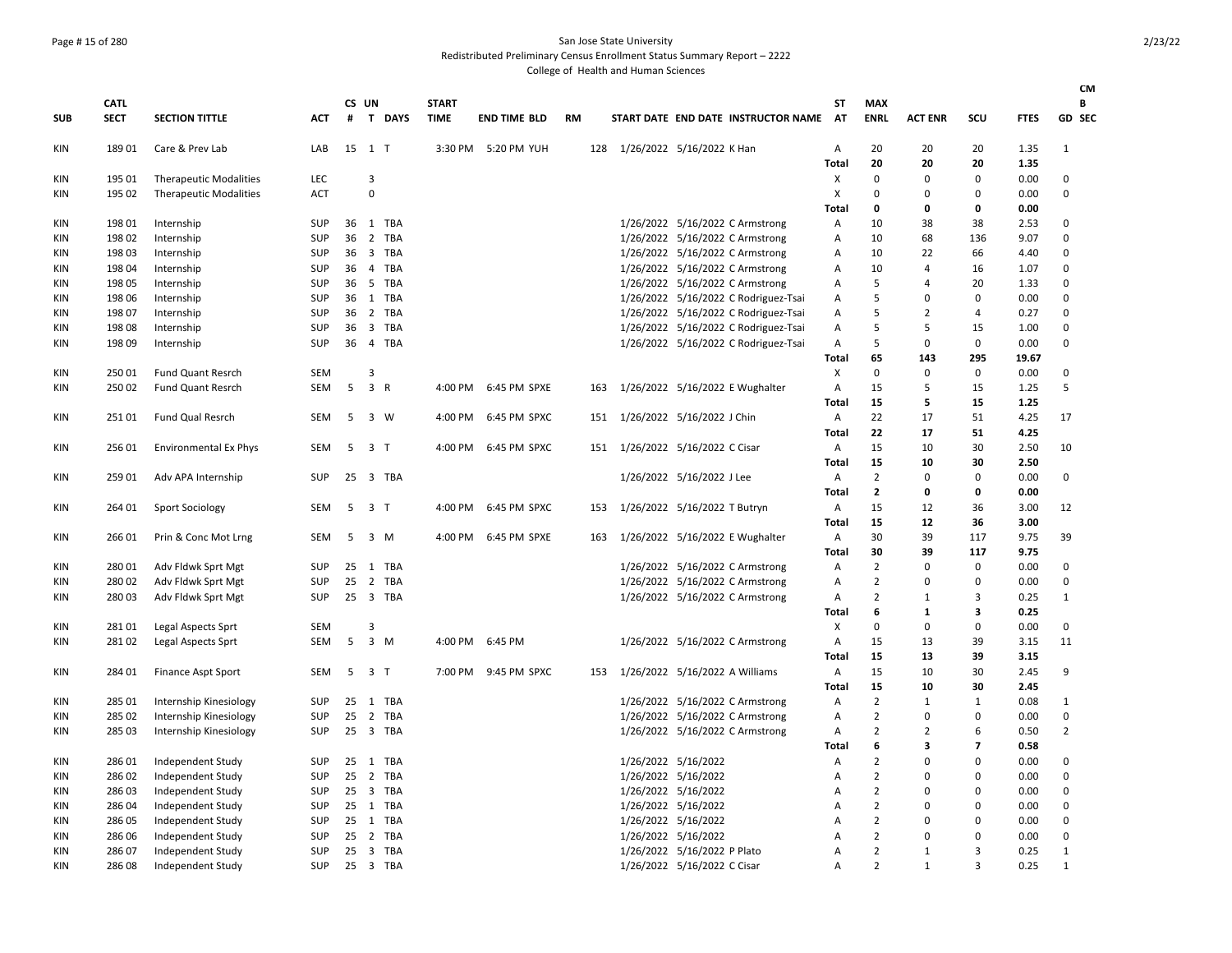## Page # 15 of 280 San Jose State University

Redistributed Preliminary Census Enrollment Status Summary Report – 2222

|            |             |                               |            |    |                |             |              |                      |    |     |                     |                                      |       |                |                |          |             | CM             |
|------------|-------------|-------------------------------|------------|----|----------------|-------------|--------------|----------------------|----|-----|---------------------|--------------------------------------|-------|----------------|----------------|----------|-------------|----------------|
|            | <b>CATL</b> |                               |            |    | CS UN          |             | <b>START</b> |                      |    |     |                     |                                      | SΤ    | <b>MAX</b>     |                |          |             | В              |
| <b>SUB</b> | <b>SECT</b> | <b>SECTION TITTLE</b>         | <b>ACT</b> | #  | T.             | <b>DAYS</b> | <b>TIME</b>  | <b>END TIME BLD</b>  | RM |     |                     | START DATE END DATE INSTRUCTOR NAME  | AT    | <b>ENRL</b>    | <b>ACT ENR</b> | SCU      | <b>FTES</b> | GD SEC         |
| KIN        | 18901       | Care & Prev Lab               | LAB        |    | 15 1 T         |             |              | 3:30 PM 5:20 PM YUH  |    | 128 |                     | 1/26/2022 5/16/2022 K Han            | Α     | 20             | 20             | 20       | 1.35        | $\mathbf{1}$   |
|            |             |                               |            |    |                |             |              |                      |    |     |                     |                                      | Total | 20             | 20             | 20       | 1.35        |                |
| <b>KIN</b> | 195 01      | <b>Therapeutic Modalities</b> | <b>LEC</b> |    | 3              |             |              |                      |    |     |                     |                                      | х     | $\mathbf 0$    | $\Omega$       | $\Omega$ | 0.00        | $\Omega$       |
| <b>KIN</b> | 195 02      | <b>Therapeutic Modalities</b> | <b>ACT</b> |    | $\pmb{0}$      |             |              |                      |    |     |                     |                                      | X     | $\mathbf 0$    | 0              | 0        | 0.00        | 0              |
|            |             |                               |            |    |                |             |              |                      |    |     |                     |                                      | Total | $\mathbf 0$    | 0              | 0        | 0.00        |                |
| <b>KIN</b> | 198 01      | Internship                    | SUP        | 36 |                | 1 TBA       |              |                      |    |     |                     | 1/26/2022 5/16/2022 C Armstrong      | Α     | 10             | 38             | 38       | 2.53        | 0              |
| <b>KIN</b> | 198 02      | Internship                    | SUP        |    |                | 36 2 TBA    |              |                      |    |     |                     | 1/26/2022 5/16/2022 C Armstrong      | Α     | 10             | 68             | 136      | 9.07        | $\Omega$       |
| KIN        | 198 03      | Internship                    | <b>SUP</b> | 36 |                | 3 TBA       |              |                      |    |     |                     | 1/26/2022 5/16/2022 C Armstrong      | A     | 10             | 22             | 66       | 4.40        | $\Omega$       |
| <b>KIN</b> | 198 04      | Internship                    | <b>SUP</b> | 36 |                | 4 TBA       |              |                      |    |     |                     | 1/26/2022 5/16/2022 C Armstrong      | A     | 10             | 4              | 16       | 1.07        | $\Omega$       |
| KIN        | 198 05      | Internship                    | SUP        | 36 |                | 5 TBA       |              |                      |    |     |                     | 1/26/2022 5/16/2022 C Armstrong      | Α     | 5              | 4              | 20       | 1.33        | $\mathbf 0$    |
| KIN        | 198 06      | Internship                    | SUP        |    |                | 36 1 TBA    |              |                      |    |     |                     | 1/26/2022 5/16/2022 C Rodriguez-Tsai | Α     | 5              | $\Omega$       | $\Omega$ | 0.00        | $\mathbf 0$    |
| <b>KIN</b> | 198 07      | Internship                    | SUP        | 36 |                | 2 TBA       |              |                      |    |     |                     | 1/26/2022 5/16/2022 C Rodriguez-Tsai | Α     | 5              | $\overline{2}$ | 4        | 0.27        | 0              |
| KIN        | 198 08      | Internship                    | <b>SUP</b> |    |                | 36 3 TBA    |              |                      |    |     |                     | 1/26/2022 5/16/2022 C Rodriguez-Tsai | Α     | 5              | 5              | 15       | 1.00        | 0              |
| <b>KIN</b> | 198 09      | Internship                    | SUP        |    |                | 36  4  TBA  |              |                      |    |     |                     | 1/26/2022 5/16/2022 C Rodriguez-Tsai | Α     | 5              | 0              | 0        | 0.00        | $\Omega$       |
|            |             |                               |            |    |                |             |              |                      |    |     |                     |                                      | Total | 65             | 143            | 295      | 19.67       |                |
| <b>KIN</b> | 250 01      | <b>Fund Quant Resrch</b>      | <b>SEM</b> |    | 3              |             |              |                      |    |     |                     |                                      | Х     | $\mathbf 0$    | $\mathbf 0$    | 0        | 0.00        | $\Omega$       |
| KIN        | 250 02      | <b>Fund Quant Resrch</b>      | SEM        | 5  | $\overline{3}$ | R           |              | 4:00 PM 6:45 PM SPXE |    | 163 |                     | 1/26/2022 5/16/2022 E Wughalter      | Α     | 15             | 5              | 15       | 1.25        | 5              |
|            |             |                               |            |    |                |             |              |                      |    |     |                     |                                      | Total | 15             | 5              | 15       | 1.25        |                |
| KIN        | 25101       | Fund Qual Resrch              | SEM        | 5  | 3 W            |             |              | 4:00 PM 6:45 PM SPXC |    | 151 |                     | 1/26/2022 5/16/2022 J Chin           | Α     | 22             | 17             | 51       | 4.25        | 17             |
|            |             |                               |            |    |                |             |              |                      |    |     |                     |                                      | Total | 22             | 17             | 51       | 4.25        |                |
| KIN        | 256 01      | <b>Environmental Ex Phys</b>  | <b>SEM</b> |    | 5 3 T          |             |              | 4:00 PM 6:45 PM SPXC |    |     |                     | 151 1/26/2022 5/16/2022 C Cisar      | Α     | 15             | 10             | 30       | 2.50        | 10             |
|            |             |                               |            |    |                |             |              |                      |    |     |                     |                                      | Total | 15             | 10             | 30       | 2.50        |                |
| KIN        | 259 01      | Adv APA Internship            | SUP        |    |                | 25 3 TBA    |              |                      |    |     |                     | 1/26/2022 5/16/2022 J Lee            | Α     | $\overline{2}$ | 0              | $\Omega$ | 0.00        | 0              |
|            |             |                               |            |    |                |             |              |                      |    |     |                     |                                      | Total | $\overline{2}$ | $\mathbf 0$    | 0        | 0.00        |                |
| KIN        | 264 01      | <b>Sport Sociology</b>        | SEM        | 5  | 3 <sub>7</sub> |             | 4:00 PM      | 6:45 PM SPXC         |    | 153 |                     | 1/26/2022 5/16/2022 T Butryn         | Α     | 15             | 12             | 36       | 3.00        | 12             |
|            |             |                               |            |    |                |             |              |                      |    |     |                     |                                      | Total | 15             | 12             | 36       | 3.00        |                |
| KIN        | 266 01      | Prin & Conc Mot Lrng          | SEM        | -5 | 3 M            |             |              | 4:00 PM 6:45 PM SPXE |    | 163 |                     | 1/26/2022 5/16/2022 E Wughalter      | Α     | 30             | 39             | 117      | 9.75        | 39             |
|            |             |                               |            |    |                |             |              |                      |    |     |                     |                                      | Total | 30             | 39             | 117      | 9.75        |                |
| KIN        | 28001       | Adv Fldwk Sprt Mgt            | SUP        | 25 | 1              | TBA         |              |                      |    |     |                     | 1/26/2022 5/16/2022 C Armstrong      | Α     | $\overline{2}$ | $\Omega$       | $\Omega$ | 0.00        | $\Omega$       |
| <b>KIN</b> | 28002       | Adv Fldwk Sprt Mgt            | SUP        | 25 |                | 2 TBA       |              |                      |    |     |                     | 1/26/2022 5/16/2022 C Armstrong      | Α     | $\overline{2}$ | 0              | $\Omega$ | 0.00        | $\mathbf 0$    |
| <b>KIN</b> | 280 03      | Adv Fldwk Sprt Mgt            | SUP        | 25 |                | 3 TBA       |              |                      |    |     |                     | 1/26/2022 5/16/2022 C Armstrong      | Α     | $\overline{2}$ | 1              | 3        | 0.25        | $\mathbf{1}$   |
|            |             |                               |            |    |                |             |              |                      |    |     |                     |                                      | Total | 6              | 1              | 3        | 0.25        |                |
| <b>KIN</b> | 28101       | Legal Aspects Sprt            | SEM        |    | 3              |             |              |                      |    |     |                     |                                      | х     | $\mathbf 0$    | $\Omega$       | $\Omega$ | 0.00        | 0              |
| KIN        | 28102       | Legal Aspects Sprt            | <b>SEM</b> | 5  | $3 \, M$       |             |              | 4:00 PM 6:45 PM      |    |     |                     | 1/26/2022 5/16/2022 C Armstrong      | A     | 15             | 13             | 39       | 3.15        | 11             |
|            |             |                               |            |    |                |             |              |                      |    |     |                     |                                      | Total | 15             | 13             | 39       | 3.15        |                |
| <b>KIN</b> | 284 01      | Finance Aspt Sport            | SEM        | 5  | 3 T            |             | 7:00 PM      | 9:45 PM SPXC         |    | 153 |                     | 1/26/2022 5/16/2022 A Williams       | Α     | 15             | 10             | 30       | 2.45        | 9              |
|            |             |                               |            |    |                |             |              |                      |    |     |                     |                                      | Total | 15             | 10             | 30       | 2.45        |                |
| <b>KIN</b> | 285 01      | Internship Kinesiology        | SUP        |    |                | 25 1 TBA    |              |                      |    |     |                     | 1/26/2022 5/16/2022 C Armstrong      | Α     | $\overline{2}$ | $\mathbf{1}$   | 1        | 0.08        | 1              |
| KIN        | 285 02      | Internship Kinesiology        | SUP        | 25 |                | 2 TBA       |              |                      |    |     |                     | 1/26/2022 5/16/2022 C Armstrong      | Α     | $\overline{2}$ | 0              | 0        | 0.00        | 0              |
| <b>KIN</b> | 285 03      | Internship Kinesiology        | SUP        |    |                | 25 3 TBA    |              |                      |    |     |                     | 1/26/2022 5/16/2022 C Armstrong      | Α     | $\overline{2}$ | $\overline{2}$ | 6        | 0.50        | $\overline{2}$ |
|            |             |                               |            |    |                |             |              |                      |    |     |                     |                                      | Total | 6              | 3              | 7        | 0.58        |                |
| KIN        | 286 01      | Independent Study             | SUP        |    |                | 25 1 TBA    |              |                      |    |     | 1/26/2022 5/16/2022 |                                      | Α     | $\overline{2}$ | 0              | $\Omega$ | 0.00        | $\Omega$       |
| <b>KIN</b> | 286 02      | Independent Study             | <b>SUP</b> | 25 |                | 2 TBA       |              |                      |    |     | 1/26/2022 5/16/2022 |                                      | Α     | $\overline{2}$ | $\Omega$       | $\Omega$ | 0.00        | $\mathbf 0$    |
| <b>KIN</b> | 286 03      | Independent Study             | <b>SUP</b> |    |                | 25 3 TBA    |              |                      |    |     | 1/26/2022 5/16/2022 |                                      | A     | $\overline{2}$ | $\Omega$       | $\Omega$ | 0.00        | 0              |
| <b>KIN</b> | 286 04      | Independent Study             | <b>SUP</b> |    |                | 25 1 TBA    |              |                      |    |     | 1/26/2022 5/16/2022 |                                      | Α     | $\overline{2}$ | $\Omega$       | $\Omega$ | 0.00        | $\mathbf 0$    |
| <b>KIN</b> | 286 05      | Independent Study             | <b>SUP</b> |    |                | 25 1 TBA    |              |                      |    |     | 1/26/2022 5/16/2022 |                                      | Α     | $\overline{2}$ | $\Omega$       | $\Omega$ | 0.00        | $\Omega$       |
| KIN        | 286 06      | Independent Study             | <b>SUP</b> |    |                | 25 2 TBA    |              |                      |    |     |                     | 1/26/2022 5/16/2022                  | A     | $\overline{2}$ | $\Omega$       | $\Omega$ | 0.00        | $\Omega$       |
| KIN        | 286 07      | Independent Study             | <b>SUP</b> |    |                | 25 3 TBA    |              |                      |    |     |                     | 1/26/2022 5/16/2022 P Plato          | A     | $\overline{2}$ | 1              | 3        | 0.25        | 1              |
| KIN        | 286 08      | Independent Study             | SUP        |    |                | 25 3 TBA    |              |                      |    |     |                     | 1/26/2022 5/16/2022 C Cisar          | A     | $\overline{2}$ | 1              | з        | 0.25        | 1              |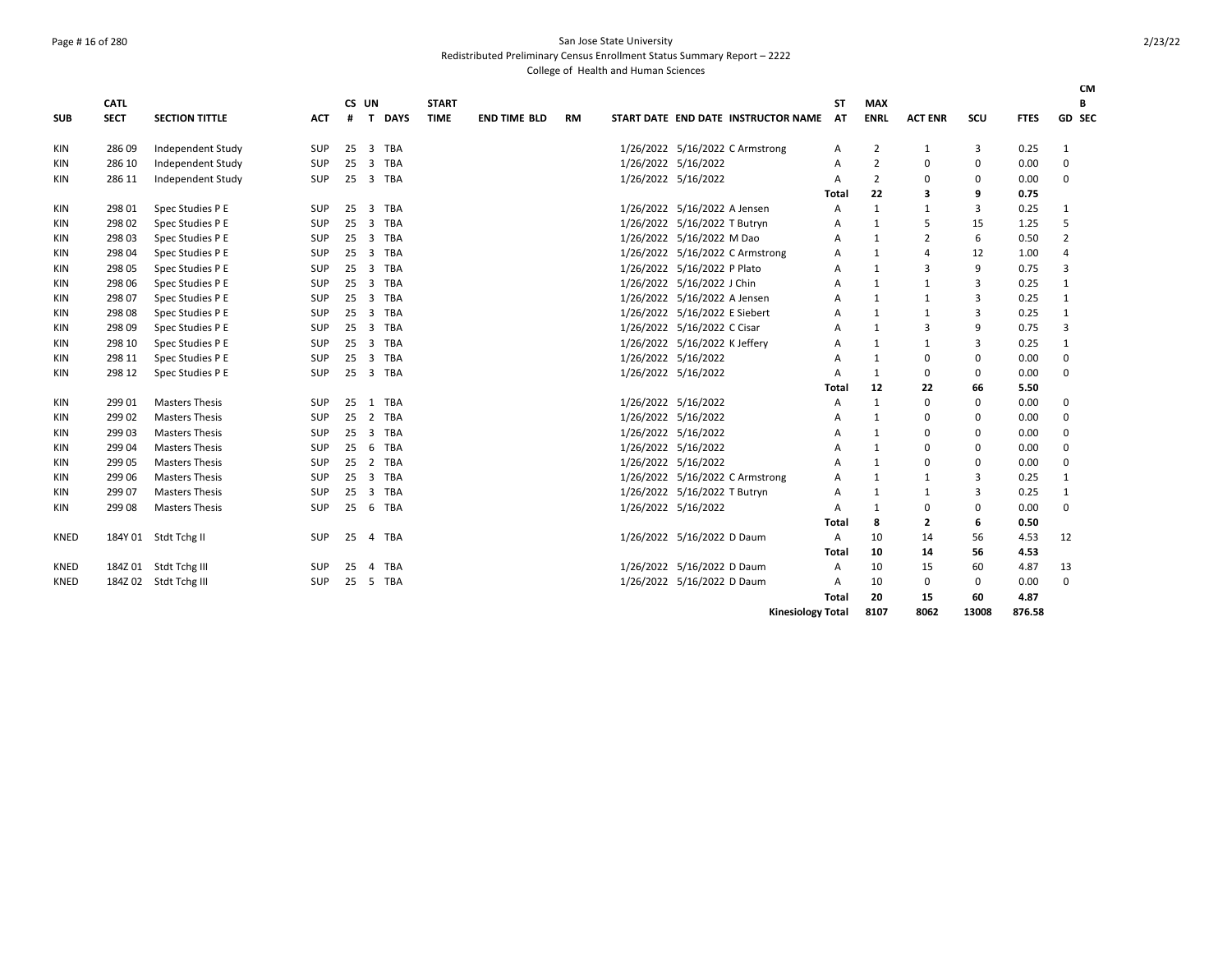### Page # 16 of 280 San Jose State University Redistributed Preliminary Census Enrollment Status Summary Report – 2222

|             | <b>CATL</b> |                       |            | CS UN |                |            | <b>START</b> |                     |           |           |                                        | <b>ST</b> | <b>MAX</b>     |                |             |             |                | <b>CM</b><br>В |
|-------------|-------------|-----------------------|------------|-------|----------------|------------|--------------|---------------------|-----------|-----------|----------------------------------------|-----------|----------------|----------------|-------------|-------------|----------------|----------------|
| <b>SUB</b>  | <b>SECT</b> | <b>SECTION TITTLE</b> | <b>ACT</b> | #     |                | T DAYS     | <b>TIME</b>  | <b>END TIME BLD</b> | <b>RM</b> |           | START DATE END DATE INSTRUCTOR NAME AT |           | <b>ENRL</b>    | <b>ACT ENR</b> | SCU         | <b>FTES</b> |                | GD SEC         |
| KIN         | 286 09      | Independent Study     | SUP        | 25    | $\overline{3}$ | TBA        |              |                     |           |           | 1/26/2022 5/16/2022 C Armstrong        | A         | $\overline{2}$ | 1              | 3           | 0.25        | 1              |                |
| KIN         | 286 10      | Independent Study     | SUP        | 25    | 3              | <b>TBA</b> |              |                     |           |           | 1/26/2022 5/16/2022                    | A         | $\overline{2}$ | $\mathbf 0$    | $\mathbf 0$ | 0.00        | $\mathbf 0$    |                |
| KIN         | 286 11      | Independent Study     | <b>SUP</b> | 25    | 3 TBA          |            |              |                     |           |           | 1/26/2022 5/16/2022                    | A         | $\overline{2}$ | $\mathbf 0$    | $\Omega$    | 0.00        | $\mathbf 0$    |                |
|             |             |                       |            |       |                |            |              |                     |           |           |                                        | Total     | 22             | 3              | 9           | 0.75        |                |                |
| KIN         | 298 01      | Spec Studies P E      | SUP        | 25    | $\overline{3}$ | TBA        |              |                     |           |           | 1/26/2022 5/16/2022 A Jensen           | A         | $\mathbf{1}$   | $\mathbf{1}$   | 3           | 0.25        | 1              |                |
| KIN         | 298 02      | Spec Studies P E      | SUP        | 25    | $\overline{3}$ | <b>TBA</b> |              |                     |           | 1/26/2022 | 5/16/2022 T Butryn                     | A         | 1              | 5              | 15          | 1.25        | 5              |                |
| KIN         | 298 03      | Spec Studies P E      | SUP        | 25    | 3              | TBA        |              |                     |           | 1/26/2022 | 5/16/2022 M Dao                        | A         | 1              | 2              | 6           | 0.50        | $\overline{2}$ |                |
| KIN         | 298 04      | Spec Studies P E      | SUP        | 25    | 3 TBA          |            |              |                     |           |           | 1/26/2022 5/16/2022 C Armstrong        | A         | 1              | 4              | 12          | 1.00        | 4              |                |
| KIN         | 298 05      | Spec Studies P E      | <b>SUP</b> | 25    | 3 TBA          |            |              |                     |           |           | 1/26/2022 5/16/2022 P Plato            | A         | 1              | 3              | 9           | 0.75        | 3              |                |
| KIN         | 298 06      | Spec Studies P E      | <b>SUP</b> | 25    | 3 TBA          |            |              |                     |           |           | 1/26/2022 5/16/2022 J Chin             | A         | 1              | 1              | 3           | 0.25        | 1              |                |
| KIN         | 298 07      | Spec Studies P E      | SUP        | 25    | 3 TBA          |            |              |                     |           |           | 1/26/2022 5/16/2022 A Jensen           | A         | 1              | 1              | 3           | 0.25        | 1              |                |
| KIN         | 298 08      | Spec Studies P E      | SUP        | 25    | 3 TBA          |            |              |                     |           |           | 1/26/2022 5/16/2022 E Siebert          | A         | 1              | $\mathbf{1}$   | 3           | 0.25        | $\mathbf{1}$   |                |
| KIN         | 298 09      | Spec Studies P E      | SUP        | 25    | $\overline{3}$ | TBA        |              |                     |           |           | 1/26/2022 5/16/2022 C Cisar            | A         | 1              | 3              | 9           | 0.75        | 3              |                |
| <b>KIN</b>  | 298 10      | Spec Studies P E      | SUP        | 25    | $\overline{3}$ | TBA        |              |                     |           |           | 1/26/2022 5/16/2022 K Jeffery          | A         | 1              | 1              | 3           | 0.25        | 1              |                |
| KIN         | 298 11      | Spec Studies P E      | <b>SUP</b> | 25    | 3              | <b>TBA</b> |              |                     |           |           | 1/26/2022 5/16/2022                    | A         | 1              | $\mathbf 0$    | $\mathbf 0$ | 0.00        | $\mathbf 0$    |                |
| KIN         | 298 12      | Spec Studies P E      | <b>SUP</b> | 25    | 3 TBA          |            |              |                     |           |           | 1/26/2022 5/16/2022                    | A         | $\mathbf{1}$   | $\Omega$       | $\mathbf 0$ | 0.00        | $\Omega$       |                |
|             |             |                       |            |       |                |            |              |                     |           |           |                                        | Total     | 12             | 22             | 66          | 5.50        |                |                |
| KIN         | 299 01      | <b>Masters Thesis</b> | SUP        | 25    | 1 TBA          |            |              |                     |           |           | 1/26/2022 5/16/2022                    | A         | $\mathbf{1}$   | $\mathbf 0$    | $\Omega$    | 0.00        | $\mathbf 0$    |                |
| KIN         | 299 02      | <b>Masters Thesis</b> | <b>SUP</b> | 25    | 2 TBA          |            |              |                     |           |           | 1/26/2022 5/16/2022                    | A         | 1              | 0              | 0           | 0.00        | 0              |                |
| KIN         | 299 03      | <b>Masters Thesis</b> | SUP        | 25    | 3 TBA          |            |              |                     |           |           | 1/26/2022 5/16/2022                    | A         | 1              | 0              | 0           | 0.00        | 0              |                |
| KIN         | 299 04      | <b>Masters Thesis</b> | <b>SUP</b> | 25    | 6 TBA          |            |              |                     |           |           | 1/26/2022 5/16/2022                    | A         | 1              | 0              | 0           | 0.00        | 0              |                |
| KIN         | 299 05      | <b>Masters Thesis</b> | <b>SUP</b> | 25    | 2 TBA          |            |              |                     |           |           | 1/26/2022 5/16/2022                    | A         | 1              | $\mathbf 0$    | 0           | 0.00        | $\mathbf 0$    |                |
| KIN         | 299 06      | <b>Masters Thesis</b> | SUP        | 25    | 3 TBA          |            |              |                     |           |           | 1/26/2022 5/16/2022 C Armstrong        | A         | 1              | 1              | 3           | 0.25        | 1              |                |
| KIN         | 299 07      | <b>Masters Thesis</b> | <b>SUP</b> | 25    | 3 TBA          |            |              |                     |           |           | 1/26/2022 5/16/2022 T Butryn           | A         | 1              | 1              | 3           | 0.25        | 1              |                |
| KIN         | 299 08      | <b>Masters Thesis</b> | SUP        | 25    | 6              | TBA        |              |                     |           |           | 1/26/2022 5/16/2022                    | A         | 1              | $\mathbf 0$    | $\Omega$    | 0.00        | $\mathbf 0$    |                |
|             |             |                       |            |       |                |            |              |                     |           |           |                                        | Total     | 8              | $\mathbf{2}$   | 6           | 0.50        |                |                |
| <b>KNED</b> | 184Y 01     | Stdt Tchg II          | <b>SUP</b> | 25    | $\overline{4}$ | TBA        |              |                     |           |           | 1/26/2022 5/16/2022 D Daum             | A         | 10             | 14             | 56          | 4.53        | 12             |                |
|             |             |                       |            |       |                |            |              |                     |           |           |                                        | Total     | 10             | 14             | 56          | 4.53        |                |                |
| <b>KNED</b> |             | 184Z 01 Stdt Tchg III | <b>SUP</b> | 25    | $\overline{4}$ | TBA        |              |                     |           |           | 1/26/2022 5/16/2022 D Daum             | A         | 10             | 15             | 60          | 4.87        | 13             |                |
| <b>KNED</b> | 184Z 02     | Stdt Tchg III         | <b>SUP</b> | 25    | 5 TBA          |            |              |                     |           |           | 1/26/2022 5/16/2022 D Daum             | A         | 10             | 0              | 0           | 0.00        | 0              |                |
|             |             |                       |            |       |                |            |              |                     |           |           |                                        | Total     | 20             | 15             | 60          | 4.87        |                |                |
|             |             |                       |            |       |                |            |              |                     |           |           | <b>Kinesiology Total</b>               |           | 8107           | 8062           | 13008       | 876.58      |                |                |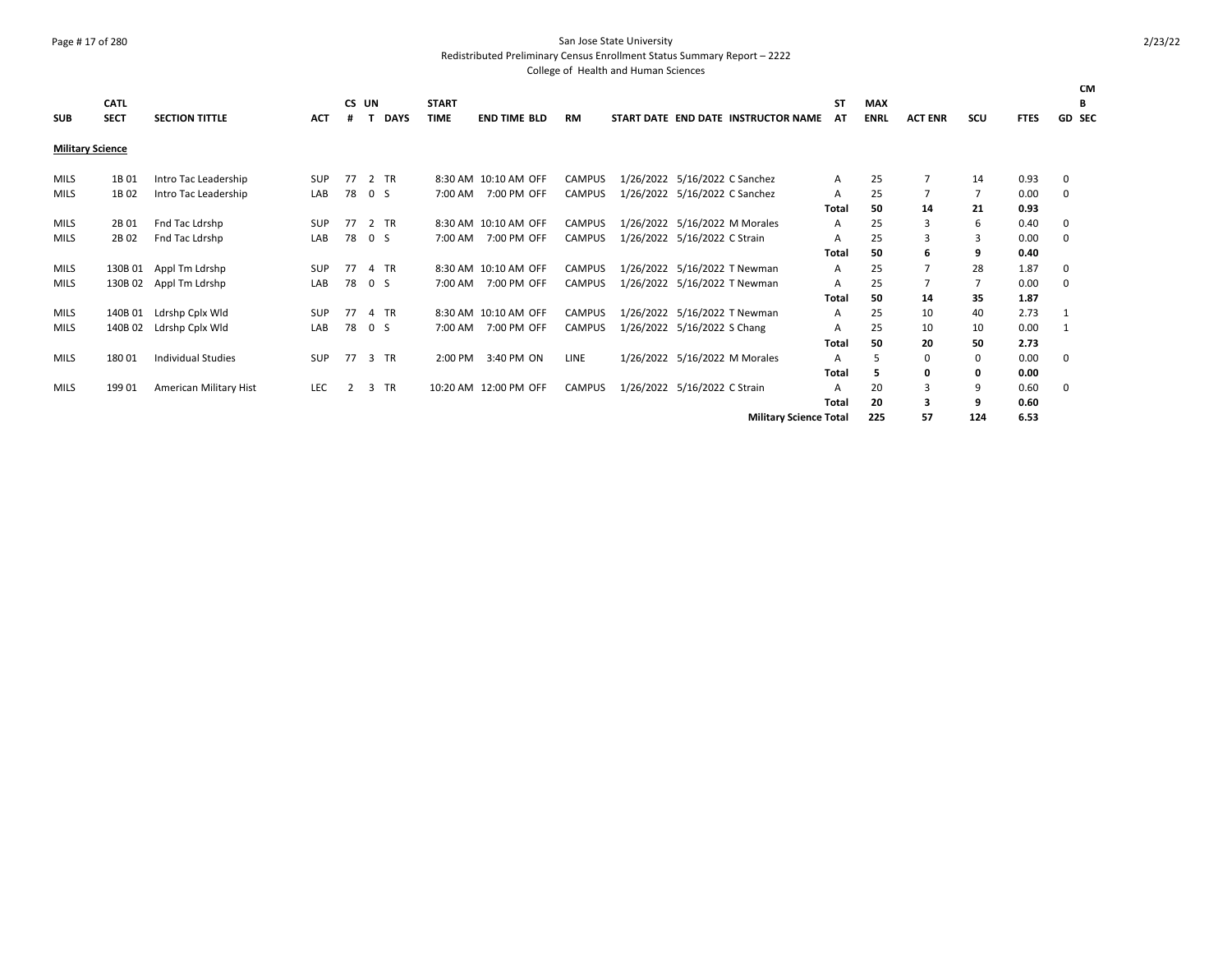### Page # 17 of 280 San Jose State University

Redistributed Preliminary Census Enrollment Status Summary Report – 2222

| <b>SUB</b>              | <b>CATL</b><br><b>SECT</b> | <b>SECTION TITTLE</b>     | <b>ACT</b> | CS UN<br># |                | <b>DAYS</b> | <b>START</b><br><b>TIME</b> | <b>END TIME BLD</b>   | <b>RM</b>     |                               | START DATE END DATE INSTRUCTOR NAME | ST<br>AT     | <b>MAX</b><br><b>ENRL</b> | <b>ACT ENR</b> | SCU | <b>FTES</b> | CM<br>В<br>GD SEC |
|-------------------------|----------------------------|---------------------------|------------|------------|----------------|-------------|-----------------------------|-----------------------|---------------|-------------------------------|-------------------------------------|--------------|---------------------------|----------------|-----|-------------|-------------------|
| <b>Military Science</b> |                            |                           |            |            |                |             |                             |                       |               |                               |                                     |              |                           |                |     |             |                   |
| MILS                    | 1B 01                      | Intro Tac Leadership      | <b>SUP</b> | 77         |                | 2 TR        |                             | 8:30 AM 10:10 AM OFF  | <b>CAMPUS</b> | 1/26/2022 5/16/2022 C Sanchez |                                     | A            | 25                        | 7              | 14  | 0.93        | 0                 |
| MILS                    | 1B 02                      | Intro Tac Leadership      | LAB        | 78         | 0 <sup>5</sup> |             | 7:00 AM                     | 7:00 PM OFF           | CAMPUS        | 1/26/2022 5/16/2022 C Sanchez |                                     | Α            | 25                        | 7              | 7   | 0.00        | 0                 |
|                         |                            |                           |            |            |                |             |                             |                       |               |                               |                                     | Total        | 50                        | 14             | 21  | 0.93        |                   |
| <b>MILS</b>             | 2B 01                      | Fnd Tac Ldrshp            | <b>SUP</b> | 77         |                | 2 TR        |                             | 8:30 AM 10:10 AM OFF  | <b>CAMPUS</b> | 1/26/2022 5/16/2022 M Morales |                                     | A            | 25                        | 3              | 6   | 0.40        | 0                 |
| MILS                    | 2B 02                      | Fnd Tac Ldrshp            | LAB        | 78         | 0 <sup>5</sup> |             | 7:00 AM                     | 7:00 PM OFF           | CAMPUS        | 1/26/2022 5/16/2022 C Strain  |                                     | A            | 25                        | 3              | 3   | 0.00        | 0                 |
|                         |                            |                           |            |            |                |             |                             |                       |               |                               |                                     | Total        | 50                        | 6              | 9   | 0.40        |                   |
| MILS                    | 130B 01                    | Appl Tm Ldrshp            | <b>SUP</b> | 77         |                | 4 TR        |                             | 8:30 AM 10:10 AM OFF  | CAMPUS        | 1/26/2022 5/16/2022 T Newman  |                                     | A            | 25                        | $\overline{7}$ | 28  | 1.87        | 0                 |
| MILS                    |                            | 130B 02 Appl Tm Ldrshp    | LAB        | 78         | 0 <sup>5</sup> |             | 7:00 AM                     | 7:00 PM OFF           | CAMPUS        | 1/26/2022 5/16/2022 T Newman  |                                     | A            | 25                        |                | 7   | 0.00        | 0                 |
|                         |                            |                           |            |            |                |             |                             |                       |               |                               |                                     | Total        | 50                        | 14             | 35  | 1.87        |                   |
| <b>MILS</b>             | 140B 01                    | Ldrshp Cplx Wld           | <b>SUP</b> | 77         |                | 4 TR        |                             | 8:30 AM 10:10 AM OFF  | CAMPUS        | 1/26/2022 5/16/2022 T Newman  |                                     | A            | 25                        | 10             | 40  | 2.73        | -1                |
| MILS                    | 140B 02                    | Ldrshp Cplx Wld           | LAB        | 78         | 0 <sup>5</sup> |             | 7:00 AM                     | 7:00 PM OFF           | CAMPUS        | 1/26/2022 5/16/2022 S Chang   |                                     | A            | 25                        | 10             | 10  | 0.00        |                   |
|                         |                            |                           |            |            |                |             |                             |                       |               |                               |                                     | <b>Total</b> | 50                        | 20             | 50  | 2.73        |                   |
| MILS                    | 18001                      | <b>Individual Studies</b> | <b>SUP</b> | 77         |                | 3 TR        | 2:00 PM                     | 3:40 PM ON            | LINE          | 1/26/2022 5/16/2022 M Morales |                                     | A            | 5                         | $\mathbf{0}$   | 0   | 0.00        | 0                 |
|                         |                            |                           |            |            |                |             |                             |                       |               |                               |                                     | Total        | 5                         | 0              | 0   | 0.00        |                   |
| <b>MILS</b>             | 199 01                     | American Military Hist    | <b>LEC</b> | 2          |                | 3 TR        |                             | 10:20 AM 12:00 PM OFF | CAMPUS        | 1/26/2022 5/16/2022 C Strain  |                                     | A            | 20                        | 3              | 9   | 0.60        | 0                 |
|                         |                            |                           |            |            |                |             |                             |                       |               |                               |                                     | <b>Total</b> | 20                        | 3              | 9   | 0.60        |                   |
|                         |                            |                           |            |            |                |             |                             |                       |               |                               | <b>Military Science Total</b>       |              | 225                       | 57             | 124 | 6.53        |                   |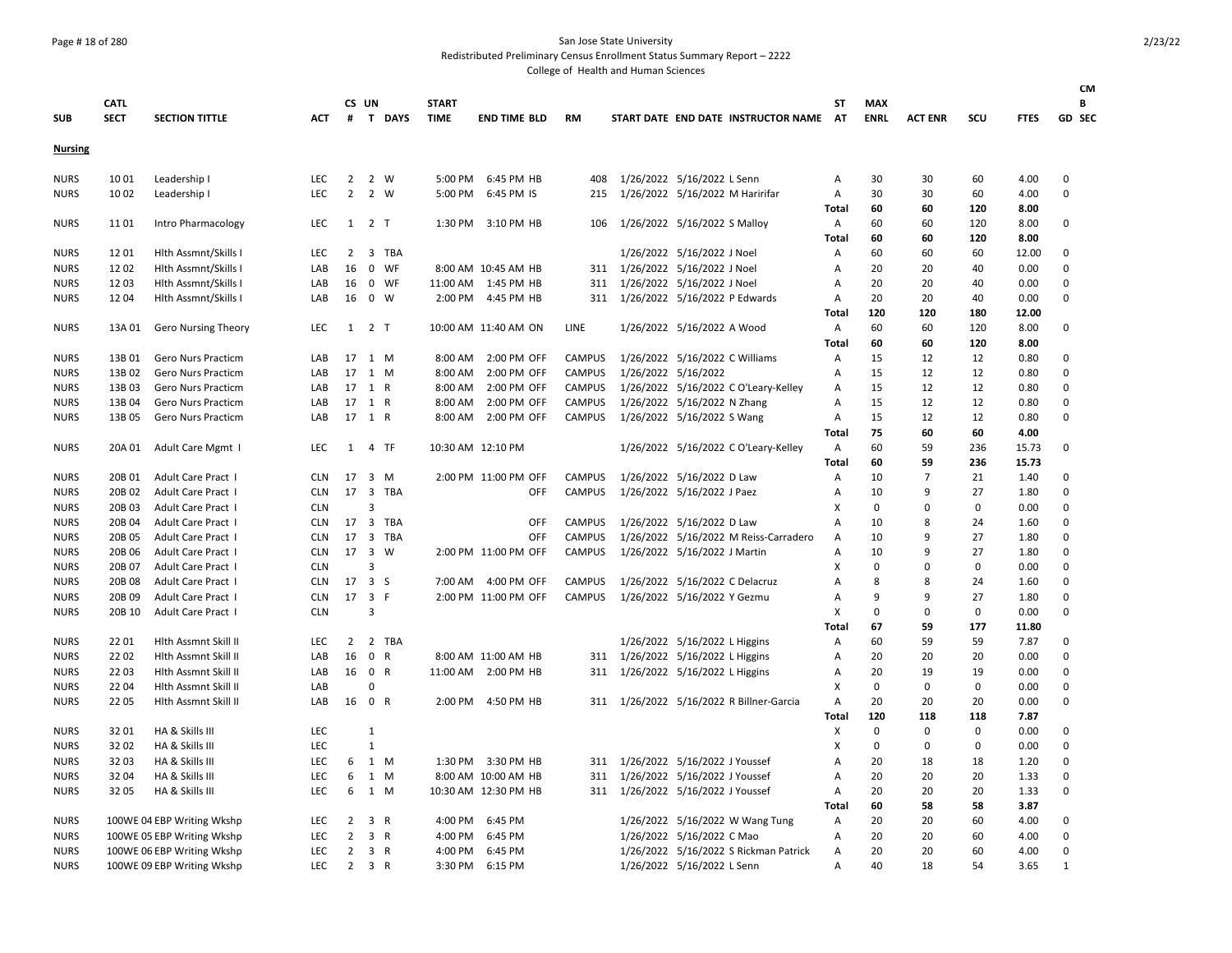### Page # 18 of 280 San Jose State University

Redistributed Preliminary Census Enrollment Status Summary Report – 2222

|                |             |                            |            |                |                     |             |              |                      |               |                                   |                               |                                        |                           |             |                |             |             | <b>CM</b>    |
|----------------|-------------|----------------------------|------------|----------------|---------------------|-------------|--------------|----------------------|---------------|-----------------------------------|-------------------------------|----------------------------------------|---------------------------|-------------|----------------|-------------|-------------|--------------|
|                | <b>CATL</b> |                            |            |                | CS UN               |             | <b>START</b> |                      |               |                                   |                               |                                        | SТ                        | <b>MAX</b>  |                |             |             | B            |
| <b>SUB</b>     | <b>SECT</b> | <b>SECTION TITTLE</b>      | <b>ACT</b> |                |                     | # T DAYS    | <b>TIME</b>  | <b>END TIME BLD</b>  | RM            |                                   |                               | START DATE END DATE INSTRUCTOR NAME AT |                           | <b>ENRL</b> | <b>ACT ENR</b> | SCU         | <b>FTES</b> | GD SEC       |
| <b>Nursing</b> |             |                            |            |                |                     |             |              |                      |               |                                   |                               |                                        |                           |             |                |             |             |              |
| <b>NURS</b>    | 1001        | Leadership I               | <b>LEC</b> | 2              |                     | 2 W         | 5:00 PM      | 6:45 PM HB           | 408           |                                   | 1/26/2022 5/16/2022 L Senn    |                                        | A                         | 30          | 30             | 60          | 4.00        | 0            |
| <b>NURS</b>    | 10 02       | Leadership I               | <b>LEC</b> | $\overline{2}$ |                     | 2 W         | 5:00 PM      | 6:45 PM IS           | 215           | 1/26/2022 5/16/2022 M Haririfar   |                               |                                        | Α                         | 30          | 30             | 60          | 4.00        | 0            |
|                |             |                            |            |                |                     |             |              |                      |               |                                   |                               |                                        | Total                     | 60          | 60             | 120         | 8.00        |              |
| <b>NURS</b>    | 1101        | Intro Pharmacology         | LEC        |                | $1 \quad 2 \quad T$ |             |              | 1:30 PM 3:10 PM HB   | 106           | 1/26/2022 5/16/2022 S Malloy      |                               |                                        | A                         | 60          | 60             | 120         | 8.00        | 0            |
|                |             |                            |            |                |                     |             |              |                      |               |                                   |                               |                                        | Total                     | 60          | 60             | 120         | 8.00        |              |
| <b>NURS</b>    | 1201        | Hlth Assmnt/Skills I       | LEC        | $\overline{2}$ |                     | 3 TBA       |              |                      |               |                                   | 1/26/2022 5/16/2022 J Noel    |                                        | Α                         | 60          | 60             | 60          | 12.00       | 0            |
| <b>NURS</b>    | 1202        | Hlth Assmnt/Skills I       | LAB        | 16             |                     | 0 WF        |              | 8:00 AM 10:45 AM HB  | 311           | 1/26/2022 5/16/2022 J Noel        |                               |                                        | Α                         | 20          | 20             | 40          | 0.00        | 0            |
| <b>NURS</b>    | 1203        | Hlth Assmnt/Skills I       | LAB        | 16             |                     | 0 WF        |              | 11:00 AM  1:45 PM HB | 311           | 1/26/2022 5/16/2022 J Noel        |                               |                                        | Α                         | 20          | 20             | 40          | 0.00        | 0            |
| <b>NURS</b>    | 1204        | Hlth Assmnt/Skills I       | LAB        | 16             |                     | $0 \quad W$ |              | 2:00 PM 4:45 PM HB   | 311           | 1/26/2022 5/16/2022 P Edwards     |                               |                                        | Α                         | 20          | 20             | 40          | 0.00        | 0            |
|                |             |                            |            |                |                     |             |              |                      |               |                                   |                               |                                        | Total                     | 120         | 120            | 180         | 12.00       |              |
| <b>NURS</b>    | 13A 01      | <b>Gero Nursing Theory</b> | LEC        |                | $1 \quad 2 \quad T$ |             |              | 10:00 AM 11:40 AM ON | LINE          |                                   | 1/26/2022 5/16/2022 A Wood    |                                        | A                         | 60          | 60             | 120         | 8.00        | 0            |
|                |             |                            |            |                |                     |             |              |                      |               |                                   |                               |                                        | Total                     | 60          | 60             | 120         | 8.00        |              |
| <b>NURS</b>    | 13B 01      | <b>Gero Nurs Practicm</b>  | LAB        | 17             | 1 M                 |             | 8:00 AM      | 2:00 PM OFF          | <b>CAMPUS</b> | 1/26/2022 5/16/2022 C Williams    |                               |                                        | Α                         | 15          | 12             | 12          | 0.80        | 0            |
| <b>NURS</b>    | 13B 02      | Gero Nurs Practicm         | LAB        |                | 17 1 M              |             | 8:00 AM      | 2:00 PM OFF          | <b>CAMPUS</b> | 1/26/2022 5/16/2022               |                               |                                        | Α                         | 15          | 12             | 12          | 0.80        | 0            |
| <b>NURS</b>    | 13B03       | Gero Nurs Practicm         | LAB        | 17             | 1 R                 |             | 8:00 AM      | 2:00 PM OFF          | CAMPUS        |                                   |                               | 1/26/2022 5/16/2022 C O'Leary-Kelley   | Α                         | 15          | 12             | 12          | 0.80        | 0            |
| <b>NURS</b>    | 13B 04      | <b>Gero Nurs Practicm</b>  | LAB        |                | 17 1 R              |             | 8:00 AM      | 2:00 PM OFF          | <b>CAMPUS</b> | 1/26/2022 5/16/2022 N Zhang       |                               |                                        | Α                         | 15          | 12             | 12          | 0.80        | 0            |
| <b>NURS</b>    | 13B 05      | <b>Gero Nurs Practicm</b>  | LAB        |                | 17 1 R              |             | 8:00 AM      | 2:00 PM OFF          | <b>CAMPUS</b> | 1/26/2022 5/16/2022 S Wang        |                               |                                        | $\mathsf{A}$              | 15          | 12             | 12          | 0.80        | 0            |
|                |             |                            |            |                |                     |             |              |                      |               |                                   |                               |                                        | Total                     | 75          | 60             | 60          | 4.00        |              |
| <b>NURS</b>    | 20A 01      | Adult Care Mgmt I          | LEC        |                | 1 4 TF              |             |              | 10:30 AM 12:10 PM    |               |                                   |                               | 1/26/2022 5/16/2022 C O'Leary-Kelley   | Α                         | 60          | 59             | 236         | 15.73       | 0            |
|                |             |                            |            |                |                     |             |              |                      |               |                                   |                               |                                        | Total                     | 60          | 59             | 236         | 15.73       |              |
| <b>NURS</b>    | 20B 01      | Adult Care Pract I         | <b>CLN</b> | 17 3 M         |                     |             |              | 2:00 PM 11:00 PM OFF | <b>CAMPUS</b> | 1/26/2022 5/16/2022 D Law         |                               |                                        | Α                         | 10          | $\overline{7}$ | 21          | 1.40        | 0            |
| <b>NURS</b>    | 20B 02      | Adult Care Pract I         | <b>CLN</b> |                |                     | 17 3 TBA    |              | OFF                  | <b>CAMPUS</b> | 1/26/2022 5/16/2022 J Paez        |                               |                                        | Α                         | 10          | 9              | 27          | 1.80        | 0            |
| <b>NURS</b>    | 20B 03      | Adult Care Pract I         | <b>CLN</b> |                | $\overline{3}$      |             |              |                      |               |                                   |                               |                                        | X                         | 0           | $\Omega$       | $\mathbf 0$ | 0.00        | 0            |
| <b>NURS</b>    | 20B 04      | Adult Care Pract I         | <b>CLN</b> | 17             |                     | 3 TBA       |              | <b>OFF</b>           | <b>CAMPUS</b> | 1/26/2022 5/16/2022 D Law         |                               |                                        | Α                         | 10          | 8              | 24          | 1.60        | 0            |
| <b>NURS</b>    | 20B 05      | Adult Care Pract I         | <b>CLN</b> | 17             |                     | 3 TBA       |              | OFF                  | <b>CAMPUS</b> |                                   |                               | 1/26/2022 5/16/2022 M Reiss-Carradero  | A                         | 10          | 9              | 27          | 1.80        | 0            |
| <b>NURS</b>    | 20B 06      | Adult Care Pract I         | <b>CLN</b> | 17             | 3 W                 |             |              | 2:00 PM 11:00 PM OFF | <b>CAMPUS</b> | 1/26/2022 5/16/2022 J Martin      |                               |                                        | A                         | 10          | 9              | 27          | 1.80        | $\mathbf 0$  |
| <b>NURS</b>    | 20B 07      | Adult Care Pract I         | <b>CLN</b> |                | $\overline{3}$      |             |              |                      |               |                                   |                               |                                        | X                         | $\mathbf 0$ | $\Omega$       | $\mathbf 0$ | 0.00        | 0            |
| <b>NURS</b>    | 20B 08      | Adult Care Pract I         | <b>CLN</b> | 17 3 S         |                     |             |              | 7:00 AM 4:00 PM OFF  | <b>CAMPUS</b> | 1/26/2022 5/16/2022 C Delacruz    |                               |                                        | Α                         | 8           | 8              | 24          | 1.60        | 0            |
| <b>NURS</b>    | 20B 09      | Adult Care Pract I         | <b>CLN</b> |                | 17 3 F              |             |              | 2:00 PM 11:00 PM OFF | <b>CAMPUS</b> | 1/26/2022 5/16/2022 Y Gezmu       |                               |                                        | Α                         | 9           | 9              | 27          | 1.80        | 0            |
| <b>NURS</b>    | 20B 10      | <b>Adult Care Pract 1</b>  | <b>CLN</b> |                | 3                   |             |              |                      |               |                                   |                               |                                        | $\boldsymbol{\mathsf{X}}$ | 0           | $\Omega$       | $\mathbf 0$ | 0.00        | 0            |
|                |             |                            |            |                |                     |             |              |                      |               |                                   |                               |                                        | Total                     | 67          | 59             | 177         | 11.80       |              |
| <b>NURS</b>    | 22 01       | Hith Assmnt Skill II       | <b>LEC</b> | 2              |                     | 2 TBA       |              |                      |               |                                   | 1/26/2022 5/16/2022 L Higgins |                                        | Α                         | 60          | 59             | 59          | 7.87        | 0            |
| <b>NURS</b>    | 22 02       | Hlth Assmnt Skill II       | LAB        | 16             |                     | 0 R         |              | 8:00 AM 11:00 AM HB  | 311           | 1/26/2022 5/16/2022 L Higgins     |                               |                                        | Α                         | 20          | 20             | 20          | 0.00        | $\mathbf 0$  |
| <b>NURS</b>    | 2203        | Hlth Assmnt Skill II       | LAB        | 16             |                     | 0 R         |              | 11:00 AM 2:00 PM HB  | 311           | 1/26/2022 5/16/2022 L Higgins     |                               |                                        | Α                         | 20          | 19             | 19          | 0.00        | 0            |
| <b>NURS</b>    | 2204        | Hlth Assmnt Skill II       | LAB        |                | $\Omega$            |             |              |                      |               |                                   |                               |                                        | X                         | 0           | 0              | 0           | 0.00        | 0            |
| <b>NURS</b>    | 22 05       | Hith Assmnt Skill II       | LAB        | 16             | 0 R                 |             |              | 2:00 PM 4:50 PM HB   | 311           |                                   |                               | 1/26/2022 5/16/2022 R Billner-Garcia   | Α                         | 20          | 20             | 20          | 0.00        | 0            |
|                |             |                            |            |                |                     |             |              |                      |               |                                   |                               |                                        | Total                     | 120         | 118            | 118         | 7.87        |              |
| <b>NURS</b>    | 3201        | HA & Skills III            | <b>LEC</b> |                | $\mathbf{1}$        |             |              |                      |               |                                   |                               |                                        | X                         | 0           | $\mathbf 0$    | $\mathbf 0$ | 0.00        | 0            |
| <b>NURS</b>    | 3202        | HA & Skills III            | <b>LEC</b> |                | $\mathbf{1}$        |             |              |                      |               |                                   |                               |                                        | X                         | 0           | $\Omega$       | 0           | 0.00        | 0            |
| <b>NURS</b>    | 3203        | HA & Skills III            | LEC        | 6              |                     | 1 M         |              | 1:30 PM 3:30 PM HB   | 311           | 1/26/2022 5/16/2022 J Youssef     |                               |                                        | A                         | 20          | 18             | 18          | 1.20        | 0            |
| <b>NURS</b>    | 32 04       | HA & Skills III            | LEC        | 6              |                     | 1 M         |              | 8:00 AM 10:00 AM HB  | 311           | 1/26/2022 5/16/2022 J Youssef     |                               |                                        | Α                         | 20          | 20             | 20          | 1.33        | 0            |
| <b>NURS</b>    | 3205        | HA & Skills III            | <b>LEC</b> | 6              |                     | 1 M         |              | 10:30 AM 12:30 PM HB |               | 311 1/26/2022 5/16/2022 J Youssef |                               |                                        | A                         | 20          | 20             | 20          | 1.33        | 0            |
|                |             |                            |            |                |                     |             |              |                      |               |                                   |                               |                                        | Total                     | 60          | 58             | 58          | 3.87        |              |
| <b>NURS</b>    |             | 100WE 04 EBP Writing Wkshp | <b>LEC</b> | $\overline{2}$ |                     | 3 R         | 4:00 PM      | 6:45 PM              |               |                                   |                               | 1/26/2022 5/16/2022 W Wang Tung        | Α                         | 20          | 20             | 60          | 4.00        | 0            |
| <b>NURS</b>    |             | 100WE 05 EBP Writing Wkshp | <b>LEC</b> | $\overline{2}$ | 3 R                 |             | 4:00 PM      | 6:45 PM              |               |                                   | 1/26/2022 5/16/2022 C Mao     |                                        | A                         | 20          | 20             | 60          | 4.00        | 0            |
| <b>NURS</b>    |             | 100WE 06 EBP Writing Wkshp | LEC.       | $\overline{2}$ | 3 R                 |             | 4:00 PM      | 6:45 PM              |               |                                   |                               | 1/26/2022 5/16/2022 S Rickman Patrick  | A                         | 20          | 20             | 60          | 4.00        | 0            |
| <b>NURS</b>    |             | 100WE 09 EBP Writing Wkshp | LEC        |                | $2 \quad 3 \quad R$ |             | 3:30 PM      | 6:15 PM              |               |                                   | 1/26/2022 5/16/2022 L Senn    |                                        | A                         | 40          | 18             | 54          | 3.65        | $\mathbf{1}$ |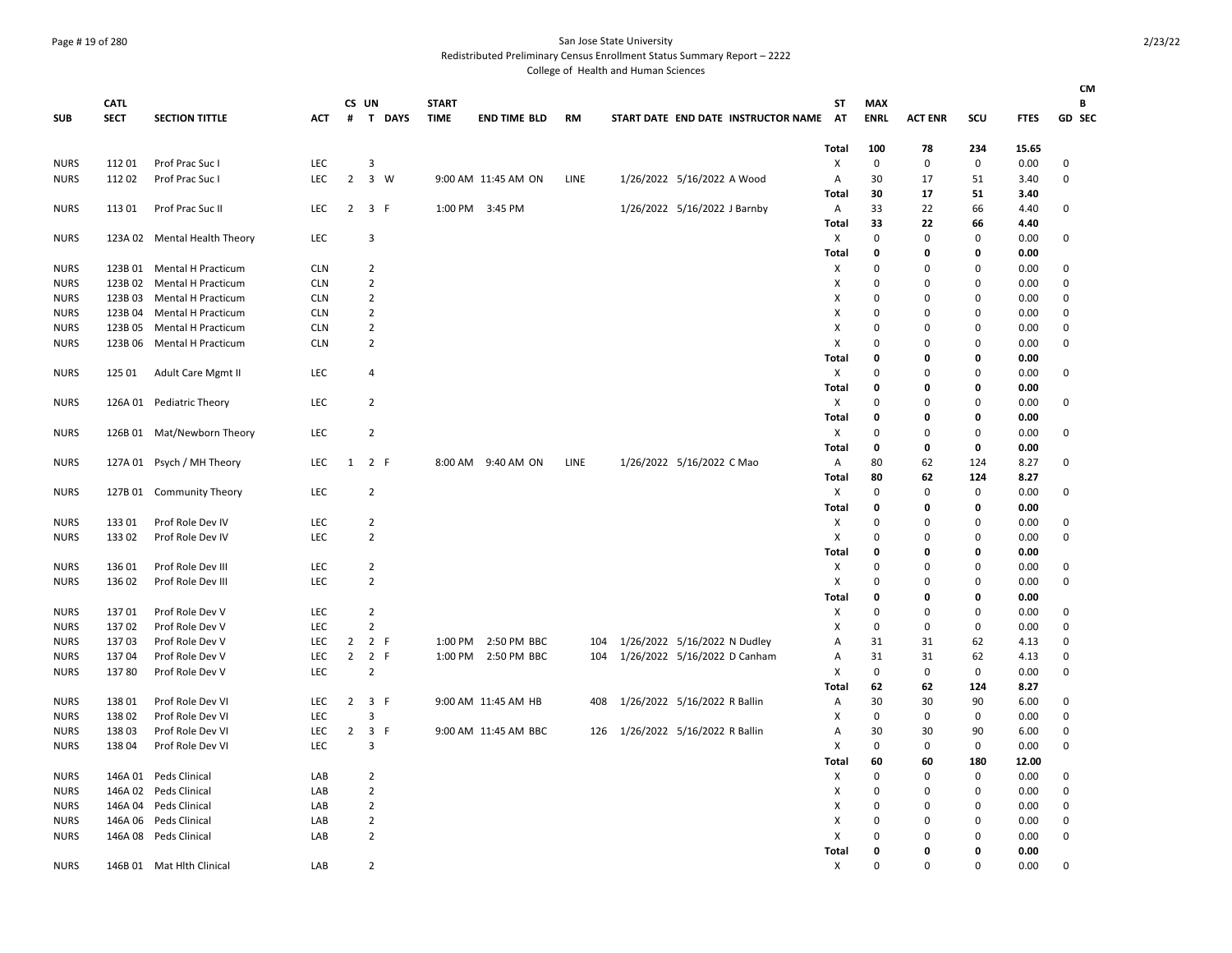### Page # 19 of 280 San Jose State University

Redistributed Preliminary Census Enrollment Status Summary Report – 2222

|             |                            |                            |            |                |                     |          |                             |                      |      |                              |                                        |              |                           |                  |                            |              | <b>CM</b>          |
|-------------|----------------------------|----------------------------|------------|----------------|---------------------|----------|-----------------------------|----------------------|------|------------------------------|----------------------------------------|--------------|---------------------------|------------------|----------------------------|--------------|--------------------|
| <b>SUB</b>  | <b>CATL</b><br><b>SECT</b> | <b>SECTION TITTLE</b>      | <b>ACT</b> |                | CS UN               | # T DAYS | <b>START</b><br><b>TIME</b> | <b>END TIME BLD</b>  | RM   |                              | START DATE END DATE INSTRUCTOR NAME AT | ST           | <b>MAX</b><br><b>ENRL</b> | <b>ACT ENR</b>   | SCU                        | <b>FTES</b>  | В<br><b>GD SEC</b> |
|             |                            |                            |            |                |                     |          |                             |                      |      |                              |                                        |              |                           |                  |                            |              |                    |
|             |                            |                            |            |                |                     |          |                             |                      |      |                              |                                        | Total        | 100                       | 78               | 234                        | 15.65        |                    |
| <b>NURS</b> | 11201                      | Prof Prac Suc I            | LEC        |                | 3                   |          |                             |                      |      |                              |                                        | Х            | $\mathbf 0$               | 0                | 0                          | 0.00         | 0                  |
| <b>NURS</b> | 11202                      | Prof Prac Suc I            | LEC        | $\overline{2}$ | 3 W                 |          |                             | 9:00 AM 11:45 AM ON  | LINE | 1/26/2022 5/16/2022 A Wood   |                                        | A            | 30                        | 17               | 51                         | 3.40         | $\mathbf 0$        |
|             |                            |                            |            |                |                     |          |                             |                      |      |                              |                                        | Total        | 30                        | 17               | 51                         | 3.40         |                    |
| <b>NURS</b> | 113 01                     | Prof Prac Suc II           | <b>LEC</b> | $\overline{2}$ | 3 F                 |          |                             | 1:00 PM 3:45 PM      |      | 1/26/2022 5/16/2022 J Barnby |                                        | A            | 33                        | 22               | 66                         | 4.40         | 0                  |
|             |                            |                            |            |                |                     |          |                             |                      |      |                              |                                        | Total        | 33                        | 22               | 66                         | 4.40         |                    |
| <b>NURS</b> | 123A 02                    | Mental Health Theory       | LEC        |                | 3                   |          |                             |                      |      |                              |                                        | X            | $\mathbf 0$               | $\mathbf 0$      | 0                          | 0.00         | 0                  |
|             |                            |                            |            |                |                     |          |                             |                      |      |                              |                                        | Total        | 0                         | 0                | 0                          | 0.00         |                    |
| <b>NURS</b> |                            | 123B 01 Mental H Practicum | <b>CLN</b> |                | 2                   |          |                             |                      |      |                              |                                        | Χ            | $\Omega$                  | $\Omega$         | $\Omega$                   | 0.00         | 0                  |
| <b>NURS</b> | 123B 02                    | Mental H Practicum         | <b>CLN</b> |                | $\overline{2}$      |          |                             |                      |      |                              |                                        | X            | $\mathbf 0$               | $\mathbf 0$      | $\mathbf 0$                | 0.00         | $\mathbf 0$        |
| <b>NURS</b> | 123B03                     | <b>Mental H Practicum</b>  | <b>CLN</b> |                | $\overline{2}$      |          |                             |                      |      |                              |                                        | X            | $\mathbf 0$<br>$\Omega$   | $\Omega$         | $\mathbf 0$<br>$\Omega$    | 0.00         | $\mathbf 0$        |
| <b>NURS</b> | 123B 04                    | <b>Mental H Practicum</b>  | <b>CLN</b> |                | $\overline{2}$      |          |                             |                      |      |                              |                                        | X            |                           | $\mathbf 0$      |                            | 0.00         | $\mathbf 0$        |
| <b>NURS</b> | 123B 05                    | Mental H Practicum         | <b>CLN</b> |                | $\overline{2}$      |          |                             |                      |      |                              |                                        | X            | $\mathbf 0$               | $\mathbf 0$      | $\mathbf 0$                | 0.00         | $\mathbf 0$        |
| <b>NURS</b> | 123B 06                    | <b>Mental H Practicum</b>  | <b>CLN</b> |                | $\overline{2}$      |          |                             |                      |      |                              |                                        | X            | $\mathbf{0}$              | $\mathbf 0$      | $\mathbf 0$                | 0.00         | $\mathbf 0$        |
|             |                            |                            |            |                |                     |          |                             |                      |      |                              |                                        | Total        | 0                         | 0                | 0                          | 0.00         |                    |
| <b>NURS</b> | 125 01                     | Adult Care Mgmt II         | LEC        |                | 4                   |          |                             |                      |      |                              |                                        | X            | $\mathbf 0$               | $\mathbf 0$      | $\mathbf 0$                | 0.00         | 0                  |
|             |                            |                            |            |                |                     |          |                             |                      |      |                              |                                        | Total        | 0                         | 0                | $\mathbf 0$                | 0.00         |                    |
| <b>NURS</b> |                            | 126A 01 Pediatric Theory   | <b>LEC</b> |                | $\overline{2}$      |          |                             |                      |      |                              |                                        | X            | $\mathbf 0$               | 0                | $\mathbf 0$                | 0.00         | 0                  |
|             |                            |                            |            |                |                     |          |                             |                      |      |                              |                                        | <b>Total</b> | 0                         | 0                | $\mathbf 0$                | 0.00         |                    |
| <b>NURS</b> |                            | 126B 01 Mat/Newborn Theory | <b>LEC</b> |                | $\overline{2}$      |          |                             |                      |      |                              |                                        | Х            | 0                         | $\Omega$         | 0                          | 0.00         | 0                  |
|             |                            |                            |            |                |                     |          |                             |                      |      |                              |                                        | Total        | $\mathbf 0$               | 0                | $\mathbf 0$                | 0.00         |                    |
| <b>NURS</b> |                            | 127A 01 Psych / MH Theory  | <b>LEC</b> | 1              | 2 F                 |          |                             | 8:00 AM 9:40 AM ON   | LINE | 1/26/2022 5/16/2022 C Mao    |                                        | A            | 80                        | 62               | 124                        | 8.27         | 0                  |
|             |                            |                            |            |                |                     |          |                             |                      |      |                              |                                        | Total        | 80                        | 62               | 124                        | 8.27         |                    |
| <b>NURS</b> |                            | 127B 01 Community Theory   | LEC        |                | $\overline{2}$      |          |                             |                      |      |                              |                                        | X            | $\mathbf 0$               | $\mathbf 0$<br>0 | $\mathbf 0$<br>$\mathbf 0$ | 0.00         | 0                  |
|             |                            |                            | <b>LEC</b> |                |                     |          |                             |                      |      |                              |                                        | Total        | 0<br>$\mathbf 0$          | $\Omega$         | 0                          | 0.00         |                    |
| <b>NURS</b> | 133 01                     | Prof Role Dev IV           |            |                | 2<br>$\overline{2}$ |          |                             |                      |      |                              |                                        | Χ<br>X       | $\Omega$                  | $\Omega$         | $\Omega$                   | 0.00         | 0<br>$\mathbf 0$   |
| <b>NURS</b> | 133 02                     | Prof Role Dev IV           | LEC.       |                |                     |          |                             |                      |      |                              |                                        |              | 0                         | 0                | $\mathbf 0$                | 0.00<br>0.00 |                    |
| <b>NURS</b> | 136 01                     | Prof Role Dev III          | LEC.       |                | $\overline{2}$      |          |                             |                      |      |                              |                                        | Total<br>Χ   | $\Omega$                  | $\Omega$         | 0                          | 0.00         | 0                  |
|             |                            |                            | LEC.       |                | $\overline{2}$      |          |                             |                      |      |                              |                                        |              | $\Omega$                  | 0                | 0                          |              |                    |
| <b>NURS</b> | 136 02                     | Prof Role Dev III          |            |                |                     |          |                             |                      |      |                              |                                        | Χ<br>Total   | 0                         | 0                | $\mathbf 0$                | 0.00<br>0.00 | 0                  |
| <b>NURS</b> | 13701                      | Prof Role Dev V            | LEC        |                | $\overline{2}$      |          |                             |                      |      |                              |                                        | X            | $\mathbf 0$               | $\mathbf 0$      | $\mathbf 0$                | 0.00         | $\mathbf 0$        |
| <b>NURS</b> | 13702                      | Prof Role Dev V            | LEC        |                | $\overline{2}$      |          |                             |                      |      |                              |                                        | Χ            | $\mathbf 0$               | $\mathbf 0$      | 0                          | 0.00         | $\mathbf 0$        |
| <b>NURS</b> | 13703                      | Prof Role Dev V            | LEC        | $\overline{2}$ | 2 F                 |          |                             | 1:00 PM 2:50 PM BBC  | 104  | 1/26/2022 5/16/2022 N Dudley |                                        | Α            | 31                        | 31               | 62                         | 4.13         | 0                  |
| <b>NURS</b> | 13704                      | Prof Role Dev V            | LEC        | $\overline{2}$ | 2 F                 |          |                             | 1:00 PM 2:50 PM BBC  | 104  | 1/26/2022 5/16/2022 D Canham |                                        | Α            | 31                        | 31               | 62                         | 4.13         | $\mathbf 0$        |
| <b>NURS</b> | 13780                      | Prof Role Dev V            | <b>LEC</b> |                | $\overline{2}$      |          |                             |                      |      |                              |                                        | X            | $\mathbf 0$               | 0                | 0                          | 0.00         | $\mathbf 0$        |
|             |                            |                            |            |                |                     |          |                             |                      |      |                              |                                        | Total        | 62                        | 62               | 124                        | 8.27         |                    |
| <b>NURS</b> | 13801                      | Prof Role Dev VI           | <b>LEC</b> | $\overline{2}$ | 3 F                 |          |                             | 9:00 AM 11:45 AM HB  | 408  | 1/26/2022 5/16/2022 R Ballin |                                        | Α            | 30                        | 30               | 90                         | 6.00         | 0                  |
| <b>NURS</b> | 13802                      | Prof Role Dev VI           | <b>LEC</b> |                | 3                   |          |                             |                      |      |                              |                                        | X            | $\mathbf 0$               | 0                | 0                          | 0.00         | $\mathbf 0$        |
| <b>NURS</b> | 13803                      | Prof Role Dev VI           | <b>LEC</b> | $\overline{2}$ | 3 F                 |          |                             | 9:00 AM 11:45 AM BBC | 126  | 1/26/2022 5/16/2022 R Ballin |                                        | Α            | 30                        | 30               | 90                         | 6.00         | 0                  |
| <b>NURS</b> | 13804                      | Prof Role Dev VI           | <b>LEC</b> |                | 3                   |          |                             |                      |      |                              |                                        | X            | $\mathbf 0$               | 0                | $\mathbf 0$                | 0.00         | $\Omega$           |
|             |                            |                            |            |                |                     |          |                             |                      |      |                              |                                        | <b>Total</b> | 60                        | 60               | 180                        | 12.00        |                    |
| <b>NURS</b> | 146A 01                    | Peds Clinical              | LAB        |                | $\overline{2}$      |          |                             |                      |      |                              |                                        | Х            | $\mathbf{0}$              | $\mathbf 0$      | $\mathbf 0$                | 0.00         | 0                  |
| <b>NURS</b> |                            | 146A 02 Peds Clinical      | LAB        |                | $\overline{2}$      |          |                             |                      |      |                              |                                        | Χ            | 0                         | 0                | 0                          | 0.00         | $\mathbf 0$        |
| <b>NURS</b> |                            | 146A 04 Peds Clinical      | LAB        |                | $\overline{2}$      |          |                             |                      |      |                              |                                        | X            | $\Omega$                  | 0                | 0                          | 0.00         | $\mathbf 0$        |
| <b>NURS</b> | 146A 06                    | Peds Clinical              | LAB        |                | $\overline{2}$      |          |                             |                      |      |                              |                                        | X            | $\Omega$                  | 0                | $\mathbf 0$                | 0.00         | $\mathbf 0$        |
| <b>NURS</b> |                            | 146A 08 Peds Clinical      | LAB        |                | $\overline{2}$      |          |                             |                      |      |                              |                                        | х            | $\Omega$                  | $\Omega$         | $\Omega$                   | 0.00         | $\mathbf 0$        |
|             |                            |                            |            |                |                     |          |                             |                      |      |                              |                                        | Total        | 0                         | 0                | 0                          | 0.00         |                    |
| <b>NURS</b> |                            | 146B 01 Mat Hlth Clinical  | LAB        |                | $\overline{2}$      |          |                             |                      |      |                              |                                        | X            | $\Omega$                  | $\Omega$         | $\Omega$                   | 0.00         | $\mathbf 0$        |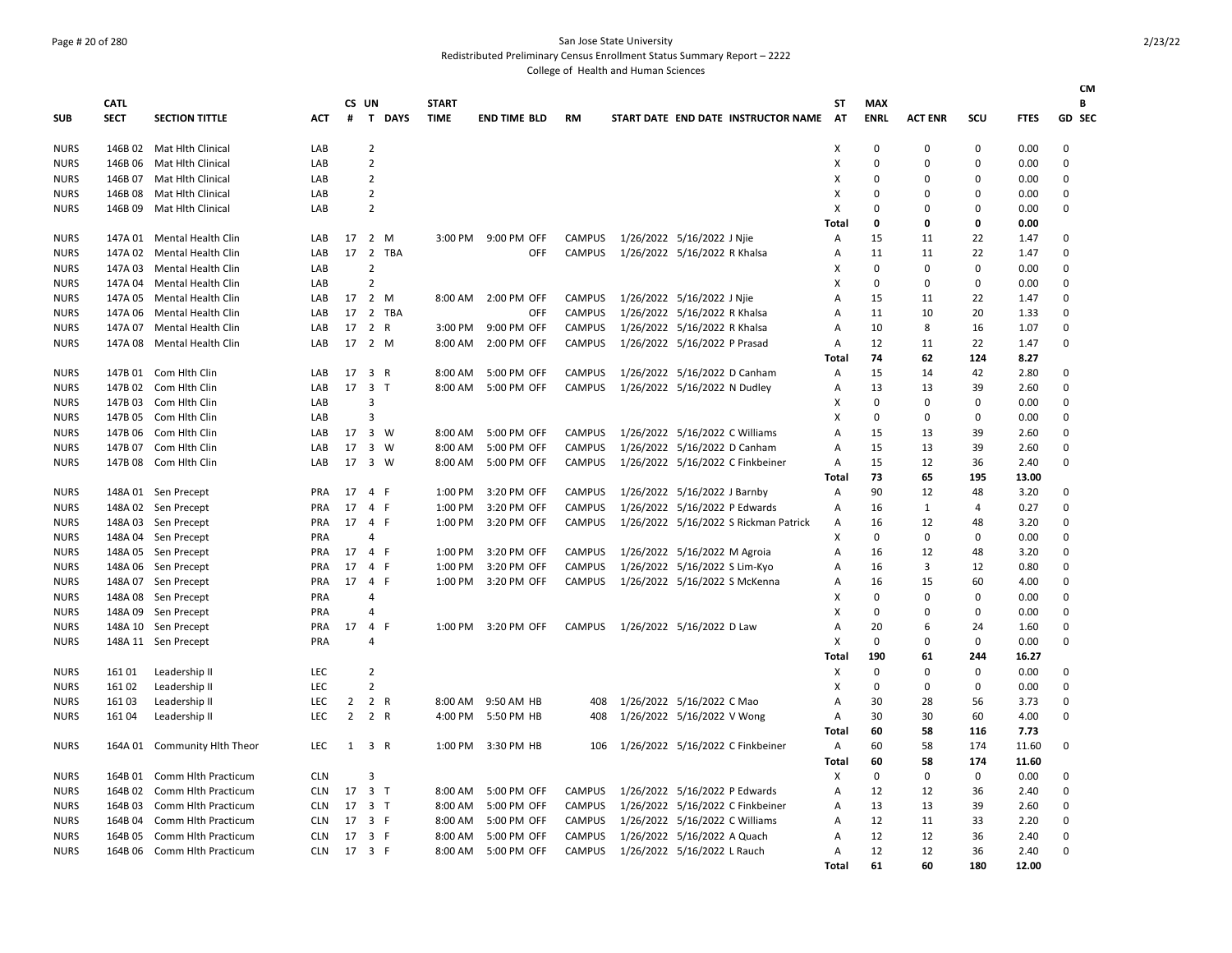## Page # 20 of 280 San Jose State University

Redistributed Preliminary Census Enrollment Status Summary Report – 2222

College of Health and Human Sciences

|             |             |                              |            |              |                 |        |              |                     |               |                                       |              |             |                |          |             | <b>CM</b>     |
|-------------|-------------|------------------------------|------------|--------------|-----------------|--------|--------------|---------------------|---------------|---------------------------------------|--------------|-------------|----------------|----------|-------------|---------------|
|             | <b>CATL</b> |                              |            |              | CS UN           |        | <b>START</b> |                     |               |                                       | ST           | <b>MAX</b>  |                |          |             | В             |
| SUB         | <b>SECT</b> | <b>SECTION TITTLE</b>        | <b>ACT</b> | #            |                 | T DAYS | <b>TIME</b>  | <b>END TIME BLD</b> | <b>RM</b>     | START DATE END DATE INSTRUCTOR NAME   | <b>AT</b>    | <b>ENRL</b> | <b>ACT ENR</b> | SCU      | <b>FTES</b> | <b>GD SEC</b> |
| <b>NURS</b> |             | 146B 02 Mat Hith Clinical    | LAB        |              | $\overline{2}$  |        |              |                     |               |                                       | X            | 0           | $\Omega$       | 0        | 0.00        | 0             |
| <b>NURS</b> | 146B 06     | Mat Hlth Clinical            | LAB        |              | $\overline{2}$  |        |              |                     |               |                                       | X            | $\mathbf 0$ | $\Omega$       | 0        | 0.00        | $\mathbf 0$   |
| <b>NURS</b> |             | 146B 07 Mat Hlth Clinical    | LAB        |              | $\overline{2}$  |        |              |                     |               |                                       | X            | $\Omega$    | $\Omega$       | $\Omega$ | 0.00        | $\Omega$      |
| <b>NURS</b> | 146B 08     | Mat Hlth Clinical            | LAB        |              | $\overline{2}$  |        |              |                     |               |                                       | X            | $\Omega$    | <sup>0</sup>   | 0        | 0.00        | 0             |
| <b>NURS</b> | 146B 09     | Mat Hlth Clinical            | LAB        |              | $\overline{2}$  |        |              |                     |               |                                       | X            | $\Omega$    | $\Omega$       | $\Omega$ | 0.00        | 0             |
|             |             |                              |            |              |                 |        |              |                     |               |                                       | Total        | 0           | 0              | 0        | 0.00        |               |
| <b>NURS</b> |             | 147A 01 Mental Health Clin   | LAB        | 17           | 2 M             |        | 3:00 PM      | 9:00 PM OFF         | CAMPUS        | 1/26/2022 5/16/2022 J Njie            | Α            | 15          | 11             | 22       | 1.47        | $\mathbf 0$   |
| <b>NURS</b> |             | 147A 02 Mental Health Clin   | LAB        |              | 17 <sup>2</sup> | TBA    |              | OFF                 | <b>CAMPUS</b> | 1/26/2022 5/16/2022 R Khalsa          | Α            | 11          | 11             | 22       | 1.47        | 0             |
| <b>NURS</b> | 147A 03     | Mental Health Clin           | LAB        |              | $\overline{2}$  |        |              |                     |               |                                       | X            | 0           | 0              | 0        | 0.00        | 0             |
| <b>NURS</b> | 147A 04     | Mental Health Clin           | LAB        |              | $\overline{2}$  |        |              |                     |               |                                       | х            | $\mathbf 0$ | $\mathbf 0$    | 0        | 0.00        | 0             |
| <b>NURS</b> | 147A 05     | Mental Health Clin           | LAB        |              | 17 2 M          |        | 8:00 AM      | 2:00 PM OFF         | CAMPUS        | 1/26/2022 5/16/2022 J Nije            | A            | 15          | 11             | 22       | 1.47        | 0             |
| <b>NURS</b> | 147A 06     | Mental Health Clin           | LAB        | 17           |                 | 2 TBA  |              | OFF                 | CAMPUS        | 1/26/2022 5/16/2022 R Khalsa          | A            | 11          | 10             | 20       | 1.33        | 0             |
| <b>NURS</b> | 147A 07     | Mental Health Clin           | LAB        | 17           | 2 R             |        | 3:00 PM      | 9:00 PM OFF         | <b>CAMPUS</b> | 1/26/2022 5/16/2022 R Khalsa          | A            | 10          | 8              | 16       | 1.07        | 0             |
| <b>NURS</b> | 147A 08     | Mental Health Clin           | LAB        |              | 17 2 M          |        | 8:00 AM      | 2:00 PM OFF         | CAMPUS        | 1/26/2022 5/16/2022 P Prasad          | A            | 12          | 11             | 22       | 1.47        | 0             |
|             |             |                              |            |              |                 |        |              |                     |               |                                       | <b>Total</b> | 74          | 62             | 124      | 8.27        |               |
| <b>NURS</b> |             | 147B 01 Com Hith Clin        | LAB        | 17           | 3 R             |        | 8:00 AM      | 5:00 PM OFF         | CAMPUS        | 1/26/2022 5/16/2022 D Canham          | Α            | 15          | 14             | 42       | 2.80        | 0             |
| <b>NURS</b> |             | 147B 02 Com Hlth Clin        | LAB        |              | 17 3 T          |        | 8:00 AM      | 5:00 PM OFF         | CAMPUS        | 1/26/2022 5/16/2022 N Dudley          | Α            | 13          | 13             | 39       | 2.60        | $\mathbf 0$   |
| <b>NURS</b> |             | 147B 03 Com Hith Clin        | LAB        |              | 3               |        |              |                     |               |                                       | X            | 0           | 0              | 0        | 0.00        | 0             |
| <b>NURS</b> |             | 147B 05 Com Hith Clin        | LAB        |              | $\overline{3}$  |        |              |                     |               |                                       | х            | 0           | 0              | 0        | 0.00        | 0             |
| <b>NURS</b> | 147B 06     | Com Hith Clin                | LAB        | 17           | 3 W             |        | 8:00 AM      | 5:00 PM OFF         | <b>CAMPUS</b> | 1/26/2022 5/16/2022 C Williams        | A            | 15          | 13             | 39       | 2.60        | $\Omega$      |
| <b>NURS</b> |             | 147B 07 Com Hith Clin        | LAB        | 17           | 3 W             |        | 8:00 AM      | 5:00 PM OFF         | CAMPUS        | 1/26/2022 5/16/2022 D Canham          | A            | 15          | 13             | 39       | 2.60        | 0             |
| <b>NURS</b> | 147B 08     | Com Hlth Clin                | LAB        | 17           | $3 \quad W$     |        | 8:00 AM      | 5:00 PM OFF         | <b>CAMPUS</b> | 1/26/2022 5/16/2022 C Finkbeiner      | Α            | 15          | 12             | 36       | 2.40        | 0             |
|             |             |                              |            |              |                 |        |              |                     |               |                                       | Total        | 73          | 65             | 195      | 13.00       |               |
| <b>NURS</b> |             | 148A 01 Sen Precept          | PRA        | 17           | 4 F             |        | 1:00 PM      | 3:20 PM OFF         | <b>CAMPUS</b> | 1/26/2022 5/16/2022 J Barnby          | Α            | 90          | 12             | 48       | 3.20        | $\mathbf 0$   |
| <b>NURS</b> |             | 148A 02 Sen Precept          | <b>PRA</b> | 17           | 4 F             |        | 1:00 PM      | 3:20 PM OFF         | CAMPUS        | 1/26/2022 5/16/2022 P Edwards         | A            | 16          | 1              | 4        | 0.27        | 0             |
| <b>NURS</b> |             | 148A 03 Sen Precept          | PRA        | 17           | 4 F             |        | 1:00 PM      | 3:20 PM OFF         | <b>CAMPUS</b> | 1/26/2022 5/16/2022 S Rickman Patrick | A            | 16          | 12             | 48       | 3.20        | 0             |
| <b>NURS</b> |             | 148A 04 Sen Precept          | <b>PRA</b> |              | 4               |        |              |                     |               |                                       | X            | $\mathbf 0$ | $\mathbf 0$    | 0        | 0.00        | 0             |
| <b>NURS</b> |             | 148A 05 Sen Precept          | <b>PRA</b> | 17           | 4 F             |        | 1:00 PM      | 3:20 PM OFF         | <b>CAMPUS</b> | 1/26/2022 5/16/2022 M Agroia          | A            | 16          | 12             | 48       | 3.20        | 0             |
| <b>NURS</b> |             | 148A 06 Sen Precept          | PRA        | 17           | 4 F             |        | 1:00 PM      | 3:20 PM OFF         | <b>CAMPUS</b> | 1/26/2022 5/16/2022 S Lim-Kyo         | A            | 16          | 3              | 12       | 0.80        | 0             |
| <b>NURS</b> |             | 148A 07 Sen Precept          | <b>PRA</b> | 17           | $\overline{4}$  | -F     | 1:00 PM      | 3:20 PM OFF         | <b>CAMPUS</b> | 1/26/2022 5/16/2022 S McKenna         | A            | 16          | 15             | 60       | 4.00        | 0             |
| <b>NURS</b> |             | 148A 08 Sen Precept          | <b>PRA</b> |              | 4               |        |              |                     |               |                                       | Χ            | 0           | $\Omega$       | 0        | 0.00        | 0             |
| <b>NURS</b> |             | 148A 09 Sen Precept          | <b>PRA</b> |              | 4               |        |              |                     |               |                                       | X            | 0           | $\Omega$       | 0        | 0.00        | $\mathbf 0$   |
| <b>NURS</b> |             | 148A 10 Sen Precept          | PRA        | 17           | 4 F             |        |              | 1:00 PM 3:20 PM OFF | CAMPUS        | 1/26/2022 5/16/2022 D Law             | A            | 20          | 6              | 24       | 1.60        | 0             |
| <b>NURS</b> |             | 148A 11 Sen Precept          | <b>PRA</b> |              | 4               |        |              |                     |               |                                       | X            | $\mathbf 0$ | $\Omega$       | 0        | 0.00        | 0             |
|             |             |                              |            |              |                 |        |              |                     |               |                                       | Total        | 190         | 61             | 244      | 16.27       |               |
| <b>NURS</b> | 161 01      | Leadership II                | <b>LEC</b> |              | $\overline{2}$  |        |              |                     |               |                                       | Χ            | 0           | 0              | 0        | 0.00        | 0             |
| <b>NURS</b> | 161 02      | Leadership II                | LEC.       |              | $\overline{2}$  |        |              |                     |               |                                       | х            | $\Omega$    | $\Omega$       | $\Omega$ | 0.00        | $\Omega$      |
| <b>NURS</b> | 161 03      | Leadership II                | LEC        | 2            | 2 R             |        | 8:00 AM      | 9:50 AM HB          | 408           | 1/26/2022 5/16/2022 C Mao             | А            | 30          | 28             | 56       | 3.73        | 0             |
| <b>NURS</b> | 161 04      | Leadership II                | <b>LEC</b> | $2^{\circ}$  | 2 R             |        | 4:00 PM      | 5:50 PM HB          | 408           | 1/26/2022 5/16/2022 V Wong            | Α            | 30          | 30             | 60       | 4.00        | $\mathbf 0$   |
|             |             |                              |            |              |                 |        |              |                     |               |                                       | Total        | 60          | 58             | 116      | 7.73        |               |
| <b>NURS</b> |             | 164A 01 Community Hlth Theor | LEC        | $\mathbf{1}$ | 3 R             |        | 1:00 PM      | 3:30 PM HB          | 106           | 1/26/2022 5/16/2022 C Finkbeiner      | A            | 60          | 58             | 174      | 11.60       | $\mathbf 0$   |
|             |             |                              |            |              |                 |        |              |                     |               |                                       | Total        | 60          | 58             | 174      | 11.60       |               |
| <b>NURS</b> | 164B 01     | Comm Hlth Practicum          | <b>CLN</b> |              | 3               |        |              |                     |               |                                       | Χ            | 0           | 0              | 0        | 0.00        | 0             |
| <b>NURS</b> | 164B 02     | Comm Hlth Practicum          | <b>CLN</b> |              | 17 3 T          |        | 8:00 AM      | 5:00 PM OFF         | CAMPUS        | 1/26/2022 5/16/2022 P Edwards         | Α            | 12          | 12             | 36       | 2.40        | 0             |
| <b>NURS</b> | 164B03      | Comm Hith Practicum          | <b>CLN</b> | 17           | 3 <sub>T</sub>  |        | 8:00 AM      | 5:00 PM OFF         | <b>CAMPUS</b> | 1/26/2022 5/16/2022 C Finkbeiner      | A            | 13          | 13             | 39       | 2.60        | 0             |
| <b>NURS</b> | 164B 04     | Comm Hith Practicum          | <b>CLN</b> | 17           | 3 F             |        | 8:00 AM      | 5:00 PM OFF         | CAMPUS        | 1/26/2022 5/16/2022 C Williams        | А            | 12          | 11             | 33       | 2.20        | 0             |
| <b>NURS</b> | 164B 05     | Comm Hlth Practicum          | <b>CLN</b> | 17           | 3 F             |        | 8:00 AM      | 5:00 PM OFF         | CAMPUS        | 1/26/2022 5/16/2022 A Quach           | A            | 12          | 12             | 36       | 2.40        | $\mathbf 0$   |
| <b>NURS</b> | 164B 06     | Comm Hlth Practicum          | <b>CLN</b> | 17 3 F       |                 |        | 8:00 AM      | 5:00 PM OFF         | <b>CAMPUS</b> | 1/26/2022 5/16/2022 L Rauch           | A            | 12          | 12             | 36       | 2.40        | $\Omega$      |

**Total 61 60 180 12.00**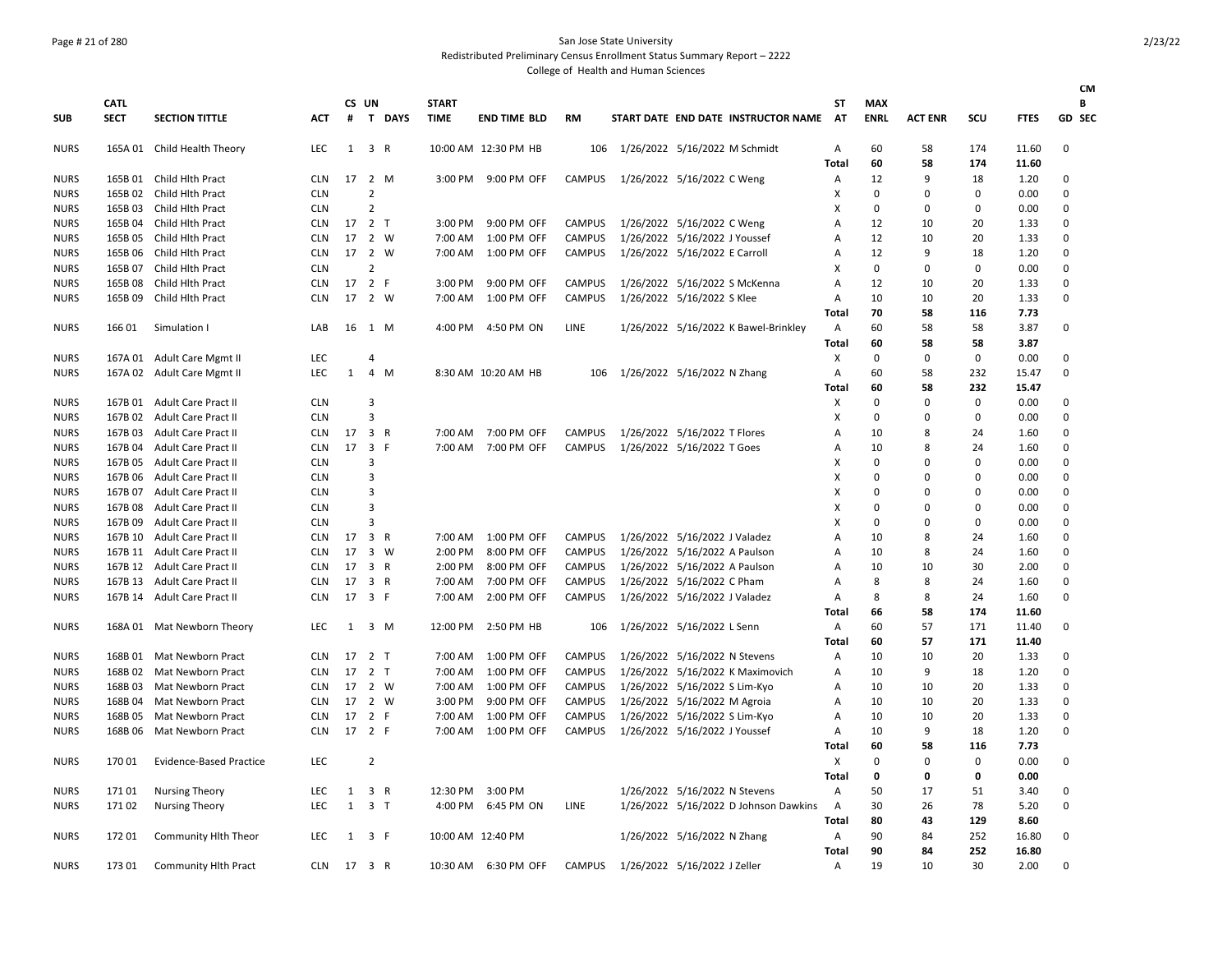## Page # 21 of 280 San Jose State University

Redistributed Preliminary Census Enrollment Status Summary Report – 2222

|             |             |                                |            |              |                     |        |                   |                      |               |                               |                                       |              |             |                |             |             | <b>CM</b> |
|-------------|-------------|--------------------------------|------------|--------------|---------------------|--------|-------------------|----------------------|---------------|-------------------------------|---------------------------------------|--------------|-------------|----------------|-------------|-------------|-----------|
|             | <b>CATL</b> |                                |            |              | CS UN               |        | <b>START</b>      |                      |               |                               |                                       | ST           | <b>MAX</b>  |                |             |             | В         |
| <b>SUB</b>  | <b>SECT</b> | <b>SECTION TITTLE</b>          | <b>ACT</b> | #            |                     | T DAYS | <b>TIME</b>       | <b>END TIME BLD</b>  | <b>RM</b>     |                               | START DATE END DATE INSTRUCTOR NAME   | AT           | <b>ENRL</b> | <b>ACT ENR</b> | scu         | <b>FTES</b> | GD SEC    |
| <b>NURS</b> |             | 165A 01 Child Health Theory    | LEC        |              | $1 \quad 3 \quad R$ |        |                   | 10:00 AM 12:30 PM HB | 106           | 1/26/2022 5/16/2022 M Schmidt |                                       | Α            | 60          | 58             | 174         | 11.60       | 0         |
|             |             |                                |            |              |                     |        |                   |                      |               |                               |                                       | Total        | 60          | 58             | 174         | 11.60       |           |
| <b>NURS</b> |             | 165B 01 Child Hlth Pract       | <b>CLN</b> |              | 17 2 M              |        | 3:00 PM           | 9:00 PM OFF          | <b>CAMPUS</b> | 1/26/2022 5/16/2022 C Weng    |                                       | А            | 12          | 9              | 18          | 1.20        | 0         |
| <b>NURS</b> | 165B 02     | Child Hlth Pract               | <b>CLN</b> |              | $\overline{2}$      |        |                   |                      |               |                               |                                       | x            | $\mathbf 0$ | $\mathbf 0$    | 0           | 0.00        | 0         |
| <b>NURS</b> | 165B 03     | Child Hlth Pract               | <b>CLN</b> |              | $\overline{2}$      |        |                   |                      |               |                               |                                       | X            | $\mathbf 0$ | 0              | $\mathbf 0$ | 0.00        | $\Omega$  |
| <b>NURS</b> | 165B 04     | Child Hlth Pract               | <b>CLN</b> |              | 17 2 T              |        |                   | 3:00 PM 9:00 PM OFF  | <b>CAMPUS</b> | 1/26/2022 5/16/2022 C Weng    |                                       | А            | 12          | 10             | 20          | 1.33        | 0         |
| <b>NURS</b> | 165B 05     | Child Hlth Pract               | <b>CLN</b> | 17           | 2 W                 |        | 7:00 AM           | 1:00 PM OFF          | <b>CAMPUS</b> | 1/26/2022 5/16/2022 J Youssef |                                       | A            | 12          | 10             | 20          | 1.33        | $\Omega$  |
| <b>NURS</b> | 165B 06     | Child Hith Pract               | CLN        |              | 17 2 W              |        | 7:00 AM           | 1:00 PM OFF          | <b>CAMPUS</b> | 1/26/2022 5/16/2022 E Carroll |                                       | А            | 12          | 9              | 18          | 1.20        | $\Omega$  |
| <b>NURS</b> | 165B 07     | Child Hlth Pract               | <b>CLN</b> |              | $\overline{2}$      |        |                   |                      |               |                               |                                       | X            | $\mathbf 0$ | $\mathbf 0$    | 0           | 0.00        | 0         |
| <b>NURS</b> | 165B 08     | Child Hlth Pract               | <b>CLN</b> |              | 17 2 F              |        | 3:00 PM           | 9:00 PM OFF          | <b>CAMPUS</b> |                               | 1/26/2022 5/16/2022 S McKenna         | A            | 12          | 10             | 20          | 1.33        | $\Omega$  |
| <b>NURS</b> | 165B 09     | Child Hlth Pract               | <b>CLN</b> | 17           | 2 W                 |        | 7:00 AM           | 1:00 PM OFF          | <b>CAMPUS</b> | 1/26/2022 5/16/2022 S Klee    |                                       | A            | 10          | 10             | 20          | 1.33        | 0         |
|             |             |                                |            |              |                     |        |                   |                      |               |                               |                                       | <b>Total</b> | 70          | 58             | 116         | 7.73        |           |
| <b>NURS</b> | 166 01      | Simulation I                   | LAB        |              | 16 1 M              |        |                   | 4:00 PM 4:50 PM ON   | <b>LINE</b>   |                               | 1/26/2022 5/16/2022 K Bawel-Brinkley  | A            | 60          | 58             | 58          | 3.87        | $\Omega$  |
|             |             |                                |            |              |                     |        |                   |                      |               |                               |                                       | Total        | 60          | 58             | 58          | 3.87        |           |
| <b>NURS</b> |             | 167A 01 Adult Care Mgmt II     | LEC        |              | 4                   |        |                   |                      |               |                               |                                       | Х            | $\Omega$    | 0              | 0           | 0.00        | $\Omega$  |
| <b>NURS</b> | 167A 02     | Adult Care Mgmt II             | <b>LEC</b> | $\mathbf{1}$ | 4 M                 |        |                   | 8:30 AM 10:20 AM HB  | 106           | 1/26/2022 5/16/2022 N Zhang   |                                       | А            | 60          | 58             | 232         | 15.47       | $\Omega$  |
|             |             |                                |            |              |                     |        |                   |                      |               |                               |                                       | <b>Total</b> | 60          | 58             | 232         | 15.47       |           |
| <b>NURS</b> | 167B 01     | <b>Adult Care Pract II</b>     | <b>CLN</b> |              | 3                   |        |                   |                      |               |                               |                                       | х            | $\mathbf 0$ | $\mathbf 0$    | 0           | 0.00        | $\Omega$  |
| <b>NURS</b> | 167B 02     | Adult Care Pract II            | <b>CLN</b> |              | 3                   |        |                   |                      |               |                               |                                       | X            | $\mathbf 0$ | $\mathbf 0$    | $\mathbf 0$ | 0.00        | $\Omega$  |
| <b>NURS</b> | 167B 03     | Adult Care Pract II            | <b>CLN</b> | 17           | 3 R                 |        |                   | 7:00 AM 7:00 PM OFF  | <b>CAMPUS</b> | 1/26/2022 5/16/2022 T Flores  |                                       | А            | 10          | 8              | 24          | 1.60        | 0         |
| <b>NURS</b> | 167B 04     | Adult Care Pract II            | <b>CLN</b> |              | 17 3 F              |        | 7:00 AM           | 7:00 PM OFF          | <b>CAMPUS</b> | 1/26/2022 5/16/2022 T Goes    |                                       | A            | 10          | 8              | 24          | 1.60        | $\Omega$  |
| <b>NURS</b> | 167B 05     | <b>Adult Care Pract II</b>     | <b>CLN</b> |              | 3                   |        |                   |                      |               |                               |                                       | X            | $\mathbf 0$ | $\mathbf 0$    | $\mathbf 0$ | 0.00        | $\Omega$  |
| <b>NURS</b> | 167B 06     | <b>Adult Care Pract II</b>     | <b>CLN</b> |              | 3                   |        |                   |                      |               |                               |                                       | x            | $\Omega$    | $\Omega$       | $\Omega$    | 0.00        | 0         |
| <b>NURS</b> | 167B 07     | <b>Adult Care Pract II</b>     | <b>CLN</b> |              | $\overline{3}$      |        |                   |                      |               |                               |                                       | X            | $\Omega$    | $\Omega$       | $\Omega$    | 0.00        | $\Omega$  |
| <b>NURS</b> | 167B 08     | Adult Care Pract II            | <b>CLN</b> |              | 3                   |        |                   |                      |               |                               |                                       | X            | $\mathbf 0$ | $\mathbf 0$    | $\mathbf 0$ | 0.00        | 0         |
| <b>NURS</b> | 167B 09     | Adult Care Pract II            | <b>CLN</b> |              | $\overline{3}$      |        |                   |                      |               |                               |                                       | X            | $\Omega$    | $\Omega$       | $\mathbf 0$ | 0.00        | 0         |
| <b>NURS</b> | 167B 10     | <b>Adult Care Pract II</b>     | <b>CLN</b> | 17           | 3 R                 |        | 7:00 AM           | 1:00 PM OFF          | <b>CAMPUS</b> | 1/26/2022 5/16/2022 J Valadez |                                       | A            | 10          | 8              | 24          | 1.60        | $\Omega$  |
| <b>NURS</b> | 167B 11     |                                | <b>CLN</b> | 17           | 3 W                 |        | 2:00 PM           | 8:00 PM OFF          | <b>CAMPUS</b> | 1/26/2022 5/16/2022 A Paulson |                                       | А            | 10          | 8              | 24          | 1.60        | 0         |
|             |             | Adult Care Pract II            |            | 17           | 3 R                 |        |                   |                      | <b>CAMPUS</b> |                               |                                       |              |             | 10             | 30          |             | 0         |
| <b>NURS</b> | 167B 12     | <b>Adult Care Pract II</b>     | <b>CLN</b> |              |                     |        | 2:00 PM           | 8:00 PM OFF          |               | 1/26/2022 5/16/2022 A Paulson |                                       | A            | 10          |                |             | 2.00        |           |
| <b>NURS</b> | 167B 13     | <b>Adult Care Pract II</b>     | <b>CLN</b> | 17           | 3 R                 |        | 7:00 AM           | 7:00 PM OFF          | CAMPUS        | 1/26/2022 5/16/2022 C Pham    |                                       | А            | 8           | 8              | 24          | 1.60        | $\Omega$  |
| <b>NURS</b> | 167B 14     | Adult Care Pract II            | <b>CLN</b> | 17           | 3 F                 |        | 7:00 AM           | 2:00 PM OFF          | CAMPUS        | 1/26/2022 5/16/2022 J Valadez |                                       | Α            | 8           | 8              | 24          | 1.60        | 0         |
|             |             |                                |            |              |                     |        |                   |                      |               |                               |                                       | <b>Total</b> | 66          | 58             | 174         | 11.60       |           |
| <b>NURS</b> |             | 168A 01 Mat Newborn Theory     | <b>LEC</b> | 1            | 3 M                 |        | 12:00 PM          | 2:50 PM HB           | 106           | 1/26/2022 5/16/2022 L Senn    |                                       | Α            | 60          | 57             | 171         | 11.40       | 0         |
|             |             |                                |            |              |                     |        |                   |                      |               |                               |                                       | <b>Total</b> | 60          | 57             | 171         | 11.40       |           |
| <b>NURS</b> | 168B01      | Mat Newborn Pract              | <b>CLN</b> |              | 17 2 T              |        | 7:00 AM           | 1:00 PM OFF          | <b>CAMPUS</b> | 1/26/2022 5/16/2022 N Stevens |                                       | А            | 10          | 10             | 20          | 1.33        | $\Omega$  |
| <b>NURS</b> | 168B02      | Mat Newborn Pract              | <b>CLN</b> | 17           | 2 <sub>T</sub>      |        | 7:00 AM           | 1:00 PM OFF          | <b>CAMPUS</b> |                               | 1/26/2022 5/16/2022 K Maximovich      | А            | 10          | 9              | 18          | 1.20        | 0         |
| <b>NURS</b> | 168B03      | Mat Newborn Pract              | <b>CLN</b> | 17           | 2 W                 |        | 7:00 AM           | 1:00 PM OFF          | <b>CAMPUS</b> | 1/26/2022 5/16/2022 S Lim-Kyo |                                       | А            | 10          | 10             | 20          | 1.33        | 0         |
| <b>NURS</b> | 168B04      | Mat Newborn Pract              | <b>CLN</b> | 17           | 2 W                 |        | 3:00 PM           | 9:00 PM OFF          | <b>CAMPUS</b> | 1/26/2022 5/16/2022 M Agroia  |                                       | А            | 10          | 10             | 20          | 1.33        | $\Omega$  |
| <b>NURS</b> | 168B05      | Mat Newborn Pract              | <b>CLN</b> | 17           | 2 F                 |        | 7:00 AM           | 1:00 PM OFF          | <b>CAMPUS</b> | 1/26/2022 5/16/2022 S Lim-Kyo |                                       | А            | 10          | 10             | 20          | 1.33        | 0         |
| <b>NURS</b> | 168B06      | Mat Newborn Pract              | <b>CLN</b> |              | 17 2 F              |        |                   | 7:00 AM 1:00 PM OFF  | <b>CAMPUS</b> | 1/26/2022 5/16/2022 J Youssef |                                       | А            | 10          | 9              | 18          | 1.20        | 0         |
|             |             |                                |            |              |                     |        |                   |                      |               |                               |                                       | Total        | 60          | 58             | 116         | 7.73        |           |
| <b>NURS</b> | 17001       | <b>Evidence-Based Practice</b> | <b>LEC</b> |              | $\overline{2}$      |        |                   |                      |               |                               |                                       | X            | $\mathbf 0$ | $\mathbf 0$    | 0           | 0.00        | $\Omega$  |
|             |             |                                |            |              |                     |        |                   |                      |               |                               |                                       | <b>Total</b> | 0           | 0              | 0           | 0.00        |           |
| <b>NURS</b> | 17101       | <b>Nursing Theory</b>          | LEC        | 1            | 3 R                 |        | 12:30 PM          | 3:00 PM              |               | 1/26/2022 5/16/2022 N Stevens |                                       | А            | 50          | 17             | 51          | 3.40        | 0         |
| <b>NURS</b> | 17102       | <b>Nursing Theory</b>          | <b>LEC</b> | $\mathbf{1}$ | 3 <sub>1</sub>      |        |                   | 4:00 PM 6:45 PM ON   | LINE          |                               | 1/26/2022 5/16/2022 D Johnson Dawkins | A            | 30          | 26             | 78          | 5.20        | 0         |
|             |             |                                |            |              |                     |        |                   |                      |               |                               |                                       | <b>Total</b> | 80          | 43             | 129         | 8.60        |           |
| <b>NURS</b> | 17201       | Community Hlth Theor           | <b>LEC</b> | 1            | 3 F                 |        | 10:00 AM 12:40 PM |                      |               | 1/26/2022 5/16/2022 N Zhang   |                                       | Α            | 90          | 84             | 252         | 16.80       | $\Omega$  |
|             |             |                                |            |              |                     |        |                   |                      |               |                               |                                       | <b>Total</b> | 90          | 84             | 252         | 16.80       |           |
| <b>NURS</b> | 173 01      | Community Hlth Pract           | <b>CLN</b> |              | 17 3 R              |        |                   | 10:30 AM 6:30 PM OFF | <b>CAMPUS</b> | 1/26/2022 5/16/2022 J Zeller  |                                       | А            | 19          | 10             | 30          | 2.00        | $\Omega$  |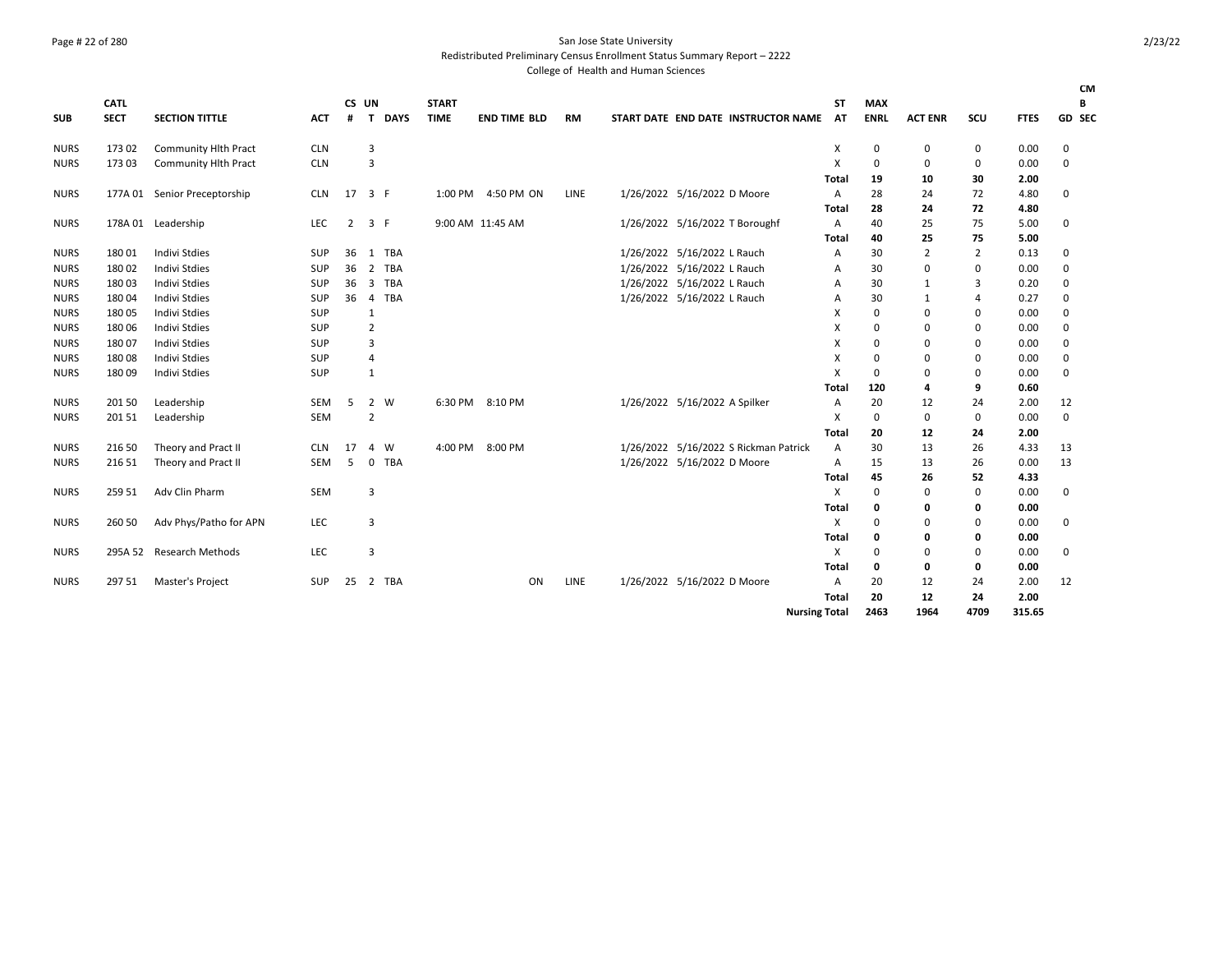## Page # 22 of 280 San Jose State University

Redistributed Preliminary Census Enrollment Status Summary Report – 2222

| <b>SUB</b>  | <b>CATL</b><br><b>SECT</b> | <b>SECTION TITTLE</b>        | <b>ACT</b> | CS UN<br>#     | <b>DAYS</b><br>T.            | <b>START</b><br><b>TIME</b> |         | <b>END TIME BLD</b> |    | <b>RM</b>   | START DATE END DATE INSTRUCTOR NAME   |                      | ST<br><b>AT</b> | <b>MAX</b><br><b>ENRL</b> | <b>ACT ENR</b> | SCU            | <b>FTES</b> | <b>CM</b><br>В<br>GD SEC |
|-------------|----------------------------|------------------------------|------------|----------------|------------------------------|-----------------------------|---------|---------------------|----|-------------|---------------------------------------|----------------------|-----------------|---------------------------|----------------|----------------|-------------|--------------------------|
| <b>NURS</b> | 173 02                     | <b>Community Hlth Pract</b>  | <b>CLN</b> |                | 3                            |                             |         |                     |    |             |                                       |                      | х               | 0                         | 0              | 0              | 0.00        | 0                        |
| <b>NURS</b> | 173 03                     | <b>Community Hlth Pract</b>  | <b>CLN</b> |                | 3                            |                             |         |                     |    |             |                                       |                      | X               | 0                         | 0              | 0              | 0.00        | 0                        |
|             |                            |                              |            |                |                              |                             |         |                     |    |             |                                       |                      | Total           | 19                        | 10             | 30             | 2.00        |                          |
| <b>NURS</b> |                            | 177A 01 Senior Preceptorship | <b>CLN</b> | 17             | 3 F                          |                             |         | 1:00 PM 4:50 PM ON  |    | <b>LINE</b> | 1/26/2022 5/16/2022 D Moore           |                      | A               | 28                        | 24             | 72             | 4.80        | 0                        |
|             |                            |                              |            |                |                              |                             |         |                     |    |             |                                       |                      | Total           | 28                        | 24             | 72             | 4.80        |                          |
| <b>NURS</b> |                            | 178A 01 Leadership           | <b>LEC</b> | $\overline{2}$ | 3 F                          |                             |         | 9:00 AM 11:45 AM    |    |             | 1/26/2022 5/16/2022 T Boroughf        |                      | A               | 40                        | 25             | 75             | 5.00        | 0                        |
|             |                            |                              |            |                |                              |                             |         |                     |    |             |                                       |                      | Total           | 40                        | 25             | 75             | 5.00        |                          |
| <b>NURS</b> | 18001                      | <b>Indivi Stdies</b>         | <b>SUP</b> | 36             | <b>TBA</b><br>1              |                             |         |                     |    |             | 1/26/2022 5/16/2022 L Rauch           |                      | Α               | 30                        | $\overline{2}$ | $\overline{2}$ | 0.13        | 0                        |
| <b>NURS</b> | 18002                      | <b>Indivi Stdies</b>         | <b>SUP</b> | 36             | <b>TBA</b><br>$\overline{2}$ |                             |         |                     |    |             | 1/26/2022 5/16/2022 L Rauch           |                      | A               | 30                        | $\mathbf 0$    | $\mathbf 0$    | 0.00        | 0                        |
| <b>NURS</b> | 18003                      | <b>Indivi Stdies</b>         | SUP        | 36             | <b>TBA</b><br>3              |                             |         |                     |    |             | 1/26/2022 5/16/2022 L Rauch           |                      | А               | 30                        | 1              | 3              | 0.20        | 0                        |
| <b>NURS</b> | 18004                      | <b>Indivi Stdies</b>         | <b>SUP</b> | 36             | <b>TBA</b><br>$\overline{4}$ |                             |         |                     |    |             | 1/26/2022 5/16/2022 L Rauch           |                      | A               | 30                        | 1              | 4              | 0.27        | $\Omega$                 |
| <b>NURS</b> | 18005                      | <b>Indivi Stdies</b>         | SUP        |                | 1                            |                             |         |                     |    |             |                                       |                      | х               | $\Omega$                  | 0              | 0              | 0.00        | 0                        |
| <b>NURS</b> | 18006                      | <b>Indivi Stdies</b>         | <b>SUP</b> |                | $\overline{2}$               |                             |         |                     |    |             |                                       |                      | X               | $\Omega$                  | $\mathbf 0$    | $\mathbf 0$    | 0.00        | 0                        |
| <b>NURS</b> | 18007                      | <b>Indivi Stdies</b>         | <b>SUP</b> |                | 3                            |                             |         |                     |    |             |                                       |                      | X               | 0                         | 0              | 0              | 0.00        | 0                        |
| <b>NURS</b> | 18008                      | <b>Indivi Stdies</b>         | <b>SUP</b> |                | $\overline{4}$               |                             |         |                     |    |             |                                       |                      | X               | 0                         | 0              | 0              | 0.00        | 0                        |
| <b>NURS</b> | 18009                      | <b>Indivi Stdies</b>         | SUP        |                | 1                            |                             |         |                     |    |             |                                       |                      | X               | 0                         | $\mathbf 0$    | $\mathbf 0$    | 0.00        | 0                        |
|             |                            |                              |            |                |                              |                             |         |                     |    |             |                                       |                      | Total           | 120                       | 4              | 9              | 0.60        |                          |
| <b>NURS</b> | 201 50                     | Leadership                   | SEM        | 5              | $\overline{2}$<br>W          |                             |         | 6:30 PM 8:10 PM     |    |             | 1/26/2022 5/16/2022 A Spilker         |                      | A               | 20                        | 12             | 24             | 2.00        | 12                       |
| <b>NURS</b> | 20151                      | Leadership                   | SEM        |                | $\overline{2}$               |                             |         |                     |    |             |                                       |                      | Χ               | 0                         | 0              | 0              | 0.00        | 0                        |
|             |                            |                              |            |                |                              |                             |         |                     |    |             |                                       |                      | Total           | 20                        | 12             | 24             | 2.00        |                          |
| <b>NURS</b> | 216 50                     | Theory and Pract II          | <b>CLN</b> | 17             | W<br>$\overline{4}$          |                             | 4:00 PM | 8:00 PM             |    |             | 1/26/2022 5/16/2022 S Rickman Patrick |                      | A               | 30                        | 13             | 26             | 4.33        | 13                       |
| <b>NURS</b> | 216 51                     | Theory and Pract II          | SEM        | 5              | <b>TBA</b><br>$\mathbf{0}$   |                             |         |                     |    |             | 1/26/2022 5/16/2022 D Moore           |                      | A               | 15                        | 13             | 26             | 0.00        | 13                       |
|             |                            |                              |            |                |                              |                             |         |                     |    |             |                                       |                      | Total           | 45                        | 26             | 52             | 4.33        |                          |
| <b>NURS</b> | 259 51                     | Adv Clin Pharm               | <b>SEM</b> |                | 3                            |                             |         |                     |    |             |                                       |                      | X               | 0                         | 0              | 0              | 0.00        | 0                        |
|             |                            |                              |            |                |                              |                             |         |                     |    |             |                                       |                      | Total           | 0                         | 0              | 0              | 0.00        |                          |
| NURS        | 260 50                     | Adv Phys/Patho for APN       | LEC        |                | 3                            |                             |         |                     |    |             |                                       |                      | X               | 0                         | 0              | 0              | 0.00        | 0                        |
|             |                            |                              |            |                |                              |                             |         |                     |    |             |                                       |                      | Total           | 0                         | 0              | 0              | 0.00        |                          |
| <b>NURS</b> | 295A 52                    | <b>Research Methods</b>      | <b>LEC</b> |                | $\overline{3}$               |                             |         |                     |    |             |                                       |                      | Χ               | 0                         | 0              | 0              | 0.00        | 0                        |
|             |                            |                              |            |                |                              |                             |         |                     |    |             |                                       |                      | Total           | 0                         | 0              | 0              | 0.00        |                          |
| <b>NURS</b> | 297 51                     | Master's Project             | <b>SUP</b> | 25             | 2<br>TBA                     |                             |         |                     | ON | LINE        | 1/26/2022 5/16/2022 D Moore           |                      | A               | 20                        | 12             | 24             | 2.00        | 12                       |
|             |                            |                              |            |                |                              |                             |         |                     |    |             |                                       |                      | Total           | 20                        | 12             | 24             | 2.00        |                          |
|             |                            |                              |            |                |                              |                             |         |                     |    |             |                                       | <b>Nursing Total</b> |                 | 2463                      | 1964           | 4709           | 315.65      |                          |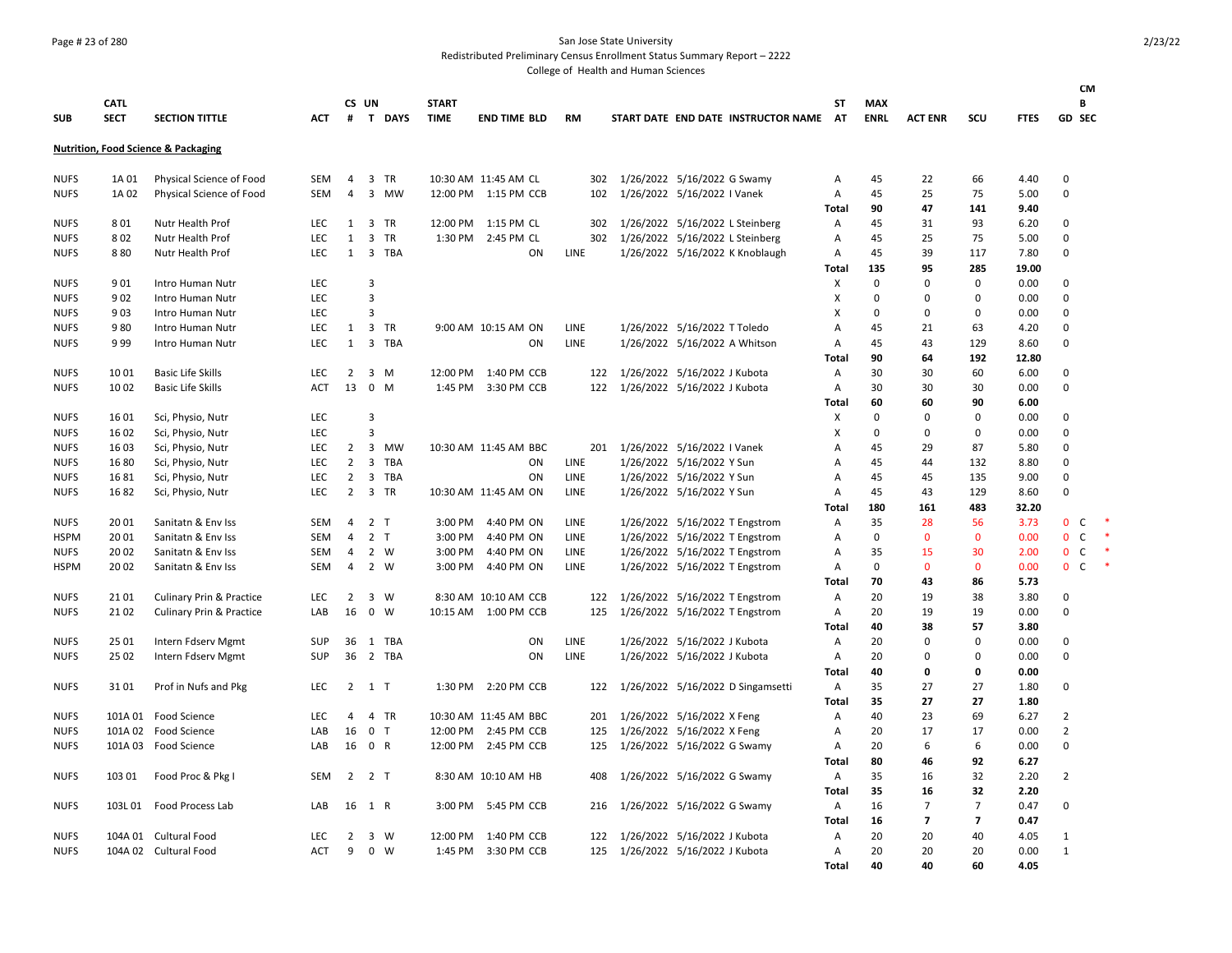### Page # 23 of 280 San Jose State University

Redistributed Preliminary Census Enrollment Status Summary Report – 2222

|             |             |                                                |            |                |                         |                |              |                       |             |                                        |            |             |                      |                      |              |                             | CМ     |
|-------------|-------------|------------------------------------------------|------------|----------------|-------------------------|----------------|--------------|-----------------------|-------------|----------------------------------------|------------|-------------|----------------------|----------------------|--------------|-----------------------------|--------|
|             | <b>CATL</b> |                                                |            |                | CS UN                   |                | <b>START</b> |                       |             |                                        | ST         | <b>MAX</b>  |                      |                      |              | В                           |        |
| <b>SUB</b>  | <b>SECT</b> | <b>SECTION TITTLE</b>                          | <b>ACT</b> |                |                         | # T DAYS       | <b>TIME</b>  | <b>END TIME BLD</b>   | <b>RM</b>   | START DATE END DATE INSTRUCTOR NAME AT |            | <b>ENRL</b> | <b>ACT ENR</b>       | SCU                  | <b>FTES</b>  | GD SEC                      |        |
|             |             | <b>Nutrition, Food Science &amp; Packaging</b> |            |                |                         |                |              |                       |             |                                        |            |             |                      |                      |              |                             |        |
| <b>NUFS</b> | 1A 01       | Physical Science of Food                       | <b>SEM</b> | 4              |                         | 3 TR           |              | 10:30 AM 11:45 AM CL  | 302         | 1/26/2022 5/16/2022 G Swamy            | A          | 45          | 22                   | 66                   | 4.40         | $\Omega$                    |        |
| <b>NUFS</b> | 1A 02       | Physical Science of Food                       | SEM        | 4              |                         | 3 MW           |              | 12:00 PM 1:15 PM CCB  | 102         | 1/26/2022 5/16/2022 I Vanek            | Α          | 45          | 25                   | 75                   | 5.00         | $\mathbf 0$                 |        |
|             |             |                                                |            |                |                         |                |              |                       |             |                                        | Total      | 90          | 47                   | 141                  | 9.40         |                             |        |
| <b>NUFS</b> | 801         | Nutr Health Prof                               | LEC        | $\mathbf{1}$   |                         | 3 TR           |              | 12:00 PM 1:15 PM CL   | 302         | 1/26/2022 5/16/2022 L Steinberg        | Α          | 45          | 31                   | 93                   | 6.20         | $\Omega$                    |        |
| <b>NUFS</b> | 802         | Nutr Health Prof                               | <b>LEC</b> | $\mathbf{1}$   | 3                       | TR             |              | 1:30 PM 2:45 PM CL    | 302         | 1/26/2022 5/16/2022 L Steinberg        | Α          | 45          | 25                   | 75                   | 5.00         | $\Omega$                    |        |
| <b>NUFS</b> | 880         | Nutr Health Prof                               | <b>LEC</b> | $\mathbf{1}$   |                         | 3 TBA          |              | <b>ON</b>             | <b>LINE</b> | 1/26/2022 5/16/2022 K Knoblaugh        | Α          | 45          | 39                   | 117                  | 7.80         | $\Omega$                    |        |
|             |             |                                                |            |                |                         |                |              |                       |             |                                        | Total      | 135         | 95                   | 285                  | 19.00        |                             |        |
| <b>NUFS</b> | 901         | Intro Human Nutr                               | <b>LEC</b> |                | $\overline{3}$          |                |              |                       |             |                                        | X          | $\Omega$    | $\Omega$             | 0                    | 0.00         | $\Omega$                    |        |
| <b>NUFS</b> | 902         | Intro Human Nutr                               | LEC        |                | $\overline{3}$          |                |              |                       |             |                                        | X          | $\Omega$    | $\Omega$             | $\mathsf 0$          | 0.00         | $\Omega$                    |        |
| <b>NUFS</b> | 903         | Intro Human Nutr                               | LEC        |                | 3                       |                |              |                       |             |                                        | X          | 0           | $\mathbf 0$          | 0                    | 0.00         | 0                           |        |
| <b>NUFS</b> | 980         | Intro Human Nutr                               | <b>LEC</b> | 1              | $\overline{3}$          | TR             |              | 9:00 AM 10:15 AM ON   | LINE        | 1/26/2022 5/16/2022 T Toledo           | A          | 45          | 21                   | 63                   | 4.20         | $\Omega$                    |        |
| <b>NUFS</b> | 999         | Intro Human Nutr                               | <b>LEC</b> | $\mathbf{1}$   | 3                       | TBA            |              | <b>ON</b>             | LINE        | 1/26/2022 5/16/2022 A Whitson          | A          | 45          | 43                   | 129                  | 8.60         | $\Omega$                    |        |
|             |             |                                                |            |                |                         |                |              |                       |             |                                        | Total      | 90          | 64                   | 192                  | 12.80        |                             |        |
| <b>NUFS</b> | 1001        | <b>Basic Life Skills</b>                       | <b>LEC</b> | $\overline{2}$ |                         | 3 M            |              | 12:00 PM 1:40 PM CCB  |             | 122 1/26/2022 5/16/2022 J Kubota       | Α          | 30          | 30                   | 60                   | 6.00         | $\Omega$                    |        |
| <b>NUFS</b> | 1002        | <b>Basic Life Skills</b>                       | <b>ACT</b> | 13             |                         | 0 M            | 1:45 PM      | 3:30 PM CCB           |             | 122 1/26/2022 5/16/2022 J Kubota       | A          | 30          | 30                   | 30                   | 0.00         | $\Omega$                    |        |
|             |             |                                                |            |                |                         |                |              |                       |             |                                        | Total      | 60          | 60                   | 90                   | 6.00         |                             |        |
| <b>NUFS</b> | 16 01       | Sci, Physio, Nutr                              | LEC        |                | 3                       |                |              |                       |             |                                        | X          | $\Omega$    | $\Omega$             | 0                    | 0.00         | 0                           |        |
| <b>NUFS</b> | 16 02       | Sci, Physio, Nutr                              | <b>LEC</b> |                | $\overline{3}$          |                |              |                       |             |                                        | X          | $\Omega$    | $\Omega$             | $\mathbf 0$          | 0.00         | $\Omega$                    |        |
| <b>NUFS</b> | 16 03       | Sci, Physio, Nutr                              | LEC        | $\overline{2}$ |                         | 3 MW           |              | 10:30 AM 11:45 AM BBC | 201         | 1/26/2022 5/16/2022 I Vanek            | А          | 45          | 29                   | 87                   | 5.80         | $\Omega$                    |        |
| <b>NUFS</b> | 1680        | Sci, Physio, Nutr                              | <b>LEC</b> | $\overline{2}$ | $\overline{\mathbf{3}}$ | TBA            |              | ON                    | LINE        | 1/26/2022 5/16/2022 Y Sun              | А          | 45          | 44                   | 132                  | 8.80         | $\Omega$                    |        |
| <b>NUFS</b> | 1681        | Sci, Physio, Nutr                              | <b>LEC</b> | $\overline{2}$ |                         | 3 TBA          |              | ON                    | LINE        | 1/26/2022 5/16/2022 Y Sun              | A          | 45          | 45                   | 135                  | 9.00         | $\Omega$                    |        |
| <b>NUFS</b> | 1682        | Sci, Physio, Nutr                              | <b>LEC</b> | $\overline{2}$ |                         | 3 TR           |              | 10:30 AM 11:45 AM ON  | LINE        | 1/26/2022 5/16/2022 Y Sun              | Α          | 45          | 43                   | 129                  | 8.60         | $\Omega$                    |        |
|             |             |                                                |            |                |                         |                |              |                       |             |                                        | Total      | 180         | 161                  | 483                  | 32.20        |                             |        |
| <b>NUFS</b> | 20 01       | Sanitatn & Env Iss                             | <b>SEM</b> | 4              |                         | 2 <sub>T</sub> | 3:00 PM      | 4:40 PM ON            | <b>LINE</b> | 1/26/2022 5/16/2022 T Engstrom         | Α          | 35          | 28                   | 56                   | 3.73         | $\mathbf{0}$<br>C           |        |
| <b>HSPM</b> | 20 01       | Sanitatn & Env Iss                             | <b>SEM</b> | 4              |                         | 2 <sub>T</sub> | 3:00 PM      | 4:40 PM ON            | <b>LINE</b> | 1/26/2022 5/16/2022 T Engstrom         | A          | $\mathbf 0$ | $\Omega$             | $\mathbf{0}$         | 0.00         | $\mathsf C$<br>$\mathbf{0}$ |        |
| <b>NUFS</b> | 20 02       | Sanitatn & Env Iss                             | SEM        | 4              |                         | 2 W            | 3:00 PM      | 4:40 PM ON            | LINE        | 1/26/2022 5/16/2022 T Engstrom         | A          | 35          | 15                   | 30                   | 2.00         | $\mathbf 0$<br>$\mathsf{C}$ |        |
| <b>HSPM</b> | 20 02       | Sanitatn & Env Iss                             | SEM        | $\overline{4}$ |                         | 2 W            | 3:00 PM      | 4:40 PM ON            | LINE        | 1/26/2022 5/16/2022 T Engstrom         | Α          | $\Omega$    | $\Omega$             | $\mathbf 0$          | 0.00         | 0<br>C                      | $\ast$ |
|             |             |                                                |            |                |                         |                |              |                       |             |                                        | Total      | 70          | 43                   | 86                   | 5.73         |                             |        |
| <b>NUFS</b> | 2101        | <b>Culinary Prin &amp; Practice</b>            | <b>LEC</b> | $\overline{2}$ |                         | 3 W            |              | 8:30 AM 10:10 AM CCB  | 122         | 1/26/2022 5/16/2022 T Engstrom         | Α          | 20          | 19                   | 38                   | 3.80         | $\Omega$                    |        |
| <b>NUFS</b> | 21 02       | Culinary Prin & Practice                       | LAB        | 16             |                         | 0 W            |              | 10:15 AM  1:00 PM CCB | 125         | 1/26/2022 5/16/2022 T Engstrom         | Α          | 20          | 19                   | 19                   | 0.00         | $\Omega$                    |        |
|             |             |                                                |            |                |                         |                |              |                       |             |                                        | Total      | 40          | 38                   | 57                   | 3.80         |                             |        |
| <b>NUFS</b> | 25 01       | Intern Fdserv Mgmt                             | SUP        | 36             |                         | 1 TBA          |              | ON                    | LINE        | 1/26/2022 5/16/2022 J Kubota           | Α          | 20          | $\Omega$             | 0                    | 0.00         | $\Omega$                    |        |
| <b>NUFS</b> | 25 02       | Intern Fdserv Mgmt                             | SUP        | 36             |                         | 2 TBA          |              | ON                    | LINE        | 1/26/2022 5/16/2022 J Kubota           | Α          | 20          | $\Omega$             | $\mathbf 0$          | 0.00         | $\mathbf 0$                 |        |
|             |             |                                                |            |                |                         |                |              |                       |             |                                        | Total      | 40          | $\Omega$             | $\mathbf{0}$         | 0.00         |                             |        |
| <b>NUFS</b> | 3101        | Prof in Nufs and Pkg                           | LEC.       |                | 2 1 T                   |                |              | 1:30 PM 2:20 PM CCB   | 122         | 1/26/2022 5/16/2022 D Singamsetti      | A          | 35          | 27                   | 27                   | 1.80         | $\Omega$                    |        |
|             |             |                                                |            |                |                         |                |              |                       |             |                                        | Total      | 35          | 27                   | 27                   | 1.80         |                             |        |
| <b>NUFS</b> | 101A 01     | Food Science                                   | <b>LEC</b> | 4              |                         | 4 TR           |              | 10:30 AM 11:45 AM BBC | 201         | 1/26/2022 5/16/2022 X Feng             | Α          | 40          | 23                   | 69                   | 6.27         | $\overline{2}$              |        |
| <b>NUFS</b> |             | 101A 02 Food Science                           | LAB        | 16             |                         | 0 <sub>T</sub> | 12:00 PM     | 2:45 PM CCB           | 125         | 1/26/2022 5/16/2022 X Feng             | Α          | 20          | 17                   | 17                   | 0.00         | $\overline{2}$              |        |
| <b>NUFS</b> |             | 101A 03 Food Science                           | LAB        |                | 16 0 R                  |                | 12:00 PM     | 2:45 PM CCB           | 125         | 1/26/2022 5/16/2022 G Swamy            | Α          | 20          | 6                    | 6                    | 0.00         | $\mathbf 0$                 |        |
|             |             |                                                |            |                |                         |                |              |                       |             |                                        | Total      | 80          | 46                   | 92                   | 6.27         |                             |        |
| <b>NUFS</b> | 103 01      | Food Proc & Pkg I                              | <b>SEM</b> | $\overline{2}$ |                         | 2 <sub>T</sub> |              | 8:30 AM 10:10 AM HB   | 408         | 1/26/2022 5/16/2022 G Swamy            | A          | 35          | 16                   | 32                   | 2.20         | $\overline{2}$              |        |
|             |             |                                                |            |                |                         |                |              |                       |             |                                        | Total      | 35          | 16<br>$\overline{7}$ | 32<br>$\overline{7}$ | 2.20         |                             |        |
| <b>NUFS</b> | 103L 01     | Food Process Lab                               | LAB        |                | 16 1 R                  |                | 3:00 PM      | 5:45 PM CCB           | 216         | 1/26/2022 5/16/2022 G Swamy            | Α<br>Total | 16<br>16    | $\overline{7}$       | $\overline{7}$       | 0.47<br>0.47 | $\pmb{0}$                   |        |
| <b>NUFS</b> | 104A 01     | Cultural Food                                  | LEC        | $\overline{2}$ |                         | $3 \quad W$    | 12:00 PM     | 1:40 PM CCB           | 122         | 1/26/2022 5/16/2022 J Kubota           | Α          | 20          | 20                   | 40                   | 4.05         | 1                           |        |
| <b>NUFS</b> |             | 104A 02 Cultural Food                          | <b>ACT</b> | 9              |                         | $0 \quad W$    | 1:45 PM      | 3:30 PM CCB           | 125         | 1/26/2022 5/16/2022 J Kubota           | Α          | 20          | 20                   | 20                   | 0.00         | $\mathbf{1}$                |        |
|             |             |                                                |            |                |                         |                |              |                       |             |                                        | Total      | 40          | 40                   | 60                   | 4.05         |                             |        |
|             |             |                                                |            |                |                         |                |              |                       |             |                                        |            |             |                      |                      |              |                             |        |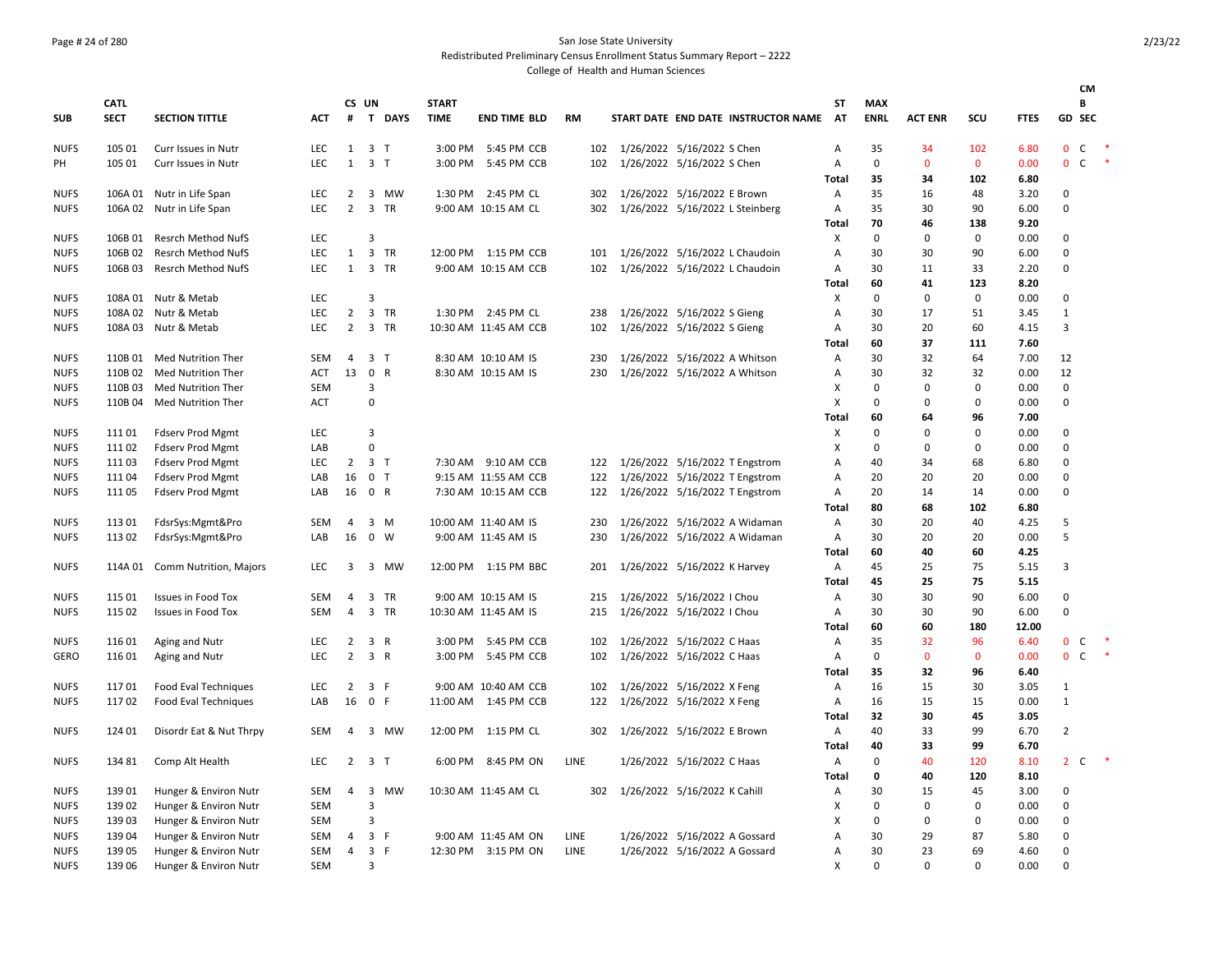# Page # 24 of 280 San Jose State University

Redistributed Preliminary Census Enrollment Status Summary Report – 2222

|             |             |                           |            |                |                |             |              |                       |             |                                     |              |                      |                         |                  |              | <b>CM</b>                      |        |
|-------------|-------------|---------------------------|------------|----------------|----------------|-------------|--------------|-----------------------|-------------|-------------------------------------|--------------|----------------------|-------------------------|------------------|--------------|--------------------------------|--------|
|             | <b>CATL</b> |                           |            |                | CS UN          |             | <b>START</b> |                       |             |                                     | SΤ           | MAX                  |                         |                  |              | В                              |        |
| <b>SUB</b>  | <b>SECT</b> | <b>SECTION TITTLE</b>     | <b>ACT</b> | #              |                | T DAYS      | <b>TIME</b>  | <b>END TIME BLD</b>   | <b>RM</b>   | START DATE END DATE INSTRUCTOR NAME | <b>AT</b>    | <b>ENRL</b>          | <b>ACT ENR</b>          | scu              | <b>FTES</b>  | GD SEC                         |        |
| <b>NUFS</b> | 105 01      | Curr Issues in Nutr       | <b>LEC</b> | $\mathbf{1}$   | 3 <sub>1</sub> |             | 3:00 PM      | 5:45 PM CCB           | 102         | 1/26/2022 5/16/2022 S Chen          | А            | 35                   | 34                      | 102              | 6.80         | $\mathbf{0}$<br>$\mathsf{C}$   |        |
| PH          | 105 01      | Curr Issues in Nutr       | LEC        | 1              | 3 <sub>T</sub> |             | 3:00 PM      | 5:45 PM CCB           | 102         | 1/26/2022 5/16/2022 S Chen          | А            | $\mathbf 0$          | $\mathbf{0}$            | $\mathbf 0$      | 0.00         | $\mathbf{0}$<br>$\mathsf{C}$   | $\ast$ |
|             |             |                           |            |                |                |             |              |                       |             |                                     | <b>Total</b> | 35                   | 34                      | 102              | 6.80         |                                |        |
| <b>NUFS</b> | 106A 01     | Nutr in Life Span         | LEC        | $\overline{2}$ |                | 3 MW        | 1:30 PM      | 2:45 PM CL            | 302         | 1/26/2022 5/16/2022 E Brown         | Α            | 35                   | 16                      | 48               | 3.20         | $\Omega$                       |        |
| <b>NUFS</b> |             | 106A 02 Nutr in Life Span | LEC        | $\overline{2}$ |                | 3 TR        |              | 9:00 AM 10:15 AM CL   | 302         | 1/26/2022 5/16/2022 L Steinberg     | Α            | 35                   | 30                      | 90               | 6.00         | $\Omega$                       |        |
|             |             |                           |            |                |                |             |              |                       |             |                                     | Total        | 70                   | 46                      | 138              | 9.20         |                                |        |
| <b>NUFS</b> | 106B 01     | Resrch Method NufS        | <b>LEC</b> |                | 3              |             |              |                       |             |                                     | х            | 0                    | 0                       | $\mathbf 0$      | 0.00         | $\Omega$                       |        |
| <b>NUFS</b> | 106B 02     | Resrch Method NufS        | LEC        | $\mathbf{1}$   |                | 3 TR        |              | 12:00 PM 1:15 PM CCB  | 101         | 1/26/2022 5/16/2022 L Chaudoin      | А            | 30                   | 30                      | 90               | 6.00         | $\Omega$                       |        |
| <b>NUFS</b> | 106B03      | Resrch Method NufS        | <b>LEC</b> | 1              |                | 3 TR        |              | 9:00 AM 10:15 AM CCB  | 102         | 1/26/2022 5/16/2022 L Chaudoin      | А            | 30                   | 11                      | 33               | 2.20         | $\Omega$                       |        |
|             |             |                           |            |                |                |             |              |                       |             |                                     | Total        | 60                   | 41                      | 123              | 8.20         |                                |        |
| <b>NUFS</b> |             | 108A 01 Nutr & Metab      | LEC        |                | 3              |             |              |                       |             |                                     | X            | $\mathbf 0$          | $\mathbf 0$             | $\mathsf 0$      | 0.00         | $\mathbf 0$                    |        |
| <b>NUFS</b> |             | 108A 02 Nutr & Metab      | LEC        | $\overline{2}$ |                | 3 TR        |              | 1:30 PM 2:45 PM CL    | 238         | 1/26/2022 5/16/2022 S Gieng         | А            | 30                   | 17                      | 51               | 3.45         | $\mathbf{1}$                   |        |
| <b>NUFS</b> |             | 108A 03 Nutr & Metab      | LEC        | $\overline{2}$ |                | 3 TR        |              | 10:30 AM 11:45 AM CCB | 102         | 1/26/2022 5/16/2022 S Gieng         | А            | 30                   | 20                      | 60               | 4.15         | 3                              |        |
|             |             |                           |            |                |                |             |              |                       |             |                                     | Total        | 60                   | 37                      | 111              | 7.60         |                                |        |
| <b>NUFS</b> | 110B 01     | Med Nutrition Ther        | <b>SEM</b> | $\overline{4}$ | 3 <sub>1</sub> |             |              | 8:30 AM 10:10 AM IS   | 230         | 1/26/2022 5/16/2022 A Whitson       | A            | 30                   | 32                      | 64               | 7.00         | 12                             |        |
| <b>NUFS</b> | 110B 02     | Med Nutrition Ther        | ACT        | 13             | 0 R            |             |              | 8:30 AM 10:15 AM IS   | 230         | 1/26/2022 5/16/2022 A Whitson       | А            | 30                   | 32                      | 32               | 0.00         | 12                             |        |
| <b>NUFS</b> | 110B03      | <b>Med Nutrition Ther</b> | <b>SEM</b> |                | 3<br>0         |             |              |                       |             |                                     | X<br>X       | $\Omega$<br>$\Omega$ | $\mathbf 0$<br>$\Omega$ | $\mathbf 0$<br>0 | 0.00         | $\mathbf 0$<br>$\Omega$        |        |
| <b>NUFS</b> | 110B 04     | Med Nutrition Ther        | <b>ACT</b> |                |                |             |              |                       |             |                                     | <b>Total</b> | 60                   | 64                      | 96               | 0.00<br>7.00 |                                |        |
| <b>NUFS</b> | 11101       | <b>Fdserv Prod Mgmt</b>   | LEC        |                | 3              |             |              |                       |             |                                     | X            | 0                    | 0                       | $\mathbf 0$      | 0.00         | $\Omega$                       |        |
| <b>NUFS</b> | 11102       | <b>Fdserv Prod Mgmt</b>   | LAB        |                | $\mathbf 0$    |             |              |                       |             |                                     | X            | $\Omega$             | 0                       | $\mathbf 0$      | 0.00         | $\Omega$                       |        |
| <b>NUFS</b> | 11103       | <b>Fdserv Prod Mgmt</b>   | <b>LEC</b> | $\overline{2}$ | 3 <sub>1</sub> |             |              | 7:30 AM 9:10 AM CCB   | 122         | 1/26/2022 5/16/2022 T Engstrom      | A            | 40                   | 34                      | 68               | 6.80         | $\mathbf 0$                    |        |
| <b>NUFS</b> | 11104       | <b>Fdserv Prod Mgmt</b>   | LAB        | 16             | 0 <sub>T</sub> |             |              | 9:15 AM 11:55 AM CCB  | 122         | 1/26/2022 5/16/2022 T Engstrom      | А            | 20                   | 20                      | 20               | 0.00         | $\mathbf 0$                    |        |
| <b>NUFS</b> | 11105       | <b>Fdserv Prod Mgmt</b>   | LAB        | 16             | 0 R            |             |              | 7:30 AM 10:15 AM CCB  | 122         | 1/26/2022 5/16/2022 T Engstrom      | А            | 20                   | 14                      | 14               | 0.00         | $\Omega$                       |        |
|             |             |                           |            |                |                |             |              |                       |             |                                     | Total        | 80                   | 68                      | 102              | 6.80         |                                |        |
| <b>NUFS</b> | 113 01      | FdsrSys:Mgmt&Pro          | <b>SEM</b> | 4              |                | 3 M         |              | 10:00 AM 11:40 AM IS  | 230         | 1/26/2022 5/16/2022 A Widaman       | А            | 30                   | 20                      | 40               | 4.25         | 5                              |        |
| <b>NUFS</b> | 113 02      | FdsrSys:Mgmt&Pro          | LAB        | 16             |                | $0 \quad W$ |              | 9:00 AM 11:45 AM IS   | 230         | 1/26/2022 5/16/2022 A Widaman       | А            | 30                   | 20                      | 20               | 0.00         | 5                              |        |
|             |             |                           |            |                |                |             |              |                       |             |                                     | <b>Total</b> | 60                   | 40                      | 60               | 4.25         |                                |        |
| <b>NUFS</b> | 114A 01     | Comm Nutrition, Majors    | LEC        | 3              | 3              | MW          | 12:00 PM     | 1:15 PM BBC           | 201         | 1/26/2022 5/16/2022 K Harvey        | А            | 45                   | 25                      | 75               | 5.15         | 3                              |        |
|             |             |                           |            |                |                |             |              |                       |             |                                     | Total        | 45                   | 25                      | 75               | 5.15         |                                |        |
| <b>NUFS</b> | 115 01      | <b>Issues in Food Tox</b> | SEM        | 4              |                | 3 TR        |              | 9:00 AM 10:15 AM IS   | 215         | 1/26/2022 5/16/2022   Chou          | Α            | 30                   | 30                      | 90               | 6.00         | 0                              |        |
| <b>NUFS</b> | 115 02      | <b>Issues in Food Tox</b> | SEM        | 4              |                | 3 TR        |              | 10:30 AM 11:45 AM IS  | 215         | 1/26/2022 5/16/2022   Chou          | Α            | 30                   | 30                      | 90               | 6.00         | $\mathbf 0$                    |        |
|             |             |                           |            |                |                |             |              |                       |             |                                     | Total        | 60                   | 60                      | 180              | 12.00        |                                |        |
| <b>NUFS</b> | 116 01      | Aging and Nutr            | <b>LEC</b> | $\overline{2}$ | 3 R            |             | 3:00 PM      | 5:45 PM CCB           | 102         | 1/26/2022 5/16/2022 C Haas          | Α            | 35                   | 32                      | 96               | 6.40         | 0<br>C.                        |        |
| GERO        | 116 01      | Aging and Nutr            | <b>LEC</b> | $\overline{2}$ | 3 R            |             | 3:00 PM      | 5:45 PM CCB           | 102         | 1/26/2022 5/16/2022 C Haas          | A            | $\Omega$             | $\mathbf{0}$            | $\mathbf{0}$     | 0.00         | $\overline{0}$<br>$\mathsf{C}$ | $\ast$ |
|             |             |                           |            |                |                |             |              |                       |             |                                     | Total        | 35                   | 32                      | 96               | 6.40         |                                |        |
| <b>NUFS</b> | 11701       | Food Eval Techniques      | <b>LEC</b> | 2              | 3 F            |             |              | 9:00 AM 10:40 AM CCB  | 102         | 1/26/2022 5/16/2022 X Feng          | Α            | 16                   | 15                      | 30               | 3.05         | 1                              |        |
| <b>NUFS</b> | 11702       | Food Eval Techniques      | LAB        | 16             | $\mathbf 0$    | -F          |              | 11:00 AM  1:45 PM CCB | 122         | 1/26/2022 5/16/2022 X Feng          | Α            | 16                   | 15                      | 15               | 0.00         | $\mathbf{1}$                   |        |
|             |             |                           |            |                |                |             |              |                       |             |                                     | <b>Total</b> | 32                   | 30                      | 45               | 3.05         |                                |        |
| <b>NUFS</b> | 124 01      | Disordr Eat & Nut Thrpy   | <b>SEM</b> | $\overline{4}$ |                | 3 MW        |              | 12:00 PM 1:15 PM CL   | 302         | 1/26/2022 5/16/2022 E Brown         | Α            | 40                   | 33                      | 99               | 6.70         | $\overline{2}$                 |        |
|             |             |                           | LEC        | $\overline{2}$ | 3 <sub>1</sub> |             | 6:00 PM      | 8:45 PM ON            | LINE        |                                     | <b>Total</b> | 40<br>0              | 33<br>40                | 99<br>120        | 6.70         | $2^{\circ}$<br>C               |        |
| <b>NUFS</b> | 134 81      | Comp Alt Health           |            |                |                |             |              |                       |             | 1/26/2022 5/16/2022 C Haas          | А<br>Total   | 0                    | 40                      | 120              | 8.10<br>8.10 |                                |        |
| <b>NUFS</b> | 139 01      | Hunger & Environ Nutr     | <b>SEM</b> | 4              |                | 3 MW        |              | 10:30 AM 11:45 AM CL  | 302         | 1/26/2022 5/16/2022 K Cahill        | Α            | 30                   | 15                      | 45               | 3.00         | $\Omega$                       |        |
| <b>NUFS</b> | 139 02      | Hunger & Environ Nutr     | <b>SEM</b> |                | $\overline{3}$ |             |              |                       |             |                                     | X            | $\Omega$             | $\mathbf 0$             | $\mathbf 0$      | 0.00         | $\Omega$                       |        |
| <b>NUFS</b> | 139 03      | Hunger & Environ Nutr     | <b>SEM</b> |                | 3              |             |              |                       |             |                                     | X            | 0                    | 0                       | 0                | 0.00         | $\Omega$                       |        |
| <b>NUFS</b> | 139 04      | Hunger & Environ Nutr     | <b>SEM</b> | 4              | 3 F            |             |              | 9:00 AM 11:45 AM ON   | <b>LINE</b> | 1/26/2022 5/16/2022 A Gossard       | A            | 30                   | 29                      | 87               | 5.80         | $\Omega$                       |        |
| <b>NUFS</b> | 139 05      | Hunger & Environ Nutr     | <b>SEM</b> | 4              | 3 F            |             |              | 12:30 PM 3:15 PM ON   | LINE        | 1/26/2022 5/16/2022 A Gossard       | А            | 30                   | 23                      | 69               | 4.60         | $\Omega$                       |        |
| <b>NUFS</b> | 139 06      | Hunger & Environ Nutr     | <b>SEM</b> |                | 3              |             |              |                       |             |                                     | $\mathsf{x}$ | $\Omega$             | $\Omega$                | $\Omega$         | 0.00         | $\Omega$                       |        |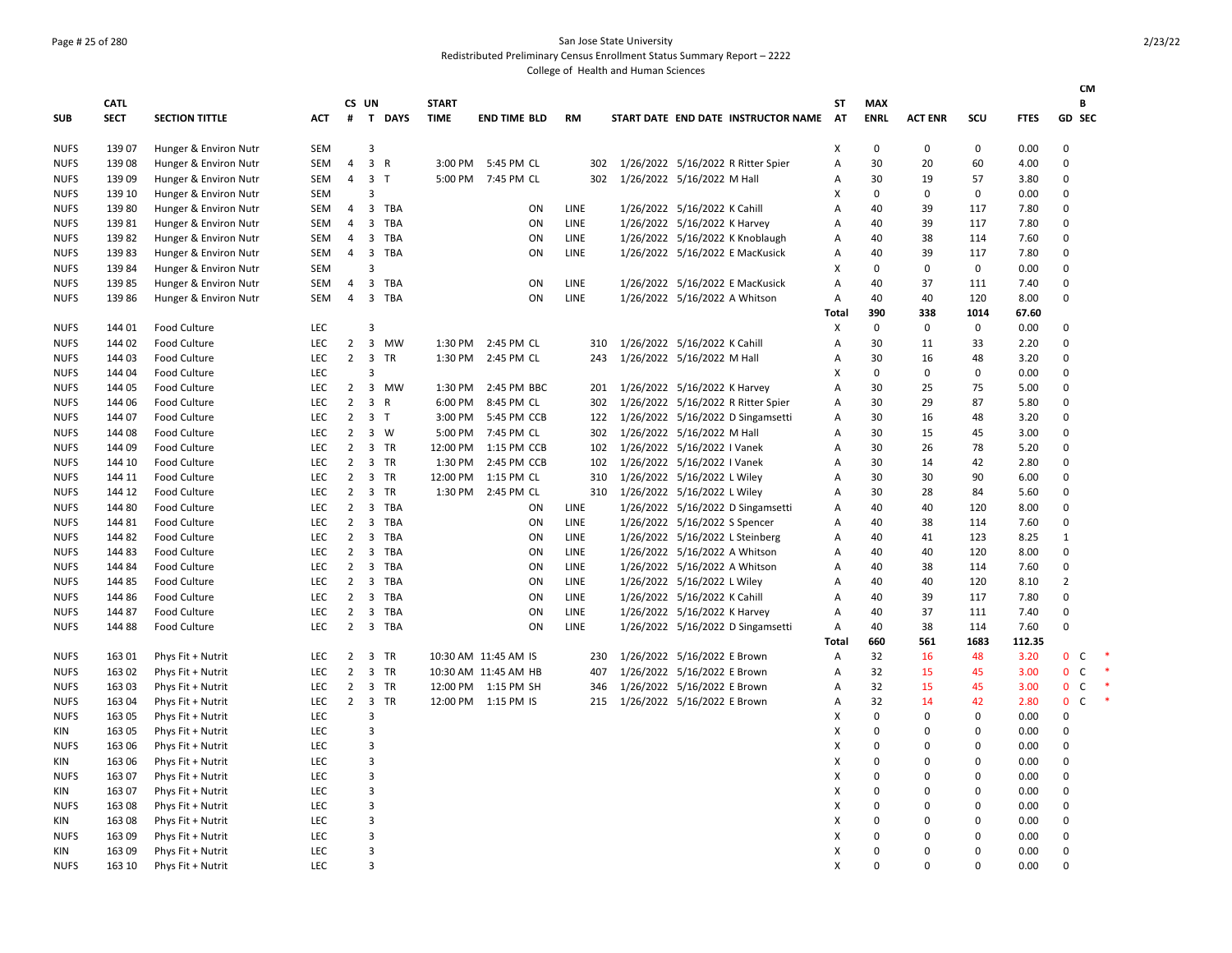# Page # 25 of 280 San Jose State University

Redistributed Preliminary Census Enrollment Status Summary Report – 2222

|             |                            |                       |            |                |                         |                |                             |                      |             |                                     |                           |                           |                |             |               |                | <b>CM</b>    |        |
|-------------|----------------------------|-----------------------|------------|----------------|-------------------------|----------------|-----------------------------|----------------------|-------------|-------------------------------------|---------------------------|---------------------------|----------------|-------------|---------------|----------------|--------------|--------|
| SUB         | <b>CATL</b><br><b>SECT</b> | <b>SECTION TITTLE</b> | <b>ACT</b> | #              | CS UN                   | T DAYS         | <b>START</b><br><b>TIME</b> | <b>END TIME BLD</b>  | <b>RM</b>   | START DATE END DATE INSTRUCTOR NAME | ST<br>AT                  | <b>MAX</b><br><b>ENRL</b> | <b>ACT ENR</b> | SCU         | <b>FTES</b>   | <b>GD SEC</b>  | В            |        |
| <b>NUFS</b> | 139 07                     | Hunger & Environ Nutr | <b>SEM</b> |                | 3                       |                |                             |                      |             |                                     | Χ                         | 0                         | 0              | $\mathbf 0$ | 0.00          | 0              |              |        |
| NUFS        | 139 08                     | Hunger & Environ Nutr | SEM        | 4              |                         | 3 R            |                             | 3:00 PM 5:45 PM CL   | 302         | 1/26/2022 5/16/2022 R Ritter Spier  | Α                         | 30                        | 20             | 60          | 4.00          | $\mathbf 0$    |              |        |
| <b>NUFS</b> | 139 09                     | Hunger & Environ Nutr | <b>SEM</b> | $\overline{4}$ |                         | 3 <sub>1</sub> |                             | 5:00 PM 7:45 PM CL   | 302         | 1/26/2022 5/16/2022 M Hall          | Α                         | 30                        | 19             | 57          | 3.80          | 0              |              |        |
| <b>NUFS</b> | 139 10                     | Hunger & Environ Nutr | <b>SEM</b> |                | 3                       |                |                             |                      |             |                                     | X                         | 0                         | 0              | 0           | 0.00          | $\Omega$       |              |        |
| <b>NUFS</b> | 139 80                     | Hunger & Environ Nutr | SEM        | 4              |                         | 3 TBA          |                             | ON                   | LINE        | 1/26/2022 5/16/2022 K Cahill        | Α                         | 40                        | 39             | 117         | 7.80          | 0              |              |        |
| <b>NUFS</b> | 13981                      | Hunger & Environ Nutr | <b>SEM</b> | $\overline{4}$ | $\overline{3}$          | TBA            |                             | ON                   | <b>LINE</b> | 1/26/2022 5/16/2022 K Harvey        | Α                         | 40                        | 39             | 117         | 7.80          | 0              |              |        |
| <b>NUFS</b> | 13982                      | Hunger & Environ Nutr | SEM        | $\overline{4}$ | $\overline{\mathbf{3}}$ | TBA            |                             | ON                   | LINE        | 1/26/2022 5/16/2022 K Knoblaugh     | A                         | 40                        | 38             | 114         | 7.60          | 0              |              |        |
| <b>NUFS</b> | 13983                      | Hunger & Environ Nutr | SEM        | $\overline{4}$ | 3                       | TBA            |                             | ON                   | <b>LINE</b> | 1/26/2022 5/16/2022 E MacKusick     | $\overline{A}$            | 40                        | 39             | 117         | 7.80          | 0              |              |        |
| <b>NUFS</b> | 13984                      | Hunger & Environ Nutr | <b>SEM</b> |                | 3                       |                |                             |                      |             |                                     | X                         | 0                         | 0              | $\mathsf 0$ | 0.00          | $\mathbf 0$    |              |        |
| <b>NUFS</b> | 13985                      | Hunger & Environ Nutr | <b>SEM</b> | $\overline{4}$ | 3                       | TBA            |                             | ON                   | LINE        | 1/26/2022 5/16/2022 E MacKusick     | Α                         | 40                        | 37             | 111         | 7.40          | 0              |              |        |
| <b>NUFS</b> | 13986                      | Hunger & Environ Nutr | SEM        | $\overline{4}$ |                         | 3 TBA          |                             | ON                   | LINE        | 1/26/2022 5/16/2022 A Whitson       | A<br>Total                | 40<br>390                 | 40<br>338      | 120<br>1014 | 8.00<br>67.60 | $\Omega$       |              |        |
| <b>NUFS</b> | 144 01                     | <b>Food Culture</b>   | LEC        |                | 3                       |                |                             |                      |             |                                     | X                         | $\mathbf 0$               | 0              | 0           | 0.00          | 0              |              |        |
| <b>NUFS</b> | 144 02                     | <b>Food Culture</b>   | LEC        | $\overline{2}$ |                         | 3 MW           |                             | 1:30 PM 2:45 PM CL   | 310         | 1/26/2022 5/16/2022 K Cahill        | Α                         | 30                        | 11             | 33          | 2.20          | 0              |              |        |
| <b>NUFS</b> | 144 03                     | <b>Food Culture</b>   | LEC        | $\overline{2}$ | $\overline{\mathbf{3}}$ | TR             | 1:30 PM                     | 2:45 PM CL           | 243         | 1/26/2022 5/16/2022 M Hall          | Α                         | 30                        | 16             | 48          | 3.20          | 0              |              |        |
| <b>NUFS</b> | 144 04                     | <b>Food Culture</b>   | LEC        |                | 3                       |                |                             |                      |             |                                     | X                         | 0                         | 0              | 0           | 0.00          | 0              |              |        |
| <b>NUFS</b> | 144 05                     | <b>Food Culture</b>   | <b>LEC</b> | $\overline{2}$ |                         | 3 MW           | 1:30 PM                     | 2:45 PM BBC          | 201         | 1/26/2022 5/16/2022 K Harvey        | Α                         | 30                        | 25             | 75          | 5.00          | 0              |              |        |
| <b>NUFS</b> | 144 06                     | <b>Food Culture</b>   | LEC.       | $\overline{2}$ |                         | 3 R            | 6:00 PM                     | 8:45 PM CL           | 302         | 1/26/2022 5/16/2022 R Ritter Spier  | $\overline{A}$            | 30                        | 29             | 87          | 5.80          | 0              |              |        |
| <b>NUFS</b> | 144 07                     | <b>Food Culture</b>   | LEC        | $\overline{2}$ |                         | 3 <sub>1</sub> | 3:00 PM                     | 5:45 PM CCB          | 122         | 1/26/2022 5/16/2022 D Singamsetti   | Α                         | 30                        | 16             | 48          | 3.20          | 0              |              |        |
| <b>NUFS</b> | 144 08                     | Food Culture          | LEC        | $\overline{2}$ |                         | 3 W            | 5:00 PM                     | 7:45 PM CL           | 302         | 1/26/2022 5/16/2022 M Hall          | A                         | 30                        | 15             | 45          | 3.00          | $\mathbf 0$    |              |        |
| <b>NUFS</b> | 144 09                     | Food Culture          | LEC        | $2^{\circ}$    |                         | 3 TR           |                             | 12:00 PM 1:15 PM CCB | 102         | 1/26/2022 5/16/2022 I Vanek         | A                         | 30                        | 26             | 78          | 5.20          | 0              |              |        |
| <b>NUFS</b> | 144 10                     | <b>Food Culture</b>   | LEC        | $\overline{2}$ |                         | 3 TR           | 1:30 PM                     | 2:45 PM CCB          | 102         | 1/26/2022 5/16/2022 I Vanek         | A                         | 30                        | 14             | 42          | 2.80          | $\mathbf 0$    |              |        |
| <b>NUFS</b> | 144 11                     | <b>Food Culture</b>   | LEC        | $\overline{2}$ |                         | 3 TR           |                             | 12:00 PM 1:15 PM CL  | 310         | 1/26/2022 5/16/2022 L Wiley         | Α                         | 30                        | 30             | 90          | 6.00          | $\mathbf 0$    |              |        |
| <b>NUFS</b> | 144 12                     | <b>Food Culture</b>   | <b>LEC</b> | $\overline{2}$ |                         | 3 TR           |                             | 1:30 PM 2:45 PM CL   | 310         | 1/26/2022 5/16/2022 L Wiley         | $\overline{A}$            | 30                        | 28             | 84          | 5.60          | $\mathbf 0$    |              |        |
| <b>NUFS</b> | 144 80                     | <b>Food Culture</b>   | LEC        | $\overline{2}$ |                         | 3 TBA          |                             | ON                   | LINE        | 1/26/2022 5/16/2022 D Singamsetti   | Α                         | 40                        | 40             | 120         | 8.00          | $\mathbf 0$    |              |        |
| <b>NUFS</b> | 144 81                     | Food Culture          | LEC        | $2^{\circ}$    |                         | 3 TBA          |                             | ON                   | LINE        | 1/26/2022 5/16/2022 S Spencer       | Α                         | 40                        | 38             | 114         | 7.60          | $\mathbf 0$    |              |        |
| <b>NUFS</b> | 144 82                     | Food Culture          | LEC        | $\overline{2}$ | $\overline{3}$          | TBA            |                             | ON                   | LINE        | 1/26/2022 5/16/2022 L Steinberg     | A                         | 40                        | 41             | 123         | 8.25          | $\mathbf{1}$   |              |        |
| <b>NUFS</b> | 144 83                     | <b>Food Culture</b>   | LEC        | $\overline{2}$ | $\overline{\mathbf{3}}$ | TBA            |                             | ON                   | <b>LINE</b> | 1/26/2022 5/16/2022 A Whitson       | Α                         | 40                        | 40             | 120         | 8.00          | 0              |              |        |
| <b>NUFS</b> | 144 84                     | <b>Food Culture</b>   | <b>LEC</b> | $\overline{2}$ | $\overline{3}$          | TBA            |                             | ON                   | LINE        | 1/26/2022 5/16/2022 A Whitson       | Α                         | 40                        | 38             | 114         | 7.60          | 0              |              |        |
| <b>NUFS</b> | 144 85                     | <b>Food Culture</b>   | LEC        | $\overline{2}$ |                         | 3 TBA          |                             | ON                   | <b>LINE</b> | 1/26/2022 5/16/2022 L Wiley         | Α                         | 40                        | 40             | 120         | 8.10          | $\overline{2}$ |              |        |
| <b>NUFS</b> | 144 86                     | <b>Food Culture</b>   | LEC.       | $\overline{2}$ | $\overline{\mathbf{3}}$ | TBA            |                             | ON                   | <b>LINE</b> | 1/26/2022 5/16/2022 K Cahill        | $\overline{A}$            | 40                        | 39             | 117         | 7.80          | 0              |              |        |
| <b>NUFS</b> | 144 87                     | <b>Food Culture</b>   | LEC        | $\overline{2}$ | 3                       | TBA            |                             | ON                   | LINE        | 1/26/2022 5/16/2022 K Harvey        | Α                         | 40                        | 37             | 111         | 7.40          | $\mathbf 0$    |              |        |
| <b>NUFS</b> | 144 88                     | Food Culture          | LEC        | $\overline{2}$ |                         | 3 TBA          |                             | ON                   | LINE        | 1/26/2022 5/16/2022 D Singamsetti   | Α                         | 40                        | 38             | 114         | 7.60          | $\mathbf 0$    |              |        |
|             |                            |                       |            |                |                         |                |                             |                      |             |                                     | Total                     | 660                       | 561            | 1683        | 112.35        |                |              |        |
| <b>NUFS</b> | 163 01                     | Phys Fit + Nutrit     | LEC        | $\overline{2}$ | 3                       | TR             |                             | 10:30 AM 11:45 AM IS | 230         | 1/26/2022 5/16/2022 E Brown         | A                         | 32                        | 16             | 48          | 3.20          | $\mathbf 0$    | C            |        |
| <b>NUFS</b> | 163 02                     | Phys Fit + Nutrit     | LEC        | $\overline{2}$ |                         | 3 TR           |                             | 10:30 AM 11:45 AM HB | 407         | 1/26/2022 5/16/2022 E Brown         | A                         | 32                        | 15             | 45          | 3.00          | $\mathbf 0$    | C            | $\ast$ |
| <b>NUFS</b> | 163 03                     | Phys Fit + Nutrit     | LEC.       | $\overline{2}$ |                         | 3 TR           |                             | 12:00 PM 1:15 PM SH  | 346         | 1/26/2022 5/16/2022 E Brown         | A                         | 32                        | 15             | 45          | 3.00          | $\mathbf{0}$   | $\mathsf{C}$ | $\ast$ |
| <b>NUFS</b> | 163 04                     | Phys Fit + Nutrit     | LEC        | $\overline{2}$ |                         | 3 TR           |                             | 12:00 PM 1:15 PM IS  | 215         | 1/26/2022 5/16/2022 E Brown         | Α                         | 32                        | 14             | 42          | 2.80          | $\mathbf 0$    | C            | $\ast$ |
| <b>NUFS</b> | 163 05                     | Phys Fit + Nutrit     | LEC        |                | 3                       |                |                             |                      |             |                                     | X                         | $\mathbf 0$               | 0              | 0           | 0.00          | 0              |              |        |
| KIN         | 163 05                     | Phys Fit + Nutrit     | <b>LEC</b> |                | 3                       |                |                             |                      |             |                                     | X                         | 0                         | 0              | $\mathbf 0$ | 0.00          | $\mathbf 0$    |              |        |
| <b>NUFS</b> | 163 06                     | Phys Fit + Nutrit     | <b>LEC</b> |                | 3                       |                |                             |                      |             |                                     | $\boldsymbol{\mathsf{x}}$ | $\Omega$                  | 0              | $\Omega$    | 0.00          | 0              |              |        |
| KIN         | 163 06                     | Phys Fit + Nutrit     | LEC        |                | 3                       |                |                             |                      |             |                                     | X                         | $\Omega$                  | 0              | $\Omega$    | 0.00          | $\mathbf 0$    |              |        |
| <b>NUFS</b> | 163 07                     | Phys Fit + Nutrit     | LEC        |                | 3                       |                |                             |                      |             |                                     | X                         | 0                         | 0              | $\mathbf 0$ | 0.00          | 0              |              |        |
| KIN         | 163 07                     | Phys Fit + Nutrit     | LEC        |                | 3                       |                |                             |                      |             |                                     | X                         | $\Omega$                  | 0              | $\mathbf 0$ | 0.00          | $\mathbf 0$    |              |        |
| <b>NUFS</b> | 163 08                     | Phys Fit + Nutrit     | LEC        |                | 3                       |                |                             |                      |             |                                     | X                         | 0                         | 0              | $\mathbf 0$ | 0.00          | 0              |              |        |
| KIN         | 163 08                     | Phys Fit + Nutrit     | LEC        |                | 3                       |                |                             |                      |             |                                     | X                         | $\Omega$                  | 0              | $\Omega$    | 0.00          | 0              |              |        |
| <b>NUFS</b> | 163 09                     | Phys Fit + Nutrit     | LEC        |                | 3                       |                |                             |                      |             |                                     | $\boldsymbol{\mathsf{x}}$ | $\Omega$                  | 0              | $\Omega$    | 0.00          | O              |              |        |
| KIN         | 163 09                     | Phys Fit + Nutrit     | LEC        |                | 3                       |                |                             |                      |             |                                     | $\boldsymbol{\mathsf{x}}$ | $\Omega$                  | 0              | $\Omega$    | 0.00          | 0              |              |        |
| <b>NUFS</b> | 163 10                     | Phys Fit + Nutrit     | LEC        |                | $\overline{\mathbf{3}}$ |                |                             |                      |             |                                     | $\mathsf{x}$              | $\Omega$                  | $\Omega$       | $\Omega$    | 0.00          | U              |              |        |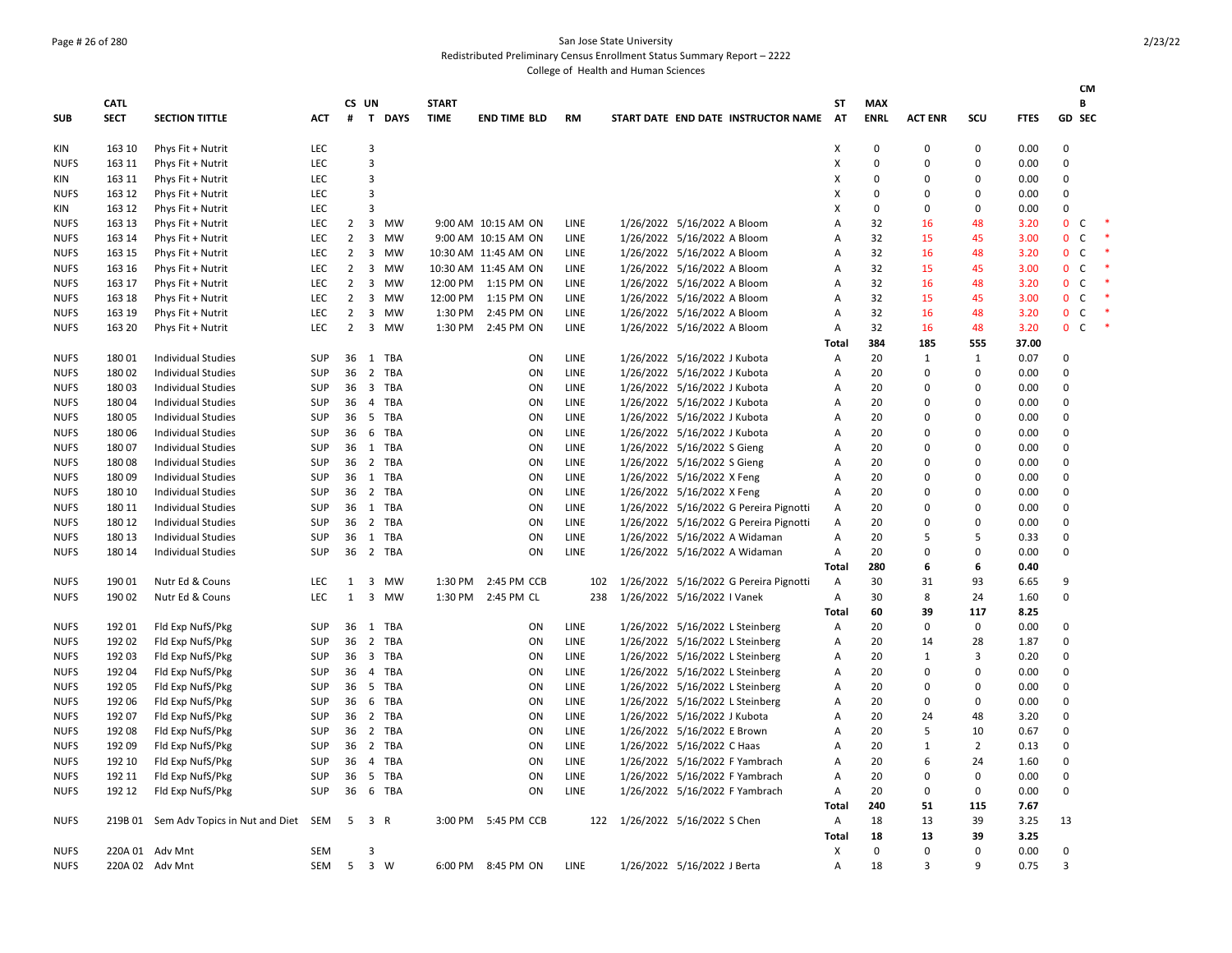# Page # 26 of 280 San Jose State University

Redistributed Preliminary Census Enrollment Status Summary Report – 2222 College of Health and Human Sciences

|             |             |                                |            |                |              |           |              |                      |             |                                        |              |             |                |                |             |                                | CМ           |        |
|-------------|-------------|--------------------------------|------------|----------------|--------------|-----------|--------------|----------------------|-------------|----------------------------------------|--------------|-------------|----------------|----------------|-------------|--------------------------------|--------------|--------|
|             | <b>CATL</b> |                                |            |                | CS UN        |           | <b>START</b> |                      |             |                                        | <b>ST</b>    | <b>MAX</b>  |                |                |             |                                | В            |        |
| SUB         | <b>SECT</b> | <b>SECTION TITTLE</b>          | <b>ACT</b> | #              |              | T DAYS    | <b>TIME</b>  | <b>END TIME BLD</b>  | <b>RM</b>   | START DATE END DATE INSTRUCTOR NAME    | <b>AT</b>    | <b>ENRL</b> | <b>ACT ENR</b> | SCU            | <b>FTES</b> | GD SEC                         |              |        |
| KIN         | 163 10      | Phys Fit + Nutrit              | LEC        |                | 3            |           |              |                      |             |                                        | X            | 0           | $\Omega$       | 0              | 0.00        | $\mathbf 0$                    |              |        |
| <b>NUFS</b> | 163 11      | Phys Fit + Nutrit              | LEC        |                | 3            |           |              |                      |             |                                        | x            | 0           | $\Omega$       | 0              | 0.00        | $\mathbf 0$                    |              |        |
| KIN         | 163 11      | Phys Fit + Nutrit              | <b>LEC</b> |                | 3            |           |              |                      |             |                                        | x            | $\Omega$    | $\Omega$       | O              | 0.00        | 0                              |              |        |
| <b>NUFS</b> | 163 12      | Phys Fit + Nutrit              | LEC        |                | 3            |           |              |                      |             |                                        | X            | 0           | $\Omega$       | 0              | 0.00        | 0                              |              |        |
| KIN         | 163 12      | Phys Fit + Nutrit              | LEC        |                | 3            |           |              |                      |             |                                        | X            | $\Omega$    | $\Omega$       | O              | 0.00        | $\mathbf 0$                    |              |        |
| <b>NUFS</b> | 163 13      | Phys Fit + Nutrit              | <b>LEC</b> | $\overline{2}$ | 3            | MW        |              | 9:00 AM 10:15 AM ON  | <b>LINE</b> | 1/26/2022 5/16/2022 A Bloom            | A            | 32          | 16             | 48             | 3.20        | $\mathbf{0}$                   | <sub>c</sub> |        |
| <b>NUFS</b> | 163 14      | Phys Fit + Nutrit              | <b>LEC</b> | $\overline{2}$ | 3            | <b>MW</b> |              | 9:00 AM 10:15 AM ON  | LINE        | 1/26/2022 5/16/2022 A Bloom            | А            | 32          | 15             | 45             | 3.00        | $\mathbf{0}$                   | C            | $\ast$ |
| <b>NUFS</b> | 163 15      | Phys Fit + Nutrit              | <b>LEC</b> | $\overline{2}$ | 3            | MW        |              | 10:30 AM 11:45 AM ON | LINE        | 1/26/2022 5/16/2022 A Bloom            | А            | 32          | 16             | 48             | 3.20        | $\mathbf 0$                    | <sub>c</sub> |        |
| <b>NUFS</b> | 163 16      | Phys Fit + Nutrit              | <b>LEC</b> | $\overline{2}$ | 3            | MW        |              | 10:30 AM 11:45 AM ON | <b>LINE</b> | 1/26/2022 5/16/2022 A Bloom            | A            | 32          | 15             | 45             | 3.00        | $\mathbf{0}$<br>C <sub>1</sub> |              |        |
| <b>NUFS</b> | 163 17      | Phys Fit + Nutrit              | LEC        | $\overline{2}$ | 3            | <b>MW</b> | 12:00 PM     | 1:15 PM ON           | LINE        | 1/26/2022 5/16/2022 A Bloom            | А            | 32          | 16             | 48             | 3.20        | $\mathbf 0$                    | C            |        |
| <b>NUFS</b> | 163 18      | Phys Fit + Nutrit              | LEC        | $\overline{2}$ | 3            | MW        | 12:00 PM     | 1:15 PM ON           | LINE        | 1/26/2022 5/16/2022 A Bloom            | А            | 32          | 15             | 45             | 3.00        | $\mathbf{0}$<br><b>C</b>       |              |        |
| <b>NUFS</b> | 163 19      | Phys Fit + Nutrit              | LEC        | $\overline{2}$ | 3            | MW        | 1:30 PM      | 2:45 PM ON           | LINE        | 1/26/2022 5/16/2022 A Bloom            | А            | 32          | 16             | 48             | 3.20        | $\mathbf 0$<br>$\mathsf{C}$    |              |        |
| NUFS        | 163 20      | Phys Fit + Nutrit              | LEC        | $\overline{2}$ |              | 3 MW      | 1:30 PM      | 2:45 PM ON           | LINE        | 1/26/2022 5/16/2022 A Bloom            | А            | 32          | 16             | 48             | 3.20        | $\mathbf{0}$<br>C              |              |        |
|             |             |                                |            |                |              |           |              |                      |             |                                        | <b>Total</b> | 384         | 185            | 555            | 37.00       |                                |              |        |
| <b>NUFS</b> | 18001       | <b>Individual Studies</b>      | <b>SUP</b> | 36             | 1            | TBA       |              | ON                   | LINE        | 1/26/2022 5/16/2022 J Kubota           | А            | 20          | 1              | 1              | 0.07        | 0                              |              |        |
| <b>NUFS</b> | 180 02      | <b>Individual Studies</b>      | SUP        | 36             |              | 2 TBA     |              | ON                   | LINE        | 1/26/2022 5/16/2022 J Kubota           | Α            | 20          | $\Omega$       | 0              | 0.00        | $\mathbf 0$                    |              |        |
| NUFS        | 18003       | <b>Individual Studies</b>      | SUP        | 36             |              | 3 TBA     |              | ON                   | LINE        | 1/26/2022 5/16/2022 J Kubota           | Α            | 20          | $\Omega$       | 0              | 0.00        | 0                              |              |        |
| <b>NUFS</b> | 18004       | <b>Individual Studies</b>      | <b>SUP</b> | 36             |              | 4 TBA     |              | ON                   | <b>LINE</b> | 1/26/2022 5/16/2022 J Kubota           | Α            | 20          | $\Omega$       | 0              | 0.00        | $\mathbf 0$                    |              |        |
| <b>NUFS</b> | 18005       | Individual Studies             | <b>SUP</b> | 36             |              | 5 TBA     |              | ON                   | <b>LINE</b> | 1/26/2022 5/16/2022 J Kubota           | А            | 20          | $\Omega$       | $\Omega$       | 0.00        | $\mathbf 0$                    |              |        |
| <b>NUFS</b> | 18006       | Individual Studies             | <b>SUP</b> | 36             |              | 6 TBA     |              | ON                   | LINE        | 1/26/2022 5/16/2022 J Kubota           | А            | 20          | $\Omega$       | 0              | 0.00        | 0                              |              |        |
| <b>NUFS</b> | 18007       | <b>Individual Studies</b>      | <b>SUP</b> | 36             |              | 1 TBA     |              | ON                   | LINE        | 1/26/2022 5/16/2022 S Gieng            | A            | 20          | $\Omega$       | 0              | 0.00        | 0                              |              |        |
| <b>NUFS</b> | 18008       | Individual Studies             | <b>SUP</b> | 36             | 2            | TBA       |              | ON                   | LINE        | 1/26/2022 5/16/2022 S Gieng            | А            | 20          | $\Omega$       | 0              | 0.00        | $\mathbf 0$                    |              |        |
| <b>NUFS</b> | 18009       | <b>Individual Studies</b>      | SUP        | 36             |              | 1 TBA     |              | ON                   | LINE        | 1/26/2022 5/16/2022 X Feng             | А            | 20          | $\Omega$       | 0              | 0.00        | 0                              |              |        |
| <b>NUFS</b> | 180 10      | <b>Individual Studies</b>      | SUP        | 36             |              | 2 TBA     |              | ON                   | LINE        | 1/26/2022 5/16/2022 X Feng             | А            | 20          | $\Omega$       | $\Omega$       | 0.00        | $\mathbf 0$                    |              |        |
| <b>NUFS</b> | 180 11      | <b>Individual Studies</b>      | SUP        | 36             |              | 1 TBA     |              | ON                   | LINE        | 1/26/2022 5/16/2022 G Pereira Pignotti | Α            | 20          | $\Omega$       | 0              | 0.00        | 0                              |              |        |
| <b>NUFS</b> | 180 12      | <b>Individual Studies</b>      | SUP        | 36             |              | 2 TBA     |              | ON                   | LINE        | 1/26/2022 5/16/2022 G Pereira Pignotti | Α            | 20          | $\Omega$       | $\Omega$       | 0.00        | $\mathbf 0$                    |              |        |
| <b>NUFS</b> | 180 13      | <b>Individual Studies</b>      | <b>SUP</b> | 36             |              | 1 TBA     |              | ON                   | LINE        | 1/26/2022 5/16/2022 A Widaman          | А            | 20          | 5              | 5              | 0.33        | 0                              |              |        |
| <b>NUFS</b> | 180 14      | <b>Individual Studies</b>      | SUP        | 36             |              | 2 TBA     |              | ON                   | LINE        | 1/26/2022 5/16/2022 A Widaman          | Α            | 20          | $\Omega$       | $\Omega$       | 0.00        | 0                              |              |        |
|             |             |                                |            |                |              |           |              |                      |             |                                        | <b>Total</b> | 280         | 6              | 6              | 0.40        |                                |              |        |
| <b>NUFS</b> | 190 01      | Nutr Ed & Couns                | <b>LEC</b> | $\mathbf{1}$   |              | 3 MW      | 1:30 PM      | 2:45 PM CCB          | 102         | 1/26/2022 5/16/2022 G Pereira Pignotti | Α            | 30          | 31             | 93             | 6.65        | 9                              |              |        |
| <b>NUFS</b> | 190 02      | Nutr Ed & Couns                | LEC        | $\mathbf{1}$   | $\mathbf{3}$ | <b>MW</b> | 1:30 PM      | 2:45 PM CL           | 238         | 1/26/2022 5/16/2022 I Vanek            | Α            | 30          | 8              | 24             | 1.60        | 0                              |              |        |
|             |             |                                |            |                |              |           |              |                      |             |                                        | Total        | 60          | 39             | 117            | 8.25        |                                |              |        |
| <b>NUFS</b> | 192 01      | Fld Exp NufS/Pkg               | SUP        | 36             |              | 1 TBA     |              | ON                   | LINE        | 1/26/2022 5/16/2022 L Steinberg        | А            | 20          | $\mathbf 0$    | $\mathbf 0$    | 0.00        | $\mathbf 0$                    |              |        |
| <b>NUFS</b> | 192 02      | Fld Exp NufS/Pkg               | SUP        | 36             | 2            | TBA       |              | ON                   | LINE        | 1/26/2022 5/16/2022 L Steinberg        | А            | 20          | 14             | 28             | 1.87        | $\mathbf 0$                    |              |        |
| <b>NUFS</b> | 192 03      | Fld Exp NufS/Pkg               | SUP        | 36             |              | 3 TBA     |              | ON                   | LINE        | 1/26/2022 5/16/2022 L Steinberg        | А            | 20          | 1              | 3              | 0.20        | $\mathbf 0$                    |              |        |
| <b>NUFS</b> | 192 04      | Fld Exp NufS/Pkg               | <b>SUP</b> | 36             |              | 4 TBA     |              | ON                   | LINE        | 1/26/2022 5/16/2022 L Steinberg        | А            | 20          | $\Omega$       | $\Omega$       | 0.00        | 0                              |              |        |
| <b>NUFS</b> | 192 05      | Fld Exp NufS/Pkg               | <b>SUP</b> | 36             |              | 5 TBA     |              | ON                   | LINE        | 1/26/2022 5/16/2022 L Steinberg        | А            | 20          | $\Omega$       | 0              | 0.00        | 0                              |              |        |
| <b>NUFS</b> | 192 06      | Fld Exp NufS/Pkg               | SUP        | 36             |              | 6 TBA     |              | ON                   | LINE        | 1/26/2022 5/16/2022 L Steinberg        | Α            | 20          | $\mathbf 0$    | $\Omega$       | 0.00        | 0                              |              |        |
|             | 192 07      | Fld Exp NufS/Pkg               | <b>SUP</b> | 36             |              | 2 TBA     |              | ON                   | LINE        | 1/26/2022 5/16/2022 J Kubota           | А            | 20          | 24             | 48             | 3.20        | 0                              |              |        |
| <b>NUFS</b> |             |                                |            |                | 2            |           |              |                      |             |                                        |              | 20          | 5              |                |             | $\mathbf 0$                    |              |        |
| <b>NUFS</b> | 192 08      | Fld Exp NufS/Pkg               | <b>SUP</b> | 36             |              | TBA       |              | ON                   | LINE        | 1/26/2022 5/16/2022 E Brown            | А            |             | 1              | 10             | 0.67        |                                |              |        |
| NUFS        | 192 09      | Fld Exp NufS/Pkg               | <b>SUP</b> | 36             |              | 2 TBA     |              | ON                   | LINE        | 1/26/2022 5/16/2022 C Haas             | Α            | 20          |                | $\overline{2}$ | 0.13        | $\mathbf 0$                    |              |        |
| <b>NUFS</b> | 192 10      | Fld Exp NufS/Pkg               | <b>SUP</b> | 36             |              | 4 TBA     |              | ON                   | LINE        | 1/26/2022 5/16/2022 F Yambrach         | А            | 20          | 6              | 24             | 1.60        | $\mathbf 0$                    |              |        |
| <b>NUFS</b> | 192 11      | Fld Exp NufS/Pkg               | <b>SUP</b> | 36             | 5            | TBA       |              | ON                   | <b>LINE</b> | 1/26/2022 5/16/2022 F Yambrach         | A            | 20          | $\Omega$       | $\Omega$       | 0.00        | $\mathbf 0$                    |              |        |
| NUFS        | 192 12      | Fld Exp NufS/Pkg               | <b>SUP</b> | 36             |              | 6 TBA     |              | ON                   | LINE        | 1/26/2022 5/16/2022 F Yambrach         | А            | 20          | $\Omega$       | 0              | 0.00        | $\mathbf 0$                    |              |        |
|             |             |                                |            |                |              |           |              |                      |             |                                        | <b>Total</b> | 240         | 51             | 115            | 7.67        |                                |              |        |
| NUFS        | 219B 01     | Sem Adv Topics in Nut and Diet | SEM        | 5              | 3 R          |           | 3:00 PM      | 5:45 PM CCB          | 122         | 1/26/2022 5/16/2022 S Chen             | Α            | 18          | 13             | 39             | 3.25        | 13                             |              |        |
|             |             |                                |            |                |              |           |              |                      |             |                                        | Total        | 18          | 13             | 39             | 3.25        |                                |              |        |
| <b>NUFS</b> |             | 220A 01 Adv Mnt                | SEM        |                | 3            |           |              |                      |             |                                        | x            | 0           | $\Omega$       | $\Omega$       | 0.00        | $\mathbf 0$                    |              |        |
| <b>NUFS</b> |             | 220A 02 Adv Mnt                | SEM        | 5              | 3 W          |           | 6:00 PM      | 8:45 PM ON           | LINE        | 1/26/2022 5/16/2022 J Berta            | А            | 18          | 3              | 9              | 0.75        | $\overline{\mathbf{3}}$        |              |        |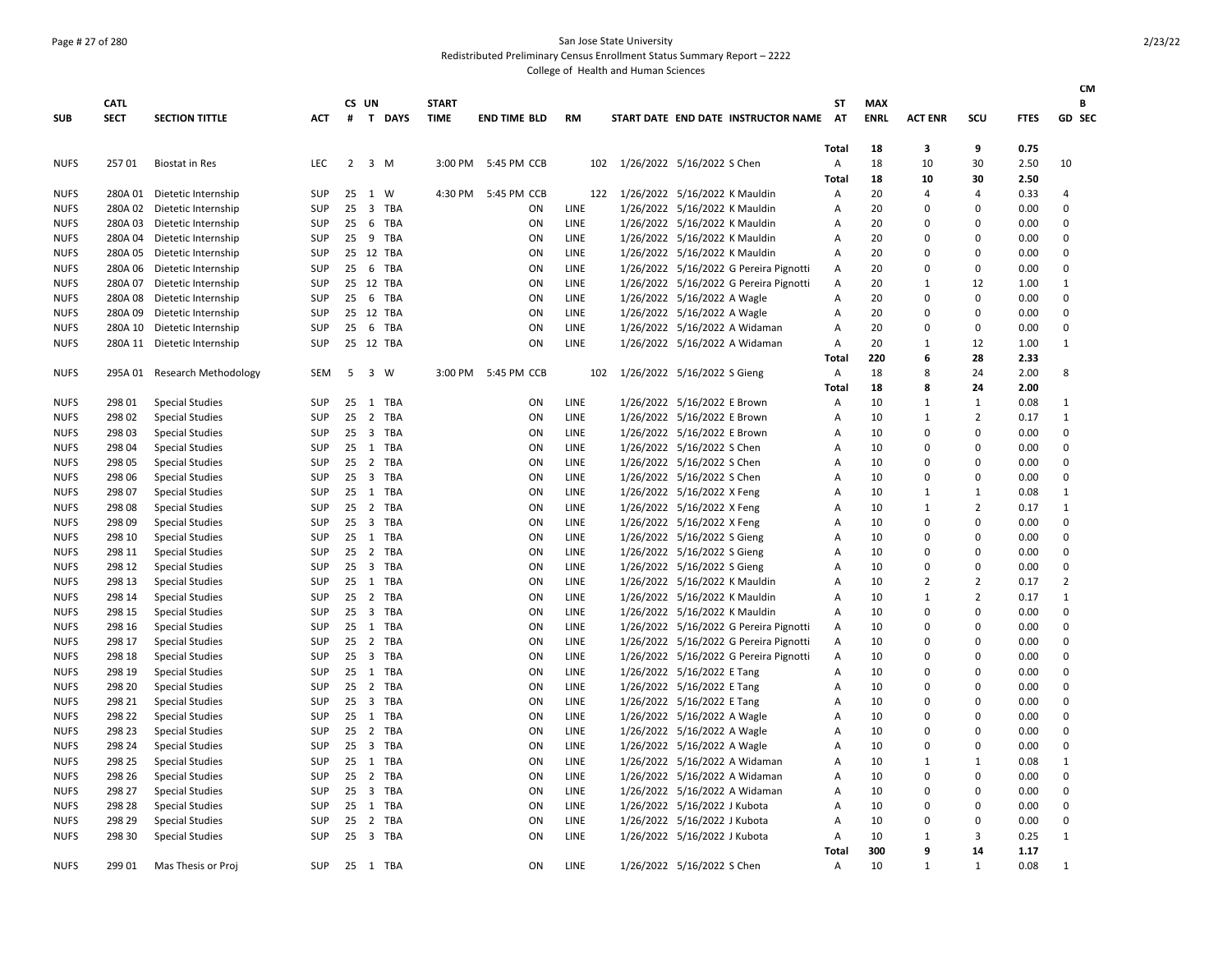### Page # 27 of 280 San Jose State University

Redistributed Preliminary Census Enrollment Status Summary Report – 2222

|             |                            |                              |                   |    |                     |           |                             |                     |             |     |                                   |                               |                                        |                 |                           |                |                |             | <b>CM</b>      |
|-------------|----------------------------|------------------------------|-------------------|----|---------------------|-----------|-----------------------------|---------------------|-------------|-----|-----------------------------------|-------------------------------|----------------------------------------|-----------------|---------------------------|----------------|----------------|-------------|----------------|
|             | <b>CATL</b><br><b>SECT</b> | <b>SECTION TITTLE</b>        | ACT               | #  | CS UN               | T DAYS    | <b>START</b><br><b>TIME</b> | <b>END TIME BLD</b> | RM          |     |                                   |                               | START DATE END DATE INSTRUCTOR NAME    | SΤ<br><b>AT</b> | <b>MAX</b><br><b>ENRL</b> | <b>ACT ENR</b> | SCU            | <b>FTES</b> | В<br>GD SEC    |
| <b>SUB</b>  |                            |                              |                   |    |                     |           |                             |                     |             |     |                                   |                               |                                        |                 |                           |                |                |             |                |
|             |                            |                              |                   |    |                     |           |                             |                     |             |     |                                   |                               |                                        | <b>Total</b>    | 18                        | 3              | 9              | 0.75        |                |
| <b>NUFS</b> | 25701                      | <b>Biostat in Res</b>        | <b>LEC</b>        |    | $2 \quad 3 \quad M$ |           |                             | 3:00 PM 5:45 PM CCB |             | 102 | 1/26/2022 5/16/2022 S Chen        |                               |                                        | А               | 18                        | 10             | 30             | 2.50        | 10             |
|             |                            |                              |                   |    |                     |           |                             |                     |             |     |                                   |                               |                                        | <b>Total</b>    | 18                        | 10             | 30             | 2.50        |                |
| <b>NUFS</b> |                            | 280A 01 Dietetic Internship  | <b>SUP</b>        | 25 | 1 W                 |           | 4:30 PM                     | 5:45 PM CCB         |             |     | 122 1/26/2022 5/16/2022 K Mauldin |                               |                                        | Α               | 20                        | 4              | 4              | 0.33        | 4              |
| <b>NUFS</b> |                            | 280A 02 Dietetic Internship  | SUP               | 25 |                     | 3 TBA     |                             | ON                  | LINE        |     |                                   | 1/26/2022 5/16/2022 K Mauldin |                                        | А               | 20                        | 0              | $\mathbf 0$    | 0.00        | $\mathbf 0$    |
| <b>NUFS</b> | 280A 03                    | Dietetic Internship          | SUP               | 25 |                     | 6 TBA     |                             | ON                  | LINE        |     |                                   | 1/26/2022 5/16/2022 K Mauldin |                                        | A               | 20                        | 0              | $\mathbf 0$    | 0.00        | $\mathbf 0$    |
| <b>NUFS</b> |                            | 280A 04 Dietetic Internship  | SUP               | 25 |                     | 9 TBA     |                             | ON                  | LINE        |     |                                   | 1/26/2022 5/16/2022 K Mauldin |                                        | Α               | 20                        | 0              | 0              | 0.00        | $\mathbf 0$    |
| <b>NUFS</b> | 280A 05                    | Dietetic Internship          | <b>SUP</b>        |    |                     | 25 12 TBA |                             | ON                  | LINE        |     |                                   | 1/26/2022 5/16/2022 K Mauldin |                                        | Α               | 20                        | 0              | $\mathbf 0$    | 0.00        | $\mathbf 0$    |
| <b>NUFS</b> | 280A 06                    | Dietetic Internship          | SUP               | 25 |                     | 6 TBA     |                             | ON                  | LINE        |     |                                   |                               | 1/26/2022 5/16/2022 G Pereira Pignotti | Α               | 20                        | 0              | 0              | 0.00        | $\mathbf 0$    |
| <b>NUFS</b> | 280A 07                    | Dietetic Internship          | <b>SUP</b>        |    |                     | 25 12 TBA |                             | ON                  | LINE        |     |                                   |                               | 1/26/2022 5/16/2022 G Pereira Pignotti | Α               | 20                        | 1              | 12             | 1.00        | $\mathbf{1}$   |
| <b>NUFS</b> | 280A 08                    | Dietetic Internship          | <b>SUP</b>        | 25 |                     | 6 TBA     |                             | ON                  | LINE        |     |                                   | 1/26/2022 5/16/2022 A Wagle   |                                        | Α               | 20                        | 0              | 0              | 0.00        | 0              |
| <b>NUFS</b> | 280A 09                    | Dietetic Internship          | <b>SUP</b>        |    |                     | 25 12 TBA |                             | ON                  | LINE        |     |                                   | 1/26/2022 5/16/2022 A Wagle   |                                        | Α               | 20                        | 0              | $\mathbf 0$    | 0.00        | $\mathbf 0$    |
| <b>NUFS</b> | 280A 10                    | Dietetic Internship          | SUP               | 25 |                     | 6 TBA     |                             | ON                  | LINE        |     |                                   | 1/26/2022 5/16/2022 A Widaman |                                        | А               | 20                        | 0              | $\mathbf 0$    | 0.00        | $\mathbf 0$    |
| <b>NUFS</b> |                            | 280A 11 Dietetic Internship  | SUP               |    |                     | 25 12 TBA |                             | ON                  | LINE        |     |                                   | 1/26/2022 5/16/2022 A Widaman |                                        | А               | 20                        | $\mathbf{1}$   | 12             | 1.00        | $\mathbf{1}$   |
|             |                            |                              |                   |    |                     |           |                             |                     |             |     |                                   |                               |                                        | Total           | 220                       | 6              | 28             | 2.33        |                |
| <b>NUFS</b> |                            | 295A 01 Research Methodology | SEM               | 5  |                     | 3 W       |                             | 3:00 PM 5:45 PM CCB |             | 102 | 1/26/2022 5/16/2022 S Gieng       |                               |                                        | Α               | 18                        | 8              | 24             | 2.00        | 8              |
|             |                            |                              |                   |    |                     |           |                             |                     |             |     |                                   |                               |                                        | Total           | 18                        | 8              | 24             | 2.00        |                |
| <b>NUFS</b> | 298 01                     | <b>Special Studies</b>       | <b>SUP</b>        | 25 |                     | 1 TBA     |                             | <b>ON</b>           | LINE        |     |                                   | 1/26/2022 5/16/2022 E Brown   |                                        | Α               | 10                        | $\mathbf{1}$   | $1\,$          | 0.08        | 1              |
| <b>NUFS</b> | 298 02                     | <b>Special Studies</b>       | SUP               | 25 |                     | 2 TBA     |                             | ON                  | LINE        |     |                                   | 1/26/2022 5/16/2022 E Brown   |                                        | А               | 10                        | $\mathbf{1}$   | $\overline{2}$ | 0.17        | $\mathbf{1}$   |
| <b>NUFS</b> | 298 03                     | <b>Special Studies</b>       | <b>SUP</b>        | 25 |                     | 3 TBA     |                             | ON                  | <b>LINE</b> |     |                                   | 1/26/2022 5/16/2022 E Brown   |                                        | A               | 10                        | $\Omega$       | 0              | 0.00        | 0              |
| <b>NUFS</b> | 298 04                     | <b>Special Studies</b>       | <b>SUP</b>        | 25 |                     | 1 TBA     |                             | ON                  | LINE        |     |                                   | 1/26/2022 5/16/2022 S Chen    |                                        | А               | 10                        | $\Omega$       | $\mathbf 0$    | 0.00        | 0              |
| <b>NUFS</b> | 298 05                     | <b>Special Studies</b>       | SUP               | 25 |                     | 2 TBA     |                             | ON                  | LINE        |     |                                   | 1/26/2022 5/16/2022 S Chen    |                                        | А               | 10                        | 0              | $\mathbf 0$    | 0.00        | $\mathbf 0$    |
| <b>NUFS</b> | 298 06                     | <b>Special Studies</b>       | SUP               | 25 |                     | 3 TBA     |                             | ON                  | LINE        |     |                                   | 1/26/2022 5/16/2022 S Chen    |                                        | Α               | 10                        | 0              | $\mathbf 0$    | 0.00        | 0              |
| <b>NUFS</b> | 298 07                     | <b>Special Studies</b>       | <b>SUP</b>        | 25 |                     | 1 TBA     |                             | ON                  | LINE        |     |                                   | 1/26/2022 5/16/2022 X Feng    |                                        | Α               | 10                        | $\mathbf{1}$   | 1              | 0.08        | $\mathbf{1}$   |
| <b>NUFS</b> | 298 08                     | <b>Special Studies</b>       | SUP               | 25 |                     | 2 TBA     |                             | ON                  | LINE        |     |                                   | 1/26/2022 5/16/2022 X Feng    |                                        | Α               | 10                        | 1              | $\overline{2}$ | 0.17        | $\mathbf{1}$   |
| <b>NUFS</b> | 298 09                     | <b>Special Studies</b>       | <b>SUP</b>        | 25 |                     | 3 TBA     |                             | ON                  | LINE        |     |                                   | 1/26/2022 5/16/2022 X Feng    |                                        | A               | 10                        | 0              | $\Omega$       | 0.00        | $\mathbf 0$    |
| <b>NUFS</b> | 298 10                     | <b>Special Studies</b>       | <b>SUP</b>        | 25 |                     | 1 TBA     |                             | ON                  | LINE        |     |                                   | 1/26/2022 5/16/2022 S Gieng   |                                        | A               | 10                        | $\Omega$       | $\Omega$       | 0.00        | $\mathbf 0$    |
| <b>NUFS</b> | 298 11                     | <b>Special Studies</b>       | <b>SUP</b>        | 25 |                     | 2 TBA     |                             | ON                  | LINE        |     |                                   | 1/26/2022 5/16/2022 S Gieng   |                                        | Α               | 10                        | 0              | $\mathbf 0$    | 0.00        | 0              |
| <b>NUFS</b> | 298 12                     | <b>Special Studies</b>       | <b>SUP</b>        | 25 |                     | 3 TBA     |                             | ON                  | LINE        |     |                                   | 1/26/2022 5/16/2022 S Gieng   |                                        | Α               | 10                        | 0              | 0              | 0.00        | $\mathbf 0$    |
| <b>NUFS</b> | 298 13                     | <b>Special Studies</b>       | <b>SUP</b>        | 25 |                     | 1 TBA     |                             | ON                  | <b>LINE</b> |     |                                   | 1/26/2022 5/16/2022 K Mauldin |                                        | А               | 10                        | $\overline{2}$ | 2              | 0.17        | $\overline{2}$ |
| <b>NUFS</b> | 298 14                     | <b>Special Studies</b>       | SUP               | 25 |                     | 2 TBA     |                             | ON                  | LINE        |     |                                   | 1/26/2022 5/16/2022 K Mauldin |                                        | Α               | 10                        | $\mathbf{1}$   | $\overline{2}$ | 0.17        | $\mathbf{1}$   |
| <b>NUFS</b> | 298 15                     | <b>Special Studies</b>       | SUP               | 25 |                     | 3 TBA     |                             | ON                  | LINE        |     |                                   | 1/26/2022 5/16/2022 K Mauldin |                                        | Α               | 10                        | $\mathbf 0$    | $\mathbf 0$    | 0.00        | $\mathbf 0$    |
| <b>NUFS</b> | 298 16                     | <b>Special Studies</b>       | <b>SUP</b>        | 25 |                     | 1 TBA     |                             | ON                  | LINE        |     |                                   |                               | 1/26/2022 5/16/2022 G Pereira Pignotti | Α               | 10                        | 0              | $\mathbf 0$    | 0.00        | 0              |
| <b>NUFS</b> | 298 17                     | <b>Special Studies</b>       | <b>SUP</b>        | 25 |                     | 2 TBA     |                             | ON                  | LINE        |     |                                   |                               | 1/26/2022 5/16/2022 G Pereira Pignotti | Α               | 10                        | $\Omega$       | $\Omega$       | 0.00        | 0              |
| <b>NUFS</b> | 298 18                     | <b>Special Studies</b>       | SUP               | 25 |                     | 3 TBA     |                             | ON                  | LINE        |     |                                   |                               | 1/26/2022 5/16/2022 G Pereira Pignotti | Α               | 10                        | 0              | $\Omega$       | 0.00        | $\mathbf 0$    |
| <b>NUFS</b> | 298 19                     | <b>Special Studies</b>       | <b>SUP</b>        | 25 |                     | 1 TBA     |                             | ON                  | <b>LINE</b> |     |                                   | 1/26/2022 5/16/2022 E Tang    |                                        | Α               | 10                        | 0              | 0              | 0.00        | $\mathbf 0$    |
| <b>NUFS</b> | 298 20                     | <b>Special Studies</b>       | <b>SUP</b>        | 25 |                     | 2 TBA     |                             | ON                  | LINE        |     |                                   | 1/26/2022 5/16/2022 E Tang    |                                        | А               | 10                        | 0              | 0              | 0.00        | 0              |
| <b>NUFS</b> | 298 21                     | <b>Special Studies</b>       | SUP               | 25 |                     | 3 TBA     |                             | ON                  | LINE        |     |                                   | 1/26/2022 5/16/2022 E Tang    |                                        | А               | 10                        | $\mathbf 0$    | $\Omega$       | 0.00        | $\mathbf 0$    |
| <b>NUFS</b> | 298 22                     | <b>Special Studies</b>       | SUP               | 25 |                     | 1 TBA     |                             | ON                  | LINE        |     |                                   | 1/26/2022 5/16/2022 A Wagle   |                                        | А               | 10                        | $\Omega$       | $\mathbf 0$    | 0.00        | $\mathbf 0$    |
| <b>NUFS</b> | 298 23                     |                              |                   | 25 |                     | 2 TBA     |                             | ON                  | LINE        |     |                                   |                               |                                        |                 | 10                        |                | $\mathbf 0$    | 0.00        | 0              |
|             |                            | <b>Special Studies</b>       | <b>SUP</b><br>SUP |    |                     |           |                             | ON                  |             |     |                                   | 1/26/2022 5/16/2022 A Wagle   |                                        | Α               | 10                        | 0<br>0         | $\mathbf 0$    |             |                |
| <b>NUFS</b> | 298 24                     | <b>Special Studies</b>       |                   | 25 |                     | 3 TBA     |                             |                     | LINE        |     |                                   | 1/26/2022 5/16/2022 A Wagle   |                                        | Α               |                           |                |                | 0.00        | $\mathbf 0$    |
| <b>NUFS</b> | 298 25                     | <b>Special Studies</b>       | <b>SUP</b>        | 25 |                     | 1 TBA     |                             | ON                  | LINE        |     |                                   | 1/26/2022 5/16/2022 A Widaman |                                        | Α               | 10                        | $\mathbf{1}$   | 1              | 0.08        | $\mathbf{1}$   |
| <b>NUFS</b> | 298 26                     | <b>Special Studies</b>       | <b>SUP</b>        | 25 |                     | 2 TBA     |                             | ON                  | LINE        |     |                                   | 1/26/2022 5/16/2022 A Widaman |                                        | Α               | 10                        | 0              | $\Omega$       | 0.00        | 0              |
| <b>NUFS</b> | 298 27                     | <b>Special Studies</b>       | SUP               | 25 |                     | 3 TBA     |                             | ON                  | LINE        |     |                                   | 1/26/2022 5/16/2022 A Widaman |                                        | А               | 10                        | 0              | $\Omega$       | 0.00        | $\mathbf 0$    |
| <b>NUFS</b> | 298 28                     | <b>Special Studies</b>       | <b>SUP</b>        | 25 |                     | 1 TBA     |                             | ON                  | LINE        |     |                                   | 1/26/2022 5/16/2022 J Kubota  |                                        | Α               | 10                        | 0              | $\Omega$       | 0.00        | 0              |
| <b>NUFS</b> | 298 29                     | <b>Special Studies</b>       | SUP               | 25 | 2                   | TBA       |                             | ON                  | LINE        |     |                                   | 1/26/2022 5/16/2022 J Kubota  |                                        | А               | 10                        | $\Omega$       | $\mathbf 0$    | 0.00        | $\mathbf 0$    |
| <b>NUFS</b> | 298 30                     | <b>Special Studies</b>       | SUP               | 25 |                     | 3 TBA     |                             | ON                  | LINE        |     |                                   | 1/26/2022 5/16/2022 J Kubota  |                                        | А               | 10                        | $\mathbf{1}$   | 3              | 0.25        | $\mathbf{1}$   |
|             |                            |                              |                   |    |                     |           |                             |                     |             |     |                                   |                               |                                        | Total           | 300                       | 9              | 14             | 1.17        |                |
| <b>NUFS</b> | 299 01                     | Mas Thesis or Proj           | <b>SUP</b>        |    |                     | 25 1 TBA  |                             | ON                  | LINE        |     |                                   | 1/26/2022 5/16/2022 S Chen    |                                        | А               | 10                        | $\mathbf{1}$   | $\mathbf{1}$   | 0.08        | $\mathbf{1}$   |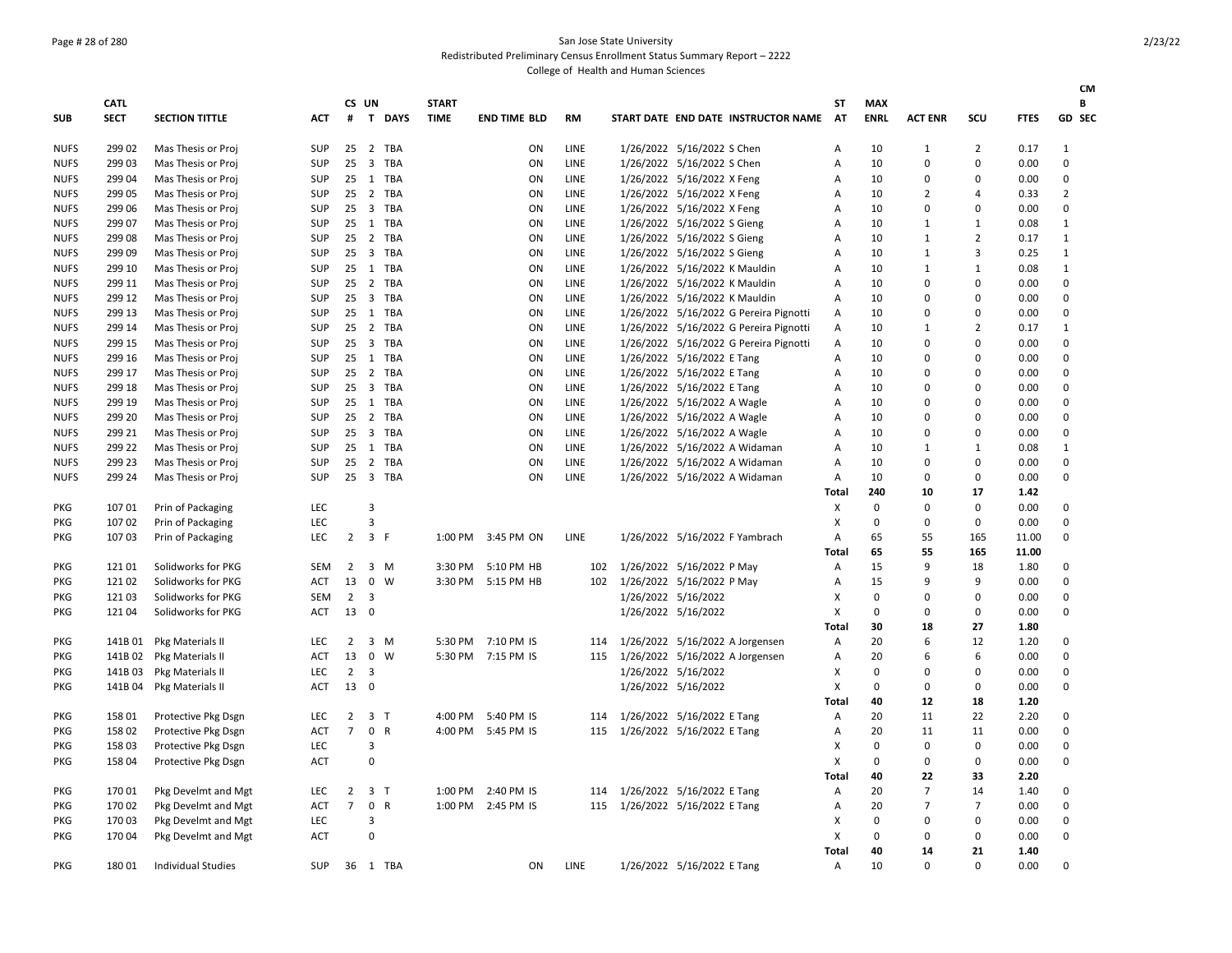### Page # 28 of 280 San Jose State University Redistributed Preliminary Census Enrollment Status Summary Report – 2222

|             |             |                           |            |                |                         |              |              |                     |             |                                        |       |              |                |                |             | <b>CM</b>      |
|-------------|-------------|---------------------------|------------|----------------|-------------------------|--------------|--------------|---------------------|-------------|----------------------------------------|-------|--------------|----------------|----------------|-------------|----------------|
|             | <b>CATL</b> |                           |            | CS UN          |                         |              | <b>START</b> |                     |             |                                        | SΤ    | <b>MAX</b>   |                |                |             | B              |
| <b>SUB</b>  | <b>SECT</b> | <b>SECTION TITTLE</b>     | <b>ACT</b> | #              |                         | T DAYS       | <b>TIME</b>  | <b>END TIME BLD</b> | <b>RM</b>   | START DATE END DATE INSTRUCTOR NAME    | AT    | <b>ENRL</b>  | <b>ACT ENR</b> | SCU            | <b>FTES</b> | GD SEC         |
| <b>NUFS</b> | 299 02      | Mas Thesis or Proj        | <b>SUP</b> | 25             | $\overline{2}$          | TBA          |              | ON                  | LINE        | 1/26/2022 5/16/2022 S Chen             | Α     | 10           | 1              | $\overline{2}$ | 0.17        | 1              |
| <b>NUFS</b> | 299 03      | Mas Thesis or Proj        | SUP        | 25             | $\overline{\mathbf{3}}$ | TBA          |              | ON                  | LINE        | 1/26/2022 5/16/2022 S Chen             | А     | 10           | 0              | $\mathsf 0$    | 0.00        | $\mathsf 0$    |
| <b>NUFS</b> | 299 04      | Mas Thesis or Proj        | SUP        |                | 25 1 TBA                |              |              | ON                  | LINE        | 1/26/2022 5/16/2022 X Feng             | Α     | 10           | 0              | 0              | 0.00        | $\mathbf 0$    |
| <b>NUFS</b> | 299 05      | Mas Thesis or Proj        | <b>SUP</b> |                | 25 2 TBA                |              |              | ON                  | LINE        | 1/26/2022 5/16/2022 X Feng             | Α     | 10           | 2              | $\overline{4}$ | 0.33        | $\overline{2}$ |
| <b>NUFS</b> | 299 06      | Mas Thesis or Proj        | <b>SUP</b> |                | 25 3 TBA                |              |              | ON                  | LINE        | 1/26/2022 5/16/2022 X Feng             | Α     | 10           | 0              | 0              | 0.00        | 0              |
| <b>NUFS</b> | 299 07      | Mas Thesis or Proj        | SUP        |                | 25 1 TBA                |              |              | ON                  | LINE        | 1/26/2022 5/16/2022 S Gieng            | Α     | 10           | 1              | $\mathbf{1}$   | 0.08        | 1              |
| <b>NUFS</b> | 299 08      | Mas Thesis or Proj        | <b>SUP</b> | 25             | 2 TBA                   |              |              | ON                  | <b>LINE</b> | 1/26/2022 5/16/2022 S Gieng            | A     | 10           | 1              | $\overline{2}$ | 0.17        | 1              |
| <b>NUFS</b> | 299 09      | Mas Thesis or Proj        | <b>SUP</b> | 25             | $\overline{\mathbf{3}}$ | <b>TBA</b>   |              | ON                  | LINE        | 1/26/2022 5/16/2022 S Gieng            | Α     | 10           | $\mathbf{1}$   | 3              | 0.25        | $\mathbf{1}$   |
| <b>NUFS</b> | 299 10      | Mas Thesis or Proj        | SUP        |                | 25 1 TBA                |              |              | ON                  | LINE        | 1/26/2022 5/16/2022 K Mauldin          | Α     | 10           | $1\,$          | $\mathbf{1}$   | 0.08        | $\mathbf{1}$   |
| <b>NUFS</b> | 299 11      | Mas Thesis or Proj        | <b>SUP</b> |                | 25 2 TBA                |              |              | ON                  | <b>LINE</b> | 1/26/2022 5/16/2022 K Mauldin          | A     | 10           | 0              | $\Omega$       | 0.00        | 0              |
| <b>NUFS</b> | 299 12      | Mas Thesis or Proj        | SUP        |                | 25 3 TBA                |              |              | ON                  | LINE        | 1/26/2022 5/16/2022 K Mauldin          | Α     | 10           | 0              | $\mathbf 0$    | 0.00        | 0              |
| <b>NUFS</b> | 299 13      | Mas Thesis or Proj        | <b>SUP</b> |                | 25 1 TBA                |              |              | ON                  | LINE        | 1/26/2022 5/16/2022 G Pereira Pignotti | Α     | 10           | 0              | 0              | 0.00        | 0              |
| <b>NUFS</b> | 299 14      | Mas Thesis or Proj        | <b>SUP</b> | 25             | 2                       | TBA          |              | ON                  | <b>LINE</b> | 1/26/2022 5/16/2022 G Pereira Pignotti | Α     | 10           | 1              | $\overline{2}$ | 0.17        | 1              |
| <b>NUFS</b> | 299 15      | Mas Thesis or Proj        | SUP        | 25             | $\overline{\mathbf{3}}$ | TBA          |              | ON                  | LINE        | 1/26/2022 5/16/2022 G Pereira Pignotti | Α     | 10           | 0              | $\mathbf 0$    | 0.00        | 0              |
| <b>NUFS</b> | 299 16      | Mas Thesis or Proj        | SUP        | 25             | 1 TBA                   |              |              | ON                  | LINE        | 1/26/2022 5/16/2022 E Tang             | A     | 10           | 0              | $\mathbf 0$    | 0.00        | 0              |
| <b>NUFS</b> | 299 17      | Mas Thesis or Proj        | SUP        |                | 25 2 TBA                |              |              | ON                  | LINE        | 1/26/2022 5/16/2022 E Tang             | А     | 10           | 0              | $\mathbf 0$    | 0.00        | 0              |
| <b>NUFS</b> | 299 18      | Mas Thesis or Proj        | SUP        | 25             | 3 TBA                   |              |              | ON                  | LINE        | 1/26/2022 5/16/2022 E Tang             | Α     | 10           | 0              | $\Omega$       | 0.00        | 0              |
| <b>NUFS</b> | 299 19      | Mas Thesis or Proj        | SUP        |                | 25 1 TBA                |              |              | ON                  | LINE        | 1/26/2022 5/16/2022 A Wagle            | А     | 10           | 0              | $\mathbf 0$    | 0.00        | 0              |
| <b>NUFS</b> | 299 20      | Mas Thesis or Proj        | <b>SUP</b> |                | 25 2 TBA                |              |              | ON                  | LINE        | 1/26/2022 5/16/2022 A Wagle            | А     | 10           | 0              | $\mathbf 0$    | 0.00        | 0              |
| <b>NUFS</b> | 299 21      | Mas Thesis or Proj        | SUP        | 25             | 3                       | TBA          |              | ON                  | LINE        | 1/26/2022 5/16/2022 A Wagle            | Α     | 10           | 0              | 0              | 0.00        | $\mathbf 0$    |
| <b>NUFS</b> | 299 22      | Mas Thesis or Proj        | SUP        |                | 25 1 TBA                |              |              | ON                  | LINE        | 1/26/2022 5/16/2022 A Widaman          | Α     | 10           | $1\,$          | $\mathbf{1}$   | 0.08        | 1              |
| <b>NUFS</b> | 299 23      | Mas Thesis or Proj        | <b>SUP</b> | 25             | $\overline{2}$          | TBA          |              | ON                  | LINE        | 1/26/2022 5/16/2022 A Widaman          | A     | 10           | 0              | $\mathbf 0$    | 0.00        | 0              |
| <b>NUFS</b> | 299 24      | Mas Thesis or Proj        | <b>SUP</b> |                | 25 3 TBA                |              |              | ON                  | LINE        | 1/26/2022 5/16/2022 A Widaman          | Α     | 10           | 0              | $\mathsf 0$    | 0.00        | $\mathbf 0$    |
|             |             |                           |            |                |                         |              |              |                     |             |                                        | Total | 240          | 10             | 17             | 1.42        |                |
| PKG         | 10701       | Prin of Packaging         | <b>LEC</b> |                | 3                       |              |              |                     |             |                                        | X     | $\mathbf{0}$ | 0              | $\mathbf 0$    | 0.00        | 0              |
| <b>PKG</b>  | 107 02      | Prin of Packaging         | <b>LEC</b> |                | 3                       |              |              |                     |             |                                        | X     | 0            | 0              | $\mathbf 0$    | 0.00        | 0              |
| PKG         | 107 03      | Prin of Packaging         | LEC.       | $\overline{2}$ | 3 F                     |              | 1:00 PM      | 3:45 PM ON          | LINE        | 1/26/2022 5/16/2022 F Yambrach         | Α     | 65           | 55             | 165            | 11.00       | 0              |
|             |             |                           |            |                |                         |              |              |                     |             |                                        | Total | 65           | 55             | 165            | 11.00       |                |
| PKG         | 12101       | Solidworks for PKG        | <b>SEM</b> | 2              | 3 M                     |              | 3:30 PM      | 5:10 PM HB          | 102         | 1/26/2022 5/16/2022 P May              | Α     | 15           | 9              | 18             | 1.80        | 0              |
| <b>PKG</b>  | 12102       | Solidworks for PKG        | <b>ACT</b> | 13             | $\mathbf 0$             | W            | 3:30 PM      | 5:15 PM HB          | 102         | 1/26/2022 5/16/2022 P May              | Α     | 15           | 9              | 9              | 0.00        | $\mathbf 0$    |
| PKG         | 121 03      | Solidworks for PKG        | <b>SEM</b> | 2 <sup>3</sup> |                         |              |              |                     |             | 1/26/2022 5/16/2022                    | х     | 0            | 0              | $\mathbf 0$    | 0.00        | 0              |
| PKG         | 12104       | Solidworks for PKG        | ACT        | 13             | 0                       |              |              |                     |             | 1/26/2022 5/16/2022                    | X     | 0            | 0              | $\mathbf 0$    | 0.00        | 0              |
|             |             |                           |            |                |                         |              |              |                     |             |                                        | Total | 30           | 18             | 27             | 1.80        |                |
| PKG         |             | 141B 01 Pkg Materials II  | LEC        | $\overline{2}$ | 3 M                     |              | 5:30 PM      | 7:10 PM IS          | 114         | 1/26/2022 5/16/2022 A Jorgensen        | Α     | 20           | 6              | 12             | 1.20        | $\mathbf 0$    |
| PKG         | 141B 02     | Pkg Materials II          | <b>ACT</b> | 13             | $\mathbf 0$             | W            |              | 5:30 PM 7:15 PM IS  | 115         | 1/26/2022 5/16/2022 A Jorgensen        | Α     | 20           | 6              | 6              | 0.00        | $\mathbf 0$    |
| <b>PKG</b>  | 141B03      | Pkg Materials II          | LEC        | $\overline{2}$ | $\overline{\mathbf{3}}$ |              |              |                     |             | 1/26/2022 5/16/2022                    | X     | $\mathbf 0$  | 0              | $\mathbf 0$    | 0.00        | 0              |
| PKG         | 141B 04     | Pkg Materials II          | <b>ACT</b> | 13             | $\overline{\mathbf{0}}$ |              |              |                     |             | 1/26/2022 5/16/2022                    | X     | $\mathbf 0$  | 0              | $\mathbf 0$    | 0.00        | 0              |
|             |             |                           |            |                |                         |              |              |                     |             |                                        | Total | 40           | 12             | 18             | 1.20        |                |
| PKG         | 158 01      | Protective Pkg Dsgn       | <b>LEC</b> | $\overline{2}$ | 3 <sub>7</sub>          |              | 4:00 PM      | 5:40 PM IS          | 114         | 1/26/2022 5/16/2022 E Tang             | Α     | 20           | 11             | 22             | 2.20        | $\mathbf 0$    |
| <b>PKG</b>  | 158 02      | Protective Pkg Dsgn       | <b>ACT</b> | $\overline{7}$ | 0                       | $\mathsf{R}$ |              | 4:00 PM 5:45 PM IS  | 115         | 1/26/2022 5/16/2022 E Tang             | Α     | 20           | 11             | 11             | 0.00        | 0              |
| <b>PKG</b>  | 158 03      | Protective Pkg Dsgn       | LEC        |                | 3                       |              |              |                     |             |                                        | X     | 0            | 0              | 0              | 0.00        | 0              |
| <b>PKG</b>  | 158 04      | Protective Pkg Dsgn       | <b>ACT</b> |                | 0                       |              |              |                     |             |                                        | X     | $\mathbf 0$  | 0              | $\mathbf 0$    | 0.00        | $\mathbf 0$    |
|             |             |                           |            |                |                         |              |              |                     |             |                                        | Total | 40           | 22             | 33             | 2.20        |                |
| <b>PKG</b>  | 170 01      | Pkg Develmt and Mgt       | <b>LEC</b> | 2              | 3 <sub>7</sub>          |              | 1:00 PM      | 2:40 PM IS          | 114         | 1/26/2022 5/16/2022 E Tang             | Α     | 20           | $\overline{7}$ | 14             | 1.40        | $\mathbf 0$    |
| PKG         | 170 02      | Pkg Develmt and Mgt       | <b>ACT</b> | $\overline{7}$ | 0 R                     |              |              | 1:00 PM 2:45 PM IS  | 115         | 1/26/2022 5/16/2022 E Tang             | Α     | 20           | 7              | $\overline{7}$ | 0.00        | $\mathbf 0$    |
| <b>PKG</b>  | 170 03      | Pkg Develmt and Mgt       | <b>LEC</b> |                | 3                       |              |              |                     |             |                                        | х     | $\mathbf 0$  | 0              | $\mathbf 0$    | 0.00        | 0              |
| <b>PKG</b>  | 17004       | Pkg Develmt and Mgt       | <b>ACT</b> |                | $\Omega$                |              |              |                     |             |                                        | X     | 0            | 0              | $\mathbf 0$    | 0.00        | 0              |
|             |             |                           |            |                |                         |              |              |                     |             |                                        | Total | 40           | 14             | 21             | 1.40        |                |
| PKG         | 18001       | <b>Individual Studies</b> | <b>SUP</b> |                | 36 1 TBA                |              |              | ON                  | <b>LINE</b> | 1/26/2022 5/16/2022 E Tang             | A     | 10           | 0              | $\Omega$       | 0.00        | 0              |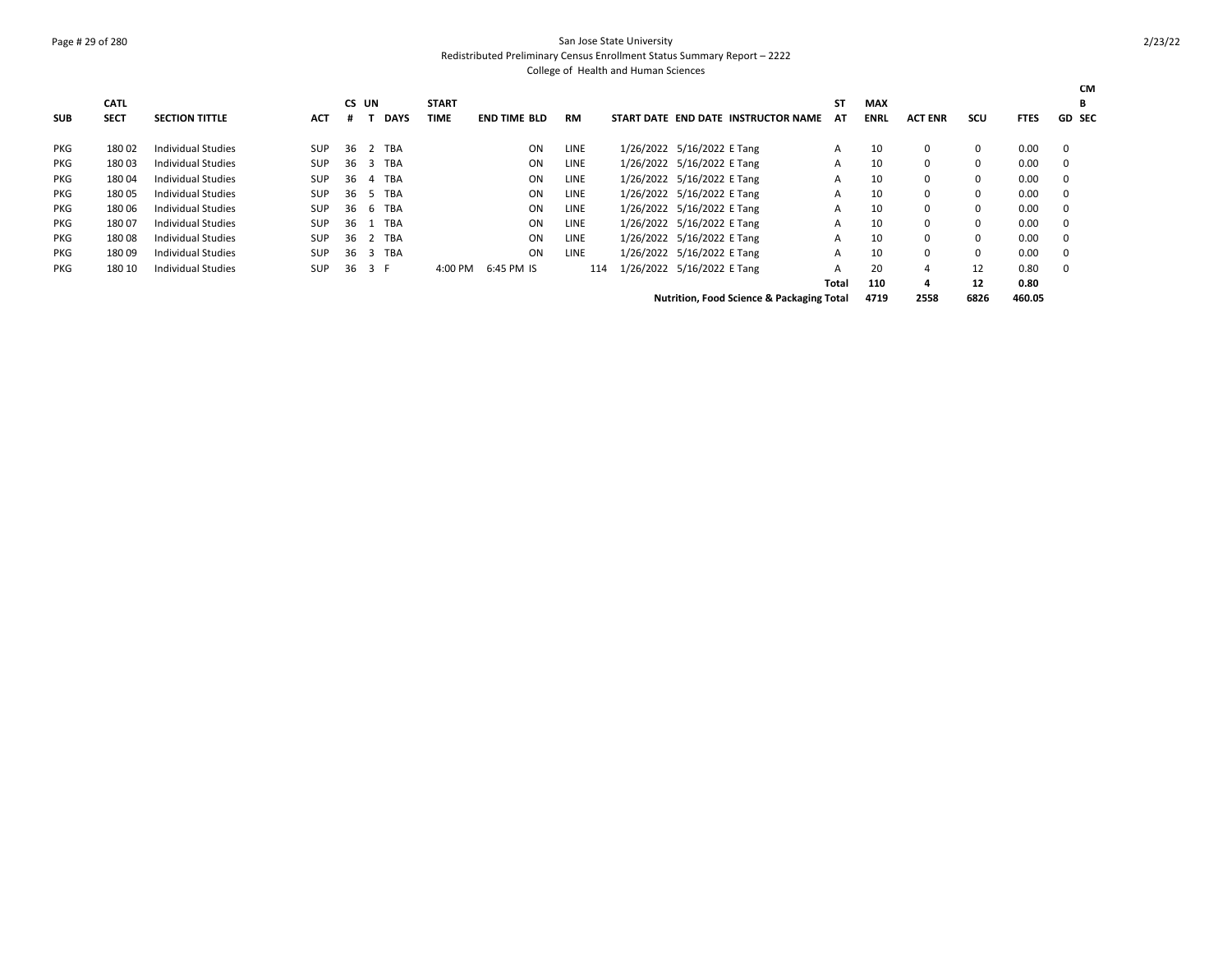### Page # 29 of 280 San Jose State University Redistributed Preliminary Census Enrollment Status Summary Report – 2222

|            | <b>CATL</b> |                           |            | CS UN |     |             | <b>START</b> |                     |             |                            |                            |                                                      | ST    | <b>MAX</b>  |                |          |             | <b>CM</b><br>B |
|------------|-------------|---------------------------|------------|-------|-----|-------------|--------------|---------------------|-------------|----------------------------|----------------------------|------------------------------------------------------|-------|-------------|----------------|----------|-------------|----------------|
| <b>SUB</b> | <b>SECT</b> | <b>SECTION TITTLE</b>     | АСТ        |       |     | <b>DAYS</b> | <b>TIME</b>  | <b>END TIME BLD</b> | <b>RM</b>   |                            |                            | START DATE END DATE INSTRUCTOR NAME                  | AT    | <b>ENRL</b> | <b>ACT ENR</b> | scu      | <b>FTES</b> | <b>GD SEC</b>  |
| PKG        | 18002       | Individual Studies        | <b>SUP</b> | 36    | 2   | TBA         |              | ON                  | <b>LINE</b> | 1/26/2022 5/16/2022 E Tang |                            |                                                      | A     | 10          | 0              | 0        | 0.00        | 0              |
| <b>PKG</b> | 18003       | <b>Individual Studies</b> | <b>SUP</b> | 36    | 3   | TBA         |              | ON                  | <b>LINE</b> | 1/26/2022 5/16/2022 E Tang |                            |                                                      | A     | 10          | 0              | $\Omega$ | 0.00        | 0              |
| <b>PKG</b> | 18004       | Individual Studies        | <b>SUP</b> | 36    | 4   | TBA         |              | ON                  | <b>LINE</b> | 1/26/2022 5/16/2022 E Tang |                            |                                                      | A     | 10          | 0              | $\Omega$ | 0.00        | 0              |
| PKG        | 18005       | Individual Studies        | <b>SUP</b> | 36    | 5   | TBA         |              | ON                  | <b>LINE</b> | 1/26/2022 5/16/2022 E Tang |                            |                                                      | A     | 10          | 0              | 0        | 0.00        | 0              |
| <b>PKG</b> | 18006       | Individual Studies        | <b>SUP</b> | 36    | 6   | TBA         |              | ON                  | <b>LINE</b> | 1/26/2022 5/16/2022 E Tang |                            |                                                      | A     | 10          | 0              | $\Omega$ | 0.00        | 0              |
| <b>PKG</b> | 18007       | <b>Individual Studies</b> | <b>SUP</b> | 36    |     | TBA         |              | ON                  | <b>LINE</b> | 1/26/2022 5/16/2022 E Tang |                            |                                                      | A     | 10          | 0              | $\Omega$ | 0.00        | 0              |
| <b>PKG</b> | 18008       | <b>Individual Studies</b> | <b>SUP</b> | 36    |     | <b>TBA</b>  |              | ON                  | <b>LINE</b> | 1/26/2022 5/16/2022 E Tang |                            |                                                      | A     | 10          | 0              | $\Omega$ | 0.00        | 0              |
| <b>PKG</b> | 18009       | Individual Studies        | <b>SUP</b> | 36    | 3   | TBA         |              | ON                  | <b>LINE</b> | 1/26/2022 5/16/2022 E Tang |                            |                                                      | A     | 10          | 0              | 0        | 0.00        | 0              |
| <b>PKG</b> | 180 10      | <b>Individual Studies</b> | <b>SUP</b> | 36    | 3 F |             | 4:00 PM      | 6:45 PM IS          | 114         |                            | 1/26/2022 5/16/2022 E Tang |                                                      | A     | 20          | 4              | 12       | 0.80        | 0              |
|            |             |                           |            |       |     |             |              |                     |             |                            |                            |                                                      | Total | 110         | 4              | 12       | 0.80        |                |
|            |             |                           |            |       |     |             |              |                     |             |                            |                            | <b>Nutrition, Food Science &amp; Packaging Total</b> |       | 4719        | 2558           | 6826     | 460.05      |                |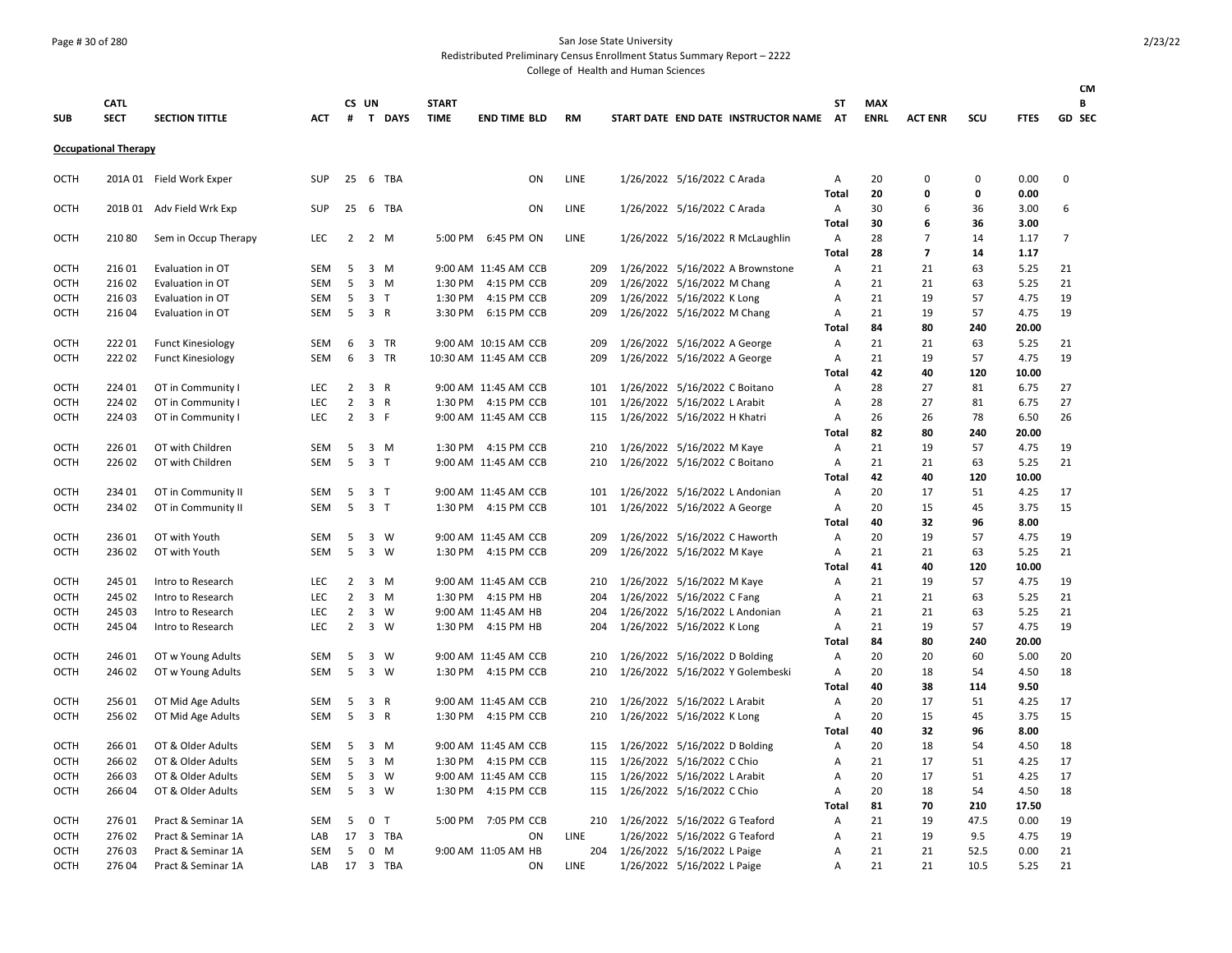### Page # 30 of 280 San Jose State University

Redistributed Preliminary Census Enrollment Status Summary Report – 2222

|                            |                             |                                        |                   |                                  |                |                         |              |                                           |            |                             |                               |                                     |           |             |                |             |              | <b>CM</b>      |
|----------------------------|-----------------------------|----------------------------------------|-------------------|----------------------------------|----------------|-------------------------|--------------|-------------------------------------------|------------|-----------------------------|-------------------------------|-------------------------------------|-----------|-------------|----------------|-------------|--------------|----------------|
|                            | <b>CATL</b>                 |                                        |                   |                                  | CS UN          |                         | <b>START</b> |                                           |            |                             |                               |                                     | SΤ        | <b>MAX</b>  |                |             |              | В              |
| <b>SUB</b>                 | <b>SECT</b>                 | <b>SECTION TITTLE</b>                  | <b>ACT</b>        | #                                |                | T DAYS                  | <b>TIME</b>  | <b>END TIME BLD</b>                       | <b>RM</b>  |                             |                               | START DATE END DATE INSTRUCTOR NAME | <b>AT</b> | <b>ENRL</b> | <b>ACT ENR</b> | scu         | <b>FTES</b>  | <b>GD SEC</b>  |
|                            | <b>Occupational Therapy</b> |                                        |                   |                                  |                |                         |              |                                           |            |                             |                               |                                     |           |             |                |             |              |                |
| OCTH                       |                             | 201A 01 Field Work Exper               | <b>SUP</b>        | 25                               |                | 6 TBA                   |              | ON                                        | LINE       |                             | 1/26/2022 5/16/2022 C Arada   |                                     | Α         | 20          | 0              | $\mathbf 0$ | 0.00         | 0              |
|                            |                             |                                        |                   |                                  |                |                         |              |                                           |            |                             |                               |                                     | Total     | 20          | $\mathbf 0$    | $\mathbf 0$ | 0.00         |                |
| <b>OCTH</b>                |                             | 201B 01 Adv Field Wrk Exp              | SUP               | 25                               |                | 6 TBA                   |              | ON                                        | LINE       |                             | 1/26/2022 5/16/2022 C Arada   |                                     | Α         | 30          | 6              | 36          | 3.00         | 6              |
|                            |                             |                                        |                   |                                  |                |                         |              |                                           |            |                             |                               |                                     | Total     | 30          | 6              | 36          | 3.00         |                |
| OCTH                       | 21080                       | Sem in Occup Therapy                   | LEC               | $2^{\circ}$                      |                | 2 M                     |              | 5:00 PM 6:45 PM ON                        | LINE       |                             |                               | 1/26/2022 5/16/2022 R McLaughlin    | А         | 28          | 7              | 14          | 1.17         | $\overline{7}$ |
|                            |                             |                                        |                   |                                  |                |                         |              |                                           |            |                             |                               |                                     | Total     | 28          | $\overline{7}$ | 14          | 1.17         |                |
| <b>OCTH</b><br><b>OCTH</b> | 216 01<br>216 02            | Evaluation in OT<br>Evaluation in OT   | SEM<br>SEM        | 5<br>5                           |                | $3 \, M$<br>$3 \, M$    | 1:30 PM      | 9:00 AM 11:45 AM CCB<br>4:15 PM CCB       | 209<br>209 |                             | 1/26/2022 5/16/2022 M Chang   | 1/26/2022 5/16/2022 A Brownstone    | Α<br>А    | 21<br>21    | 21<br>21       | 63<br>63    | 5.25<br>5.25 | 21<br>21       |
| <b>OCTH</b>                | 21603                       | Evaluation in OT                       | <b>SEM</b>        | 5                                | 3 <sub>T</sub> |                         | 1:30 PM      | 4:15 PM CCB                               | 209        |                             | 1/26/2022 5/16/2022 K Long    |                                     | А         | 21          | 19             | 57          | 4.75         | 19             |
| OCTH                       | 216 04                      | Evaluation in OT                       | SEM               | 5                                | 3 R            |                         |              | 3:30 PM 6:15 PM CCB                       | 209        |                             | 1/26/2022 5/16/2022 M Chang   |                                     | Α         | 21          | 19             | 57          | 4.75         | 19             |
|                            |                             |                                        |                   |                                  |                |                         |              |                                           |            |                             |                               |                                     | Total     | 84          | 80             | 240         | 20.00        |                |
| <b>OCTH</b>                | 22201                       | <b>Funct Kinesiology</b>               | SEM               | 6                                |                | 3 TR                    |              | 9:00 AM 10:15 AM CCB                      | 209        |                             | 1/26/2022 5/16/2022 A George  |                                     | А         | 21          | 21             | 63          | 5.25         | 21             |
| <b>OCTH</b>                | 22202                       | <b>Funct Kinesiology</b>               | SEM               | 6                                |                | 3 TR                    |              | 10:30 AM 11:45 AM CCB                     | 209        |                             | 1/26/2022 5/16/2022 A George  |                                     | Α         | 21          | 19             | 57          | 4.75         | 19             |
|                            |                             |                                        |                   |                                  |                |                         |              |                                           |            |                             |                               |                                     | Total     | 42          | 40             | 120         | 10.00        |                |
| <b>OCTH</b>                | 224 01                      | OT in Community I                      | LEC               | $\overline{2}$                   | 3 R            |                         |              | 9:00 AM 11:45 AM CCB                      | 101        |                             | 1/26/2022 5/16/2022 C Boitano |                                     | А         | 28          | 27             | 81          | 6.75         | 27             |
| OCTH                       | 224 02                      | OT in Community I                      | LEC               | $\overline{2}$                   | 3 R            |                         |              | 1:30 PM 4:15 PM CCB                       | 101        |                             | 1/26/2022 5/16/2022 L Arabit  |                                     | А         | 28          | 27             | 81          | 6.75         | 27             |
| OCTH                       | 224 03                      | OT in Community I                      | <b>LEC</b>        | $\overline{2}$                   | 3 F            |                         |              | 9:00 AM 11:45 AM CCB                      | 115        |                             | 1/26/2022 5/16/2022 H Khatri  |                                     | А         | 26          | 26             | 78          | 6.50         | 26             |
|                            |                             |                                        |                   |                                  |                |                         |              |                                           |            |                             |                               |                                     | Total     | 82          | 80             | 240         | 20.00        |                |
| OCTH                       | 226 01                      | OT with Children                       | <b>SEM</b>        | 5                                |                | $3 \, M$                |              | 1:30 PM 4:15 PM CCB                       | 210        |                             | 1/26/2022 5/16/2022 M Kaye    |                                     | Α         | 21          | 19             | 57          | 4.75         | 19             |
| OCTH                       | 226 02                      | OT with Children                       | SEM               | 5                                | 3 <sub>1</sub> |                         |              | 9:00 AM 11:45 AM CCB                      | 210        |                             | 1/26/2022 5/16/2022 C Boitano |                                     | Α         | 21          | 21             | 63          | 5.25         | 21             |
|                            |                             |                                        |                   |                                  |                |                         |              |                                           |            |                             |                               |                                     | Total     | 42          | 40             | 120         | 10.00        |                |
| OCTH                       | 234 01                      | OT in Community II                     | <b>SEM</b>        | 5                                | 3 <sub>T</sub> |                         |              | 9:00 AM 11:45 AM CCB                      | 101        |                             |                               | 1/26/2022 5/16/2022 L Andonian      | Α         | 20          | 17             | 51          | 4.25         | 17             |
| <b>OCTH</b>                | 234 02                      | OT in Community II                     | <b>SEM</b>        | 5                                | 3 <sub>T</sub> |                         |              | 1:30 PM 4:15 PM CCB                       | 101        |                             | 1/26/2022 5/16/2022 A George  |                                     | Α         | 20          | 15             | 45          | 3.75         | 15             |
|                            |                             |                                        |                   |                                  |                |                         |              |                                           |            |                             |                               |                                     | Total     | 40          | 32             | 96          | 8.00         |                |
| OCTH                       | 236 01                      | OT with Youth                          | <b>SEM</b>        | 5                                |                | $3 \quad W$             |              | 9:00 AM 11:45 AM CCB                      | 209        |                             | 1/26/2022 5/16/2022 C Haworth |                                     | Α         | 20          | 19             | 57          | 4.75         | 19             |
| OCTH                       | 236 02                      | OT with Youth                          | <b>SEM</b>        | 5                                |                | $3 \quad W$             |              | 1:30 PM 4:15 PM CCB                       | 209        |                             | 1/26/2022 5/16/2022 M Kaye    |                                     | Α         | 21          | 21             | 63          | 5.25         | 21             |
|                            |                             |                                        |                   |                                  |                |                         |              |                                           |            |                             |                               |                                     | Total     | 41          | 40             | 120         | 10.00        |                |
| OCTH                       | 245 01                      | Intro to Research                      | LEC<br><b>LEC</b> | $\overline{2}$                   |                | $3 \, M$                |              | 9:00 AM 11:45 AM CCB                      | 210        |                             | 1/26/2022 5/16/2022 M Kaye    |                                     | Α         | 21          | 19             | 57          | 4.75         | 19             |
| OCTH                       | 245 02                      | Intro to Research                      |                   | $\overline{2}$<br>$\overline{2}$ |                | $3 \, M$<br>$3 \quad W$ |              | 1:30 PM 4:15 PM HB                        | 204        |                             | 1/26/2022 5/16/2022 C Fang    |                                     | А         | 21<br>21    | 21<br>21       | 63          | 5.25         | 21<br>21       |
| OCTH<br>OCTH               | 245 03<br>245 04            | Intro to Research<br>Intro to Research | LEC<br>LEC        | $\overline{2}$                   |                | 3 W                     |              | 9:00 AM 11:45 AM HB<br>1:30 PM 4:15 PM HB | 204<br>204 |                             | 1/26/2022 5/16/2022 K Long    | 1/26/2022 5/16/2022 L Andonian      | Α<br>Α    | 21          | 19             | 63<br>57    | 5.25<br>4.75 | 19             |
|                            |                             |                                        |                   |                                  |                |                         |              |                                           |            |                             |                               |                                     | Total     | 84          | 80             | 240         | 20.00        |                |
| OCTH                       | 246 01                      | OT w Young Adults                      | <b>SEM</b>        | 5                                |                | 3 W                     |              | 9:00 AM 11:45 AM CCB                      | 210        |                             | 1/26/2022 5/16/2022 D Bolding |                                     | Α         | 20          | 20             | 60          | 5.00         | 20             |
| OCTH                       | 246 02                      | OT w Young Adults                      | <b>SEM</b>        | 5                                |                | 3 W                     |              | 1:30 PM 4:15 PM CCB                       | 210        |                             |                               | 1/26/2022 5/16/2022 Y Golembeski    | Α         | 20          | 18             | 54          | 4.50         | 18             |
|                            |                             |                                        |                   |                                  |                |                         |              |                                           |            |                             |                               |                                     | Total     | 40          | 38             | 114         | 9.50         |                |
| OCTH                       | 25601                       | OT Mid Age Adults                      | SEM               | 5                                | 3 R            |                         |              | 9:00 AM 11:45 AM CCB                      | 210        |                             | 1/26/2022 5/16/2022 L Arabit  |                                     | Α         | 20          | 17             | 51          | 4.25         | 17             |
| OCTH                       | 256 02                      | OT Mid Age Adults                      | SEM               | 5                                | 3 R            |                         |              | 1:30 PM 4:15 PM CCB                       | 210        |                             | 1/26/2022 5/16/2022 K Long    |                                     | Α         | 20          | 15             | 45          | 3.75         | 15             |
|                            |                             |                                        |                   |                                  |                |                         |              |                                           |            |                             |                               |                                     | Total     | 40          | 32             | 96          | 8.00         |                |
| OCTH                       | 26601                       | OT & Older Adults                      | <b>SEM</b>        | 5                                |                | 3 M                     |              | 9:00 AM 11:45 AM CCB                      | 115        |                             | 1/26/2022 5/16/2022 D Bolding |                                     | Α         | 20          | 18             | 54          | 4.50         | 18             |
| OCTH                       | 266 02                      | OT & Older Adults                      | <b>SEM</b>        | 5                                |                | $3 \, M$                |              | 1:30 PM 4:15 PM CCB                       | 115        |                             | 1/26/2022 5/16/2022 C Chio    |                                     | Α         | 21          | 17             | 51          | 4.25         | 17             |
| OCTH                       | 26603                       | OT & Older Adults                      | <b>SEM</b>        | 5                                |                | 3 W                     |              | 9:00 AM 11:45 AM CCB                      | 115        |                             | 1/26/2022 5/16/2022 L Arabit  |                                     | Α         | 20          | 17             | 51          | 4.25         | 17             |
| OCTH                       | 266 04                      | OT & Older Adults                      | SEM               | 5                                |                | 3 W                     |              | 1:30 PM 4:15 PM CCB                       | 115        | 1/26/2022 5/16/2022 C Chio  |                               |                                     | Α         | 20          | 18             | 54          | 4.50         | 18             |
|                            |                             |                                        |                   |                                  |                |                         |              |                                           |            |                             |                               |                                     | Total     | 81          | 70             | 210         | 17.50        |                |
| <b>OCTH</b>                | 27601                       | Pract & Seminar 1A                     | <b>SEM</b>        | 5                                | 0 <sub>T</sub> |                         |              | 5:00 PM 7:05 PM CCB                       | 210        |                             | 1/26/2022 5/16/2022 G Teaford |                                     | Α         | 21          | 19             | 47.5        | 0.00         | 19             |
| OCTH                       | 276 02                      | Pract & Seminar 1A                     | LAB               | 17                               |                | 3 TBA                   |              | ON                                        | LINE       |                             | 1/26/2022 5/16/2022 G Teaford |                                     | Α         | 21          | 19             | 9.5         | 4.75         | 19             |
| OCTH                       | 27603                       | Pract & Seminar 1A                     | <b>SEM</b>        | 5                                |                | $0 \quad M$             |              | 9:00 AM 11:05 AM HB                       | 204        | 1/26/2022 5/16/2022 L Paige |                               |                                     | Α         | 21          | 21             | 52.5        | 0.00         | 21             |
| OCTH                       | 27604                       | Pract & Seminar 1A                     | LAB               |                                  |                | 17 3 TBA                |              | ON                                        | LINE       |                             | 1/26/2022 5/16/2022 L Paige   |                                     | A         | 21          | 21             | 10.5        | 5.25         | 21             |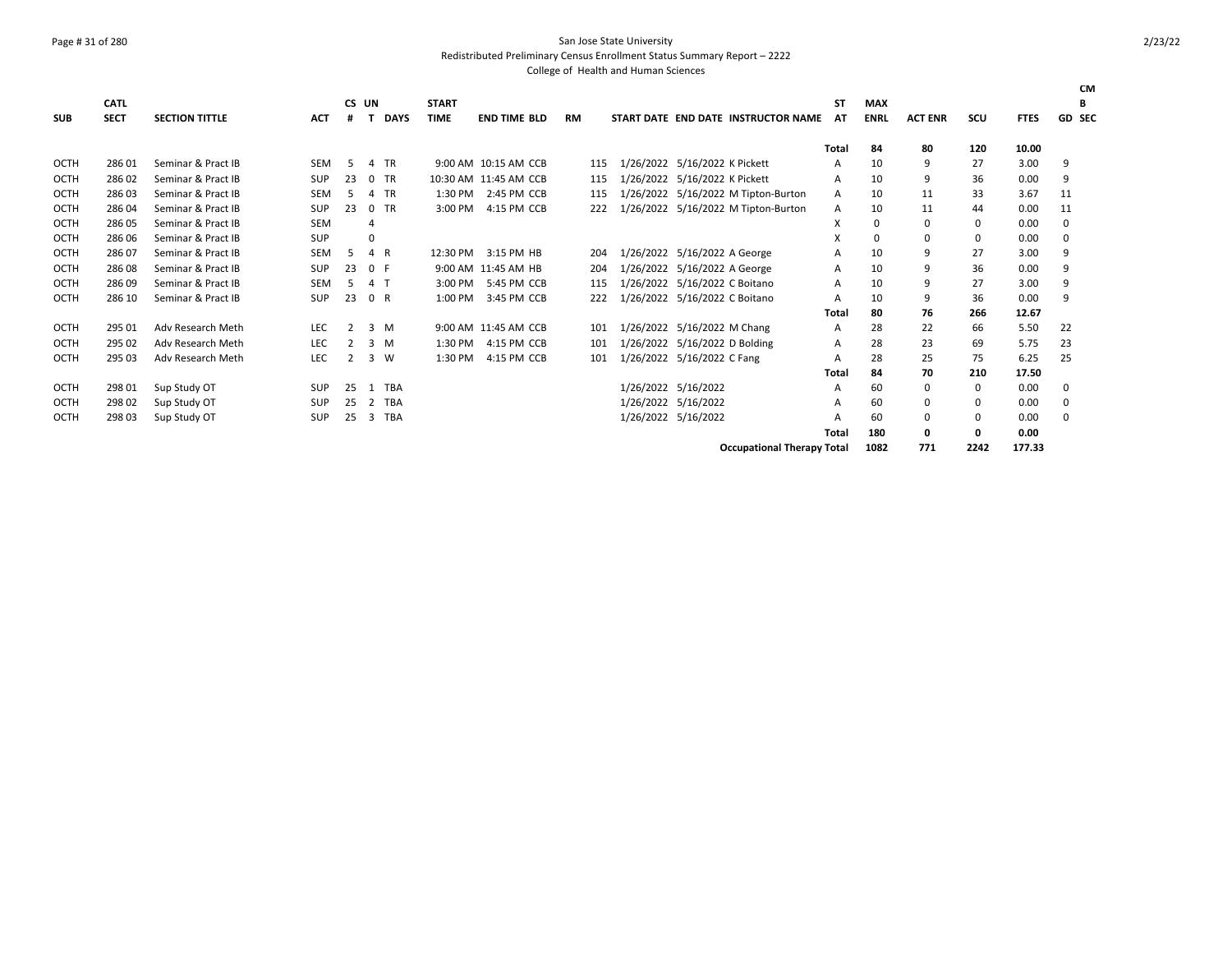### Page # 31 of 280 San Jose State University

Redistributed Preliminary Census Enrollment Status Summary Report – 2222

|             | <b>CATL</b> |                       |            | CS UN |          |             | <b>START</b> |                       |           |     |                               |                                     | SΤ    | <b>MAX</b>  |                |            |             | <b>CM</b><br>В |
|-------------|-------------|-----------------------|------------|-------|----------|-------------|--------------|-----------------------|-----------|-----|-------------------------------|-------------------------------------|-------|-------------|----------------|------------|-------------|----------------|
| <b>SUB</b>  | <b>SECT</b> | <b>SECTION TITTLE</b> | <b>ACT</b> | #     |          | <b>DAYS</b> | <b>TIME</b>  | <b>END TIME BLD</b>   | <b>RM</b> |     |                               | START DATE END DATE INSTRUCTOR NAME | AT    | <b>ENRL</b> | <b>ACT ENR</b> | <b>SCU</b> | <b>FTES</b> | <b>GD SEC</b>  |
|             |             |                       |            |       |          |             |              |                       |           |     |                               |                                     |       |             |                |            |             |                |
|             |             |                       |            |       |          |             |              |                       |           |     |                               |                                     | Total | 84          | 80             | 120        | 10.00       |                |
| OCTH        | 286 01      | Seminar & Pract IB    | <b>SEM</b> | .5    | 4        | <b>TR</b>   |              | 9:00 AM 10:15 AM CCB  | 115       |     | 1/26/2022 5/16/2022 K Pickett |                                     | A     | 10          | 9              | 27         | 3.00        | 9              |
| <b>OCTH</b> | 28602       | Seminar & Pract IB    | <b>SUP</b> | 23    | $\Omega$ | <b>TR</b>   |              | 10:30 AM 11:45 AM CCB | 115       |     | 1/26/2022 5/16/2022 K Pickett |                                     | Α     | 10          | 9              | 36         | 0.00        | 9              |
| <b>OCTH</b> | 28603       | Seminar & Pract IB    | <b>SEM</b> | 5     |          | TR          | 1:30 PM      | 2:45 PM CCB           | 115       |     |                               | 1/26/2022 5/16/2022 M Tipton-Burton | A     | 10          | 11             | 33         | 3.67        | 11             |
| <b>OCTH</b> | 286 04      | Seminar & Pract IB    | <b>SUP</b> | 23    | $\Omega$ | <b>TR</b>   | 3:00 PM      | 4:15 PM CCB           |           | 222 |                               | 1/26/2022 5/16/2022 M Tipton-Burton | A     | 10          | 11             | 44         | 0.00        | 11             |
| <b>OCTH</b> | 286 05      | Seminar & Pract IB    | <b>SEM</b> |       | 4        |             |              |                       |           |     |                               |                                     | X     | 0           | 0              | 0          | 0.00        | 0              |
| <b>OCTH</b> | 286 06      | Seminar & Pract IB    | <b>SUP</b> |       | $\Omega$ |             |              |                       |           |     |                               |                                     | X     | $\Omega$    | 0              | 0          | 0.00        | 0              |
| <b>OCTH</b> | 28607       | Seminar & Pract IB    | <b>SEM</b> | .5    | 4 R      |             | 12:30 PM     | 3:15 PM HB            |           | 204 | 1/26/2022 5/16/2022 A George  |                                     | A     | 10          | 9              | 27         | 3.00        | 9              |
| <b>OCTH</b> | 28608       | Seminar & Pract IB    | SUP        | 23    | 0 F      |             |              | 9:00 AM 11:45 AM HB   |           | 204 | 1/26/2022 5/16/2022 A George  |                                     | Α     | 10          | 9              | 36         | 0.00        | 9              |
| <b>OCTH</b> | 28609       | Seminar & Pract IB    | <b>SEM</b> | .5    | 4 T      |             | 3:00 PM      | 5:45 PM CCB           | 115       |     | 1/26/2022 5/16/2022 C Boitano |                                     | A     | 10          | 9              | 27         | 3.00        | 9              |
| OCTH        | 286 10      | Seminar & Pract IB    | SUP        | 23    | 0 R      |             | 1:00 PM      | 3:45 PM CCB           |           | 222 | 1/26/2022 5/16/2022 C Boitano |                                     | A     | 10          | 9              | 36         | 0.00        | 9              |
|             |             |                       |            |       |          |             |              |                       |           |     |                               |                                     | Total | 80          | 76             | 266        | 12.67       |                |
| <b>OCTH</b> | 295 01      | Adv Research Meth     | <b>LEC</b> | 2     | 3 M      |             |              | 9:00 AM 11:45 AM CCB  | 101       |     | 1/26/2022 5/16/2022 M Chang   |                                     | A     | 28          | 22             | 66         | 5.50        | 22             |
| <b>OCTH</b> | 295 02      | Adv Research Meth     | <b>LEC</b> |       | 3        | M           | 1:30 PM      | 4:15 PM CCB           | 101       |     | 1/26/2022 5/16/2022 D Bolding |                                     | A     | 28          | 23             | 69         | 5.75        | 23             |
| <b>OCTH</b> | 295 03      | Adv Research Meth     | <b>LEC</b> | 2     | 3        | W           | 1:30 PM      | 4:15 PM CCB           |           | 101 | 1/26/2022 5/16/2022 C Fang    |                                     | A     | 28          | 25             | 75         | 6.25        | 25             |
|             |             |                       |            |       |          |             |              |                       |           |     |                               |                                     | Total | 84          | 70             | 210        | 17.50       |                |
| OCTH        | 298 01      | Sup Study OT          | <b>SUP</b> | 25    | -1       | TBA         |              |                       |           |     | 1/26/2022 5/16/2022           |                                     | A     | 60          | 0              | 0          | 0.00        | 0              |
| <b>OCTH</b> | 298 02      | Sup Study OT          | SUP        | 25    | 2        | TBA         |              |                       |           |     | 1/26/2022 5/16/2022           |                                     | A     | 60          | 0              | 0          | 0.00        | 0              |
| <b>OCTH</b> | 298 03      | Sup Study OT          | <b>SUP</b> | 25    | 3        | TBA         |              |                       |           |     | 1/26/2022 5/16/2022           |                                     | A     | 60          | 0              | 0          | 0.00        | 0              |
|             |             |                       |            |       |          |             |              |                       |           |     |                               |                                     | Total | 180         | 0              | 0          | 0.00        |                |
|             |             |                       |            |       |          |             |              |                       |           |     |                               | <b>Occupational Therapy Total</b>   |       | 1082        | 771            | 2242       | 177.33      |                |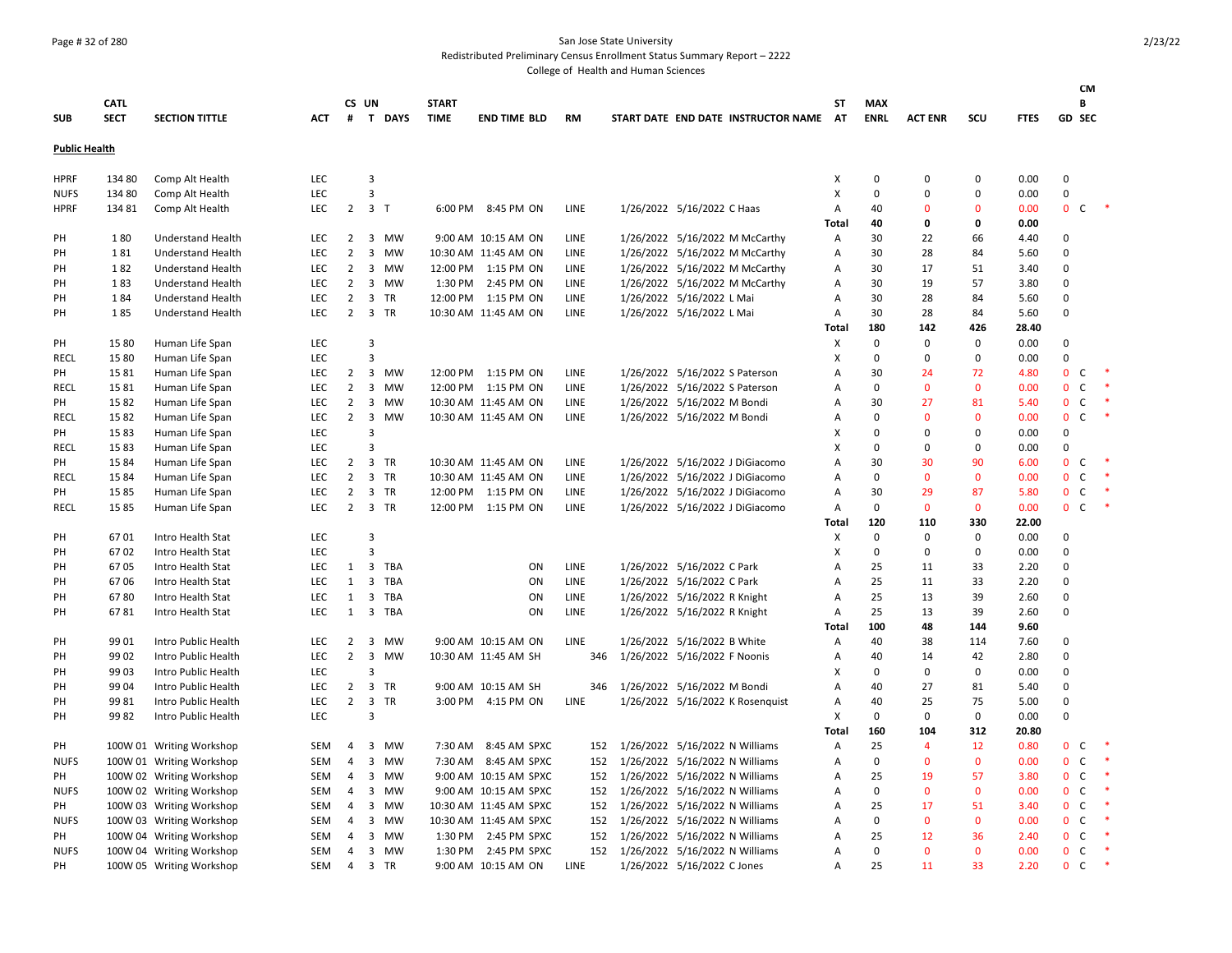### Page # 32 of 280 San Jose State University

Redistributed Preliminary Census Enrollment Status Summary Report – 2222

|                      |             |                          |            |                |                         |           |              |                        |             |                                     |              |             |                |              |             |                | CМ           |        |
|----------------------|-------------|--------------------------|------------|----------------|-------------------------|-----------|--------------|------------------------|-------------|-------------------------------------|--------------|-------------|----------------|--------------|-------------|----------------|--------------|--------|
|                      | <b>CATL</b> |                          |            |                | CS UN                   |           | <b>START</b> |                        |             |                                     | ST           | <b>MAX</b>  |                |              |             |                | В            |        |
| <b>SUB</b>           | <b>SECT</b> | <b>SECTION TITTLE</b>    | <b>ACT</b> | #              |                         | T DAYS    | <b>TIME</b>  | <b>END TIME BLD</b>    | <b>RM</b>   | START DATE END DATE INSTRUCTOR NAME | <b>AT</b>    | <b>ENRL</b> | <b>ACT ENR</b> | SCU          | <b>FTES</b> | <b>GD SEC</b>  |              |        |
| <b>Public Health</b> |             |                          |            |                |                         |           |              |                        |             |                                     |              |             |                |              |             |                |              |        |
| <b>HPRF</b>          | 134 80      | Comp Alt Health          | <b>LEC</b> |                | 3                       |           |              |                        |             |                                     | X            | $\mathbf 0$ | $\Omega$       | $\Omega$     | 0.00        | 0              |              |        |
| <b>NUFS</b>          | 134 80      | Comp Alt Health          | <b>LEC</b> |                | 3                       |           |              |                        |             |                                     | X            | $\mathbf 0$ | $\Omega$       | $\Omega$     | 0.00        | 0              |              |        |
| <b>HPRF</b>          | 134 81      | Comp Alt Health          | <b>LEC</b> | $\overline{2}$ | 3 <sub>7</sub>          |           |              | 6:00 PM 8:45 PM ON     | LINE        | 1/26/2022 5/16/2022 C Haas          | А            | 40          | $\Omega$       | $\Omega$     | 0.00        | $\mathbf{0}$   | C            | $\ast$ |
|                      |             |                          |            |                |                         |           |              |                        |             |                                     | <b>Total</b> | 40          | 0              | 0            | 0.00        |                |              |        |
| PH                   | 180         | <b>Understand Health</b> | LEC        | $\overline{2}$ |                         | 3 MW      |              | 9:00 AM 10:15 AM ON    | LINE        | 1/26/2022 5/16/2022 M McCarthy      | Α            | 30          | 22             | 66           | 4.40        | $\Omega$       |              |        |
| PH                   | 181         | <b>Understand Health</b> | LEC        | $\overline{2}$ |                         | 3 MW      |              | 10:30 AM 11:45 AM ON   | LINE        | 1/26/2022 5/16/2022 M McCarthy      | Α            | 30          | 28             | 84           | 5.60        | $\Omega$       |              |        |
| PH                   | 182         | <b>Understand Health</b> | LEC.       | $\overline{2}$ |                         | 3 MW      |              | 12:00 PM 1:15 PM ON    | LINE        | 1/26/2022 5/16/2022 M McCarthy      | А            | 30          | 17             | 51           | 3.40        | $\Omega$       |              |        |
| PH                   | 183         | <b>Understand Health</b> | <b>LEC</b> | $\overline{2}$ |                         | 3 MW      | 1:30 PM      | 2:45 PM ON             | LINE        | 1/26/2022 5/16/2022 M McCarthy      | Α            | 30          | 19             | 57           | 3.80        | 0              |              |        |
| PH                   | 184         | <b>Understand Health</b> | LEC        | $\overline{2}$ | 3 TR                    |           |              | 12:00 PM 1:15 PM ON    | LINE        | 1/26/2022 5/16/2022 L Mai           | А            | 30          | 28             | 84           | 5.60        | $\Omega$       |              |        |
| PH                   | 185         | <b>Understand Health</b> | LEC.       | $\overline{2}$ | 3 TR                    |           |              | 10:30 AM 11:45 AM ON   | <b>LINE</b> | 1/26/2022 5/16/2022 L Mai           | А            | 30          | 28             | 84           | 5.60        | 0              |              |        |
|                      |             |                          |            |                |                         |           |              |                        |             |                                     | Total        | 180         | 142            | 426          | 28.40       |                |              |        |
| PH                   | 15 80       | Human Life Span          | LEC        |                | 3                       |           |              |                        |             |                                     | X            | $\mathbf 0$ | $\mathbf 0$    | $\mathbf 0$  | 0.00        | 0              |              |        |
| <b>RECL</b>          | 15 80       | Human Life Span          | LEC        |                | 3                       |           |              |                        |             |                                     | x            | $\mathbf 0$ | $\Omega$       | $\mathbf 0$  | 0.00        | $\mathbf 0$    |              |        |
| PH                   | 1581        | Human Life Span          | <b>LEC</b> | $\overline{2}$ |                         | 3 MW      |              | 12:00 PM 1:15 PM ON    | LINE        | 1/26/2022 5/16/2022 S Paterson      | A            | 30          | 24             | 72           | 4.80        | $\mathbf{0}$   | C.           |        |
| <b>RECL</b>          | 1581        | Human Life Span          | <b>LEC</b> | $\overline{2}$ |                         | 3 MW      |              | 12:00 PM 1:15 PM ON    | LINE        | 1/26/2022 5/16/2022 S Paterson      | A            | 0           | $\mathbf 0$    | $\mathbf 0$  | 0.00        | $\mathbf 0$    | C            | $\ast$ |
| PH                   | 1582        | Human Life Span          | <b>LEC</b> | $\overline{2}$ |                         | 3 MW      |              | 10:30 AM 11:45 AM ON   | LINE        | 1/26/2022 5/16/2022 M Bondi         | А            | 30          | 27             | 81           | 5.40        | $\mathbf{0}$   | C            | $\ast$ |
| <b>RECL</b>          | 1582        | Human Life Span          | <b>LEC</b> | $\overline{2}$ | $\overline{\mathbf{3}}$ | MW        |              | 10:30 AM 11:45 AM ON   | <b>LINE</b> | 1/26/2022 5/16/2022 M Bondi         | А            | $\mathbf 0$ | $\Omega$       | $\mathbf{0}$ | 0.00        | $\mathbf{0}$   | $\mathsf{C}$ | $\ast$ |
| PH                   | 1583        | Human Life Span          | LEC        |                | 3                       |           |              |                        |             |                                     | X            | $\mathbf 0$ | $\Omega$       | $\mathbf 0$  | 0.00        | 0              |              |        |
| RECL                 | 1583        | Human Life Span          | LEC        |                | 3                       |           |              |                        |             |                                     | X            | $\mathbf 0$ | $\Omega$       | $\mathbf 0$  | 0.00        | $\Omega$       |              |        |
| PH                   | 1584        | Human Life Span          | <b>LEC</b> | $\overline{2}$ | 3 TR                    |           |              | 10:30 AM 11:45 AM ON   | LINE        | 1/26/2022 5/16/2022 J DiGiacomo     | A            | 30          | 30             | 90           | 6.00        | $\mathbf{0}$   | C            |        |
| <b>RECL</b>          | 1584        | Human Life Span          | LEC        | $\overline{2}$ | 3 TR                    |           |              | 10:30 AM 11:45 AM ON   | LINE        | 1/26/2022 5/16/2022 J DiGiacomo     | A            | 0           | $\mathbf 0$    | $\mathbf 0$  | 0.00        | $\mathbf 0$    | $\mathsf{C}$ |        |
| PH                   | 1585        | Human Life Span          | LEC        | $\overline{2}$ | 3 TR                    |           |              | 12:00 PM 1:15 PM ON    | LINE        | 1/26/2022 5/16/2022 J DiGiacomo     | Α            | 30          | 29             | 87           | 5.80        | $\mathbf{0}$   | $\mathsf{C}$ | $\ast$ |
| <b>RECL</b>          | 1585        | Human Life Span          | <b>LEC</b> | $\overline{2}$ | 3 TR                    |           |              | 12:00 PM 1:15 PM ON    | <b>LINE</b> | 1/26/2022 5/16/2022 J DiGiacomo     | А            | $\mathbf 0$ | $\mathbf{0}$   | $\mathbf{0}$ | 0.00        | $\mathbf{0}$   | $\mathsf{C}$ | $\ast$ |
|                      |             |                          |            |                |                         |           |              |                        |             |                                     | Total        | 120         | 110            | 330          | 22.00       |                |              |        |
| PH                   | 6701        | Intro Health Stat        | <b>LEC</b> |                | 3                       |           |              |                        |             |                                     | Х            | $\mathbf 0$ | $\Omega$       | $\mathbf 0$  | 0.00        | $\Omega$       |              |        |
| PH                   | 6702        | Intro Health Stat        | LEC        |                | $\overline{3}$          |           |              |                        |             |                                     | X            | $\mathbf 0$ | $\Omega$       | $\mathbf 0$  | 0.00        | $\Omega$       |              |        |
| PH                   | 6705        | Intro Health Stat        | <b>LEC</b> | 1              | 3                       | TBA       |              | ON                     | LINE        | 1/26/2022 5/16/2022 C Park          | А            | 25          | 11             | 33           | 2.20        | 0              |              |        |
| PH                   | 6706        | Intro Health Stat        | LEC        | 1              |                         | 3 TBA     |              | ON                     | LINE        | 1/26/2022 5/16/2022 C Park          | A            | 25          | 11             | 33           | 2.20        | 0              |              |        |
| PH                   | 6780        | Intro Health Stat        | <b>LEC</b> | 1              | $\overline{\mathbf{3}}$ | TBA       |              | ON                     | LINE        | 1/26/2022 5/16/2022 R Knight        | Α            | 25          | 13             | 39           | 2.60        | $\Omega$       |              |        |
| PH                   | 6781        | Intro Health Stat        | <b>LEC</b> | $\mathbf{1}$   |                         | 3 TBA     |              | ON                     | <b>LINE</b> | 1/26/2022 5/16/2022 R Knight        | Α            | 25          | 13             | 39           | 2.60        | 0              |              |        |
|                      |             |                          |            |                |                         |           |              |                        |             |                                     | Total        | 100         | 48             | 144          | 9.60        |                |              |        |
| PH                   | 99 01       | Intro Public Health      | <b>LEC</b> | 2              |                         | 3 MW      |              | 9:00 AM 10:15 AM ON    | LINE        | 1/26/2022 5/16/2022 B White         | Α            | 40          | 38             | 114          | 7.60        | 0              |              |        |
| PH                   | 99 02       | Intro Public Health      | LEC        | $\overline{2}$ | $\overline{3}$          | MW        |              | 10:30 AM 11:45 AM SH   | 346         | 1/26/2022 5/16/2022 F Noonis        | А            | 40          | 14             | 42           | 2.80        | $\Omega$       |              |        |
| PH                   | 99 03       | Intro Public Health      | <b>LEC</b> |                | 3                       |           |              |                        |             |                                     | X            | 0           | 0              | 0            | 0.00        | 0              |              |        |
| PH                   | 99 04       | Intro Public Health      | LEC        | $\overline{2}$ | 3 TR                    |           |              | 9:00 AM 10:15 AM SH    | 346         | 1/26/2022 5/16/2022 M Bondi         | A            | 40          | 27             | 81           | 5.40        | 0              |              |        |
| PН                   | 9981        | Intro Public Health      | <b>LEC</b> | $\overline{2}$ | $\overline{\mathbf{3}}$ | TR        |              | 3:00 PM 4:15 PM ON     | LINE        | 1/26/2022 5/16/2022 K Rosenquist    | Α            | 40          | 25             | 75           | 5.00        | 0              |              |        |
| PH                   | 9982        | Intro Public Health      | <b>LEC</b> |                | 3                       |           |              |                        |             |                                     | X            | $\mathbf 0$ | $\mathbf 0$    | $\mathbf 0$  | 0.00        | $\mathbf 0$    |              |        |
|                      |             |                          |            |                |                         |           |              |                        |             |                                     | Total        | 160         | 104            | 312          | 20.80       |                |              |        |
| PH                   |             | 100W 01 Writing Workshop | SEM        | 4              |                         | 3 MW      |              | 7:30 AM 8:45 AM SPXC   | 152         | 1/26/2022 5/16/2022 N Williams      | Α            | 25          | 4              | 12           | 0.80        | $\mathbf{0}$   | C            | $\ast$ |
| <b>NUFS</b>          |             | 100W 01 Writing Workshop | SEM        | 4              |                         | 3 MW      |              | 7:30 AM 8:45 AM SPXC   | 152         | 1/26/2022 5/16/2022 N Williams      | А            | $\mathsf 0$ | $\mathbf{0}$   | $\mathbf{0}$ | 0.00        | $\mathbf{0}$   | $\mathsf{C}$ | - *    |
| PH                   |             | 100W 02 Writing Workshop | SEM        | $\overline{4}$ | 3                       | MW        |              | 9:00 AM 10:15 AM SPXC  | 152         | 1/26/2022 5/16/2022 N Williams      | А            | 25          | 19             | 57           | 3.80        | $\mathbf 0$    | $\mathsf{C}$ |        |
| <b>NUFS</b>          |             | 100W 02 Writing Workshop | SEM        | 4              |                         | 3 MW      |              | 9:00 AM 10:15 AM SPXC  | 152         | 1/26/2022 5/16/2022 N Williams      | А            | 0           | $\mathbf{0}$   | $\mathbf{0}$ | 0.00        | $\mathbf{0}$   | C            | $\ast$ |
| PH                   |             | 100W 03 Writing Workshop | SEM        | 4              |                         | 3 MW      |              | 10:30 AM 11:45 AM SPXC | 152         | 1/26/2022 5/16/2022 N Williams      | А            | 25          | 17             | 51           | 3.40        | 0              | $\mathsf{C}$ | $\ast$ |
| <b>NUFS</b>          |             | 100W 03 Writing Workshop | SEM        | $\overline{4}$ | 3                       | <b>MW</b> |              | 10:30 AM 11:45 AM SPXC | 152         | 1/26/2022 5/16/2022 N Williams      | Α            | $\Omega$    | $\Omega$       | $\mathbf{0}$ | 0.00        | 0 <sup>o</sup> |              |        |
| PH                   |             | 100W 04 Writing Workshop | <b>SEM</b> | $\overline{4}$ |                         | 3 MW      |              | 1:30 PM 2:45 PM SPXC   | 152         | 1/26/2022 5/16/2022 N Williams      | A            | 25          | 12             | 36           | 2.40        | 0 <sup>o</sup> |              | $\ast$ |
| <b>NUFS</b>          |             | 100W 04 Writing Workshop | <b>SEM</b> | $\overline{4}$ |                         | 3 MW      | 1:30 PM      | 2:45 PM SPXC           | 152         | 1/26/2022 5/16/2022 N Williams      | A            | $\mathbf 0$ | $\Omega$       | $\Omega$     | 0.00        | $\mathbf{0}$   | C            | $\ast$ |
| PH                   |             | 100W 05 Writing Workshop | SEM        | $\overline{4}$ | 3 TR                    |           |              | 9:00 AM 10:15 AM ON    | LINE        | 1/26/2022 5/16/2022 C Jones         | A            | 25          | 11             | 33           | 2.20        | $\mathbf{0}$   | $\mathsf{C}$ | $\ast$ |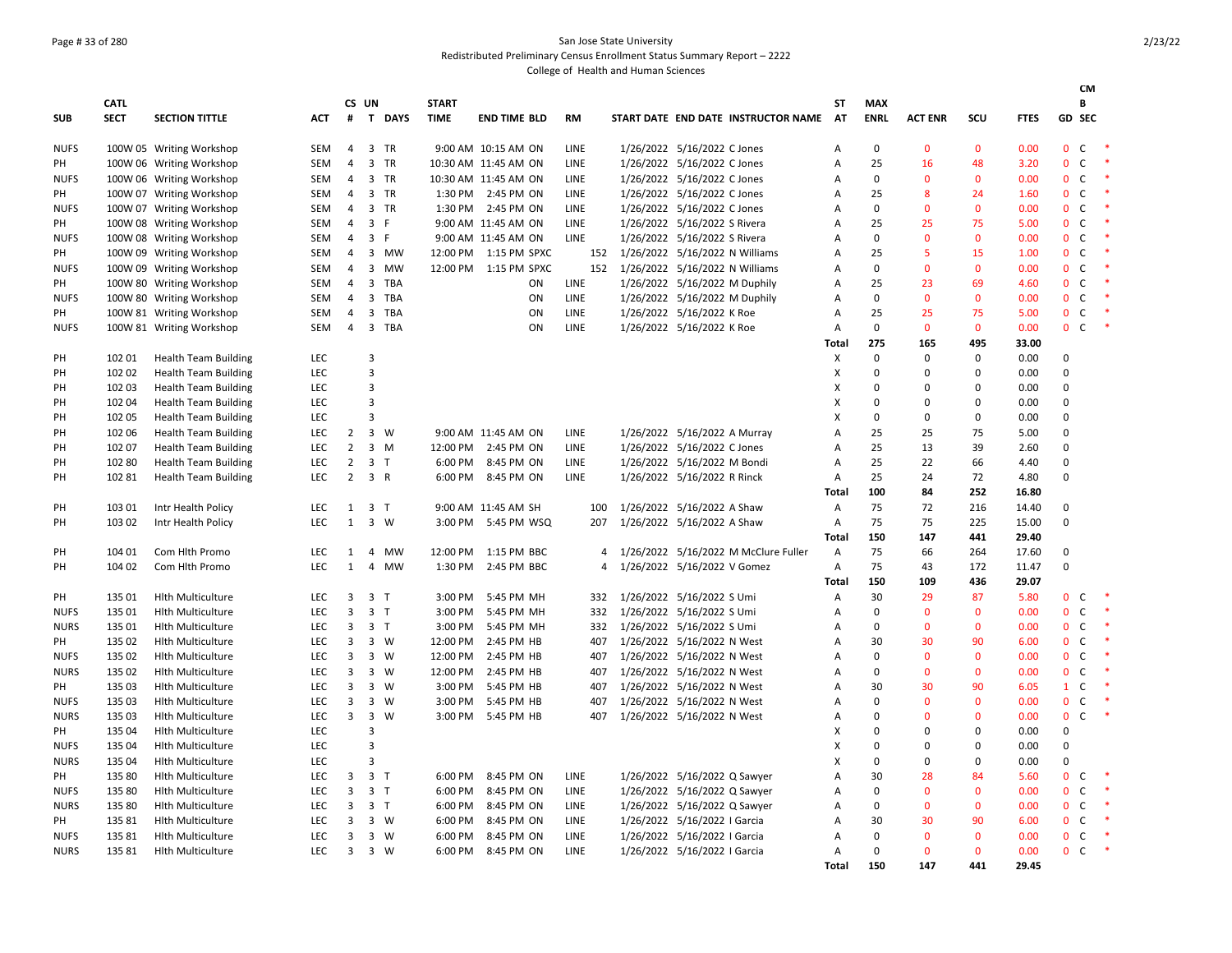### Page # 33 of 280 San Jose State University Redistributed Preliminary Census Enrollment Status Summary Report – 2222

|             |             |                             |            |                |                |                |              |                         |             |                             |                              |                                      |       |             |                |              |             |                | <b>CM</b>    |                  |
|-------------|-------------|-----------------------------|------------|----------------|----------------|----------------|--------------|-------------------------|-------------|-----------------------------|------------------------------|--------------------------------------|-------|-------------|----------------|--------------|-------------|----------------|--------------|------------------|
|             | <b>CATL</b> |                             |            |                | CS UN          |                | <b>START</b> |                         |             |                             |                              |                                      | ST    | <b>MAX</b>  |                |              |             |                | B            |                  |
| <b>SUB</b>  | <b>SECT</b> | <b>SECTION TITTLE</b>       | <b>ACT</b> | #              |                | T DAYS         | <b>TIME</b>  | <b>END TIME BLD</b>     | <b>RM</b>   |                             |                              | START DATE END DATE INSTRUCTOR NAME  | AT    | <b>ENRL</b> | <b>ACT ENR</b> | SCU          | <b>FTES</b> | GD SEC         |              |                  |
| <b>NUFS</b> |             | 100W 05 Writing Workshop    | SEM        | $\overline{4}$ |                | 3 TR           |              | 9:00 AM 10:15 AM ON     | LINE        |                             | 1/26/2022 5/16/2022 C Jones  |                                      | А     | $\mathbf 0$ | $\mathbf{0}$   | $\mathbf{0}$ | 0.00        | $\mathbf{0}$   | $\mathsf C$  |                  |
| PH          |             | 100W 06 Writing Workshop    | <b>SEM</b> | $\overline{a}$ |                | 3 TR           |              | 10:30 AM 11:45 AM ON    | <b>LINE</b> |                             | 1/26/2022 5/16/2022 C Jones  |                                      | A     | 25          | 16             | 48           | 3.20        | $\mathbf{0}$   | C            | $\ast$           |
| <b>NUFS</b> |             | 100W 06 Writing Workshop    | SEM        | $\overline{4}$ |                | 3 TR           |              | 10:30 AM 11:45 AM ON    | <b>LINE</b> |                             | 1/26/2022 5/16/2022 C Jones  |                                      | A     | $\mathbf 0$ | $\mathbf{0}$   | $\mathbf{0}$ | 0.00        | $\overline{0}$ | $\mathsf{C}$ | - *              |
| PH          |             | 100W 07 Writing Workshop    | <b>SEM</b> | $\overline{a}$ |                | 3 TR           |              | 1:30 PM 2:45 PM ON      | <b>LINE</b> |                             | 1/26/2022 5/16/2022 C Jones  |                                      | А     | 25          | 8              | 24           | 1.60        | $\mathbf{0}$   | $\mathsf{C}$ | $\ast$           |
| <b>NUFS</b> |             | 100W 07 Writing Workshop    | <b>SEM</b> | $\overline{a}$ |                | 3 TR           |              | 1:30 PM 2:45 PM ON      | <b>LINE</b> |                             | 1/26/2022 5/16/2022 C Jones  |                                      | A     | $\mathbf 0$ | $\Omega$       | $\mathbf{0}$ | 0.00        | $\mathbf{0}$   | $\mathsf{C}$ | $\;$             |
| PH          |             | 100W 08 Writing Workshop    | <b>SEM</b> | $\overline{4}$ |                | 3 F            |              | 9:00 AM 11:45 AM ON     | <b>LINE</b> |                             | 1/26/2022 5/16/2022 S Rivera |                                      | A     | 25          | 25             | 75           | 5.00        | $\overline{0}$ | $\mathsf{C}$ | $\ast$           |
| <b>NUFS</b> |             | 100W 08 Writing Workshop    | <b>SEM</b> | $\overline{4}$ | $\overline{3}$ | - F            |              | 9:00 AM 11:45 AM ON     | <b>LINE</b> |                             | 1/26/2022 5/16/2022 S Rivera |                                      | A     | $\Omega$    | $\Omega$       | $\mathbf{0}$ | 0.00        | $\mathbf{0}$   | C            | $\ast$           |
| PH          |             | 100W 09 Writing Workshop    | <b>SEM</b> | $\overline{4}$ |                | 3 MW           |              | 12:00 PM   1:15 PM SPXC | 152         |                             |                              | 1/26/2022 5/16/2022 N Williams       | A     | 25          | .5             | 15           | 1.00        | $\overline{0}$ | $\mathsf{C}$ | $\ast$           |
| <b>NUFS</b> |             | 100W 09 Writing Workshop    | <b>SEM</b> | $\overline{a}$ | 3              | <b>MW</b>      |              | 12:00 PM 1:15 PM SPXC   | 152         |                             |                              | 1/26/2022 5/16/2022 N Williams       | A     | $\mathbf 0$ | $\mathbf{0}$   | $\mathbf{0}$ | 0.00        | $\mathbf{0}$   | C            |                  |
| PH          |             | 100W 80 Writing Workshop    | <b>SEM</b> | $\overline{4}$ | $\overline{3}$ | TBA            |              | <b>ON</b>               | LINE        |                             |                              | 1/26/2022 5/16/2022 M Duphily        | А     | 25          | 23             | 69           | 4.60        | $\mathbf{0}$   | C            | $\ast$           |
| <b>NUFS</b> |             | 100W 80 Writing Workshop    | <b>SEM</b> | 4              | $\overline{3}$ | TBA            |              | <b>ON</b>               | <b>LINE</b> |                             |                              | 1/26/2022 5/16/2022 M Duphily        | A     | $\mathbf 0$ | $\Omega$       | $\mathbf{0}$ | 0.00        | $\mathbf{0}$   | $\mathsf{C}$ | - *              |
| PH          |             | 100W 81 Writing Workshop    | <b>SEM</b> | $\overline{a}$ | $\overline{3}$ | <b>TBA</b>     |              | ON                      | LINE        |                             | 1/26/2022 5/16/2022 K Roe    |                                      | Α     | 25          | 25             | 75           | 5.00        | $\mathbf{0}$   | $\mathsf{C}$ | $\ast$           |
| <b>NUFS</b> |             | 100W 81 Writing Workshop    | <b>SEM</b> | $\overline{4}$ |                | 3 TBA          |              | ON                      | LINE        |                             | 1/26/2022 5/16/2022 K Roe    |                                      | А     | $\Omega$    | $\Omega$       | $\mathbf{0}$ | 0.00        | 0 <sup>o</sup> |              | $\;$             |
|             |             |                             |            |                |                |                |              |                         |             |                             |                              |                                      | Total | 275         | 165            | 495          | 33.00       |                |              |                  |
| PH          | 102 01      | <b>Health Team Building</b> | LEC        |                | 3              |                |              |                         |             |                             |                              |                                      | X     | $\mathbf 0$ | $\mathbf 0$    | $\mathsf 0$  | 0.00        | $\Omega$       |              |                  |
| PH          | 102 02      | <b>Health Team Building</b> | LEC        |                | 3              |                |              |                         |             |                             |                              |                                      | X     | $\mathbf 0$ | $\Omega$       | $\mathbf 0$  | 0.00        | $\Omega$       |              |                  |
| PH          | 102 03      | <b>Health Team Building</b> | <b>LEC</b> |                | 3              |                |              |                         |             |                             |                              |                                      | X     | $\mathbf 0$ | <sup>0</sup>   | $\mathbf 0$  | 0.00        | $\Omega$       |              |                  |
| PH          | 102 04      | <b>Health Team Building</b> | <b>LEC</b> |                | $\overline{3}$ |                |              |                         |             |                             |                              |                                      | X     | $\mathbf 0$ | $\Omega$       | $\mathbf 0$  | 0.00        | $\Omega$       |              |                  |
| PH          | 102 05      | <b>Health Team Building</b> | <b>LEC</b> |                | 3              |                |              |                         |             |                             |                              |                                      | X     | $\Omega$    | $\Omega$       | $\mathbf 0$  | 0.00        | $\Omega$       |              |                  |
| PH          | 102 06      | <b>Health Team Building</b> | <b>LEC</b> | $\overline{2}$ |                | $3 \quad W$    |              | 9:00 AM 11:45 AM ON     | LINE        |                             | 1/26/2022 5/16/2022 A Murray |                                      | A     | 25          | 25             | 75           | 5.00        | $\Omega$       |              |                  |
| PH          | 102 07      | <b>Health Team Building</b> | LEC        | $\overline{2}$ |                | $3 \, M$       |              | 12:00 PM 2:45 PM ON     | LINE        |                             | 1/26/2022 5/16/2022 C Jones  |                                      | А     | 25          | 13             | 39           | 2.60        | $\Omega$       |              |                  |
| PH          | 102 80      | <b>Health Team Building</b> | LEC        | $\overline{2}$ |                | 3 <sub>T</sub> | 6:00 PM      | 8:45 PM ON              | <b>LINE</b> |                             | 1/26/2022 5/16/2022 M Bondi  |                                      | А     | 25          | 22             | 66           | 4.40        | $\Omega$       |              |                  |
| PH          | 102 81      | <b>Health Team Building</b> | <b>LEC</b> | $\overline{2}$ |                | 3 R            | 6:00 PM      | 8:45 PM ON              | <b>LINE</b> |                             | 1/26/2022 5/16/2022 R Rinck  |                                      | А     | 25          | 24             | 72           | 4.80        | $\mathbf 0$    |              |                  |
|             |             |                             |            |                |                |                |              |                         |             |                             |                              |                                      | Total | 100         | 84             | 252          | 16.80       |                |              |                  |
| PH          | 103 01      | Intr Health Policy          | <b>LEC</b> | 1              |                | 3 <sub>T</sub> |              | 9:00 AM 11:45 AM SH     | 100         |                             | 1/26/2022 5/16/2022 A Shaw   |                                      | Α     | 75          | 72             | 216          | 14.40       | $\Omega$       |              |                  |
| PH          | 103 02      | Intr Health Policy          | LEC        | $\mathbf{1}$   |                | $3 \quad W$    | 3:00 PM      | 5:45 PM WSQ             | 207         | 1/26/2022 5/16/2022 A Shaw  |                              |                                      | Α     | 75          | 75             | 225          | 15.00       | $\Omega$       |              |                  |
|             |             |                             |            |                |                |                |              |                         |             |                             |                              |                                      | Total | 150         | 147            | 441          | 29.40       |                |              |                  |
| PH          | 104 01      | Com Hith Promo              | <b>LEC</b> | 1              | 4              | MW             | 12:00 PM     | 1:15 PM BBC             | 4           |                             |                              | 1/26/2022 5/16/2022 M McClure Fuller | Α     | 75          | 66             | 264          | 17.60       | $\Omega$       |              |                  |
| PH          | 104 02      | Com Hlth Promo              | <b>LEC</b> | $\mathbf{1}$   | $\overline{4}$ | MW             | 1:30 PM      | 2:45 PM BBC             | 4           | 1/26/2022 5/16/2022 V Gomez |                              |                                      | А     | 75          | 43             | 172          | 11.47       | $\mathbf 0$    |              |                  |
|             |             |                             |            |                |                |                |              |                         |             |                             |                              |                                      | Total | 150         | 109            | 436          | 29.07       |                |              |                  |
| PH          | 135 01      | <b>Hith Multiculture</b>    | <b>LEC</b> | 3              |                | 3 <sub>1</sub> | 3:00 PM      | 5:45 PM MH              | 332         | 1/26/2022 5/16/2022 S Umi   |                              |                                      | A     | 30          | 29             | 87           | 5.80        | $\overline{0}$ | C            |                  |
| <b>NUFS</b> | 135 01      | <b>Hith Multiculture</b>    | LEC        | 3              |                | 3 <sub>T</sub> | 3:00 PM      | 5:45 PM MH              | 332         | 1/26/2022 5/16/2022 S Umi   |                              |                                      | A     | $\mathbf 0$ | $\mathbf{0}$   | $\mathbf{0}$ | 0.00        | $\overline{0}$ | C            |                  |
| <b>NURS</b> | 135 01      | <b>Hith Multiculture</b>    | LEC        | 3              |                | 3 <sub>1</sub> | 3:00 PM      | 5:45 PM MH              | 332         | 1/26/2022 5/16/2022 S Umi   |                              |                                      | А     | $\mathbf 0$ | $\Omega$       | $\mathbf{0}$ | 0.00        | $\mathbf{0}$   | $\mathsf{C}$ | $\;$             |
| PH          | 135 02      | <b>Hith Multiculture</b>    | <b>LEC</b> | $\overline{3}$ |                | $3 \quad W$    | 12:00 PM     | 2:45 PM HB              | 407         | 1/26/2022 5/16/2022 N West  |                              |                                      | А     | 30          | 30             | 90           | 6.00        | $\mathbf{0}$   | $\mathsf{C}$ | $\ast$           |
| <b>NUFS</b> | 135 02      | <b>Hith Multiculture</b>    | LEC        | $\overline{3}$ |                | $3 \quad W$    | 12:00 PM     | 2:45 PM HB              | 407         | 1/26/2022 5/16/2022 N West  |                              |                                      | A     | $\mathbf 0$ | $\Omega$       | $\mathbf{0}$ | 0.00        | $\overline{0}$ | $\mathsf{C}$ | $\ast$           |
| <b>NURS</b> | 135 02      | <b>Hith Multiculture</b>    | LEC        | $\overline{3}$ |                | $3 \quad W$    | 12:00 PM     | 2:45 PM HB              | 407         | 1/26/2022 5/16/2022 N West  |                              |                                      | А     | $\Omega$    | $\Omega$       | $\mathbf{0}$ | 0.00        | $\mathbf{0}$   | $\mathsf{C}$ |                  |
| PH          | 135 03      | <b>Hith Multiculture</b>    | <b>LEC</b> | 3              |                | $3 \quad W$    | 3:00 PM      | 5:45 PM HB              | 407         | 1/26/2022 5/16/2022 N West  |                              |                                      | A     | 30          | 30             | 90           | 6.05        | $1\quad C$     |              | $\ast$           |
| <b>NUFS</b> | 135 03      | <b>Hith Multiculture</b>    | LEC        | 3              |                | $3 \quad W$    | 3:00 PM      | 5:45 PM HB              | 407         | 1/26/2022 5/16/2022 N West  |                              |                                      | А     | $\mathbf 0$ | $\Omega$       | $\mathbf{0}$ | 0.00        | $\mathbf 0$    | $\mathsf{C}$ | $\ast$           |
| <b>NURS</b> | 135 03      | <b>Hith Multiculture</b>    | LEC        | 3              |                | $3 \quad W$    | 3:00 PM      | 5:45 PM HB              | 407         | 1/26/2022 5/16/2022 N West  |                              |                                      | А     | 0           | $\Omega$       | $\mathbf{0}$ | 0.00        | $\mathbf{0}$   | $\mathsf{C}$ | $\mid \ast \mid$ |
| PH          | 135 04      | <b>Hith Multiculture</b>    | LEC        |                | $\overline{3}$ |                |              |                         |             |                             |                              |                                      | X     | $\mathbf 0$ | $\Omega$       | $\mathbf 0$  | 0.00        | $\mathbf 0$    |              |                  |
| <b>NUFS</b> | 135 04      | <b>Hith Multiculture</b>    | LEC        |                | $\overline{3}$ |                |              |                         |             |                             |                              |                                      | X     | $\Omega$    | <sup>0</sup>   | $\mathbf 0$  | 0.00        | $\Omega$       |              |                  |
| <b>NURS</b> | 135 04      | <b>Hith Multiculture</b>    | LEC        |                | 3              |                |              |                         |             |                             |                              |                                      | X     | $\Omega$    | $\Omega$       | $\mathbf 0$  | 0.00        | $\Omega$       |              |                  |
| PH          | 135 80      | <b>Hith Multiculture</b>    | <b>LEC</b> | 3              |                | 3 <sub>1</sub> | 6:00 PM      | 8:45 PM ON              | <b>LINE</b> |                             | 1/26/2022 5/16/2022 Q Sawyer |                                      | A     | 30          | 28             | 84           | 5.60        | $\mathbf{0}$   | C            |                  |
| <b>NUFS</b> | 135 80      | <b>Hith Multiculture</b>    | LEC        | 3              |                | 3 <sub>1</sub> | 6:00 PM      | 8:45 PM ON              | LINE        |                             | 1/26/2022 5/16/2022 Q Sawyer |                                      | А     | $\mathbf 0$ | $\mathbf{0}$   | $\mathbf{0}$ | 0.00        | $\mathbf{0}$   | $\mathsf{C}$ | $\;$             |
| <b>NURS</b> | 135 80      | <b>Hith Multiculture</b>    | <b>LEC</b> | 3              |                | 3 <sub>1</sub> | 6:00 PM      | 8:45 PM ON              | <b>LINE</b> |                             | 1/26/2022 5/16/2022 Q Sawyer |                                      | Α     | $\mathbf 0$ | $\Omega$       | $\mathbf{0}$ | 0.00        | $\overline{0}$ | $\mathsf{C}$ | - *              |
| PH          | 135 81      | <b>Hith Multiculture</b>    | <b>LEC</b> | 3              |                | $3 \quad W$    | 6:00 PM      | 8:45 PM ON              | LINE        |                             | 1/26/2022 5/16/2022   Garcia |                                      | Α     | 30          | 30             | 90           | 6.00        | $\mathbf{0}$   | $\mathsf{C}$ | $\;$             |
| <b>NUFS</b> | 135 81      | <b>Hith Multiculture</b>    | LEC        | 3              |                | $3 \quad W$    | 6:00 PM      | 8:45 PM ON              | LINE        |                             | 1/26/2022 5/16/2022   Garcia |                                      | A     | $\Omega$    | $\Omega$       | $\mathbf{0}$ | 0.00        | $\Omega$       | $\mathsf{C}$ | $\ast$           |
| <b>NURS</b> | 135 81      | <b>Hith Multiculture</b>    | LEC.       | $\overline{3}$ |                | $3 \quad W$    |              | 6:00 PM 8:45 PM ON      | <b>LINE</b> |                             | 1/26/2022 5/16/2022   Garcia |                                      | A     | $\Omega$    | $\Omega$       | $\Omega$     | 0.00        | $\Omega$       | $\mathsf{C}$ | $\;$ $\;$        |
|             |             |                             |            |                |                |                |              |                         |             |                             |                              |                                      | Total | 150         | 147            | 441          | 29.45       |                |              |                  |
|             |             |                             |            |                |                |                |              |                         |             |                             |                              |                                      |       |             |                |              |             |                |              |                  |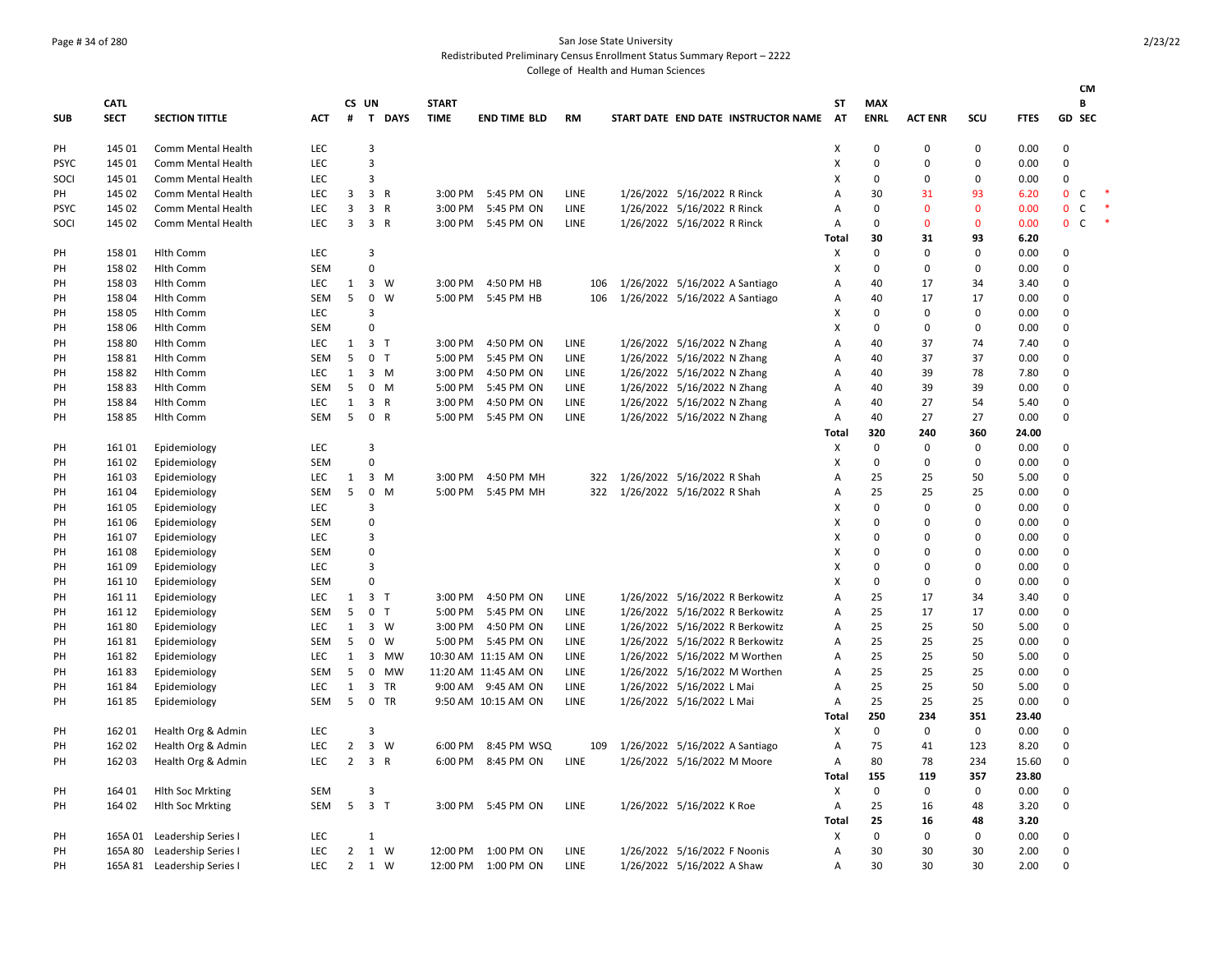## Page # 34 of 280 San Jose State University

Redistributed Preliminary Census Enrollment Status Summary Report – 2222

|             |             |                             |            |                |                    |              |                      |             |                                     |       |              |                |              |             | CM                          |        |
|-------------|-------------|-----------------------------|------------|----------------|--------------------|--------------|----------------------|-------------|-------------------------------------|-------|--------------|----------------|--------------|-------------|-----------------------------|--------|
|             | CATL        |                             |            | CS UN          |                    | <b>START</b> |                      |             |                                     | SΤ    | <b>MAX</b>   |                |              |             | B                           |        |
| <b>SUB</b>  | <b>SECT</b> | <b>SECTION TITTLE</b>       | <b>ACT</b> | #              | T DAYS             | <b>TIME</b>  | <b>END TIME BLD</b>  | RM          | START DATE END DATE INSTRUCTOR NAME | AT    | <b>ENRL</b>  | <b>ACT ENR</b> | SCU          | <b>FTES</b> | <b>GD SEC</b>               |        |
| PH          | 145 01      | Comm Mental Health          | <b>LEC</b> |                | 3                  |              |                      |             |                                     | X     | $\mathbf 0$  | $\Omega$       | $\Omega$     | 0.00        | $\mathbf 0$                 |        |
| <b>PSYC</b> | 145 01      | Comm Mental Health          | <b>LEC</b> |                | 3                  |              |                      |             |                                     | X     | $\mathbf 0$  | $\Omega$       | 0            | 0.00        | $\pmb{0}$                   |        |
| SOCI        | 145 01      | Comm Mental Health          | <b>LEC</b> |                | 3                  |              |                      |             |                                     | х     | $\mathbf 0$  | $\Omega$       | 0            | 0.00        | 0                           |        |
| PH          | 145 02      | Comm Mental Health          | LEC        | 3              | 3 R                | 3:00 PM      | 5:45 PM ON           | LINE        | 1/26/2022 5/16/2022 R Rinck         | А     | 30           | 31             | 93           | 6.20        | $\mathbf 0$<br>C            | $\ast$ |
| <b>PSYC</b> | 145 02      | Comm Mental Health          | <b>LEC</b> | 3              | 3 R                | 3:00 PM      | 5:45 PM ON           | LINE        | 1/26/2022 5/16/2022 R Rinck         | Α     | $\pmb{0}$    | $\Omega$       | $\mathbf{0}$ | 0.00        | $\mathsf{C}$<br>$\mathbf 0$ | $\ast$ |
| SOCI        | 145 02      | Comm Mental Health          | <b>LEC</b> | 3              | 3 R                | 3:00 PM      | 5:45 PM ON           | LINE        | 1/26/2022 5/16/2022 R Rinck         | Α     | $\mathbf 0$  | $\mathbf{0}$   | 0            | 0.00        | $\mathbf 0$<br>$\mathsf{C}$ |        |
|             |             |                             |            |                |                    |              |                      |             |                                     | Total | 30           | 31             | 93           | 6.20        |                             |        |
| PH          | 15801       | <b>Hlth Comm</b>            | <b>LEC</b> |                | 3                  |              |                      |             |                                     | X     | $\mathbf 0$  | $\Omega$       | $\Omega$     | 0.00        | 0                           |        |
| PH          | 158 02      | <b>Hlth Comm</b>            | SEM        |                | $\Omega$           |              |                      |             |                                     | X     | $\mathbf 0$  | $\Omega$       | 0            | 0.00        | $\mathbf 0$                 |        |
| PH          | 158 03      | Hlth Comm                   | LEC        | $\mathbf{1}$   | $3 \quad W$        | 3:00 PM      | 4:50 PM HB           | 106         | 1/26/2022 5/16/2022 A Santiago      | А     | 40           | 17             | 34           | 3.40        | 0                           |        |
| PH          | 158 04      | <b>Hlth Comm</b>            | SEM        | 5              | 0<br>W             | 5:00 PM      | 5:45 PM HB           | 106         | 1/26/2022 5/16/2022 A Santiago      | Α     | 40           | 17             | 17           | 0.00        | 0                           |        |
| PH          | 158 05      | <b>Hlth Comm</b>            | LEC        |                | 3                  |              |                      |             |                                     | х     | $\mathbf 0$  | 0              | 0            | 0.00        | 0                           |        |
| PH          | 158 06      | Hlth Comm                   | SEM        |                | $\Omega$           |              |                      |             |                                     | Χ     | $\mathbf 0$  | 0              | $\Omega$     | 0.00        | 0                           |        |
| PH          | 158 80      | <b>Hlth Comm</b>            | <b>LEC</b> | 1              | 3 <sub>1</sub>     | 3:00 PM      | 4:50 PM ON           | LINE        | 1/26/2022 5/16/2022 N Zhang         | A     | 40           | 37             | 74           | 7.40        | $\mathbf 0$                 |        |
|             | 158 81      |                             | SEM        | 5              | 0 <sub>T</sub>     | 5:00 PM      | 5:45 PM ON           | LINE        | 1/26/2022 5/16/2022 N Zhang         |       | 40           | 37             | 37           | 0.00        | 0                           |        |
| PH          |             | Hlth Comm                   |            |                | $3 \, M$           |              |                      |             |                                     | Α     | 40           |                |              |             | 0                           |        |
| PH          | 15882       | <b>Hlth Comm</b>            | <b>LEC</b> | 1              |                    | 3:00 PM      | 4:50 PM ON           | LINE        | 1/26/2022 5/16/2022 N Zhang         | Α     |              | 39             | 78           | 7.80        |                             |        |
| PH          | 15883       | <b>Hlth Comm</b>            | <b>SEM</b> | 5              | $0$ M              | 5:00 PM      | 5:45 PM ON           | LINE        | 1/26/2022 5/16/2022 N Zhang         | Α     | 40           | 39             | 39           | 0.00        | 0                           |        |
| PH          | 15884       | <b>Hlth Comm</b>            | <b>LEC</b> | $\mathbf{1}$   | 3 R                | 3:00 PM      | 4:50 PM ON           | LINE        | 1/26/2022 5/16/2022 N Zhang         | Α     | 40           | 27             | 54           | 5.40        | 0                           |        |
| PH          | 15885       | <b>Hlth Comm</b>            | SEM        | 5              | 0 R                | 5:00 PM      | 5:45 PM ON           | LINE        | 1/26/2022 5/16/2022 N Zhang         | Α     | 40           | 27             | 27           | 0.00        | 0                           |        |
|             |             |                             |            |                |                    |              |                      |             |                                     | Total | 320          | 240            | 360          | 24.00       |                             |        |
| PH          | 16101       | Epidemiology                | <b>LEC</b> |                | 3                  |              |                      |             |                                     | Χ     | $\mathbf 0$  | 0              | $\Omega$     | 0.00        | 0                           |        |
| PH          | 161 02      | Epidemiology                | SEM        |                | $\Omega$           |              |                      |             |                                     | X     | $\mathbf{0}$ | $\Omega$       | $\Omega$     | 0.00        | $\pmb{0}$                   |        |
| PH          | 161 03      | Epidemiology                | LEC        | 1              | $3 \, M$           | 3:00 PM      | 4:50 PM MH           | 322         | 1/26/2022 5/16/2022 R Shah          | А     | 25           | 25             | 50           | 5.00        | 0                           |        |
| PH          | 161 04      | Epidemiology                | SEM        | 5              | 0<br>M             | 5:00 PM      | 5:45 PM MH           | 322         | 1/26/2022 5/16/2022 R Shah          | Α     | 25           | 25             | 25           | 0.00        | 0                           |        |
| PH          | 16105       | Epidemiology                | <b>LEC</b> |                | 3                  |              |                      |             |                                     | х     | $\mathbf 0$  | 0              | 0            | 0.00        | 0                           |        |
| PH          | 161 06      | Epidemiology                | SEM        |                | 0                  |              |                      |             |                                     | х     | $\Omega$     | 0              | O            | 0.00        | 0                           |        |
| PH          | 16107       | Epidemiology                | <b>LEC</b> |                | 3                  |              |                      |             |                                     | X     | $\Omega$     | $\Omega$       | O            | 0.00        | $\mathbf 0$                 |        |
| PH          | 16108       | Epidemiology                | SEM        |                | $\mathbf 0$        |              |                      |             |                                     | х     | $\Omega$     | $\Omega$       | 0            | 0.00        | 0                           |        |
| PH          | 161 09      | Epidemiology                | <b>LEC</b> |                | 3                  |              |                      |             |                                     | х     | $\mathbf 0$  | $\Omega$       | 0            | 0.00        | 0                           |        |
| PH          | 161 10      | Epidemiology                | SEM        |                | $\Omega$           |              |                      |             |                                     | X     | $\mathbf 0$  | $\mathbf 0$    | 0            | 0.00        | 0                           |        |
| PH          | 161 11      | Epidemiology                | <b>LEC</b> | 1              | 3 <sub>7</sub>     | 3:00 PM      | 4:50 PM ON           | LINE        | 1/26/2022 5/16/2022 R Berkowitz     | Α     | 25           | 17             | 34           | 3.40        | 0                           |        |
| PH          | 161 12      | Epidemiology                | SEM        | 5              | 0 <sub>T</sub>     | 5:00 PM      | 5:45 PM ON           | LINE        | 1/26/2022 5/16/2022 R Berkowitz     | А     | 25           | 17             | 17           | 0.00        | 0                           |        |
| PH          | 16180       | Epidemiology                | <b>LEC</b> | 1              | 3 W                | 3:00 PM      | 4:50 PM ON           | <b>LINE</b> | 1/26/2022 5/16/2022 R Berkowitz     | A     | 25           | 25             | 50           | 5.00        | $\mathbf 0$                 |        |
| PН          | 16181       | Epidemiology                | <b>SEM</b> | 5              | $\mathbf{0}$<br>W  | 5:00 PM      | 5:45 PM ON           | <b>LINE</b> | 1/26/2022 5/16/2022 R Berkowitz     | A     | 25           | 25             | 25           | 0.00        | $\mathbf 0$                 |        |
| PH          | 16182       | Epidemiology                | <b>LEC</b> | $\mathbf{1}$   | 3 MW               |              | 10:30 AM 11:15 AM ON | LINE        | 1/26/2022 5/16/2022 M Worthen       | Α     | 25           | 25             | 50           | 5.00        | 0                           |        |
| PH          | 16183       | Epidemiology                | SEM        | 5              | $\mathsf{O}$<br>MW |              | 11:20 AM 11:45 AM ON | LINE        | 1/26/2022 5/16/2022 M Worthen       | А     | 25           | 25             | 25           | 0.00        | 0                           |        |
| PH          | 16184       | Epidemiology                | LEC        | $\mathbf{1}$   | 3 TR               |              | 9:00 AM 9:45 AM ON   | LINE        | 1/26/2022 5/16/2022 L Mai           | Α     | 25           | 25             | 50           | 5.00        | 0                           |        |
| PH          | 16185       | Epidemiology                | SEM        | 5              | $\mathbf 0$<br>TR  |              | 9:50 AM 10:15 AM ON  | LINE        | 1/26/2022 5/16/2022 L Mai           | Α     | 25           | 25             | 25           | 0.00        | 0                           |        |
|             |             |                             |            |                |                    |              |                      |             |                                     | Total | 250          | 234            | 351          | 23.40       |                             |        |
| PH          | 162 01      | Health Org & Admin          | <b>LEC</b> |                | 3                  |              |                      |             |                                     | Х     | $\mathbf 0$  | 0              | $\mathbf 0$  | 0.00        | 0                           |        |
| PН          | 162 02      | Health Org & Admin          | <b>LEC</b> | $\overline{2}$ | 3 W                | 6:00 PM      | 8:45 PM WSQ          | 109         | 1/26/2022 5/16/2022 A Santiago      | А     | 75           | 41             | 123          | 8.20        | 0                           |        |
| PH          | 162 03      | Health Org & Admin          | <b>LEC</b> | $2^{\circ}$    | 3 R                | 6:00 PM      | 8:45 PM ON           | LINE        | 1/26/2022 5/16/2022 M Moore         | Α     | 80           | 78             | 234          | 15.60       | 0                           |        |
|             |             |                             |            |                |                    |              |                      |             |                                     | Total | 155          | 119            | 357          | 23.80       |                             |        |
| PH          | 164 01      | <b>Hith Soc Mrkting</b>     | SEM        |                | 3                  |              |                      |             |                                     | Χ     | $\mathbf 0$  | 0              | 0            | 0.00        | 0                           |        |
| PH          | 164 02      | <b>Hith Soc Mrkting</b>     | SEM        | 5 <sup>5</sup> | 3 <sub>7</sub>     |              | 3:00 PM 5:45 PM ON   | LINE        | 1/26/2022 5/16/2022 K Roe           | Α     | 25           | 16             | 48           | 3.20        | 0                           |        |
|             |             |                             |            |                |                    |              |                      |             |                                     | Total | 25           | 16             | 48           | 3.20        |                             |        |
| PH          | 165A 01     | Leadership Series I         | <b>LEC</b> |                | $\mathbf{1}$       |              |                      |             |                                     | X     | $\mathbf{0}$ | 0              | $\Omega$     | 0.00        | 0                           |        |
| PН          | 165A 80     | Leadership Series I         | <b>LEC</b> | $\overline{2}$ | 1 W                | 12:00 PM     | 1:00 PM ON           | LINE        | 1/26/2022 5/16/2022 F Noonis        | Α     | 30           | 30             | 30           | 2.00        | $\mathbf 0$                 |        |
| PH          |             | 165A 81 Leadership Series I | <b>LEC</b> | 2              | 1 W                | 12:00 PM     | 1:00 PM ON           | <b>LINE</b> | 1/26/2022 5/16/2022 A Shaw          | A     | 30           | 30             | 30           | 2.00        | $\Omega$                    |        |
|             |             |                             |            |                |                    |              |                      |             |                                     |       |              |                |              |             |                             |        |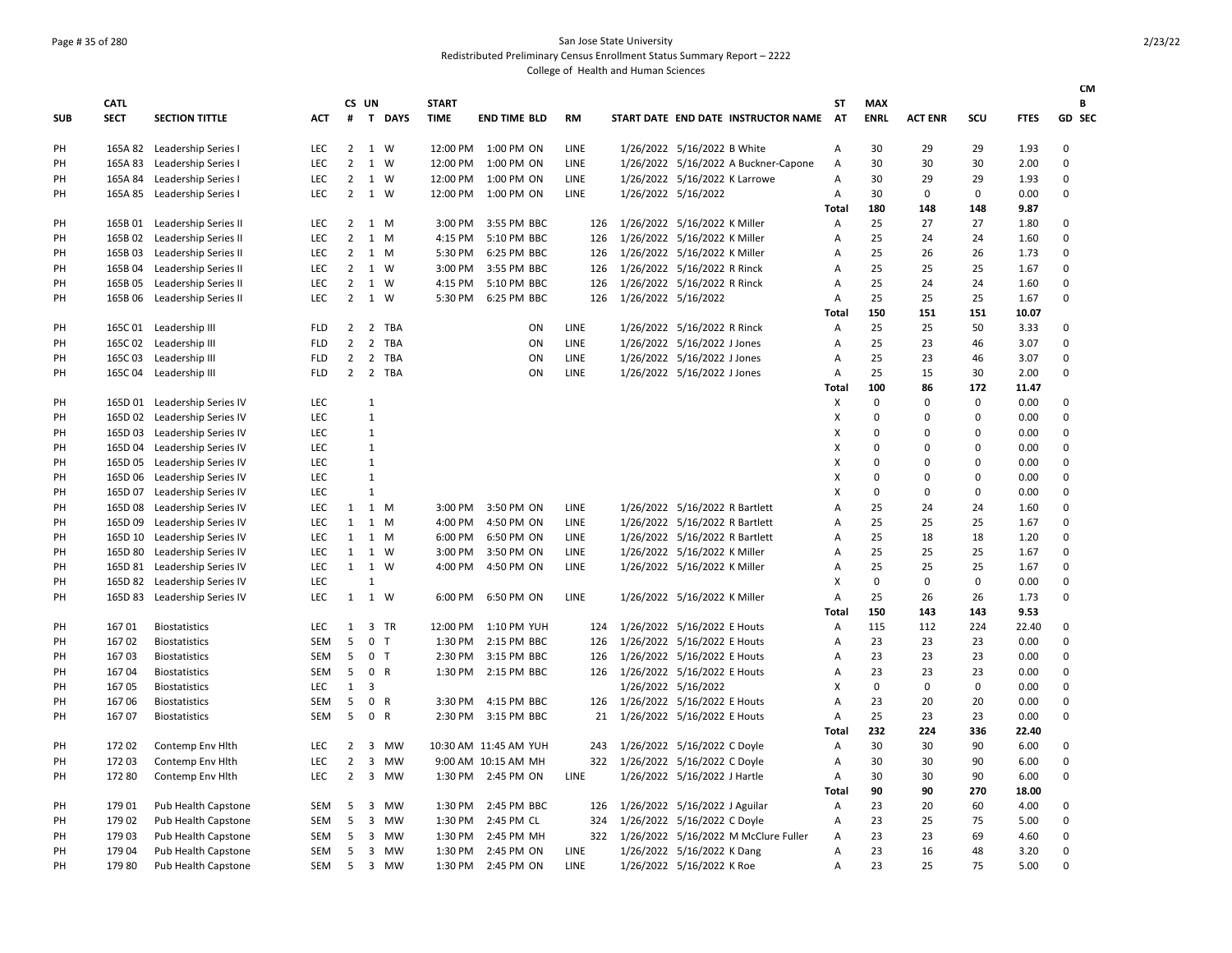### Page # 35 of 280 San Jose State University Redistributed Preliminary Census Enrollment Status Summary Report – 2222

| CS UN<br>В<br><b>CATL</b><br><b>START</b><br>SΤ<br><b>MAX</b><br>T DAYS<br><b>ENRL</b><br>SCU<br>GD SEC<br><b>SUB</b><br><b>SECT</b><br><b>SECTION TITTLE</b><br><b>ACT</b><br>#<br><b>TIME</b><br><b>END TIME BLD</b><br><b>RM</b><br>START DATE END DATE INSTRUCTOR NAME<br>AT<br><b>ACT ENR</b><br><b>FTES</b><br>165A 82 Leadership Series I<br>LEC<br>2 1 W<br>12:00 PM 1:00 PM ON<br>LINE<br>1/26/2022 5/16/2022 B White<br>30<br>29<br>29<br>1.93<br>$\mathbf 0$<br>PH<br>Α<br>165A 83<br>$\overline{2}$<br>LINE<br>1/26/2022 5/16/2022 A Buckner-Capone<br>30<br>30<br>$\Omega$<br>PH<br>Leadership Series I<br><b>LEC</b><br>1 W<br>12:00 PM<br>1:00 PM ON<br>$\overline{A}$<br>30<br>2.00<br>Leadership Series I<br>$\overline{2}$<br>LINE<br>1/26/2022 5/16/2022 K Larrowe<br>29<br>29<br>$\Omega$<br>PH<br>165A 84<br>LEC<br>1 W<br>12:00 PM<br>1:00 PM ON<br>Α<br>30<br>1.93<br><b>LEC</b><br>$\overline{2}$<br>1 W<br>1:00 PM ON<br>LINE<br>1/26/2022 5/16/2022<br>30<br>$\mathbf 0$<br>$\mathbf 0$<br>$\pmb{0}$<br>PH<br>165A 85<br>Leadership Series I<br>12:00 PM<br>Α<br>0.00<br><b>Total</b><br>180<br>148<br>148<br>9.87<br>Leadership Series II<br>3:00 PM 3:55 PM BBC<br>1/26/2022 5/16/2022 K Miller<br>25<br>27<br>27<br>1.80<br>0<br>PH<br>165B 01<br><b>LEC</b><br>$\mathbf{2}$<br>1 M<br>Α<br>126<br>165B 02<br>Leadership Series II<br>LEC<br>$\overline{2}$<br>1<br>5:10 PM BBC<br>1/26/2022 5/16/2022 K Miller<br>25<br>24<br>24<br>1.60<br>$\mathbf 0$<br>PH<br>M<br>4:15 PM<br>126<br>A<br>Leadership Series II<br>$\overline{2}$<br>1/26/2022 5/16/2022 K Miller<br>25<br>26<br>26<br>0<br>PH<br>165B03<br><b>LEC</b><br>1 M<br>5:30 PM<br>6:25 PM BBC<br>126<br>А<br>1.73<br>$\overline{2}$<br>25<br>25<br>$\mathsf 0$<br>165B 04<br>Leadership Series II<br>LEC<br>1<br>3:00 PM<br>3:55 PM BBC<br>1/26/2022 5/16/2022 R Rinck<br>25<br>1.67<br>PH<br>W<br>126<br>Α<br>Leadership Series II<br>LEC<br>$\overline{2}$<br>1 W<br>4:15 PM<br>1/26/2022 5/16/2022 R Rinck<br>25<br>24<br>24<br>1.60<br>0<br>PH<br>165B 05<br>5:10 PM BBC<br>126<br>Α<br>1 W<br>25<br>$\Omega$<br>$\overline{2}$<br>1/26/2022 5/16/2022<br>25<br>25<br>1.67<br>PH<br>165B 06<br>Leadership Series II<br>LEC<br>5:30 PM<br>6:25 PM BBC<br>126<br>Α<br><b>Total</b><br>150<br>151<br>151<br>10.07<br>165C 01 Leadership III<br>$\overline{2}$<br>2 TBA<br>LINE<br>1/26/2022 5/16/2022 R Rinck<br>25<br>25<br>50<br>3.33<br>0<br>PH<br><b>FLD</b><br>ON<br>Α<br>$\overline{2}$<br>$\overline{2}$<br>$\mathbf 0$<br>165C 02<br>Leadership III<br>TBA<br>ON<br>LINE<br>1/26/2022 5/16/2022 J Jones<br>25<br>23<br>46<br>3.07<br>PH<br><b>FLD</b><br>Α<br>PH<br>165C03<br>Leadership III<br><b>FLD</b><br>$\overline{2}$<br>2 TBA<br>ON<br>LINE<br>1/26/2022 5/16/2022 J Jones<br>Α<br>25<br>23<br>46<br>3.07<br>0<br>2 TBA<br>$\mathbf 0$<br>165C04<br>Leadership III<br><b>FLD</b><br>$\overline{2}$<br>ON<br>LINE<br>1/26/2022 5/16/2022 J Jones<br>25<br>15<br>30<br>2.00<br>PH<br>Α<br>100<br>86<br>172<br>11.47<br><b>Total</b><br>165D 01 Leadership Series IV<br>LEC<br>$\mathbf{1}$<br>X<br>$\Omega$<br>$\mathbf 0$<br>0<br>0.00<br>0<br>PH<br>PH<br>165D 02<br>Leadership Series IV<br><b>LEC</b><br>$\mathbf{1}$<br>X<br>$\Omega$<br>$\mathbf 0$<br>0.00<br>0<br>0<br>$\mathbf{1}$<br>0<br>165D 03<br>Leadership Series IV<br>LEC<br>X<br>$\mathbf 0$<br>0<br>0.00<br>0<br>PH<br>165D 04<br>Leadership Series IV<br>LEC<br>$\mathbf{1}$<br>X<br>$\mathbf 0$<br>$\mathbf 0$<br>$\mathbf 0$<br>0.00<br>$\pmb{0}$<br>PH<br>$\mathbf{1}$<br>165D 05<br>Leadership Series IV<br>LEC<br>X<br>$\Omega$<br>$\mathbf 0$<br>0<br>0.00<br>0<br>PH<br>$\mathbf{1}$<br>$\Omega$<br>$\mathsf 0$<br>165D 06<br>Leadership Series IV<br>LEC<br>X<br>$\mathbf 0$<br>$\mathbf 0$<br>0.00<br>PH<br>PH<br>165D 07<br>Leadership Series IV<br>LEC<br>$\mathbf 1$<br>X<br>$\Omega$<br>$\mathbf 0$<br>$\mathbf 0$<br>0.00<br>0<br>Leadership Series IV<br>1 M<br>1/26/2022 5/16/2022 R Bartlett<br>25<br>24<br>24<br>1.60<br>0<br>PH<br>165D 08<br>LEC<br>1<br>3:00 PM<br>3:50 PM ON<br>LINE<br>А<br>25<br>25<br>25<br>$\mathsf 0$<br>165D 09<br>Leadership Series IV<br>LEC<br>$\mathbf{1}$<br>1<br>4:00 PM<br>4:50 PM ON<br>LINE<br>1/26/2022 5/16/2022 R Bartlett<br>1.67<br>PH<br>M<br>А<br>25<br>PH<br>165D 10<br>Leadership Series IV<br>LEC<br>$\mathbf{1}$<br>1 M<br>6:00 PM<br>6:50 PM ON<br>LINE<br>1/26/2022 5/16/2022 R Bartlett<br>18<br>18<br>1.20<br>$\pmb{0}$<br>Α<br>1 W<br>25<br>$\mathbf 0$<br>165D 80<br>$\mathbf{1}$<br>1/26/2022 5/16/2022 K Miller<br>25<br>25<br>PH<br>Leadership Series IV<br>LEC<br>3:00 PM<br>3:50 PM ON<br>LINE<br>А<br>1.67<br>$\mathbf{1}$<br>1 W<br>25<br>25<br>25<br>$\mathsf 0$<br>165D 81<br>Leadership Series IV<br>LEC<br>4:00 PM<br>4:50 PM ON<br>LINE<br>1/26/2022 5/16/2022 K Miller<br>1.67<br>PH<br>Α<br>$\mathbf 0$<br>165D 82 Leadership Series IV<br>LEC<br>$\mathbf{1}$<br>X<br>$\mathbf 0$<br>$\mathbf 0$<br>0.00<br>0<br>PH<br>$\mathbf 0$<br>165D 83<br>Leadership Series IV<br>LEC<br>$\mathbf{1}$<br>1 W<br>6:50 PM ON<br>LINE<br>1/26/2022 5/16/2022 K Miller<br>25<br>26<br>26<br>1.73<br>PH<br>6:00 PM<br>Α<br>9.53<br><b>Total</b><br>150<br>143<br>143<br>16701<br>LEC<br>3 TR<br>12:00 PM 1:10 PM YUH<br>1/26/2022 5/16/2022 E Houts<br>115<br>112<br>224<br>22.40<br>0<br>PH<br><b>Biostatistics</b><br>$\mathbf{1}$<br>124<br>Α<br>5<br>0<br>23<br>$\mathbf 0$<br>16702<br>SEM<br>1:30 PM 2:15 PM BBC<br>1/26/2022 5/16/2022 E Houts<br>23<br>23<br>0.00<br>PH<br><b>Biostatistics</b><br>$\top$<br>126<br>Α<br>5<br>0 <sub>T</sub><br>1/26/2022 5/16/2022 E Houts<br>23<br>23<br>23<br>$\mathsf 0$<br>16703<br>SEM<br>2:30 PM 3:15 PM BBC<br>0.00<br>PH<br><b>Biostatistics</b><br>126<br>А<br>16704<br><b>SEM</b><br>5<br>0 R<br>1:30 PM 2:15 PM BBC<br>1/26/2022 5/16/2022 E Houts<br>23<br>23<br>23<br>0.00<br>0<br>PH<br><b>Biostatistics</b><br>126<br>Α<br>3<br>1/26/2022 5/16/2022<br>$\mathbf 0$<br>$\mathsf 0$<br>0<br>$\mathsf 0$<br>16705<br>LEC<br>$\mathbf{1}$<br>X<br>0.00<br>PH<br><b>Biostatistics</b><br>5<br>$\mathsf 0$<br>PH<br>16706<br>SEM<br>$\mathsf{R}$<br>3:30 PM 4:15 PM BBC<br>1/26/2022 5/16/2022 E Houts<br>Α<br>23<br>20<br>20<br>0.00<br>0<br><b>Biostatistics</b><br>126<br>5<br>0 R<br>23<br>PH<br>16707<br><b>Biostatistics</b><br><b>SEM</b><br>2:30 PM 3:15 PM BBC<br>1/26/2022 5/16/2022 E Houts<br>Α<br>25<br>23<br>0.00<br>$\Omega$<br>21<br>232<br>336<br>224<br>22.40<br><b>Total</b><br>PH<br>17202<br>Contemp Env Hlth<br>LEC<br>$\overline{2}$<br>$\overline{3}$<br>MW<br>10:30 AM 11:45 AM YUH<br>243<br>1/26/2022 5/16/2022 C Doyle<br>A<br>30<br>30<br>90<br>6.00<br>0<br>$\overline{2}$<br>3 MW<br>1/26/2022 5/16/2022 C Doyle<br>90<br>PH<br>172 03<br>Contemp Env Hlth<br>LEC<br>9:00 AM 10:15 AM MH<br>322<br>Α<br>30<br>30<br>6.00<br>0<br>$\overline{2}$<br>$\overline{3}$<br>1/26/2022 5/16/2022 J Hartle<br>90<br>$\mathsf 0$<br>PH<br>172 80<br>Contemp Env Hlth<br>LEC<br>MW<br>1:30 PM 2:45 PM ON<br>LINE<br>30<br>30<br>6.00<br>A<br>90<br>270<br><b>Total</b><br>90<br>18.00<br>179 01<br>Pub Health Capstone<br><b>SEM</b><br>5<br>3 MW<br>1:30 PM<br>2:45 PM BBC<br>1/26/2022 5/16/2022 J Aguilar<br>Α<br>23<br>20<br>60<br>4.00<br>0<br>PH<br>126<br>179 02<br>5<br>23<br>25<br>75<br>5.00<br>$\mathsf 0$<br>PH<br>Pub Health Capstone<br>SEM<br>3 MW<br>1:30 PM<br>2:45 PM CL<br>324<br>1/26/2022 5/16/2022 C Doyle<br>Α<br>3 MW<br>23<br>23<br>PH<br>179 03<br>Pub Health Capstone<br><b>SEM</b><br>5<br>1:30 PM 2:45 PM MH<br>322<br>1/26/2022 5/16/2022 M McClure Fuller<br>Α<br>69<br>4.60<br>$\mathbf 0$<br>5<br>48<br>$\Omega$<br>PH<br>17904<br><b>Pub Health Capstone</b><br><b>SEM</b><br>3 MW<br>1:30 PM<br>2:45 PM ON<br>LINE<br>1/26/2022 5/16/2022 K Dang<br>$\overline{A}$<br>23<br>16<br>3.20<br>PH<br>179 80<br>SEM<br>5<br>$\overline{3}$<br>1:30 PM<br>LINE<br>1/26/2022 5/16/2022 K Roe<br>23<br>25<br>75<br>5.00<br>$\Omega$<br><b>MW</b><br>2:45 PM ON<br>А |  |                     |  |  |  |  |  |  |  | <b>CM</b> |
|-------------------------------------------------------------------------------------------------------------------------------------------------------------------------------------------------------------------------------------------------------------------------------------------------------------------------------------------------------------------------------------------------------------------------------------------------------------------------------------------------------------------------------------------------------------------------------------------------------------------------------------------------------------------------------------------------------------------------------------------------------------------------------------------------------------------------------------------------------------------------------------------------------------------------------------------------------------------------------------------------------------------------------------------------------------------------------------------------------------------------------------------------------------------------------------------------------------------------------------------------------------------------------------------------------------------------------------------------------------------------------------------------------------------------------------------------------------------------------------------------------------------------------------------------------------------------------------------------------------------------------------------------------------------------------------------------------------------------------------------------------------------------------------------------------------------------------------------------------------------------------------------------------------------------------------------------------------------------------------------------------------------------------------------------------------------------------------------------------------------------------------------------------------------------------------------------------------------------------------------------------------------------------------------------------------------------------------------------------------------------------------------------------------------------------------------------------------------------------------------------------------------------------------------------------------------------------------------------------------------------------------------------------------------------------------------------------------------------------------------------------------------------------------------------------------------------------------------------------------------------------------------------------------------------------------------------------------------------------------------------------------------------------------------------------------------------------------------------------------------------------------------------------------------------------------------------------------------------------------------------------------------------------------------------------------------------------------------------------------------------------------------------------------------------------------------------------------------------------------------------------------------------------------------------------------------------------------------------------------------------------------------------------------------------------------------------------------------------------------------------------------------------------------------------------------------------------------------------------------------------------------------------------------------------------------------------------------------------------------------------------------------------------------------------------------------------------------------------------------------------------------------------------------------------------------------------------------------------------------------------------------------------------------------------------------------------------------------------------------------------------------------------------------------------------------------------------------------------------------------------------------------------------------------------------------------------------------------------------------------------------------------------------------------------------------------------------------------------------------------------------------------------------------------------------------------------------------------------------------------------------------------------------------------------------------------------------------------------------------------------------------------------------------------------------------------------------------------------------------------------------------------------------------------------------------------------------------------------------------------------------------------------------------------------------------------------------------------------------------------------------------------------------------------------------------------------------------------------------------------------------------------------------------------------------------------------------------------------------------------------------------------------------------------------------------------------------------------------------------------------------------------------------------------------------------------------------------------------------------------------------------------------------------------------------------------------------------------------------------------------------------------------------------------------------------------------------------------------------------------------------------------------------------------------------------------------------------------------------------------------------------------------------------------------------------------------------------------------------------------------------------------------------------------------------------------------------------------------------------------------------------------------------------------------------------------------------------------------------------------------------------------------------------------------------------------------------------------------------------------------------------------------------------------------------------------------------------------------------------------------------------------------------------------------------------------------------------------------------------------------------------------------------------------------------------------------------------------------------------------------------------------------------------------------------------------------------------------------------------------------------------------------------------------------------------------------------------------------------------------------------------------------------------------------------------------------------------------------------------------------------------------------------------------------------------------------------------------------------------------------------------------------------------------------------------------------------------------------------------------------------------------------------------------------------------------------------------------------------------------------------------------------------------------------------------------------------------------------------------------------------------------------|--|---------------------|--|--|--|--|--|--|--|-----------|
|                                                                                                                                                                                                                                                                                                                                                                                                                                                                                                                                                                                                                                                                                                                                                                                                                                                                                                                                                                                                                                                                                                                                                                                                                                                                                                                                                                                                                                                                                                                                                                                                                                                                                                                                                                                                                                                                                                                                                                                                                                                                                                                                                                                                                                                                                                                                                                                                                                                                                                                                                                                                                                                                                                                                                                                                                                                                                                                                                                                                                                                                                                                                                                                                                                                                                                                                                                                                                                                                                                                                                                                                                                                                                                                                                                                                                                                                                                                                                                                                                                                                                                                                                                                                                                                                                                                                                                                                                                                                                                                                                                                                                                                                                                                                                                                                                                                                                                                                                                                                                                                                                                                                                                                                                                                                                                                                                                                                                                                                                                                                                                                                                                                                                                                                                                                                                                                                                                                                                                                                                                                                                                                                                                                                                                                                                                                                                                                                                                                                                                                                                                                                                                                                                                                                                                                                                                                                                                                                                                                                                                                                                                                                                                                                                                                                                                                                                                                                                                                                                                                                                                                                                                                                                                                                                                                                                                                                                                                                                                                                                         |  |                     |  |  |  |  |  |  |  |           |
|                                                                                                                                                                                                                                                                                                                                                                                                                                                                                                                                                                                                                                                                                                                                                                                                                                                                                                                                                                                                                                                                                                                                                                                                                                                                                                                                                                                                                                                                                                                                                                                                                                                                                                                                                                                                                                                                                                                                                                                                                                                                                                                                                                                                                                                                                                                                                                                                                                                                                                                                                                                                                                                                                                                                                                                                                                                                                                                                                                                                                                                                                                                                                                                                                                                                                                                                                                                                                                                                                                                                                                                                                                                                                                                                                                                                                                                                                                                                                                                                                                                                                                                                                                                                                                                                                                                                                                                                                                                                                                                                                                                                                                                                                                                                                                                                                                                                                                                                                                                                                                                                                                                                                                                                                                                                                                                                                                                                                                                                                                                                                                                                                                                                                                                                                                                                                                                                                                                                                                                                                                                                                                                                                                                                                                                                                                                                                                                                                                                                                                                                                                                                                                                                                                                                                                                                                                                                                                                                                                                                                                                                                                                                                                                                                                                                                                                                                                                                                                                                                                                                                                                                                                                                                                                                                                                                                                                                                                                                                                                                                         |  |                     |  |  |  |  |  |  |  |           |
|                                                                                                                                                                                                                                                                                                                                                                                                                                                                                                                                                                                                                                                                                                                                                                                                                                                                                                                                                                                                                                                                                                                                                                                                                                                                                                                                                                                                                                                                                                                                                                                                                                                                                                                                                                                                                                                                                                                                                                                                                                                                                                                                                                                                                                                                                                                                                                                                                                                                                                                                                                                                                                                                                                                                                                                                                                                                                                                                                                                                                                                                                                                                                                                                                                                                                                                                                                                                                                                                                                                                                                                                                                                                                                                                                                                                                                                                                                                                                                                                                                                                                                                                                                                                                                                                                                                                                                                                                                                                                                                                                                                                                                                                                                                                                                                                                                                                                                                                                                                                                                                                                                                                                                                                                                                                                                                                                                                                                                                                                                                                                                                                                                                                                                                                                                                                                                                                                                                                                                                                                                                                                                                                                                                                                                                                                                                                                                                                                                                                                                                                                                                                                                                                                                                                                                                                                                                                                                                                                                                                                                                                                                                                                                                                                                                                                                                                                                                                                                                                                                                                                                                                                                                                                                                                                                                                                                                                                                                                                                                                                         |  |                     |  |  |  |  |  |  |  |           |
|                                                                                                                                                                                                                                                                                                                                                                                                                                                                                                                                                                                                                                                                                                                                                                                                                                                                                                                                                                                                                                                                                                                                                                                                                                                                                                                                                                                                                                                                                                                                                                                                                                                                                                                                                                                                                                                                                                                                                                                                                                                                                                                                                                                                                                                                                                                                                                                                                                                                                                                                                                                                                                                                                                                                                                                                                                                                                                                                                                                                                                                                                                                                                                                                                                                                                                                                                                                                                                                                                                                                                                                                                                                                                                                                                                                                                                                                                                                                                                                                                                                                                                                                                                                                                                                                                                                                                                                                                                                                                                                                                                                                                                                                                                                                                                                                                                                                                                                                                                                                                                                                                                                                                                                                                                                                                                                                                                                                                                                                                                                                                                                                                                                                                                                                                                                                                                                                                                                                                                                                                                                                                                                                                                                                                                                                                                                                                                                                                                                                                                                                                                                                                                                                                                                                                                                                                                                                                                                                                                                                                                                                                                                                                                                                                                                                                                                                                                                                                                                                                                                                                                                                                                                                                                                                                                                                                                                                                                                                                                                                                         |  |                     |  |  |  |  |  |  |  |           |
|                                                                                                                                                                                                                                                                                                                                                                                                                                                                                                                                                                                                                                                                                                                                                                                                                                                                                                                                                                                                                                                                                                                                                                                                                                                                                                                                                                                                                                                                                                                                                                                                                                                                                                                                                                                                                                                                                                                                                                                                                                                                                                                                                                                                                                                                                                                                                                                                                                                                                                                                                                                                                                                                                                                                                                                                                                                                                                                                                                                                                                                                                                                                                                                                                                                                                                                                                                                                                                                                                                                                                                                                                                                                                                                                                                                                                                                                                                                                                                                                                                                                                                                                                                                                                                                                                                                                                                                                                                                                                                                                                                                                                                                                                                                                                                                                                                                                                                                                                                                                                                                                                                                                                                                                                                                                                                                                                                                                                                                                                                                                                                                                                                                                                                                                                                                                                                                                                                                                                                                                                                                                                                                                                                                                                                                                                                                                                                                                                                                                                                                                                                                                                                                                                                                                                                                                                                                                                                                                                                                                                                                                                                                                                                                                                                                                                                                                                                                                                                                                                                                                                                                                                                                                                                                                                                                                                                                                                                                                                                                                                         |  |                     |  |  |  |  |  |  |  |           |
|                                                                                                                                                                                                                                                                                                                                                                                                                                                                                                                                                                                                                                                                                                                                                                                                                                                                                                                                                                                                                                                                                                                                                                                                                                                                                                                                                                                                                                                                                                                                                                                                                                                                                                                                                                                                                                                                                                                                                                                                                                                                                                                                                                                                                                                                                                                                                                                                                                                                                                                                                                                                                                                                                                                                                                                                                                                                                                                                                                                                                                                                                                                                                                                                                                                                                                                                                                                                                                                                                                                                                                                                                                                                                                                                                                                                                                                                                                                                                                                                                                                                                                                                                                                                                                                                                                                                                                                                                                                                                                                                                                                                                                                                                                                                                                                                                                                                                                                                                                                                                                                                                                                                                                                                                                                                                                                                                                                                                                                                                                                                                                                                                                                                                                                                                                                                                                                                                                                                                                                                                                                                                                                                                                                                                                                                                                                                                                                                                                                                                                                                                                                                                                                                                                                                                                                                                                                                                                                                                                                                                                                                                                                                                                                                                                                                                                                                                                                                                                                                                                                                                                                                                                                                                                                                                                                                                                                                                                                                                                                                                         |  |                     |  |  |  |  |  |  |  |           |
|                                                                                                                                                                                                                                                                                                                                                                                                                                                                                                                                                                                                                                                                                                                                                                                                                                                                                                                                                                                                                                                                                                                                                                                                                                                                                                                                                                                                                                                                                                                                                                                                                                                                                                                                                                                                                                                                                                                                                                                                                                                                                                                                                                                                                                                                                                                                                                                                                                                                                                                                                                                                                                                                                                                                                                                                                                                                                                                                                                                                                                                                                                                                                                                                                                                                                                                                                                                                                                                                                                                                                                                                                                                                                                                                                                                                                                                                                                                                                                                                                                                                                                                                                                                                                                                                                                                                                                                                                                                                                                                                                                                                                                                                                                                                                                                                                                                                                                                                                                                                                                                                                                                                                                                                                                                                                                                                                                                                                                                                                                                                                                                                                                                                                                                                                                                                                                                                                                                                                                                                                                                                                                                                                                                                                                                                                                                                                                                                                                                                                                                                                                                                                                                                                                                                                                                                                                                                                                                                                                                                                                                                                                                                                                                                                                                                                                                                                                                                                                                                                                                                                                                                                                                                                                                                                                                                                                                                                                                                                                                                                         |  |                     |  |  |  |  |  |  |  |           |
|                                                                                                                                                                                                                                                                                                                                                                                                                                                                                                                                                                                                                                                                                                                                                                                                                                                                                                                                                                                                                                                                                                                                                                                                                                                                                                                                                                                                                                                                                                                                                                                                                                                                                                                                                                                                                                                                                                                                                                                                                                                                                                                                                                                                                                                                                                                                                                                                                                                                                                                                                                                                                                                                                                                                                                                                                                                                                                                                                                                                                                                                                                                                                                                                                                                                                                                                                                                                                                                                                                                                                                                                                                                                                                                                                                                                                                                                                                                                                                                                                                                                                                                                                                                                                                                                                                                                                                                                                                                                                                                                                                                                                                                                                                                                                                                                                                                                                                                                                                                                                                                                                                                                                                                                                                                                                                                                                                                                                                                                                                                                                                                                                                                                                                                                                                                                                                                                                                                                                                                                                                                                                                                                                                                                                                                                                                                                                                                                                                                                                                                                                                                                                                                                                                                                                                                                                                                                                                                                                                                                                                                                                                                                                                                                                                                                                                                                                                                                                                                                                                                                                                                                                                                                                                                                                                                                                                                                                                                                                                                                                         |  |                     |  |  |  |  |  |  |  |           |
|                                                                                                                                                                                                                                                                                                                                                                                                                                                                                                                                                                                                                                                                                                                                                                                                                                                                                                                                                                                                                                                                                                                                                                                                                                                                                                                                                                                                                                                                                                                                                                                                                                                                                                                                                                                                                                                                                                                                                                                                                                                                                                                                                                                                                                                                                                                                                                                                                                                                                                                                                                                                                                                                                                                                                                                                                                                                                                                                                                                                                                                                                                                                                                                                                                                                                                                                                                                                                                                                                                                                                                                                                                                                                                                                                                                                                                                                                                                                                                                                                                                                                                                                                                                                                                                                                                                                                                                                                                                                                                                                                                                                                                                                                                                                                                                                                                                                                                                                                                                                                                                                                                                                                                                                                                                                                                                                                                                                                                                                                                                                                                                                                                                                                                                                                                                                                                                                                                                                                                                                                                                                                                                                                                                                                                                                                                                                                                                                                                                                                                                                                                                                                                                                                                                                                                                                                                                                                                                                                                                                                                                                                                                                                                                                                                                                                                                                                                                                                                                                                                                                                                                                                                                                                                                                                                                                                                                                                                                                                                                                                         |  |                     |  |  |  |  |  |  |  |           |
|                                                                                                                                                                                                                                                                                                                                                                                                                                                                                                                                                                                                                                                                                                                                                                                                                                                                                                                                                                                                                                                                                                                                                                                                                                                                                                                                                                                                                                                                                                                                                                                                                                                                                                                                                                                                                                                                                                                                                                                                                                                                                                                                                                                                                                                                                                                                                                                                                                                                                                                                                                                                                                                                                                                                                                                                                                                                                                                                                                                                                                                                                                                                                                                                                                                                                                                                                                                                                                                                                                                                                                                                                                                                                                                                                                                                                                                                                                                                                                                                                                                                                                                                                                                                                                                                                                                                                                                                                                                                                                                                                                                                                                                                                                                                                                                                                                                                                                                                                                                                                                                                                                                                                                                                                                                                                                                                                                                                                                                                                                                                                                                                                                                                                                                                                                                                                                                                                                                                                                                                                                                                                                                                                                                                                                                                                                                                                                                                                                                                                                                                                                                                                                                                                                                                                                                                                                                                                                                                                                                                                                                                                                                                                                                                                                                                                                                                                                                                                                                                                                                                                                                                                                                                                                                                                                                                                                                                                                                                                                                                                         |  |                     |  |  |  |  |  |  |  |           |
|                                                                                                                                                                                                                                                                                                                                                                                                                                                                                                                                                                                                                                                                                                                                                                                                                                                                                                                                                                                                                                                                                                                                                                                                                                                                                                                                                                                                                                                                                                                                                                                                                                                                                                                                                                                                                                                                                                                                                                                                                                                                                                                                                                                                                                                                                                                                                                                                                                                                                                                                                                                                                                                                                                                                                                                                                                                                                                                                                                                                                                                                                                                                                                                                                                                                                                                                                                                                                                                                                                                                                                                                                                                                                                                                                                                                                                                                                                                                                                                                                                                                                                                                                                                                                                                                                                                                                                                                                                                                                                                                                                                                                                                                                                                                                                                                                                                                                                                                                                                                                                                                                                                                                                                                                                                                                                                                                                                                                                                                                                                                                                                                                                                                                                                                                                                                                                                                                                                                                                                                                                                                                                                                                                                                                                                                                                                                                                                                                                                                                                                                                                                                                                                                                                                                                                                                                                                                                                                                                                                                                                                                                                                                                                                                                                                                                                                                                                                                                                                                                                                                                                                                                                                                                                                                                                                                                                                                                                                                                                                                                         |  |                     |  |  |  |  |  |  |  |           |
|                                                                                                                                                                                                                                                                                                                                                                                                                                                                                                                                                                                                                                                                                                                                                                                                                                                                                                                                                                                                                                                                                                                                                                                                                                                                                                                                                                                                                                                                                                                                                                                                                                                                                                                                                                                                                                                                                                                                                                                                                                                                                                                                                                                                                                                                                                                                                                                                                                                                                                                                                                                                                                                                                                                                                                                                                                                                                                                                                                                                                                                                                                                                                                                                                                                                                                                                                                                                                                                                                                                                                                                                                                                                                                                                                                                                                                                                                                                                                                                                                                                                                                                                                                                                                                                                                                                                                                                                                                                                                                                                                                                                                                                                                                                                                                                                                                                                                                                                                                                                                                                                                                                                                                                                                                                                                                                                                                                                                                                                                                                                                                                                                                                                                                                                                                                                                                                                                                                                                                                                                                                                                                                                                                                                                                                                                                                                                                                                                                                                                                                                                                                                                                                                                                                                                                                                                                                                                                                                                                                                                                                                                                                                                                                                                                                                                                                                                                                                                                                                                                                                                                                                                                                                                                                                                                                                                                                                                                                                                                                                                         |  |                     |  |  |  |  |  |  |  |           |
|                                                                                                                                                                                                                                                                                                                                                                                                                                                                                                                                                                                                                                                                                                                                                                                                                                                                                                                                                                                                                                                                                                                                                                                                                                                                                                                                                                                                                                                                                                                                                                                                                                                                                                                                                                                                                                                                                                                                                                                                                                                                                                                                                                                                                                                                                                                                                                                                                                                                                                                                                                                                                                                                                                                                                                                                                                                                                                                                                                                                                                                                                                                                                                                                                                                                                                                                                                                                                                                                                                                                                                                                                                                                                                                                                                                                                                                                                                                                                                                                                                                                                                                                                                                                                                                                                                                                                                                                                                                                                                                                                                                                                                                                                                                                                                                                                                                                                                                                                                                                                                                                                                                                                                                                                                                                                                                                                                                                                                                                                                                                                                                                                                                                                                                                                                                                                                                                                                                                                                                                                                                                                                                                                                                                                                                                                                                                                                                                                                                                                                                                                                                                                                                                                                                                                                                                                                                                                                                                                                                                                                                                                                                                                                                                                                                                                                                                                                                                                                                                                                                                                                                                                                                                                                                                                                                                                                                                                                                                                                                                                         |  |                     |  |  |  |  |  |  |  |           |
|                                                                                                                                                                                                                                                                                                                                                                                                                                                                                                                                                                                                                                                                                                                                                                                                                                                                                                                                                                                                                                                                                                                                                                                                                                                                                                                                                                                                                                                                                                                                                                                                                                                                                                                                                                                                                                                                                                                                                                                                                                                                                                                                                                                                                                                                                                                                                                                                                                                                                                                                                                                                                                                                                                                                                                                                                                                                                                                                                                                                                                                                                                                                                                                                                                                                                                                                                                                                                                                                                                                                                                                                                                                                                                                                                                                                                                                                                                                                                                                                                                                                                                                                                                                                                                                                                                                                                                                                                                                                                                                                                                                                                                                                                                                                                                                                                                                                                                                                                                                                                                                                                                                                                                                                                                                                                                                                                                                                                                                                                                                                                                                                                                                                                                                                                                                                                                                                                                                                                                                                                                                                                                                                                                                                                                                                                                                                                                                                                                                                                                                                                                                                                                                                                                                                                                                                                                                                                                                                                                                                                                                                                                                                                                                                                                                                                                                                                                                                                                                                                                                                                                                                                                                                                                                                                                                                                                                                                                                                                                                                                         |  |                     |  |  |  |  |  |  |  |           |
|                                                                                                                                                                                                                                                                                                                                                                                                                                                                                                                                                                                                                                                                                                                                                                                                                                                                                                                                                                                                                                                                                                                                                                                                                                                                                                                                                                                                                                                                                                                                                                                                                                                                                                                                                                                                                                                                                                                                                                                                                                                                                                                                                                                                                                                                                                                                                                                                                                                                                                                                                                                                                                                                                                                                                                                                                                                                                                                                                                                                                                                                                                                                                                                                                                                                                                                                                                                                                                                                                                                                                                                                                                                                                                                                                                                                                                                                                                                                                                                                                                                                                                                                                                                                                                                                                                                                                                                                                                                                                                                                                                                                                                                                                                                                                                                                                                                                                                                                                                                                                                                                                                                                                                                                                                                                                                                                                                                                                                                                                                                                                                                                                                                                                                                                                                                                                                                                                                                                                                                                                                                                                                                                                                                                                                                                                                                                                                                                                                                                                                                                                                                                                                                                                                                                                                                                                                                                                                                                                                                                                                                                                                                                                                                                                                                                                                                                                                                                                                                                                                                                                                                                                                                                                                                                                                                                                                                                                                                                                                                                                         |  |                     |  |  |  |  |  |  |  |           |
|                                                                                                                                                                                                                                                                                                                                                                                                                                                                                                                                                                                                                                                                                                                                                                                                                                                                                                                                                                                                                                                                                                                                                                                                                                                                                                                                                                                                                                                                                                                                                                                                                                                                                                                                                                                                                                                                                                                                                                                                                                                                                                                                                                                                                                                                                                                                                                                                                                                                                                                                                                                                                                                                                                                                                                                                                                                                                                                                                                                                                                                                                                                                                                                                                                                                                                                                                                                                                                                                                                                                                                                                                                                                                                                                                                                                                                                                                                                                                                                                                                                                                                                                                                                                                                                                                                                                                                                                                                                                                                                                                                                                                                                                                                                                                                                                                                                                                                                                                                                                                                                                                                                                                                                                                                                                                                                                                                                                                                                                                                                                                                                                                                                                                                                                                                                                                                                                                                                                                                                                                                                                                                                                                                                                                                                                                                                                                                                                                                                                                                                                                                                                                                                                                                                                                                                                                                                                                                                                                                                                                                                                                                                                                                                                                                                                                                                                                                                                                                                                                                                                                                                                                                                                                                                                                                                                                                                                                                                                                                                                                         |  |                     |  |  |  |  |  |  |  |           |
|                                                                                                                                                                                                                                                                                                                                                                                                                                                                                                                                                                                                                                                                                                                                                                                                                                                                                                                                                                                                                                                                                                                                                                                                                                                                                                                                                                                                                                                                                                                                                                                                                                                                                                                                                                                                                                                                                                                                                                                                                                                                                                                                                                                                                                                                                                                                                                                                                                                                                                                                                                                                                                                                                                                                                                                                                                                                                                                                                                                                                                                                                                                                                                                                                                                                                                                                                                                                                                                                                                                                                                                                                                                                                                                                                                                                                                                                                                                                                                                                                                                                                                                                                                                                                                                                                                                                                                                                                                                                                                                                                                                                                                                                                                                                                                                                                                                                                                                                                                                                                                                                                                                                                                                                                                                                                                                                                                                                                                                                                                                                                                                                                                                                                                                                                                                                                                                                                                                                                                                                                                                                                                                                                                                                                                                                                                                                                                                                                                                                                                                                                                                                                                                                                                                                                                                                                                                                                                                                                                                                                                                                                                                                                                                                                                                                                                                                                                                                                                                                                                                                                                                                                                                                                                                                                                                                                                                                                                                                                                                                                         |  |                     |  |  |  |  |  |  |  |           |
|                                                                                                                                                                                                                                                                                                                                                                                                                                                                                                                                                                                                                                                                                                                                                                                                                                                                                                                                                                                                                                                                                                                                                                                                                                                                                                                                                                                                                                                                                                                                                                                                                                                                                                                                                                                                                                                                                                                                                                                                                                                                                                                                                                                                                                                                                                                                                                                                                                                                                                                                                                                                                                                                                                                                                                                                                                                                                                                                                                                                                                                                                                                                                                                                                                                                                                                                                                                                                                                                                                                                                                                                                                                                                                                                                                                                                                                                                                                                                                                                                                                                                                                                                                                                                                                                                                                                                                                                                                                                                                                                                                                                                                                                                                                                                                                                                                                                                                                                                                                                                                                                                                                                                                                                                                                                                                                                                                                                                                                                                                                                                                                                                                                                                                                                                                                                                                                                                                                                                                                                                                                                                                                                                                                                                                                                                                                                                                                                                                                                                                                                                                                                                                                                                                                                                                                                                                                                                                                                                                                                                                                                                                                                                                                                                                                                                                                                                                                                                                                                                                                                                                                                                                                                                                                                                                                                                                                                                                                                                                                                                         |  |                     |  |  |  |  |  |  |  |           |
|                                                                                                                                                                                                                                                                                                                                                                                                                                                                                                                                                                                                                                                                                                                                                                                                                                                                                                                                                                                                                                                                                                                                                                                                                                                                                                                                                                                                                                                                                                                                                                                                                                                                                                                                                                                                                                                                                                                                                                                                                                                                                                                                                                                                                                                                                                                                                                                                                                                                                                                                                                                                                                                                                                                                                                                                                                                                                                                                                                                                                                                                                                                                                                                                                                                                                                                                                                                                                                                                                                                                                                                                                                                                                                                                                                                                                                                                                                                                                                                                                                                                                                                                                                                                                                                                                                                                                                                                                                                                                                                                                                                                                                                                                                                                                                                                                                                                                                                                                                                                                                                                                                                                                                                                                                                                                                                                                                                                                                                                                                                                                                                                                                                                                                                                                                                                                                                                                                                                                                                                                                                                                                                                                                                                                                                                                                                                                                                                                                                                                                                                                                                                                                                                                                                                                                                                                                                                                                                                                                                                                                                                                                                                                                                                                                                                                                                                                                                                                                                                                                                                                                                                                                                                                                                                                                                                                                                                                                                                                                                                                         |  |                     |  |  |  |  |  |  |  |           |
|                                                                                                                                                                                                                                                                                                                                                                                                                                                                                                                                                                                                                                                                                                                                                                                                                                                                                                                                                                                                                                                                                                                                                                                                                                                                                                                                                                                                                                                                                                                                                                                                                                                                                                                                                                                                                                                                                                                                                                                                                                                                                                                                                                                                                                                                                                                                                                                                                                                                                                                                                                                                                                                                                                                                                                                                                                                                                                                                                                                                                                                                                                                                                                                                                                                                                                                                                                                                                                                                                                                                                                                                                                                                                                                                                                                                                                                                                                                                                                                                                                                                                                                                                                                                                                                                                                                                                                                                                                                                                                                                                                                                                                                                                                                                                                                                                                                                                                                                                                                                                                                                                                                                                                                                                                                                                                                                                                                                                                                                                                                                                                                                                                                                                                                                                                                                                                                                                                                                                                                                                                                                                                                                                                                                                                                                                                                                                                                                                                                                                                                                                                                                                                                                                                                                                                                                                                                                                                                                                                                                                                                                                                                                                                                                                                                                                                                                                                                                                                                                                                                                                                                                                                                                                                                                                                                                                                                                                                                                                                                                                         |  |                     |  |  |  |  |  |  |  |           |
|                                                                                                                                                                                                                                                                                                                                                                                                                                                                                                                                                                                                                                                                                                                                                                                                                                                                                                                                                                                                                                                                                                                                                                                                                                                                                                                                                                                                                                                                                                                                                                                                                                                                                                                                                                                                                                                                                                                                                                                                                                                                                                                                                                                                                                                                                                                                                                                                                                                                                                                                                                                                                                                                                                                                                                                                                                                                                                                                                                                                                                                                                                                                                                                                                                                                                                                                                                                                                                                                                                                                                                                                                                                                                                                                                                                                                                                                                                                                                                                                                                                                                                                                                                                                                                                                                                                                                                                                                                                                                                                                                                                                                                                                                                                                                                                                                                                                                                                                                                                                                                                                                                                                                                                                                                                                                                                                                                                                                                                                                                                                                                                                                                                                                                                                                                                                                                                                                                                                                                                                                                                                                                                                                                                                                                                                                                                                                                                                                                                                                                                                                                                                                                                                                                                                                                                                                                                                                                                                                                                                                                                                                                                                                                                                                                                                                                                                                                                                                                                                                                                                                                                                                                                                                                                                                                                                                                                                                                                                                                                                                         |  |                     |  |  |  |  |  |  |  |           |
|                                                                                                                                                                                                                                                                                                                                                                                                                                                                                                                                                                                                                                                                                                                                                                                                                                                                                                                                                                                                                                                                                                                                                                                                                                                                                                                                                                                                                                                                                                                                                                                                                                                                                                                                                                                                                                                                                                                                                                                                                                                                                                                                                                                                                                                                                                                                                                                                                                                                                                                                                                                                                                                                                                                                                                                                                                                                                                                                                                                                                                                                                                                                                                                                                                                                                                                                                                                                                                                                                                                                                                                                                                                                                                                                                                                                                                                                                                                                                                                                                                                                                                                                                                                                                                                                                                                                                                                                                                                                                                                                                                                                                                                                                                                                                                                                                                                                                                                                                                                                                                                                                                                                                                                                                                                                                                                                                                                                                                                                                                                                                                                                                                                                                                                                                                                                                                                                                                                                                                                                                                                                                                                                                                                                                                                                                                                                                                                                                                                                                                                                                                                                                                                                                                                                                                                                                                                                                                                                                                                                                                                                                                                                                                                                                                                                                                                                                                                                                                                                                                                                                                                                                                                                                                                                                                                                                                                                                                                                                                                                                         |  |                     |  |  |  |  |  |  |  |           |
|                                                                                                                                                                                                                                                                                                                                                                                                                                                                                                                                                                                                                                                                                                                                                                                                                                                                                                                                                                                                                                                                                                                                                                                                                                                                                                                                                                                                                                                                                                                                                                                                                                                                                                                                                                                                                                                                                                                                                                                                                                                                                                                                                                                                                                                                                                                                                                                                                                                                                                                                                                                                                                                                                                                                                                                                                                                                                                                                                                                                                                                                                                                                                                                                                                                                                                                                                                                                                                                                                                                                                                                                                                                                                                                                                                                                                                                                                                                                                                                                                                                                                                                                                                                                                                                                                                                                                                                                                                                                                                                                                                                                                                                                                                                                                                                                                                                                                                                                                                                                                                                                                                                                                                                                                                                                                                                                                                                                                                                                                                                                                                                                                                                                                                                                                                                                                                                                                                                                                                                                                                                                                                                                                                                                                                                                                                                                                                                                                                                                                                                                                                                                                                                                                                                                                                                                                                                                                                                                                                                                                                                                                                                                                                                                                                                                                                                                                                                                                                                                                                                                                                                                                                                                                                                                                                                                                                                                                                                                                                                                                         |  |                     |  |  |  |  |  |  |  |           |
|                                                                                                                                                                                                                                                                                                                                                                                                                                                                                                                                                                                                                                                                                                                                                                                                                                                                                                                                                                                                                                                                                                                                                                                                                                                                                                                                                                                                                                                                                                                                                                                                                                                                                                                                                                                                                                                                                                                                                                                                                                                                                                                                                                                                                                                                                                                                                                                                                                                                                                                                                                                                                                                                                                                                                                                                                                                                                                                                                                                                                                                                                                                                                                                                                                                                                                                                                                                                                                                                                                                                                                                                                                                                                                                                                                                                                                                                                                                                                                                                                                                                                                                                                                                                                                                                                                                                                                                                                                                                                                                                                                                                                                                                                                                                                                                                                                                                                                                                                                                                                                                                                                                                                                                                                                                                                                                                                                                                                                                                                                                                                                                                                                                                                                                                                                                                                                                                                                                                                                                                                                                                                                                                                                                                                                                                                                                                                                                                                                                                                                                                                                                                                                                                                                                                                                                                                                                                                                                                                                                                                                                                                                                                                                                                                                                                                                                                                                                                                                                                                                                                                                                                                                                                                                                                                                                                                                                                                                                                                                                                                         |  |                     |  |  |  |  |  |  |  |           |
|                                                                                                                                                                                                                                                                                                                                                                                                                                                                                                                                                                                                                                                                                                                                                                                                                                                                                                                                                                                                                                                                                                                                                                                                                                                                                                                                                                                                                                                                                                                                                                                                                                                                                                                                                                                                                                                                                                                                                                                                                                                                                                                                                                                                                                                                                                                                                                                                                                                                                                                                                                                                                                                                                                                                                                                                                                                                                                                                                                                                                                                                                                                                                                                                                                                                                                                                                                                                                                                                                                                                                                                                                                                                                                                                                                                                                                                                                                                                                                                                                                                                                                                                                                                                                                                                                                                                                                                                                                                                                                                                                                                                                                                                                                                                                                                                                                                                                                                                                                                                                                                                                                                                                                                                                                                                                                                                                                                                                                                                                                                                                                                                                                                                                                                                                                                                                                                                                                                                                                                                                                                                                                                                                                                                                                                                                                                                                                                                                                                                                                                                                                                                                                                                                                                                                                                                                                                                                                                                                                                                                                                                                                                                                                                                                                                                                                                                                                                                                                                                                                                                                                                                                                                                                                                                                                                                                                                                                                                                                                                                                         |  |                     |  |  |  |  |  |  |  |           |
|                                                                                                                                                                                                                                                                                                                                                                                                                                                                                                                                                                                                                                                                                                                                                                                                                                                                                                                                                                                                                                                                                                                                                                                                                                                                                                                                                                                                                                                                                                                                                                                                                                                                                                                                                                                                                                                                                                                                                                                                                                                                                                                                                                                                                                                                                                                                                                                                                                                                                                                                                                                                                                                                                                                                                                                                                                                                                                                                                                                                                                                                                                                                                                                                                                                                                                                                                                                                                                                                                                                                                                                                                                                                                                                                                                                                                                                                                                                                                                                                                                                                                                                                                                                                                                                                                                                                                                                                                                                                                                                                                                                                                                                                                                                                                                                                                                                                                                                                                                                                                                                                                                                                                                                                                                                                                                                                                                                                                                                                                                                                                                                                                                                                                                                                                                                                                                                                                                                                                                                                                                                                                                                                                                                                                                                                                                                                                                                                                                                                                                                                                                                                                                                                                                                                                                                                                                                                                                                                                                                                                                                                                                                                                                                                                                                                                                                                                                                                                                                                                                                                                                                                                                                                                                                                                                                                                                                                                                                                                                                                                         |  |                     |  |  |  |  |  |  |  |           |
|                                                                                                                                                                                                                                                                                                                                                                                                                                                                                                                                                                                                                                                                                                                                                                                                                                                                                                                                                                                                                                                                                                                                                                                                                                                                                                                                                                                                                                                                                                                                                                                                                                                                                                                                                                                                                                                                                                                                                                                                                                                                                                                                                                                                                                                                                                                                                                                                                                                                                                                                                                                                                                                                                                                                                                                                                                                                                                                                                                                                                                                                                                                                                                                                                                                                                                                                                                                                                                                                                                                                                                                                                                                                                                                                                                                                                                                                                                                                                                                                                                                                                                                                                                                                                                                                                                                                                                                                                                                                                                                                                                                                                                                                                                                                                                                                                                                                                                                                                                                                                                                                                                                                                                                                                                                                                                                                                                                                                                                                                                                                                                                                                                                                                                                                                                                                                                                                                                                                                                                                                                                                                                                                                                                                                                                                                                                                                                                                                                                                                                                                                                                                                                                                                                                                                                                                                                                                                                                                                                                                                                                                                                                                                                                                                                                                                                                                                                                                                                                                                                                                                                                                                                                                                                                                                                                                                                                                                                                                                                                                                         |  |                     |  |  |  |  |  |  |  |           |
|                                                                                                                                                                                                                                                                                                                                                                                                                                                                                                                                                                                                                                                                                                                                                                                                                                                                                                                                                                                                                                                                                                                                                                                                                                                                                                                                                                                                                                                                                                                                                                                                                                                                                                                                                                                                                                                                                                                                                                                                                                                                                                                                                                                                                                                                                                                                                                                                                                                                                                                                                                                                                                                                                                                                                                                                                                                                                                                                                                                                                                                                                                                                                                                                                                                                                                                                                                                                                                                                                                                                                                                                                                                                                                                                                                                                                                                                                                                                                                                                                                                                                                                                                                                                                                                                                                                                                                                                                                                                                                                                                                                                                                                                                                                                                                                                                                                                                                                                                                                                                                                                                                                                                                                                                                                                                                                                                                                                                                                                                                                                                                                                                                                                                                                                                                                                                                                                                                                                                                                                                                                                                                                                                                                                                                                                                                                                                                                                                                                                                                                                                                                                                                                                                                                                                                                                                                                                                                                                                                                                                                                                                                                                                                                                                                                                                                                                                                                                                                                                                                                                                                                                                                                                                                                                                                                                                                                                                                                                                                                                                         |  |                     |  |  |  |  |  |  |  |           |
|                                                                                                                                                                                                                                                                                                                                                                                                                                                                                                                                                                                                                                                                                                                                                                                                                                                                                                                                                                                                                                                                                                                                                                                                                                                                                                                                                                                                                                                                                                                                                                                                                                                                                                                                                                                                                                                                                                                                                                                                                                                                                                                                                                                                                                                                                                                                                                                                                                                                                                                                                                                                                                                                                                                                                                                                                                                                                                                                                                                                                                                                                                                                                                                                                                                                                                                                                                                                                                                                                                                                                                                                                                                                                                                                                                                                                                                                                                                                                                                                                                                                                                                                                                                                                                                                                                                                                                                                                                                                                                                                                                                                                                                                                                                                                                                                                                                                                                                                                                                                                                                                                                                                                                                                                                                                                                                                                                                                                                                                                                                                                                                                                                                                                                                                                                                                                                                                                                                                                                                                                                                                                                                                                                                                                                                                                                                                                                                                                                                                                                                                                                                                                                                                                                                                                                                                                                                                                                                                                                                                                                                                                                                                                                                                                                                                                                                                                                                                                                                                                                                                                                                                                                                                                                                                                                                                                                                                                                                                                                                                                         |  |                     |  |  |  |  |  |  |  |           |
|                                                                                                                                                                                                                                                                                                                                                                                                                                                                                                                                                                                                                                                                                                                                                                                                                                                                                                                                                                                                                                                                                                                                                                                                                                                                                                                                                                                                                                                                                                                                                                                                                                                                                                                                                                                                                                                                                                                                                                                                                                                                                                                                                                                                                                                                                                                                                                                                                                                                                                                                                                                                                                                                                                                                                                                                                                                                                                                                                                                                                                                                                                                                                                                                                                                                                                                                                                                                                                                                                                                                                                                                                                                                                                                                                                                                                                                                                                                                                                                                                                                                                                                                                                                                                                                                                                                                                                                                                                                                                                                                                                                                                                                                                                                                                                                                                                                                                                                                                                                                                                                                                                                                                                                                                                                                                                                                                                                                                                                                                                                                                                                                                                                                                                                                                                                                                                                                                                                                                                                                                                                                                                                                                                                                                                                                                                                                                                                                                                                                                                                                                                                                                                                                                                                                                                                                                                                                                                                                                                                                                                                                                                                                                                                                                                                                                                                                                                                                                                                                                                                                                                                                                                                                                                                                                                                                                                                                                                                                                                                                                         |  |                     |  |  |  |  |  |  |  |           |
|                                                                                                                                                                                                                                                                                                                                                                                                                                                                                                                                                                                                                                                                                                                                                                                                                                                                                                                                                                                                                                                                                                                                                                                                                                                                                                                                                                                                                                                                                                                                                                                                                                                                                                                                                                                                                                                                                                                                                                                                                                                                                                                                                                                                                                                                                                                                                                                                                                                                                                                                                                                                                                                                                                                                                                                                                                                                                                                                                                                                                                                                                                                                                                                                                                                                                                                                                                                                                                                                                                                                                                                                                                                                                                                                                                                                                                                                                                                                                                                                                                                                                                                                                                                                                                                                                                                                                                                                                                                                                                                                                                                                                                                                                                                                                                                                                                                                                                                                                                                                                                                                                                                                                                                                                                                                                                                                                                                                                                                                                                                                                                                                                                                                                                                                                                                                                                                                                                                                                                                                                                                                                                                                                                                                                                                                                                                                                                                                                                                                                                                                                                                                                                                                                                                                                                                                                                                                                                                                                                                                                                                                                                                                                                                                                                                                                                                                                                                                                                                                                                                                                                                                                                                                                                                                                                                                                                                                                                                                                                                                                         |  |                     |  |  |  |  |  |  |  |           |
|                                                                                                                                                                                                                                                                                                                                                                                                                                                                                                                                                                                                                                                                                                                                                                                                                                                                                                                                                                                                                                                                                                                                                                                                                                                                                                                                                                                                                                                                                                                                                                                                                                                                                                                                                                                                                                                                                                                                                                                                                                                                                                                                                                                                                                                                                                                                                                                                                                                                                                                                                                                                                                                                                                                                                                                                                                                                                                                                                                                                                                                                                                                                                                                                                                                                                                                                                                                                                                                                                                                                                                                                                                                                                                                                                                                                                                                                                                                                                                                                                                                                                                                                                                                                                                                                                                                                                                                                                                                                                                                                                                                                                                                                                                                                                                                                                                                                                                                                                                                                                                                                                                                                                                                                                                                                                                                                                                                                                                                                                                                                                                                                                                                                                                                                                                                                                                                                                                                                                                                                                                                                                                                                                                                                                                                                                                                                                                                                                                                                                                                                                                                                                                                                                                                                                                                                                                                                                                                                                                                                                                                                                                                                                                                                                                                                                                                                                                                                                                                                                                                                                                                                                                                                                                                                                                                                                                                                                                                                                                                                                         |  |                     |  |  |  |  |  |  |  |           |
|                                                                                                                                                                                                                                                                                                                                                                                                                                                                                                                                                                                                                                                                                                                                                                                                                                                                                                                                                                                                                                                                                                                                                                                                                                                                                                                                                                                                                                                                                                                                                                                                                                                                                                                                                                                                                                                                                                                                                                                                                                                                                                                                                                                                                                                                                                                                                                                                                                                                                                                                                                                                                                                                                                                                                                                                                                                                                                                                                                                                                                                                                                                                                                                                                                                                                                                                                                                                                                                                                                                                                                                                                                                                                                                                                                                                                                                                                                                                                                                                                                                                                                                                                                                                                                                                                                                                                                                                                                                                                                                                                                                                                                                                                                                                                                                                                                                                                                                                                                                                                                                                                                                                                                                                                                                                                                                                                                                                                                                                                                                                                                                                                                                                                                                                                                                                                                                                                                                                                                                                                                                                                                                                                                                                                                                                                                                                                                                                                                                                                                                                                                                                                                                                                                                                                                                                                                                                                                                                                                                                                                                                                                                                                                                                                                                                                                                                                                                                                                                                                                                                                                                                                                                                                                                                                                                                                                                                                                                                                                                                                         |  |                     |  |  |  |  |  |  |  |           |
|                                                                                                                                                                                                                                                                                                                                                                                                                                                                                                                                                                                                                                                                                                                                                                                                                                                                                                                                                                                                                                                                                                                                                                                                                                                                                                                                                                                                                                                                                                                                                                                                                                                                                                                                                                                                                                                                                                                                                                                                                                                                                                                                                                                                                                                                                                                                                                                                                                                                                                                                                                                                                                                                                                                                                                                                                                                                                                                                                                                                                                                                                                                                                                                                                                                                                                                                                                                                                                                                                                                                                                                                                                                                                                                                                                                                                                                                                                                                                                                                                                                                                                                                                                                                                                                                                                                                                                                                                                                                                                                                                                                                                                                                                                                                                                                                                                                                                                                                                                                                                                                                                                                                                                                                                                                                                                                                                                                                                                                                                                                                                                                                                                                                                                                                                                                                                                                                                                                                                                                                                                                                                                                                                                                                                                                                                                                                                                                                                                                                                                                                                                                                                                                                                                                                                                                                                                                                                                                                                                                                                                                                                                                                                                                                                                                                                                                                                                                                                                                                                                                                                                                                                                                                                                                                                                                                                                                                                                                                                                                                                         |  |                     |  |  |  |  |  |  |  |           |
|                                                                                                                                                                                                                                                                                                                                                                                                                                                                                                                                                                                                                                                                                                                                                                                                                                                                                                                                                                                                                                                                                                                                                                                                                                                                                                                                                                                                                                                                                                                                                                                                                                                                                                                                                                                                                                                                                                                                                                                                                                                                                                                                                                                                                                                                                                                                                                                                                                                                                                                                                                                                                                                                                                                                                                                                                                                                                                                                                                                                                                                                                                                                                                                                                                                                                                                                                                                                                                                                                                                                                                                                                                                                                                                                                                                                                                                                                                                                                                                                                                                                                                                                                                                                                                                                                                                                                                                                                                                                                                                                                                                                                                                                                                                                                                                                                                                                                                                                                                                                                                                                                                                                                                                                                                                                                                                                                                                                                                                                                                                                                                                                                                                                                                                                                                                                                                                                                                                                                                                                                                                                                                                                                                                                                                                                                                                                                                                                                                                                                                                                                                                                                                                                                                                                                                                                                                                                                                                                                                                                                                                                                                                                                                                                                                                                                                                                                                                                                                                                                                                                                                                                                                                                                                                                                                                                                                                                                                                                                                                                                         |  |                     |  |  |  |  |  |  |  |           |
|                                                                                                                                                                                                                                                                                                                                                                                                                                                                                                                                                                                                                                                                                                                                                                                                                                                                                                                                                                                                                                                                                                                                                                                                                                                                                                                                                                                                                                                                                                                                                                                                                                                                                                                                                                                                                                                                                                                                                                                                                                                                                                                                                                                                                                                                                                                                                                                                                                                                                                                                                                                                                                                                                                                                                                                                                                                                                                                                                                                                                                                                                                                                                                                                                                                                                                                                                                                                                                                                                                                                                                                                                                                                                                                                                                                                                                                                                                                                                                                                                                                                                                                                                                                                                                                                                                                                                                                                                                                                                                                                                                                                                                                                                                                                                                                                                                                                                                                                                                                                                                                                                                                                                                                                                                                                                                                                                                                                                                                                                                                                                                                                                                                                                                                                                                                                                                                                                                                                                                                                                                                                                                                                                                                                                                                                                                                                                                                                                                                                                                                                                                                                                                                                                                                                                                                                                                                                                                                                                                                                                                                                                                                                                                                                                                                                                                                                                                                                                                                                                                                                                                                                                                                                                                                                                                                                                                                                                                                                                                                                                         |  |                     |  |  |  |  |  |  |  |           |
|                                                                                                                                                                                                                                                                                                                                                                                                                                                                                                                                                                                                                                                                                                                                                                                                                                                                                                                                                                                                                                                                                                                                                                                                                                                                                                                                                                                                                                                                                                                                                                                                                                                                                                                                                                                                                                                                                                                                                                                                                                                                                                                                                                                                                                                                                                                                                                                                                                                                                                                                                                                                                                                                                                                                                                                                                                                                                                                                                                                                                                                                                                                                                                                                                                                                                                                                                                                                                                                                                                                                                                                                                                                                                                                                                                                                                                                                                                                                                                                                                                                                                                                                                                                                                                                                                                                                                                                                                                                                                                                                                                                                                                                                                                                                                                                                                                                                                                                                                                                                                                                                                                                                                                                                                                                                                                                                                                                                                                                                                                                                                                                                                                                                                                                                                                                                                                                                                                                                                                                                                                                                                                                                                                                                                                                                                                                                                                                                                                                                                                                                                                                                                                                                                                                                                                                                                                                                                                                                                                                                                                                                                                                                                                                                                                                                                                                                                                                                                                                                                                                                                                                                                                                                                                                                                                                                                                                                                                                                                                                                                         |  |                     |  |  |  |  |  |  |  |           |
|                                                                                                                                                                                                                                                                                                                                                                                                                                                                                                                                                                                                                                                                                                                                                                                                                                                                                                                                                                                                                                                                                                                                                                                                                                                                                                                                                                                                                                                                                                                                                                                                                                                                                                                                                                                                                                                                                                                                                                                                                                                                                                                                                                                                                                                                                                                                                                                                                                                                                                                                                                                                                                                                                                                                                                                                                                                                                                                                                                                                                                                                                                                                                                                                                                                                                                                                                                                                                                                                                                                                                                                                                                                                                                                                                                                                                                                                                                                                                                                                                                                                                                                                                                                                                                                                                                                                                                                                                                                                                                                                                                                                                                                                                                                                                                                                                                                                                                                                                                                                                                                                                                                                                                                                                                                                                                                                                                                                                                                                                                                                                                                                                                                                                                                                                                                                                                                                                                                                                                                                                                                                                                                                                                                                                                                                                                                                                                                                                                                                                                                                                                                                                                                                                                                                                                                                                                                                                                                                                                                                                                                                                                                                                                                                                                                                                                                                                                                                                                                                                                                                                                                                                                                                                                                                                                                                                                                                                                                                                                                                                         |  |                     |  |  |  |  |  |  |  |           |
|                                                                                                                                                                                                                                                                                                                                                                                                                                                                                                                                                                                                                                                                                                                                                                                                                                                                                                                                                                                                                                                                                                                                                                                                                                                                                                                                                                                                                                                                                                                                                                                                                                                                                                                                                                                                                                                                                                                                                                                                                                                                                                                                                                                                                                                                                                                                                                                                                                                                                                                                                                                                                                                                                                                                                                                                                                                                                                                                                                                                                                                                                                                                                                                                                                                                                                                                                                                                                                                                                                                                                                                                                                                                                                                                                                                                                                                                                                                                                                                                                                                                                                                                                                                                                                                                                                                                                                                                                                                                                                                                                                                                                                                                                                                                                                                                                                                                                                                                                                                                                                                                                                                                                                                                                                                                                                                                                                                                                                                                                                                                                                                                                                                                                                                                                                                                                                                                                                                                                                                                                                                                                                                                                                                                                                                                                                                                                                                                                                                                                                                                                                                                                                                                                                                                                                                                                                                                                                                                                                                                                                                                                                                                                                                                                                                                                                                                                                                                                                                                                                                                                                                                                                                                                                                                                                                                                                                                                                                                                                                                                         |  |                     |  |  |  |  |  |  |  |           |
|                                                                                                                                                                                                                                                                                                                                                                                                                                                                                                                                                                                                                                                                                                                                                                                                                                                                                                                                                                                                                                                                                                                                                                                                                                                                                                                                                                                                                                                                                                                                                                                                                                                                                                                                                                                                                                                                                                                                                                                                                                                                                                                                                                                                                                                                                                                                                                                                                                                                                                                                                                                                                                                                                                                                                                                                                                                                                                                                                                                                                                                                                                                                                                                                                                                                                                                                                                                                                                                                                                                                                                                                                                                                                                                                                                                                                                                                                                                                                                                                                                                                                                                                                                                                                                                                                                                                                                                                                                                                                                                                                                                                                                                                                                                                                                                                                                                                                                                                                                                                                                                                                                                                                                                                                                                                                                                                                                                                                                                                                                                                                                                                                                                                                                                                                                                                                                                                                                                                                                                                                                                                                                                                                                                                                                                                                                                                                                                                                                                                                                                                                                                                                                                                                                                                                                                                                                                                                                                                                                                                                                                                                                                                                                                                                                                                                                                                                                                                                                                                                                                                                                                                                                                                                                                                                                                                                                                                                                                                                                                                                         |  |                     |  |  |  |  |  |  |  |           |
|                                                                                                                                                                                                                                                                                                                                                                                                                                                                                                                                                                                                                                                                                                                                                                                                                                                                                                                                                                                                                                                                                                                                                                                                                                                                                                                                                                                                                                                                                                                                                                                                                                                                                                                                                                                                                                                                                                                                                                                                                                                                                                                                                                                                                                                                                                                                                                                                                                                                                                                                                                                                                                                                                                                                                                                                                                                                                                                                                                                                                                                                                                                                                                                                                                                                                                                                                                                                                                                                                                                                                                                                                                                                                                                                                                                                                                                                                                                                                                                                                                                                                                                                                                                                                                                                                                                                                                                                                                                                                                                                                                                                                                                                                                                                                                                                                                                                                                                                                                                                                                                                                                                                                                                                                                                                                                                                                                                                                                                                                                                                                                                                                                                                                                                                                                                                                                                                                                                                                                                                                                                                                                                                                                                                                                                                                                                                                                                                                                                                                                                                                                                                                                                                                                                                                                                                                                                                                                                                                                                                                                                                                                                                                                                                                                                                                                                                                                                                                                                                                                                                                                                                                                                                                                                                                                                                                                                                                                                                                                                                                         |  |                     |  |  |  |  |  |  |  |           |
|                                                                                                                                                                                                                                                                                                                                                                                                                                                                                                                                                                                                                                                                                                                                                                                                                                                                                                                                                                                                                                                                                                                                                                                                                                                                                                                                                                                                                                                                                                                                                                                                                                                                                                                                                                                                                                                                                                                                                                                                                                                                                                                                                                                                                                                                                                                                                                                                                                                                                                                                                                                                                                                                                                                                                                                                                                                                                                                                                                                                                                                                                                                                                                                                                                                                                                                                                                                                                                                                                                                                                                                                                                                                                                                                                                                                                                                                                                                                                                                                                                                                                                                                                                                                                                                                                                                                                                                                                                                                                                                                                                                                                                                                                                                                                                                                                                                                                                                                                                                                                                                                                                                                                                                                                                                                                                                                                                                                                                                                                                                                                                                                                                                                                                                                                                                                                                                                                                                                                                                                                                                                                                                                                                                                                                                                                                                                                                                                                                                                                                                                                                                                                                                                                                                                                                                                                                                                                                                                                                                                                                                                                                                                                                                                                                                                                                                                                                                                                                                                                                                                                                                                                                                                                                                                                                                                                                                                                                                                                                                                                         |  |                     |  |  |  |  |  |  |  |           |
|                                                                                                                                                                                                                                                                                                                                                                                                                                                                                                                                                                                                                                                                                                                                                                                                                                                                                                                                                                                                                                                                                                                                                                                                                                                                                                                                                                                                                                                                                                                                                                                                                                                                                                                                                                                                                                                                                                                                                                                                                                                                                                                                                                                                                                                                                                                                                                                                                                                                                                                                                                                                                                                                                                                                                                                                                                                                                                                                                                                                                                                                                                                                                                                                                                                                                                                                                                                                                                                                                                                                                                                                                                                                                                                                                                                                                                                                                                                                                                                                                                                                                                                                                                                                                                                                                                                                                                                                                                                                                                                                                                                                                                                                                                                                                                                                                                                                                                                                                                                                                                                                                                                                                                                                                                                                                                                                                                                                                                                                                                                                                                                                                                                                                                                                                                                                                                                                                                                                                                                                                                                                                                                                                                                                                                                                                                                                                                                                                                                                                                                                                                                                                                                                                                                                                                                                                                                                                                                                                                                                                                                                                                                                                                                                                                                                                                                                                                                                                                                                                                                                                                                                                                                                                                                                                                                                                                                                                                                                                                                                                         |  |                     |  |  |  |  |  |  |  |           |
|                                                                                                                                                                                                                                                                                                                                                                                                                                                                                                                                                                                                                                                                                                                                                                                                                                                                                                                                                                                                                                                                                                                                                                                                                                                                                                                                                                                                                                                                                                                                                                                                                                                                                                                                                                                                                                                                                                                                                                                                                                                                                                                                                                                                                                                                                                                                                                                                                                                                                                                                                                                                                                                                                                                                                                                                                                                                                                                                                                                                                                                                                                                                                                                                                                                                                                                                                                                                                                                                                                                                                                                                                                                                                                                                                                                                                                                                                                                                                                                                                                                                                                                                                                                                                                                                                                                                                                                                                                                                                                                                                                                                                                                                                                                                                                                                                                                                                                                                                                                                                                                                                                                                                                                                                                                                                                                                                                                                                                                                                                                                                                                                                                                                                                                                                                                                                                                                                                                                                                                                                                                                                                                                                                                                                                                                                                                                                                                                                                                                                                                                                                                                                                                                                                                                                                                                                                                                                                                                                                                                                                                                                                                                                                                                                                                                                                                                                                                                                                                                                                                                                                                                                                                                                                                                                                                                                                                                                                                                                                                                                         |  |                     |  |  |  |  |  |  |  |           |
|                                                                                                                                                                                                                                                                                                                                                                                                                                                                                                                                                                                                                                                                                                                                                                                                                                                                                                                                                                                                                                                                                                                                                                                                                                                                                                                                                                                                                                                                                                                                                                                                                                                                                                                                                                                                                                                                                                                                                                                                                                                                                                                                                                                                                                                                                                                                                                                                                                                                                                                                                                                                                                                                                                                                                                                                                                                                                                                                                                                                                                                                                                                                                                                                                                                                                                                                                                                                                                                                                                                                                                                                                                                                                                                                                                                                                                                                                                                                                                                                                                                                                                                                                                                                                                                                                                                                                                                                                                                                                                                                                                                                                                                                                                                                                                                                                                                                                                                                                                                                                                                                                                                                                                                                                                                                                                                                                                                                                                                                                                                                                                                                                                                                                                                                                                                                                                                                                                                                                                                                                                                                                                                                                                                                                                                                                                                                                                                                                                                                                                                                                                                                                                                                                                                                                                                                                                                                                                                                                                                                                                                                                                                                                                                                                                                                                                                                                                                                                                                                                                                                                                                                                                                                                                                                                                                                                                                                                                                                                                                                                         |  |                     |  |  |  |  |  |  |  |           |
|                                                                                                                                                                                                                                                                                                                                                                                                                                                                                                                                                                                                                                                                                                                                                                                                                                                                                                                                                                                                                                                                                                                                                                                                                                                                                                                                                                                                                                                                                                                                                                                                                                                                                                                                                                                                                                                                                                                                                                                                                                                                                                                                                                                                                                                                                                                                                                                                                                                                                                                                                                                                                                                                                                                                                                                                                                                                                                                                                                                                                                                                                                                                                                                                                                                                                                                                                                                                                                                                                                                                                                                                                                                                                                                                                                                                                                                                                                                                                                                                                                                                                                                                                                                                                                                                                                                                                                                                                                                                                                                                                                                                                                                                                                                                                                                                                                                                                                                                                                                                                                                                                                                                                                                                                                                                                                                                                                                                                                                                                                                                                                                                                                                                                                                                                                                                                                                                                                                                                                                                                                                                                                                                                                                                                                                                                                                                                                                                                                                                                                                                                                                                                                                                                                                                                                                                                                                                                                                                                                                                                                                                                                                                                                                                                                                                                                                                                                                                                                                                                                                                                                                                                                                                                                                                                                                                                                                                                                                                                                                                                         |  |                     |  |  |  |  |  |  |  |           |
|                                                                                                                                                                                                                                                                                                                                                                                                                                                                                                                                                                                                                                                                                                                                                                                                                                                                                                                                                                                                                                                                                                                                                                                                                                                                                                                                                                                                                                                                                                                                                                                                                                                                                                                                                                                                                                                                                                                                                                                                                                                                                                                                                                                                                                                                                                                                                                                                                                                                                                                                                                                                                                                                                                                                                                                                                                                                                                                                                                                                                                                                                                                                                                                                                                                                                                                                                                                                                                                                                                                                                                                                                                                                                                                                                                                                                                                                                                                                                                                                                                                                                                                                                                                                                                                                                                                                                                                                                                                                                                                                                                                                                                                                                                                                                                                                                                                                                                                                                                                                                                                                                                                                                                                                                                                                                                                                                                                                                                                                                                                                                                                                                                                                                                                                                                                                                                                                                                                                                                                                                                                                                                                                                                                                                                                                                                                                                                                                                                                                                                                                                                                                                                                                                                                                                                                                                                                                                                                                                                                                                                                                                                                                                                                                                                                                                                                                                                                                                                                                                                                                                                                                                                                                                                                                                                                                                                                                                                                                                                                                                         |  |                     |  |  |  |  |  |  |  |           |
|                                                                                                                                                                                                                                                                                                                                                                                                                                                                                                                                                                                                                                                                                                                                                                                                                                                                                                                                                                                                                                                                                                                                                                                                                                                                                                                                                                                                                                                                                                                                                                                                                                                                                                                                                                                                                                                                                                                                                                                                                                                                                                                                                                                                                                                                                                                                                                                                                                                                                                                                                                                                                                                                                                                                                                                                                                                                                                                                                                                                                                                                                                                                                                                                                                                                                                                                                                                                                                                                                                                                                                                                                                                                                                                                                                                                                                                                                                                                                                                                                                                                                                                                                                                                                                                                                                                                                                                                                                                                                                                                                                                                                                                                                                                                                                                                                                                                                                                                                                                                                                                                                                                                                                                                                                                                                                                                                                                                                                                                                                                                                                                                                                                                                                                                                                                                                                                                                                                                                                                                                                                                                                                                                                                                                                                                                                                                                                                                                                                                                                                                                                                                                                                                                                                                                                                                                                                                                                                                                                                                                                                                                                                                                                                                                                                                                                                                                                                                                                                                                                                                                                                                                                                                                                                                                                                                                                                                                                                                                                                                                         |  |                     |  |  |  |  |  |  |  |           |
|                                                                                                                                                                                                                                                                                                                                                                                                                                                                                                                                                                                                                                                                                                                                                                                                                                                                                                                                                                                                                                                                                                                                                                                                                                                                                                                                                                                                                                                                                                                                                                                                                                                                                                                                                                                                                                                                                                                                                                                                                                                                                                                                                                                                                                                                                                                                                                                                                                                                                                                                                                                                                                                                                                                                                                                                                                                                                                                                                                                                                                                                                                                                                                                                                                                                                                                                                                                                                                                                                                                                                                                                                                                                                                                                                                                                                                                                                                                                                                                                                                                                                                                                                                                                                                                                                                                                                                                                                                                                                                                                                                                                                                                                                                                                                                                                                                                                                                                                                                                                                                                                                                                                                                                                                                                                                                                                                                                                                                                                                                                                                                                                                                                                                                                                                                                                                                                                                                                                                                                                                                                                                                                                                                                                                                                                                                                                                                                                                                                                                                                                                                                                                                                                                                                                                                                                                                                                                                                                                                                                                                                                                                                                                                                                                                                                                                                                                                                                                                                                                                                                                                                                                                                                                                                                                                                                                                                                                                                                                                                                                         |  |                     |  |  |  |  |  |  |  |           |
|                                                                                                                                                                                                                                                                                                                                                                                                                                                                                                                                                                                                                                                                                                                                                                                                                                                                                                                                                                                                                                                                                                                                                                                                                                                                                                                                                                                                                                                                                                                                                                                                                                                                                                                                                                                                                                                                                                                                                                                                                                                                                                                                                                                                                                                                                                                                                                                                                                                                                                                                                                                                                                                                                                                                                                                                                                                                                                                                                                                                                                                                                                                                                                                                                                                                                                                                                                                                                                                                                                                                                                                                                                                                                                                                                                                                                                                                                                                                                                                                                                                                                                                                                                                                                                                                                                                                                                                                                                                                                                                                                                                                                                                                                                                                                                                                                                                                                                                                                                                                                                                                                                                                                                                                                                                                                                                                                                                                                                                                                                                                                                                                                                                                                                                                                                                                                                                                                                                                                                                                                                                                                                                                                                                                                                                                                                                                                                                                                                                                                                                                                                                                                                                                                                                                                                                                                                                                                                                                                                                                                                                                                                                                                                                                                                                                                                                                                                                                                                                                                                                                                                                                                                                                                                                                                                                                                                                                                                                                                                                                                         |  |                     |  |  |  |  |  |  |  |           |
|                                                                                                                                                                                                                                                                                                                                                                                                                                                                                                                                                                                                                                                                                                                                                                                                                                                                                                                                                                                                                                                                                                                                                                                                                                                                                                                                                                                                                                                                                                                                                                                                                                                                                                                                                                                                                                                                                                                                                                                                                                                                                                                                                                                                                                                                                                                                                                                                                                                                                                                                                                                                                                                                                                                                                                                                                                                                                                                                                                                                                                                                                                                                                                                                                                                                                                                                                                                                                                                                                                                                                                                                                                                                                                                                                                                                                                                                                                                                                                                                                                                                                                                                                                                                                                                                                                                                                                                                                                                                                                                                                                                                                                                                                                                                                                                                                                                                                                                                                                                                                                                                                                                                                                                                                                                                                                                                                                                                                                                                                                                                                                                                                                                                                                                                                                                                                                                                                                                                                                                                                                                                                                                                                                                                                                                                                                                                                                                                                                                                                                                                                                                                                                                                                                                                                                                                                                                                                                                                                                                                                                                                                                                                                                                                                                                                                                                                                                                                                                                                                                                                                                                                                                                                                                                                                                                                                                                                                                                                                                                                                         |  |                     |  |  |  |  |  |  |  |           |
|                                                                                                                                                                                                                                                                                                                                                                                                                                                                                                                                                                                                                                                                                                                                                                                                                                                                                                                                                                                                                                                                                                                                                                                                                                                                                                                                                                                                                                                                                                                                                                                                                                                                                                                                                                                                                                                                                                                                                                                                                                                                                                                                                                                                                                                                                                                                                                                                                                                                                                                                                                                                                                                                                                                                                                                                                                                                                                                                                                                                                                                                                                                                                                                                                                                                                                                                                                                                                                                                                                                                                                                                                                                                                                                                                                                                                                                                                                                                                                                                                                                                                                                                                                                                                                                                                                                                                                                                                                                                                                                                                                                                                                                                                                                                                                                                                                                                                                                                                                                                                                                                                                                                                                                                                                                                                                                                                                                                                                                                                                                                                                                                                                                                                                                                                                                                                                                                                                                                                                                                                                                                                                                                                                                                                                                                                                                                                                                                                                                                                                                                                                                                                                                                                                                                                                                                                                                                                                                                                                                                                                                                                                                                                                                                                                                                                                                                                                                                                                                                                                                                                                                                                                                                                                                                                                                                                                                                                                                                                                                                                         |  | Pub Health Capstone |  |  |  |  |  |  |  |           |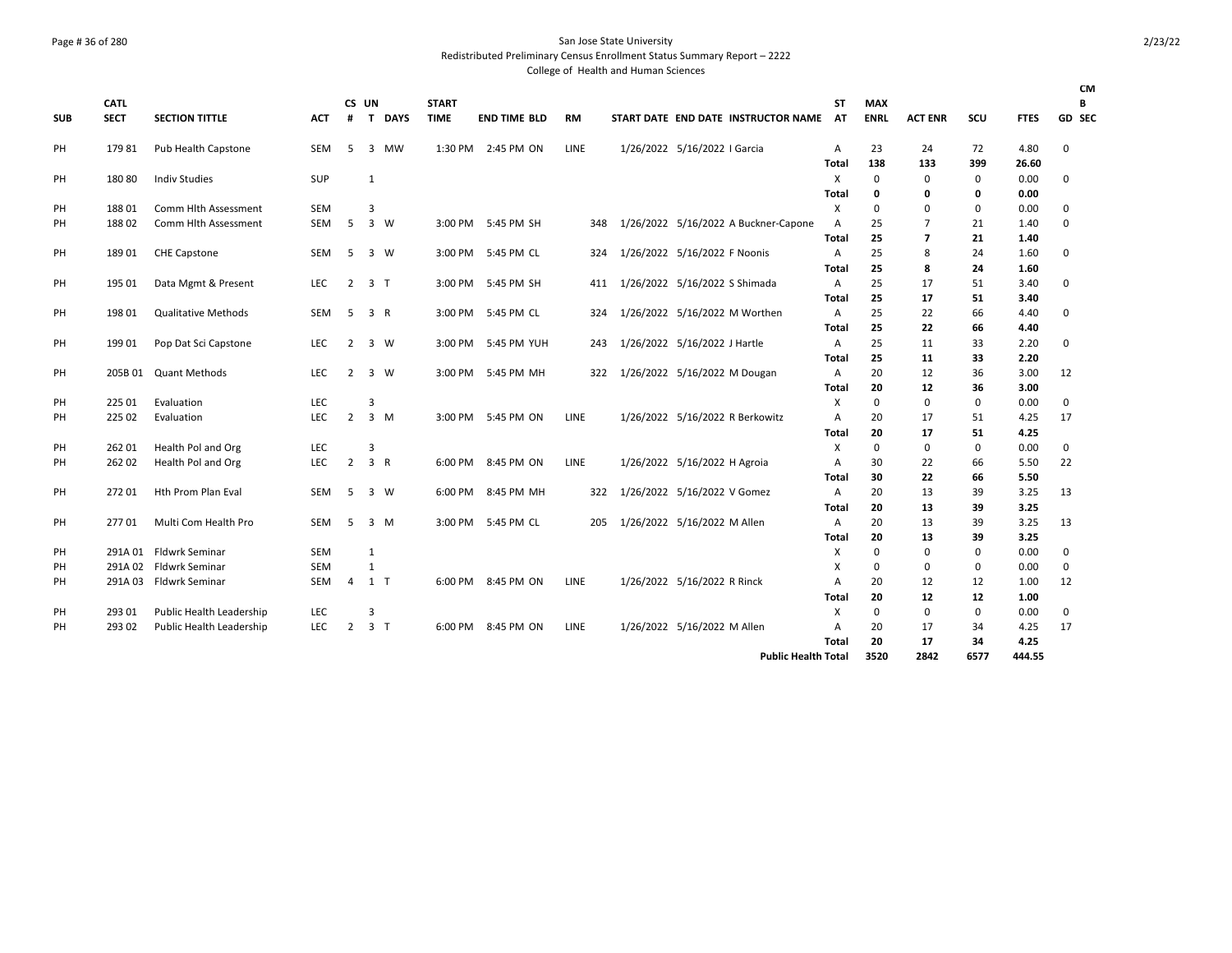### Page # 36 of 280 San Jose State University Redistributed Preliminary Census Enrollment Status Summary Report – 2222

College of Health and Human Sciences

|            |             |                            |            |                |                |             |              |                     |             |                               |                              |                                        |       |             |                |             |             | CМ          |
|------------|-------------|----------------------------|------------|----------------|----------------|-------------|--------------|---------------------|-------------|-------------------------------|------------------------------|----------------------------------------|-------|-------------|----------------|-------------|-------------|-------------|
|            | <b>CATL</b> |                            |            | CS UN          |                |             | <b>START</b> |                     |             |                               |                              |                                        | ST    | <b>MAX</b>  |                |             |             | В           |
| <b>SUB</b> | <b>SECT</b> | <b>SECTION TITTLE</b>      | <b>ACT</b> | #              | $\mathbf{T}$   | <b>DAYS</b> | <b>TIME</b>  | <b>END TIME BLD</b> | <b>RM</b>   |                               |                              | START DATE END DATE INSTRUCTOR NAME AT |       | <b>ENRL</b> | <b>ACT ENR</b> | <b>SCU</b>  | <b>FTES</b> | GD SEC      |
| PH         | 17981       | Pub Health Capstone        | <b>SEM</b> | 5              | 3 MW           |             |              | 1:30 PM 2:45 PM ON  | LINE        |                               | 1/26/2022 5/16/2022   Garcia |                                        | Α     | 23          | 24             | 72          | 4.80        | $\mathbf 0$ |
|            |             |                            |            |                |                |             |              |                     |             |                               |                              |                                        | Total | 138         | 133            | 399         | 26.60       |             |
| PH         | 18080       | <b>Indiv Studies</b>       | <b>SUP</b> |                | 1              |             |              |                     |             |                               |                              |                                        | X     | $\mathbf 0$ | $\Omega$       | $\mathbf 0$ | 0.00        | $\mathbf 0$ |
|            |             |                            |            |                |                |             |              |                     |             |                               |                              |                                        | Total | 0           | 0              | 0           | 0.00        |             |
| PH         | 18801       | Comm Hlth Assessment       | <b>SEM</b> |                | 3              |             |              |                     |             |                               |                              |                                        | X     | $\Omega$    | $\mathbf 0$    | 0           | 0.00        | 0           |
| PH         | 18802       | Comm Hlth Assessment       | <b>SEM</b> | 5              | 3 W            |             |              | 3:00 PM 5:45 PM SH  | 348         |                               |                              | 1/26/2022 5/16/2022 A Buckner-Capone   | Α     | 25          | 7              | 21          | 1.40        | $\mathbf 0$ |
|            |             |                            |            |                |                |             |              |                     |             |                               |                              |                                        | Total | 25          | $\overline{7}$ | 21          | 1.40        |             |
| PH         | 18901       | <b>CHE Capstone</b>        | <b>SEM</b> | 5              | 3 W            |             |              | 3:00 PM 5:45 PM CL  | 324         | 1/26/2022 5/16/2022 F Noonis  |                              |                                        | Α     | 25          | 8              | 24          | 1.60        | 0           |
|            |             |                            |            |                |                |             |              |                     |             |                               |                              |                                        | Total | 25          | 8              | 24          | 1.60        |             |
| PH         | 195 01      | Data Mgmt & Present        | <b>LEC</b> | 2              | 3 T            |             |              | 3:00 PM 5:45 PM SH  | 411         | 1/26/2022 5/16/2022 S Shimada |                              |                                        | Α     | 25          | 17             | 51          | 3.40        | 0           |
|            |             |                            |            |                |                |             |              |                     |             |                               |                              |                                        | Total | 25          | 17             | 51          | 3.40        |             |
| PH         | 198 01      | <b>Qualitative Methods</b> | <b>SEM</b> | 5              | 3 R            |             |              | 3:00 PM 5:45 PM CL  | 324         |                               |                              | 1/26/2022 5/16/2022 M Worthen          | Α     | 25          | 22             | 66          | 4.40        | 0           |
|            |             |                            |            |                |                |             |              |                     |             |                               |                              |                                        | Total | 25          | 22             | 66          | 4.40        |             |
| PH         | 199 01      | Pop Dat Sci Capstone       | <b>LEC</b> | 2              | 3 W            |             |              | 3:00 PM 5:45 PM YUH | 243         | 1/26/2022 5/16/2022 J Hartle  |                              |                                        | Α     | 25          | 11             | 33          | 2.20        | 0           |
|            |             |                            |            |                |                |             |              |                     |             |                               |                              |                                        | Total | 25          | 11             | 33          | 2.20        |             |
| PH         | 205B 01     | <b>Quant Methods</b>       | <b>LEC</b> | 2              | 3 W            |             | 3:00 PM      | 5:45 PM MH          | 322         | 1/26/2022 5/16/2022 M Dougan  |                              |                                        | Α     | 20          | 12             | 36          | 3.00        | 12          |
|            |             |                            |            |                |                |             |              |                     |             |                               |                              |                                        | Total | 20          | 12             | 36          | 3.00        |             |
| PH         | 225 01      | Evaluation                 | <b>LEC</b> |                | 3              |             |              |                     |             |                               |                              |                                        | X     | $\mathbf 0$ | $\mathbf 0$    | 0           | 0.00        | 0           |
| PH         | 225 02      | Evaluation                 | <b>LEC</b> | $\overline{2}$ | $3 \, M$       |             | 3:00 PM      | 5:45 PM ON          | <b>LINE</b> |                               |                              | 1/26/2022 5/16/2022 R Berkowitz        | А     | 20          | 17             | 51          | 4.25        | 17          |
|            |             |                            |            |                |                |             |              |                     |             |                               |                              |                                        | Total | 20          | 17             | 51          | 4.25        |             |
| PH         | 262 01      | Health Pol and Org         | <b>LEC</b> |                | 3              |             |              |                     |             |                               |                              |                                        | х     | $\mathbf 0$ | 0              | $\mathbf 0$ | 0.00        | 0           |
| PH         | 262 02      | Health Pol and Org         | <b>LEC</b> | $\overline{2}$ | 3 R            |             | 6:00 PM      | 8:45 PM ON          | <b>LINE</b> |                               | 1/26/2022 5/16/2022 H Agroia |                                        | А     | 30          | 22             | 66          | 5.50        | 22          |
|            |             |                            |            |                |                |             |              |                     |             |                               |                              |                                        | Total | 30          | 22             | 66          | 5.50        |             |
| PH         | 272 01      | Hth Prom Plan Eval         | <b>SEM</b> | -5             | 3 W            |             | 6:00 PM      | 8:45 PM MH          | 322         |                               | 1/26/2022 5/16/2022 V Gomez  |                                        | Α     | 20          | 13             | 39          | 3.25        | 13          |
|            |             |                            |            |                |                |             |              |                     |             |                               |                              |                                        | Total | 20          | 13             | 39          | 3.25        |             |
| PH         | 27701       | Multi Com Health Pro       | <b>SEM</b> | 5              | 3 M            |             | 3:00 PM      | 5:45 PM CL          | 205         |                               | 1/26/2022 5/16/2022 M Allen  |                                        | A     | 20          | 13             | 39          | 3.25        | 13          |
|            |             |                            |            |                |                |             |              |                     |             |                               |                              |                                        | Total | 20          | 13             | 39          | 3.25        |             |
| PH         | 291A 01     | <b>Fldwrk Seminar</b>      | <b>SEM</b> |                | 1              |             |              |                     |             |                               |                              |                                        | X     | $\Omega$    | $\mathbf 0$    | $\mathbf 0$ | 0.00        | $\mathbf 0$ |
|            | 291A02      | <b>Fldwrk Seminar</b>      | <b>SEM</b> |                | $\mathbf{1}$   |             |              |                     |             |                               |                              |                                        | X     | $\Omega$    | $\mathbf 0$    | $\mathbf 0$ | 0.00        | 0           |
| PH         | 291A03      | <b>Fldwrk Seminar</b>      | SEM        |                |                |             | 6:00 PM      | 8:45 PM ON          | LINE        |                               |                              |                                        |       | 20          |                | 12          | 1.00        |             |
| PH         |             |                            |            | 4              | 1 T            |             |              |                     |             |                               | 1/26/2022 5/16/2022 R Rinck  |                                        | A     |             | 12             |             |             | 12          |
|            |             |                            |            |                |                |             |              |                     |             |                               |                              |                                        | Total | 20          | 12             | 12          | 1.00        |             |
| PH         | 293 01      | Public Health Leadership   | LEC        |                | 3              |             |              |                     |             |                               |                              |                                        | X     | $\Omega$    | $\mathbf 0$    | $\mathbf 0$ | 0.00        | $\mathbf 0$ |
| PH         | 293 02      | Public Health Leadership   | <b>LEC</b> | $\overline{2}$ | 3 <sub>T</sub> |             | 6:00 PM      | 8:45 PM ON          | LINE        |                               | 1/26/2022 5/16/2022 M Allen  |                                        | A     | 20          | 17             | 34          | 4.25        | 17          |
|            |             |                            |            |                |                |             |              |                     |             |                               |                              |                                        | Total | 20          | 17             | 34          | 4.25        |             |

**Public Health Total 3520 2842 6577 444.55**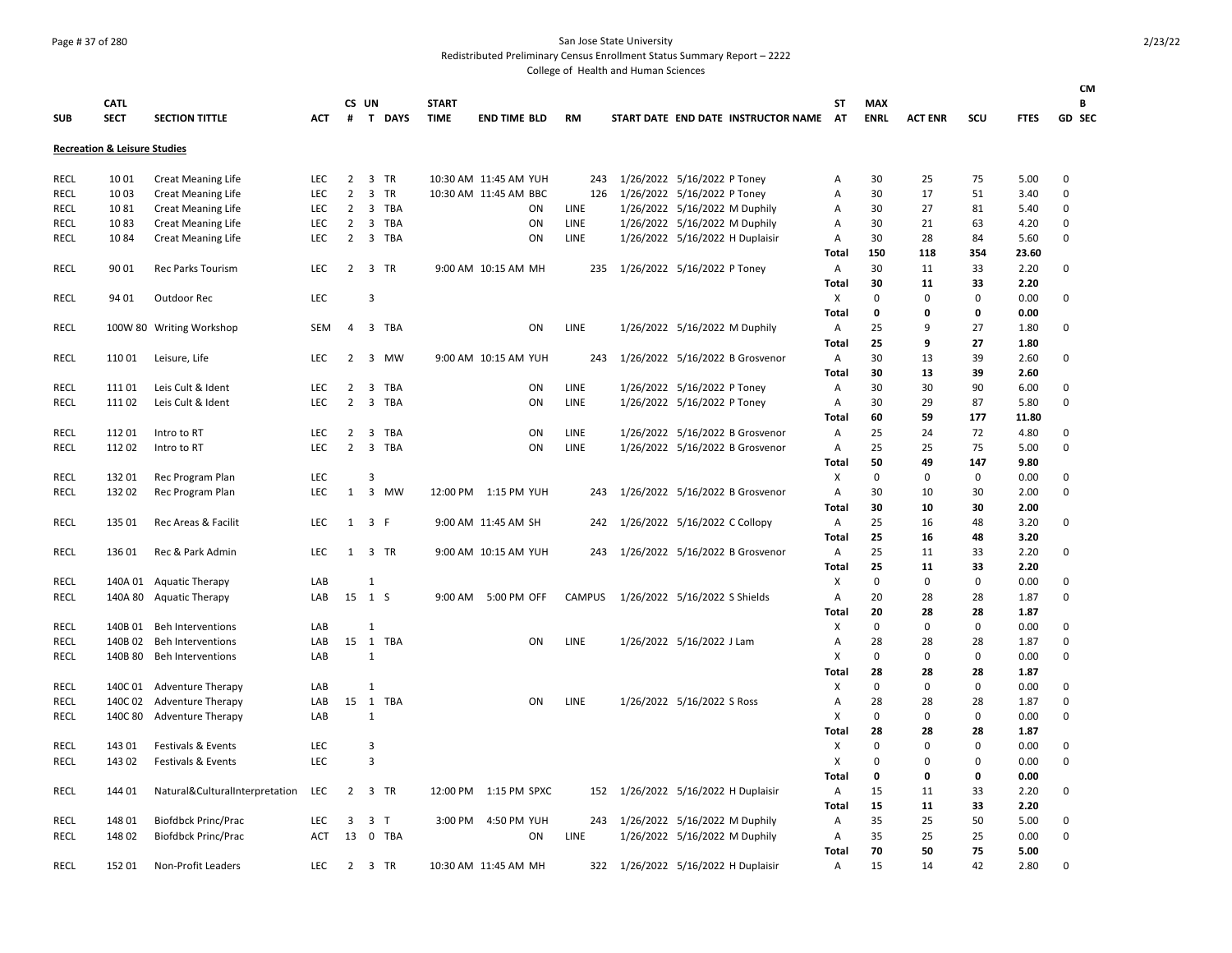### Page # 37 of 280 San Jose State University

Redistributed Preliminary Census Enrollment Status Summary Report – 2222

| <b>SUB</b>  | <b>CATL</b><br><b>SECT</b>              | <b>SECTION TITTLE</b>                                          | <b>ACT</b> | CS UN          |                     | # T DAYS | <b>START</b><br><b>TIME</b> | <b>END TIME BLD</b>   | <b>RM</b>     |                                 |                                 | START DATE END DATE INSTRUCTOR NAME | ST<br><b>AT</b>   | <b>MAX</b><br><b>ENRL</b> | <b>ACT ENR</b>    | SCU         | <b>FTES</b>  | <b>CM</b><br>В<br>GD SEC |
|-------------|-----------------------------------------|----------------------------------------------------------------|------------|----------------|---------------------|----------|-----------------------------|-----------------------|---------------|---------------------------------|---------------------------------|-------------------------------------|-------------------|---------------------------|-------------------|-------------|--------------|--------------------------|
|             | <b>Recreation &amp; Leisure Studies</b> |                                                                |            |                |                     |          |                             |                       |               |                                 |                                 |                                     |                   |                           |                   |             |              |                          |
| RECL        | 1001                                    | <b>Creat Meaning Life</b>                                      | LEC.       | $\overline{2}$ |                     | 3 TR     |                             | 10:30 AM 11:45 AM YUH | 243           |                                 | 1/26/2022 5/16/2022 P Toney     |                                     | Α                 | 30                        | 25                | 75          | 5.00         | 0                        |
| <b>RECL</b> | 1003                                    | <b>Creat Meaning Life</b>                                      | LEC        | $\overline{2}$ |                     | 3 TR     |                             | 10:30 AM 11:45 AM BBC | 126           | 1/26/2022 5/16/2022 P Toney     |                                 |                                     | Α                 | 30                        | 17                | 51          | 3.40         | $\Omega$                 |
| <b>RECL</b> | 1081                                    | <b>Creat Meaning Life</b>                                      | LEC        | $\overline{2}$ |                     | 3 TBA    |                             | ΟN                    | LINE          |                                 | 1/26/2022 5/16/2022 M Duphily   |                                     | Α                 | 30                        | 27                | 81          | 5.40         | $\pmb{0}$                |
| <b>RECL</b> | 1083                                    | <b>Creat Meaning Life</b>                                      | LEC        | $\overline{2}$ |                     | 3 TBA    |                             | ON                    | LINE          |                                 | 1/26/2022 5/16/2022 M Duphily   |                                     | Α                 | 30                        | 21                | 63          | 4.20         | $\mathbf 0$              |
| RECL        | 1084                                    | <b>Creat Meaning Life</b>                                      | <b>LEC</b> | $\overline{2}$ |                     | 3 TBA    |                             | ON                    | LINE          |                                 | 1/26/2022 5/16/2022 H Duplaisir |                                     | Α                 | 30                        | 28                | 84          | 5.60         | $\mathbf 0$              |
|             |                                         |                                                                |            |                |                     |          |                             |                       |               |                                 |                                 |                                     | <b>Total</b>      | 150                       | 118               | 354         | 23.60        |                          |
| RECL        | 90 01                                   | Rec Parks Tourism                                              | LEC        |                |                     | 2 3 TR   |                             | 9:00 AM 10:15 AM MH   | 235           | 1/26/2022 5/16/2022 P Toney     |                                 |                                     | Α                 | 30                        | 11                | 33          | 2.20         | $\mathbf 0$              |
|             |                                         |                                                                |            |                |                     |          |                             |                       |               |                                 |                                 |                                     | <b>Total</b>      | 30                        | 11                | 33          | 2.20         |                          |
| RECL        | 94 01                                   | Outdoor Rec                                                    | <b>LEC</b> |                | $\overline{3}$      |          |                             |                       |               |                                 |                                 |                                     | X                 | $\pmb{0}$                 | $\mathbf 0$       | 0           | 0.00         | $\mathbf 0$              |
|             |                                         |                                                                |            |                |                     |          |                             |                       |               |                                 |                                 |                                     | <b>Total</b>      | 0                         | 0                 | 0           | 0.00         |                          |
| RECL        |                                         | 100W 80 Writing Workshop                                       | SEM        | 4              |                     | 3 TBA    |                             | ON                    | LINE          |                                 | 1/26/2022 5/16/2022 M Duphily   |                                     | Α                 | 25                        | 9                 | 27          | 1.80         | 0                        |
|             |                                         |                                                                |            |                |                     |          |                             |                       |               |                                 |                                 |                                     | <b>Total</b>      | 25                        | 9                 | 27          | 1.80         |                          |
| RECL        | 11001                                   | Leisure, Life                                                  | LEC.       | 2              |                     | 3 MW     |                             | 9:00 AM 10:15 AM YUH  | 243           |                                 |                                 | 1/26/2022 5/16/2022 B Grosvenor     | Α                 | 30                        | 13                | 39          | 2.60         | 0                        |
|             |                                         |                                                                |            |                |                     |          |                             |                       |               |                                 |                                 |                                     | <b>Total</b>      | 30                        | 13                | 39          | 2.60         |                          |
| <b>RECL</b> | 11101                                   | Leis Cult & Ident                                              | <b>LEC</b> | 2              | 3                   | TBA      |                             | ON                    | LINE          |                                 | 1/26/2022 5/16/2022 P Toney     |                                     | Α                 | 30                        | 30                | 90          | 6.00         | $\Omega$                 |
| RECL        | 11102                                   | Leis Cult & Ident                                              | LEC        | $\overline{2}$ |                     | 3 TBA    |                             | ON                    | LINE          |                                 | 1/26/2022 5/16/2022 P Toney     |                                     | Α                 | 30                        | 29                | 87          | 5.80         | $\Omega$                 |
|             |                                         |                                                                |            |                |                     |          |                             |                       |               |                                 |                                 |                                     | <b>Total</b>      | 60                        | 59                | 177         | 11.80        |                          |
| RECL        | 11201                                   | Intro to RT                                                    | <b>LEC</b> | 2              |                     | 3 TBA    |                             | ON                    | LINE          |                                 |                                 | 1/26/2022 5/16/2022 B Grosvenor     | Α                 | 25                        | 24                | 72          | 4.80         | 0                        |
| RECL        | 11202                                   | Intro to RT                                                    | LEC.       | $\overline{2}$ |                     | 3 TBA    |                             | ON                    | LINE          |                                 |                                 | 1/26/2022 5/16/2022 B Grosvenor     | Α                 | 25                        | 25                | 75          | 5.00         | 0                        |
|             |                                         |                                                                |            |                |                     |          |                             |                       |               |                                 |                                 |                                     | <b>Total</b>      | 50                        | 49                | 147         | 9.80         |                          |
| <b>RECL</b> | 13201                                   | Rec Program Plan                                               | <b>LEC</b> |                | $\overline{3}$      |          |                             |                       |               |                                 |                                 |                                     | X                 | $\pmb{0}$                 | $\mathbf 0$       | $\mathsf 0$ | 0.00         | $\mathbf 0$              |
| <b>RECL</b> | 132 02                                  | Rec Program Plan                                               | LEC        | $\mathbf{1}$   |                     | 3 MW     |                             | 12:00 PM 1:15 PM YUH  | 243           |                                 |                                 | 1/26/2022 5/16/2022 B Grosvenor     | Α                 | 30                        | 10                | 30          | 2.00         | $\pmb{0}$                |
|             |                                         |                                                                |            |                |                     |          |                             |                       |               |                                 |                                 |                                     | Total             | 30                        | 10                | 30          | 2.00         |                          |
| <b>RECL</b> | 135 01                                  | Rec Areas & Facilit                                            | LEC        |                | $1 \quad 3 \quad F$ |          |                             | 9:00 AM 11:45 AM SH   | 242           | 1/26/2022 5/16/2022 C Collopy   |                                 |                                     | Α                 | 25                        | 16                | 48          | 3.20         | $\mathbf 0$              |
|             |                                         |                                                                |            |                |                     |          |                             |                       |               |                                 |                                 |                                     | <b>Total</b>      | 25                        | 16                | 48          | 3.20         |                          |
| RECL        | 136 01                                  | Rec & Park Admin                                               | <b>LEC</b> |                | 1 3 TR              |          |                             | 9:00 AM 10:15 AM YUH  | 243           |                                 |                                 | 1/26/2022 5/16/2022 B Grosvenor     | Α                 | 25                        | 11                | 33          | 2.20         | 0                        |
|             |                                         |                                                                |            |                |                     |          |                             |                       |               |                                 |                                 |                                     | Total             | 25                        | 11                | 33          | 2.20         |                          |
| <b>RECL</b> |                                         | 140A 01 Aquatic Therapy                                        | LAB        |                | 1                   |          |                             |                       |               |                                 |                                 |                                     | X                 | $\mathbf 0$               | $\mathbf 0$       | 0           | 0.00         | 0                        |
| RECL        |                                         | 140A 80 Aquatic Therapy                                        | LAB        | 15             | 1 S                 |          |                             | 9:00 AM 5:00 PM OFF   | <b>CAMPUS</b> | 1/26/2022 5/16/2022 S Shields   |                                 |                                     | Α                 | 20                        | 28                | 28          | 1.87         | $\mathbf 0$              |
|             |                                         |                                                                |            |                |                     |          |                             |                       |               |                                 |                                 |                                     | Total             | 20                        | 28                | 28          | 1.87         |                          |
| RECL        |                                         | 140B 01 Beh Interventions                                      | LAB        |                | $\mathbf{1}$        |          |                             |                       |               |                                 |                                 |                                     | х                 | $\Omega$                  | $\mathbf 0$       | 0           | 0.00         | 0                        |
| RECL        | 140B 02                                 | <b>Beh Interventions</b>                                       | LAB        | 15             |                     | 1 TBA    |                             | ON                    | LINE          |                                 | 1/26/2022 5/16/2022 J Lam       |                                     | Α                 | 28                        | 28                | 28          | 1.87         | 0                        |
| RECL        | 140B 80                                 | <b>Beh Interventions</b>                                       | LAB        |                | $\mathbf{1}$        |          |                             |                       |               |                                 |                                 |                                     | X                 | 0                         | $\mathbf 0$       | 0           | 0.00         | $\Omega$                 |
|             |                                         |                                                                |            |                |                     |          |                             |                       |               |                                 |                                 |                                     | <b>Total</b>      | 28                        | 28                | 28          | 1.87         |                          |
| <b>RECL</b> |                                         | 140C 01 Adventure Therapy                                      | LAB<br>LAB | 15             | $\mathbf{1}$        | 1 TBA    |                             | ON                    | LINE          |                                 | 1/26/2022 5/16/2022 S Ross      |                                     | X                 | 0<br>28                   | 0                 | 0<br>28     | 0.00         | $\Omega$<br>0            |
| RECL        |                                         | 140C 02 Adventure Therapy                                      |            |                |                     |          |                             |                       |               |                                 |                                 |                                     | Α                 | $\Omega$                  | 28<br>0           | 0           | 1.87         | 0                        |
| RECL        | 140C 80                                 | <b>Adventure Therapy</b>                                       | LAB        |                | 1                   |          |                             |                       |               |                                 |                                 |                                     | Χ                 |                           |                   |             | 0.00         |                          |
|             | 143 01                                  |                                                                | LEC        |                | 3                   |          |                             |                       |               |                                 |                                 |                                     | <b>Total</b><br>X | 28<br>0                   | 28<br>$\mathbf 0$ | 28<br>0     | 1.87<br>0.00 |                          |
| RECL        | 143 02                                  | <b>Festivals &amp; Events</b><br><b>Festivals &amp; Events</b> | <b>LEC</b> |                | 3                   |          |                             |                       |               |                                 |                                 |                                     |                   | $\mathbf 0$               | $\Omega$          | 0           | 0.00         | 0<br>$\Omega$            |
| RECL        |                                         |                                                                |            |                |                     |          |                             |                       |               |                                 |                                 |                                     | X<br><b>Total</b> | 0                         | $\mathbf 0$       | 0           | 0.00         |                          |
| <b>RECL</b> | 144 01                                  |                                                                | LEC        | $\overline{2}$ |                     | 3 TR     |                             | 12:00 PM 1:15 PM SPXC | 152           |                                 |                                 |                                     |                   | 15                        | 11                | 33          | 2.20         | $\mathbf 0$              |
|             |                                         | Natural&CulturalInterpretation                                 |            |                |                     |          |                             |                       |               | 1/26/2022 5/16/2022 H Duplaisir |                                 |                                     | Α                 | 15                        | 11                | 33          | 2.20         |                          |
| RECL        | 148 01                                  | <b>Biofdbck Princ/Prac</b>                                     | LEC        | 3              | 3                   | $\top$   | 3:00 PM                     | 4:50 PM YUH           | 243           | 1/26/2022 5/16/2022 M Duphily   |                                 |                                     | <b>Total</b><br>Α | 35                        | 25                | 50          | 5.00         | 0                        |
| <b>RECL</b> | 148 02                                  | <b>Biofdbck Princ/Prac</b>                                     | <b>ACT</b> | 13             |                     | 0 TBA    |                             | ON                    | LINE          |                                 | 1/26/2022 5/16/2022 M Duphily   |                                     | Α                 | 35                        | 25                | 25          | 0.00         | $\mathbf 0$              |
|             |                                         |                                                                |            |                |                     |          |                             |                       |               |                                 |                                 |                                     | <b>Total</b>      | 70                        | 50                | 75          | 5.00         |                          |
| RECL        | 152 01                                  | Non-Profit Leaders                                             | LEC        |                | 2 3 TR              |          |                             | 10:30 AM 11:45 AM MH  | 322           | 1/26/2022 5/16/2022 H Duplaisir |                                 |                                     | Α                 | 15                        | 14                | 42          | 2.80         | $\Omega$                 |
|             |                                         |                                                                |            |                |                     |          |                             |                       |               |                                 |                                 |                                     |                   |                           |                   |             |              |                          |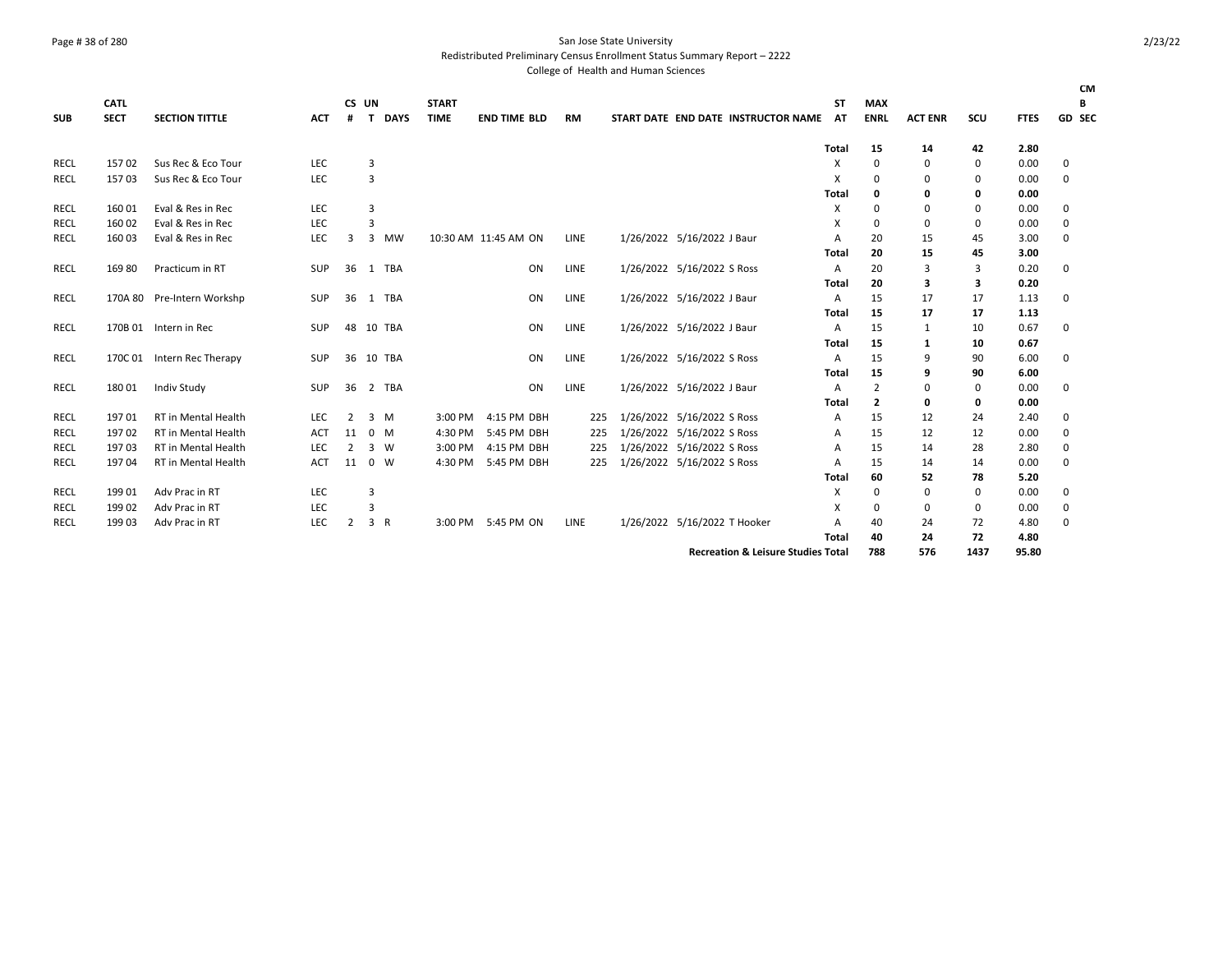### Page # 38 of 280 San Jose State University

Redistributed Preliminary Census Enrollment Status Summary Report – 2222

|             | <b>CATL</b> |                            |            | CS UN          |     |                | <b>START</b> |                      |      |                                               | ST             | <b>MAX</b>     |                |          |             | <b>CM</b><br>В |
|-------------|-------------|----------------------------|------------|----------------|-----|----------------|--------------|----------------------|------|-----------------------------------------------|----------------|----------------|----------------|----------|-------------|----------------|
| <b>SUB</b>  | <b>SECT</b> | <b>SECTION TITTLE</b>      | <b>ACT</b> | #              | T   | <b>DAYS</b>    | <b>TIME</b>  | <b>END TIME BLD</b>  | RM   | START DATE END DATE INSTRUCTOR NAME           | <b>AT</b>      | <b>ENRL</b>    | <b>ACT ENR</b> | SCU      | <b>FTES</b> | GD SEC         |
|             |             |                            |            |                |     |                |              |                      |      |                                               | <b>Total</b>   | 15             | 14             | 42       | 2.80        |                |
| RECL        | 15702       | Sus Rec & Eco Tour         | LEC        |                | 3   |                |              |                      |      |                                               | Χ              | 0              | 0              | 0        | 0.00        | 0              |
| <b>RECL</b> | 15703       | Sus Rec & Eco Tour         | <b>LEC</b> |                | 3   |                |              |                      |      |                                               | X              | 0              | 0              | $\Omega$ | 0.00        | $\mathbf 0$    |
|             |             |                            |            |                |     |                |              |                      |      |                                               | Total          | o              | 0              | 0        | 0.00        |                |
| RECL        | 160 01      | Eval & Res in Rec          | <b>LEC</b> |                | 3   |                |              |                      |      |                                               | X              | 0              | 0              | 0        | 0.00        | 0              |
| <b>RECL</b> | 160 02      | Eval & Res in Rec          | <b>LEC</b> |                | 3   |                |              |                      |      |                                               | X              | 0              | 0              | $\Omega$ | 0.00        | 0              |
| RECL        | 160 03      | Eval & Res in Rec          | LEC        | 3              | 3   | MW             |              | 10:30 AM 11:45 AM ON | LINE | 1/26/2022 5/16/2022 J Baur                    | A              | 20             | 15             | 45       | 3.00        | 0              |
|             |             |                            |            |                |     |                |              |                      |      |                                               | Total          | 20             | 15             | 45       | 3.00        |                |
| <b>RECL</b> | 16980       | Practicum in RT            | <b>SUP</b> | 36             |     | 1 TBA          |              | ON                   | LINE | 1/26/2022 5/16/2022 S Ross                    | $\overline{A}$ | 20             | 3              | 3        | 0.20        | 0              |
|             |             |                            |            |                |     |                |              |                      |      |                                               | <b>Total</b>   | 20             | 3              | 3        | 0.20        |                |
| RECL        |             | 170A 80 Pre-Intern Workshp | SUP        | 36             |     | 1 TBA          |              | ON                   | LINE | 1/26/2022 5/16/2022 J Baur                    | A              | 15             | 17             | 17       | 1.13        | $\mathbf 0$    |
|             |             |                            |            |                |     |                |              |                      |      |                                               | <b>Total</b>   | 15             | 17             | 17       | 1.13        |                |
| <b>RECL</b> |             | 170B 01 Intern in Rec      | SUP        | 48             |     | 10 TBA         |              | ON                   | LINE | 1/26/2022 5/16/2022 J Baur                    | $\overline{A}$ | 15             | 1              | 10       | 0.67        | $\Omega$       |
|             |             |                            |            |                |     |                |              |                      |      |                                               | Total          | 15             | 1              | 10       | 0.67        |                |
| RECL        | 170C 01     | Intern Rec Therapy         | SUP        |                |     | 36 10 TBA      |              | ON                   | LINE | 1/26/2022 5/16/2022 S Ross                    | $\overline{A}$ | 15             | 9              | 90       | 6.00        | $\mathbf 0$    |
|             |             |                            |            |                |     |                |              |                      |      |                                               | <b>Total</b>   | 15             | 9              | 90       | 6.00        |                |
| <b>RECL</b> | 18001       | Indiv Study                | SUP        | 36             |     | 2 TBA          |              | ON                   | LINE | 1/26/2022 5/16/2022 J Baur                    | $\overline{A}$ | $\overline{2}$ | 0              | 0        | 0.00        | 0              |
|             |             |                            |            |                |     |                |              |                      |      |                                               | <b>Total</b>   | $\overline{2}$ | 0              | 0        | 0.00        |                |
| RECL        | 19701       | <b>RT</b> in Mental Health | <b>LEC</b> | $\overline{2}$ |     | 3 M            | 3:00 PM      | 4:15 PM DBH          | 225  | 1/26/2022 5/16/2022 S Ross                    | $\overline{A}$ | 15             | 12             | 24       | 2.40        | 0              |
| <b>RECL</b> | 19702       | <b>RT</b> in Mental Health | <b>ACT</b> | 11             |     | $0 \mathsf{M}$ | 4:30 PM      | 5:45 PM DBH          | 225  | 1/26/2022 5/16/2022 S Ross                    | $\mathsf{A}$   | 15             | 12             | 12       | 0.00        | 0              |
| <b>RECL</b> | 19703       | <b>RT</b> in Mental Health | <b>LEC</b> | 2              |     | 3 W            | 3:00 PM      | 4:15 PM DBH          | 225  | 1/26/2022 5/16/2022 S Ross                    | A              | 15             | 14             | 28       | 2.80        | 0              |
| <b>RECL</b> | 19704       | <b>RT</b> in Mental Health | <b>ACT</b> | 11             |     | $0 \quad W$    | 4:30 PM      | 5:45 PM DBH          | 225  | 1/26/2022 5/16/2022 S Ross                    | $\overline{A}$ | 15             | 14             | 14       | 0.00        | 0              |
|             |             |                            |            |                |     |                |              |                      |      |                                               | <b>Total</b>   | 60             | 52             | 78       | 5.20        |                |
| <b>RECL</b> | 19901       | Adv Prac in RT             | <b>LEC</b> |                | 3   |                |              |                      |      |                                               | X              | 0              | 0              | 0        | 0.00        | 0              |
| <b>RECL</b> | 19902       | Adv Prac in RT             | LEC.       |                | 3   |                |              |                      |      |                                               | X              | 0              | 0              | 0        | 0.00        | 0              |
| <b>RECL</b> | 19903       | Adv Prac in RT             | <b>LEC</b> | $\overline{2}$ | 3 R |                |              | 3:00 PM 5:45 PM ON   | LINE | 1/26/2022 5/16/2022 T Hooker                  | A              | 40             | 24             | 72       | 4.80        | 0              |
|             |             |                            |            |                |     |                |              |                      |      |                                               | <b>Total</b>   | 40             | 24             | 72       | 4.80        |                |
|             |             |                            |            |                |     |                |              |                      |      | <b>Recreation &amp; Leisure Studies Total</b> | 788            | 576            | 1437           | 95.80    |             |                |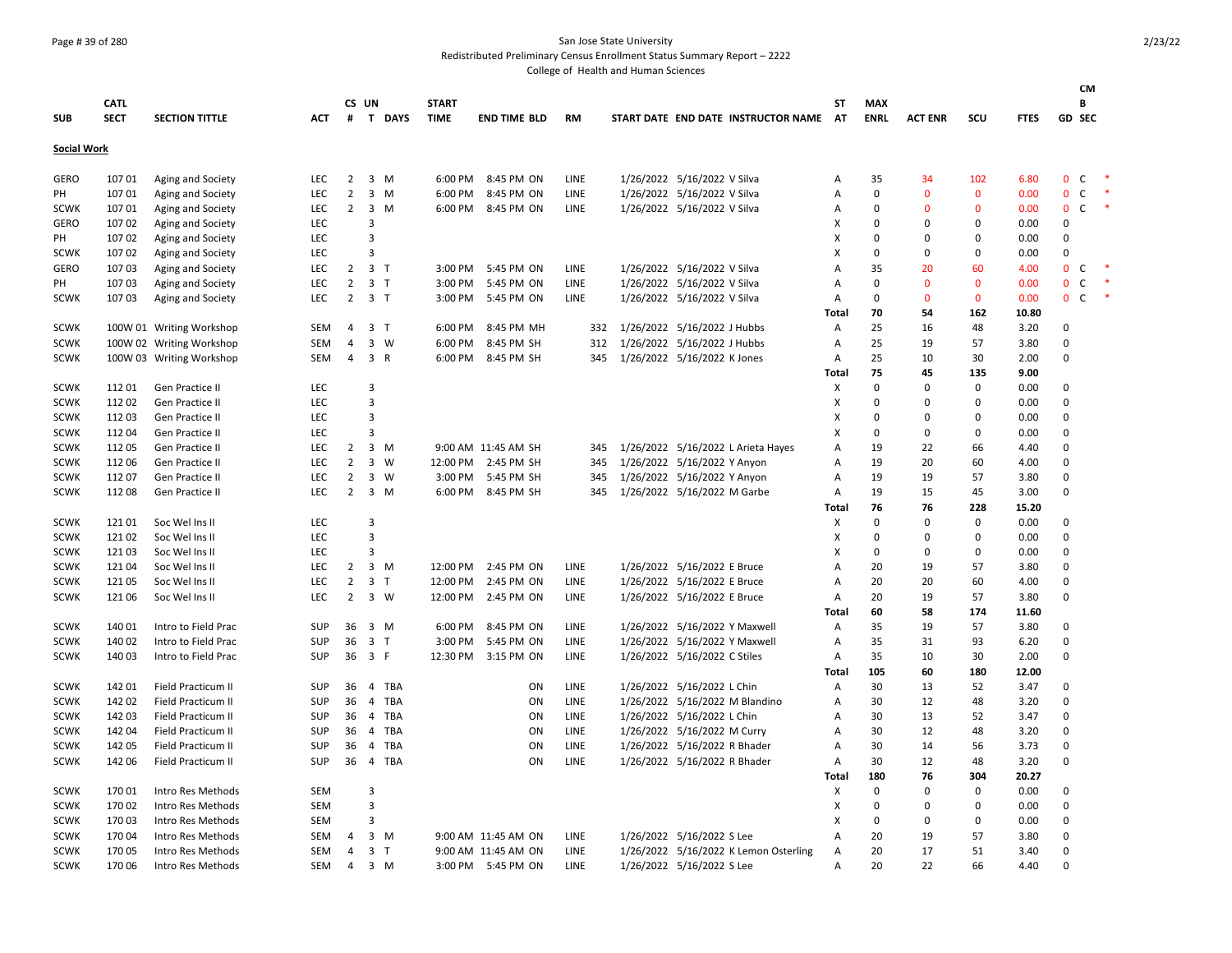### Page # 39 of 280 San Jose State University

Redistributed Preliminary Census Enrollment Status Summary Report – 2222

|                    |             |                          |            |                |                         |               |              |                     |             |                                       |              |             |                |              |             | CM                           |  |
|--------------------|-------------|--------------------------|------------|----------------|-------------------------|---------------|--------------|---------------------|-------------|---------------------------------------|--------------|-------------|----------------|--------------|-------------|------------------------------|--|
|                    | <b>CATL</b> |                          |            |                | CS UN                   |               | <b>START</b> |                     |             |                                       | ST           | MAX         |                |              |             | В                            |  |
| <b>SUB</b>         | <b>SECT</b> | <b>SECTION TITTLE</b>    | <b>ACT</b> | #              |                         | <b>T DAYS</b> | <b>TIME</b>  | <b>END TIME BLD</b> | RM          | START DATE END DATE INSTRUCTOR NAME   | AT           | <b>ENRL</b> | <b>ACT ENR</b> | scu          | <b>FTES</b> | GD SEC                       |  |
| <b>Social Work</b> |             |                          |            |                |                         |               |              |                     |             |                                       |              |             |                |              |             |                              |  |
| <b>GERO</b>        | 10701       | Aging and Society        | <b>LEC</b> | 2              |                         | 3 M           | 6:00 PM      | 8:45 PM ON          | LINE        | 1/26/2022 5/16/2022 V Silva           | А            | 35          | 34             | 102          | 6.80        | $\mathbf{0}$<br>C            |  |
| PH                 | 107 01      | Aging and Society        | LEC        | $\overline{2}$ |                         | $3 \, M$      | 6:00 PM      | 8:45 PM ON          | LINE        | 1/26/2022 5/16/2022 V Silva           | А            | 0           | $\mathbf{0}$   | $\mathbf 0$  | 0.00        | $\mathbf 0$<br>C             |  |
| <b>SCWK</b>        | 107 01      | Aging and Society        | <b>LEC</b> | $\overline{2}$ | $\overline{\mathbf{3}}$ | M             |              | 6:00 PM 8:45 PM ON  | <b>LINE</b> | 1/26/2022 5/16/2022 V Silva           | А            | 0           | $\Omega$       | $\Omega$     | 0.00        | $\mathbf{0}$<br>C            |  |
| <b>GERO</b>        | 10702       | Aging and Society        | LEC        |                | 3                       |               |              |                     |             |                                       | Χ            | $\Omega$    | 0              | $\mathbf 0$  | 0.00        | 0                            |  |
| PH                 | 107 02      | Aging and Society        | LEC        |                | 3                       |               |              |                     |             |                                       | X            | 0           | $\Omega$       | $\Omega$     | 0.00        | 0                            |  |
| <b>SCWK</b>        | 107 02      | Aging and Society        | <b>LEC</b> |                | 3                       |               |              |                     |             |                                       | X            | $\Omega$    | O              | $\Omega$     | 0.00        | $\Omega$                     |  |
| <b>GERO</b>        | 10703       | Aging and Society        | <b>LEC</b> | 2              | 3 <sub>1</sub>          |               | 3:00 PM      | 5:45 PM ON          | LINE        | 1/26/2022 5/16/2022 V Silva           | A            | 35          | 20             | 60           | 4.00        | $\mathbf{0}$<br>C            |  |
| PH                 | 10703       | Aging and Society        | <b>LEC</b> | $\overline{2}$ | 3 <sub>7</sub>          |               | 3:00 PM      | 5:45 PM ON          | LINE        | 1/26/2022 5/16/2022 V Silva           | А            | 0           | $\mathbf{0}$   | $\mathbf{0}$ | 0.00        | $\mathbf 0$<br>C             |  |
| <b>SCWK</b>        | 107 03      | Aging and Society        | LEC        | $\overline{2}$ | 3 <sub>7</sub>          |               | 3:00 PM      | 5:45 PM ON          | LINE        | 1/26/2022 5/16/2022 V Silva           | А            | 0           | $\mathbf{0}$   | $\mathbf 0$  | 0.00        | $\mathbf{0}$<br>$\mathsf{C}$ |  |
|                    |             |                          |            |                |                         |               |              |                     |             |                                       | Total        | 70          | 54             | 162          | 10.80       |                              |  |
| <b>SCWK</b>        |             | 100W 01 Writing Workshop | <b>SEM</b> | 4              | 3 <sub>T</sub>          |               | 6:00 PM      | 8:45 PM MH          | 332         | 1/26/2022 5/16/2022 J Hubbs           | Α            | 25          | 16             | 48           | 3.20        | 0                            |  |
| <b>SCWK</b>        |             | 100W 02 Writing Workshop | SEM        | 4              |                         | 3 W           | 6:00 PM      | 8:45 PM SH          | 312         | 1/26/2022 5/16/2022 J Hubbs           | Α            | 25          | 19             | 57           | 3.80        | $\Omega$                     |  |
| <b>SCWK</b>        |             | 100W 03 Writing Workshop | <b>SEM</b> | 4              | 3 R                     |               | 6:00 PM      | 8:45 PM SH          | 345         | 1/26/2022 5/16/2022 K Jones           | A            | 25          | 10             | 30           | 2.00        | $\Omega$                     |  |
|                    |             |                          |            |                |                         |               |              |                     |             |                                       | Total        | 75          | 45             | 135          | 9.00        |                              |  |
| <b>SCWK</b>        | 112 01      | Gen Practice II          | LEC        |                | $\overline{3}$          |               |              |                     |             |                                       | X            | 0           | $\mathbf 0$    | 0            | 0.00        | 0                            |  |
| <b>SCWK</b>        | 11202       | Gen Practice II          | LEC        |                | $\overline{3}$          |               |              |                     |             |                                       | X            | 0           | 0              | $\mathbf 0$  | 0.00        | $\Omega$                     |  |
| <b>SCWK</b>        | 112 03      | Gen Practice II          | LEC        |                | $\overline{3}$          |               |              |                     |             |                                       | X            | 0           | $\mathbf 0$    | $\mathbf 0$  | 0.00        | 0                            |  |
| <b>SCWK</b>        | 11204       | Gen Practice II          | LEC        |                | 3                       |               |              |                     |             |                                       | X            | $\Omega$    | $\Omega$       | $\Omega$     | 0.00        | 0                            |  |
| <b>SCWK</b>        | 112 05      | Gen Practice II          | <b>LEC</b> | $\overline{2}$ |                         | $3 \, M$      |              | 9:00 AM 11:45 AM SH | 345         | 1/26/2022 5/16/2022 L Arieta Hayes    | A            | 19          | 22             | 66           | 4.40        | $\Omega$                     |  |
| <b>SCWK</b>        | 11206       | Gen Practice II          | <b>LEC</b> | $\overline{2}$ | $\overline{3}$          | W             | 12:00 PM     | 2:45 PM SH          | 345         | 1/26/2022 5/16/2022 Y Anyon           | A            | 19          | 20             | 60           | 4.00        | $\Omega$                     |  |
| <b>SCWK</b>        | 11207       | Gen Practice II          | <b>LEC</b> | $\overline{2}$ |                         | $3 \quad W$   | 3:00 PM      | 5:45 PM SH          | 345         | 1/26/2022 5/16/2022 Y Anyon           | А            | 19          | 19             | 57           | 3.80        | 0                            |  |
| <b>SCWK</b>        | 112 08      | Gen Practice II          | LEC        | $\overline{2}$ |                         | $3 \, M$      |              | 6:00 PM 8:45 PM SH  | 345         | 1/26/2022 5/16/2022 M Garbe           | А            | 19          | 15             | 45           | 3.00        | 0                            |  |
|                    |             |                          |            |                |                         |               |              |                     |             |                                       | Total        | 76          | 76             | 228          | 15.20       |                              |  |
| <b>SCWK</b>        | 121 01      | Soc Wel Ins II           | LEC        |                | 3                       |               |              |                     |             |                                       | X            | 0           | 0              | 0            | 0.00        | 0                            |  |
| <b>SCWK</b>        | 121 02      | Soc Wel Ins II           | LEC        |                | 3                       |               |              |                     |             |                                       | X            | $\Omega$    | $\Omega$       | $\Omega$     | 0.00        | $\Omega$                     |  |
| <b>SCWK</b>        | 12103       | Soc Wel Ins II           | <b>LEC</b> |                | 3                       |               |              |                     |             |                                       | X            | 0           | 0              | $\Omega$     | 0.00        | $\Omega$                     |  |
| <b>SCWK</b>        | 121 04      | Soc Wel Ins II           | LEC        | $\overline{2}$ |                         | 3 M           | 12:00 PM     | 2:45 PM ON          | LINE        | 1/26/2022 5/16/2022 E Bruce           | A            | 20          | 19             | 57           | 3.80        | $\Omega$                     |  |
| <b>SCWK</b>        | 121 05      | Soc Wel Ins II           | LEC        | $\overline{2}$ | 3 <sub>7</sub>          |               | 12:00 PM     | 2:45 PM ON          | LINE        | 1/26/2022 5/16/2022 E Bruce           | А            | 20          | 20             | 60           | 4.00        | $\mathbf 0$                  |  |
| <b>SCWK</b>        | 121 06      | Soc Wel Ins II           | <b>LEC</b> | $\overline{2}$ |                         | $3 \quad W$   | 12:00 PM     | 2:45 PM ON          | <b>LINE</b> | 1/26/2022 5/16/2022 E Bruce           | Α            | 20          | 19             | 57           | 3.80        | $\Omega$                     |  |
|                    |             |                          |            |                |                         |               |              |                     |             |                                       | Total        | 60          | 58             | 174          | 11.60       |                              |  |
| <b>SCWK</b>        | 140 01      | Intro to Field Prac      | SUP        | 36             | 3 M                     |               | 6:00 PM      | 8:45 PM ON          | LINE        | 1/26/2022 5/16/2022 Y Maxwell         | Α            | 35          | 19             | 57           | 3.80        | 0                            |  |
| <b>SCWK</b>        | 140 02      | Intro to Field Prac      | <b>SUP</b> | 36             | 3 <sub>7</sub>          |               | 3:00 PM      | 5:45 PM ON          | LINE        | 1/26/2022 5/16/2022 Y Maxwell         | A            | 35          | 31             | 93           | 6.20        | $\Omega$                     |  |
| <b>SCWK</b>        | 140 03      | Intro to Field Prac      | <b>SUP</b> |                | 36 3 F                  |               |              | 12:30 PM 3:15 PM ON | LINE        | 1/26/2022 5/16/2022 C Stiles          | A            | 35          | 10             | 30           | 2.00        | $\Omega$                     |  |
|                    |             |                          |            |                |                         |               |              |                     |             |                                       | Total        | 105         | 60             | 180          | 12.00       |                              |  |
| <b>SCWK</b>        | 142 01      | Field Practicum II       | SUP        | 36             |                         | 4 TBA         |              | ON                  | LINE        | 1/26/2022 5/16/2022 L Chin            | Α            | 30          | 13             | 52           | 3.47        | 0                            |  |
| <b>SCWK</b>        | 142 02      | Field Practicum II       | <b>SUP</b> | 36             |                         | 4 TBA         |              | ON                  | LINE        | 1/26/2022 5/16/2022 M Blandino        | А            | 30          | 12             | 48           | 3.20        | 0                            |  |
| <b>SCWK</b>        | 142 03      | Field Practicum II       | SUP        | 36             |                         | 4 TBA         |              | ON                  | LINE        | 1/26/2022 5/16/2022 L Chin            | А            | 30          | 13             | 52           | 3.47        | 0                            |  |
| <b>SCWK</b>        | 142 04      | Field Practicum II       | SUP        | 36             |                         | 4 TBA         |              | ON                  | LINE        | 1/26/2022 5/16/2022 M Curry           | А            | 30          | 12             | 48           | 3.20        | $\Omega$                     |  |
| <b>SCWK</b>        | 142 05      | Field Practicum II       | <b>SUP</b> | 36             |                         | 4 TBA         |              | ON                  | LINE        | 1/26/2022 5/16/2022 R Bhader          | A            | 30          | 14             | 56           | 3.73        | 0                            |  |
| <b>SCWK</b>        | 142 06      | Field Practicum II       | <b>SUP</b> | 36             |                         | 4 TBA         |              | ON                  | LINE        | 1/26/2022 5/16/2022 R Bhader          | А            | 30          | 12             | 48           | 3.20        | $\Omega$                     |  |
|                    |             |                          |            |                |                         |               |              |                     |             |                                       | <b>Total</b> | 180         | 76             | 304          | 20.27       |                              |  |
| <b>SCWK</b>        | 17001       | Intro Res Methods        | <b>SEM</b> |                | 3                       |               |              |                     |             |                                       | X            | 0           | 0              | $\mathbf 0$  | 0.00        | $\mathbf 0$                  |  |
| <b>SCWK</b>        | 170 02      | Intro Res Methods        | <b>SEM</b> |                | $\overline{3}$          |               |              |                     |             |                                       | X            | 0           | $\mathbf 0$    | $\mathbf 0$  | 0.00        | 0                            |  |
| <b>SCWK</b>        | 170 03      | Intro Res Methods        | SEM        |                | 3                       |               |              |                     |             |                                       | X            | $\Omega$    | 0              | $\Omega$     | 0.00        | 0                            |  |
| <b>SCWK</b>        | 170 04      | Intro Res Methods        | <b>SEM</b> | $\overline{a}$ |                         | 3 M           |              | 9:00 AM 11:45 AM ON | <b>LINE</b> | 1/26/2022 5/16/2022 S Lee             | A            | 20          | 19             | 57           | 3.80        | $\Omega$                     |  |
| <b>SCWK</b>        | 170 05      | Intro Res Methods        | <b>SEM</b> | 4              | 3 <sub>1</sub>          |               |              | 9:00 AM 11:45 AM ON | <b>LINE</b> | 1/26/2022 5/16/2022 K Lemon Osterling | $\mathsf{A}$ | 20          | 17             | 51           | 3.40        | $\Omega$                     |  |
| <b>SCWK</b>        | 170 06      | Intro Res Methods        | SEM        | $\overline{4}$ |                         | $3 \, M$      |              | 3:00 PM 5:45 PM ON  | <b>LINE</b> | 1/26/2022 5/16/2022 S Lee             | A            | 20          | 22             | 66           | 4.40        | $\Omega$                     |  |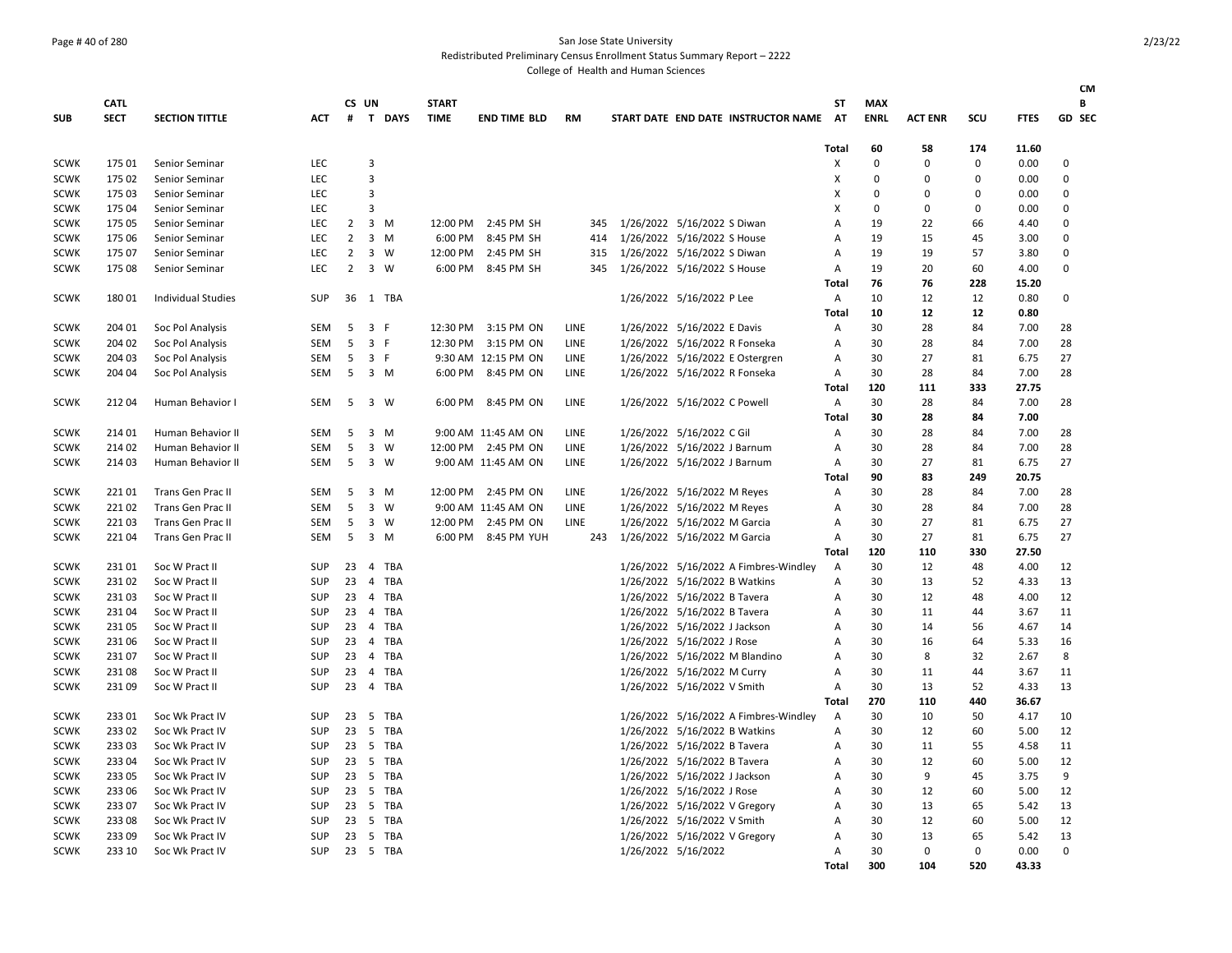### Page # 40 of 280 San Jose State University

Redistributed Preliminary Census Enrollment Status Summary Report – 2222

|             |             |                           |            |                |                            |     |              |                     |             |                                       |                |             |                |             |             | <b>CM</b>     |
|-------------|-------------|---------------------------|------------|----------------|----------------------------|-----|--------------|---------------------|-------------|---------------------------------------|----------------|-------------|----------------|-------------|-------------|---------------|
|             | <b>CATL</b> |                           |            |                | CS UN                      |     | <b>START</b> |                     |             |                                       | ST             | <b>MAX</b>  |                |             |             | В             |
| <b>SUB</b>  | <b>SECT</b> | <b>SECTION TITTLE</b>     | <b>ACT</b> | #              | T DAYS                     |     | <b>TIME</b>  | <b>END TIME BLD</b> | <b>RM</b>   | START DATE END DATE INSTRUCTOR NAME   | AT             | <b>ENRL</b> | <b>ACT ENR</b> | scu         | <b>FTES</b> | <b>GD SEC</b> |
|             |             |                           |            |                |                            |     |              |                     |             |                                       | Total          | 60          | 58             | 174         | 11.60       |               |
| <b>SCWK</b> | 175 01      | Senior Seminar            | <b>LEC</b> |                | 3                          |     |              |                     |             |                                       | X              | $\mathbf 0$ | $\Omega$       | $\mathbf 0$ | 0.00        | 0             |
| <b>SCWK</b> | 175 02      | Senior Seminar            | <b>LEC</b> |                | $\overline{3}$             |     |              |                     |             |                                       | X              | $\mathbf 0$ | 0              | $\mathbf 0$ | 0.00        | $\mathbf 0$   |
| <b>SCWK</b> | 175 03      | Senior Seminar            | <b>LEC</b> |                | $\overline{3}$             |     |              |                     |             |                                       | х              | $\mathbf 0$ | 0              | 0           | 0.00        | 0             |
| <b>SCWK</b> | 175 04      | Senior Seminar            | <b>LEC</b> |                | $\overline{3}$             |     |              |                     |             |                                       | X              | $\mathbf 0$ | 0              | 0           | 0.00        | $\mathbf 0$   |
| <b>SCWK</b> | 175 05      | Senior Seminar            | LEC        | 2              | $3 \, M$                   |     | 12:00 PM     | 2:45 PM SH          | 345         | 1/26/2022 5/16/2022 S Diwan           | A              | 19          | 22             | 66          | 4.40        | $\mathbf 0$   |
| <b>SCWK</b> | 175 06      | Senior Seminar            | <b>LEC</b> | $\overline{2}$ | $3 \, M$                   |     | 6:00 PM      | 8:45 PM SH          | 414         | 1/26/2022 5/16/2022 S House           | $\overline{A}$ | 19          | 15             | 45          | 3.00        | $\Omega$      |
| <b>SCWK</b> | 175 07      | Senior Seminar            | <b>LEC</b> | $\overline{2}$ | $3 \quad W$                |     | 12:00 PM     | 2:45 PM SH          | 315         | 1/26/2022 5/16/2022 S Diwan           | $\overline{A}$ | 19          | 19             | 57          | 3.80        | 0             |
| <b>SCWK</b> | 175 08      | Senior Seminar            | <b>LEC</b> | $\overline{2}$ | $3 \quad W$                |     | 6:00 PM      | 8:45 PM SH          | 345         | 1/26/2022 5/16/2022 S House           | A              | 19          | 20             | 60          | 4.00        | $\mathbf 0$   |
|             |             |                           |            |                |                            |     |              |                     |             |                                       | Total          | 76          | 76             | 228         | 15.20       |               |
| <b>SCWK</b> | 18001       | <b>Individual Studies</b> | <b>SUP</b> | 36             | 1 TBA                      |     |              |                     |             | 1/26/2022 5/16/2022 P Lee             | A              | 10          | 12             | 12          | 0.80        | 0             |
|             |             |                           |            |                |                            |     |              |                     |             |                                       | Total          | 10          | 12             | 12          | 0.80        |               |
| <b>SCWK</b> | 204 01      | Soc Pol Analysis          | <b>SEM</b> | 5              | 3 F                        |     |              | 12:30 PM 3:15 PM ON | <b>LINE</b> | 1/26/2022 5/16/2022 E Davis           | A              | 30          | 28             | 84          | 7.00        | 28            |
| <b>SCWK</b> | 204 02      | Soc Pol Analysis          | <b>SEM</b> | 5              | 3 F                        |     | 12:30 PM     | 3:15 PM ON          | <b>LINE</b> | 1/26/2022 5/16/2022 R Fonseka         | $\overline{A}$ | 30          | 28             | 84          | 7.00        | 28            |
| <b>SCWK</b> | 204 03      | Soc Pol Analysis          | <b>SEM</b> | 5              | 3 F                        |     |              | 9:30 AM 12:15 PM ON | LINE        | 1/26/2022 5/16/2022 E Ostergren       | A              | 30          | 27             | 81          | 6.75        | 27            |
| <b>SCWK</b> | 204 04      | Soc Pol Analysis          | <b>SEM</b> | 5              | 3 M                        |     | 6:00 PM      | 8:45 PM ON          | <b>LINE</b> | 1/26/2022 5/16/2022 R Fonseka         | Α              | 30          | 28             | 84          | 7.00        | 28            |
|             |             |                           |            |                |                            |     |              |                     |             |                                       | Total          | 120         | 111            | 333         | 27.75       |               |
| <b>SCWK</b> | 21204       | Human Behavior I          | <b>SEM</b> | 5              | $3 \quad W$                |     | 6:00 PM      | 8:45 PM ON          | LINE        | 1/26/2022 5/16/2022 C Powell          | Α              | 30          | 28             | 84          | 7.00        | 28            |
|             |             |                           |            |                |                            |     |              |                     |             |                                       | Total          | 30          | 28             | 84          | 7.00        |               |
| <b>SCWK</b> | 214 01      | Human Behavior II         | SEM        | 5              | $3 \, M$                   |     |              | 9:00 AM 11:45 AM ON | LINE        | 1/26/2022 5/16/2022 C Gil             | A              | 30          | 28             | 84          | 7.00        | 28            |
| <b>SCWK</b> | 214 02      | Human Behavior II         | <b>SEM</b> | 5              | $\overline{3}$<br><b>W</b> |     | 12:00 PM     | 2:45 PM ON          | <b>LINE</b> | 1/26/2022 5/16/2022 J Barnum          | Α              | 30          | 28             | 84          | 7.00        | 28            |
| <b>SCWK</b> | 214 03      | Human Behavior II         | <b>SEM</b> | 5              | 3 W                        |     |              | 9:00 AM 11:45 AM ON | LINE        | 1/26/2022 5/16/2022 J Barnum          | Α              | 30          | 27             | 81          | 6.75        | 27            |
|             |             |                           |            |                |                            |     |              |                     |             |                                       | Total          | 90          | 83             | 249         | 20.75       |               |
| <b>SCWK</b> | 22101       | <b>Trans Gen Prac II</b>  | <b>SEM</b> | 5              | 3 M                        |     | 12:00 PM     | 2:45 PM ON          | <b>LINE</b> | 1/26/2022 5/16/2022 M Reyes           | A              | 30          | 28             | 84          | 7.00        | 28            |
| <b>SCWK</b> | 22102       | <b>Trans Gen Prac II</b>  | <b>SEM</b> | 5              | $\overline{3}$<br>W        |     |              | 9:00 AM 11:45 AM ON | <b>LINE</b> | 1/26/2022 5/16/2022 M Reyes           | $\overline{A}$ | 30          | 28             | 84          | 7.00        | 28            |
| <b>SCWK</b> | 22103       | Trans Gen Prac II         | <b>SEM</b> | 5              | 3<br>W                     |     | 12:00 PM     | 2:45 PM ON          | <b>LINE</b> | 1/26/2022 5/16/2022 M Garcia          | $\overline{A}$ | 30          | 27             | 81          | 6.75        | 27            |
| <b>SCWK</b> | 22104       | Trans Gen Prac II         | SEM        | 5              | 3 M                        |     | 6:00 PM      | 8:45 PM YUH         | 243         | 1/26/2022 5/16/2022 M Garcia          | Α              | 30          | 27             | 81          | 6.75        | 27            |
|             |             |                           |            |                |                            |     |              |                     |             |                                       | Total          | 120         | 110            | 330         | 27.50       |               |
| SCWK        | 23101       | Soc W Pract II            | <b>SUP</b> | 23             | 4                          | TBA |              |                     |             | 1/26/2022 5/16/2022 A Fimbres-Windley | A              | 30          | 12             | 48          | 4.00        | 12            |
| <b>SCWK</b> | 23102       | Soc W Pract II            | <b>SUP</b> | 23             | 4 TBA                      |     |              |                     |             | 1/26/2022 5/16/2022 B Watkins         | $\overline{A}$ | 30          | 13             | 52          | 4.33        | 13            |
| <b>SCWK</b> | 23103       | Soc W Pract II            | <b>SUP</b> | 23             | 4 TBA                      |     |              |                     |             | 1/26/2022 5/16/2022 B Tavera          | $\overline{A}$ | 30          | 12             | 48          | 4.00        | 12            |
| <b>SCWK</b> | 23104       | Soc W Pract II            | <b>SUP</b> | 23             | 4 TBA                      |     |              |                     |             | 1/26/2022 5/16/2022 B Tavera          | A              | 30          | 11             | 44          | 3.67        | 11            |
| <b>SCWK</b> | 23105       | Soc W Pract II            | <b>SUP</b> | 23             | 4 TBA                      |     |              |                     |             | 1/26/2022 5/16/2022 J Jackson         | $\overline{A}$ | 30          | 14             | 56          | 4.67        | 14            |
| <b>SCWK</b> | 23106       | Soc W Pract II            | <b>SUP</b> | 23             | 4 TBA                      |     |              |                     |             | 1/26/2022 5/16/2022 J Rose            | A              | 30          | 16             | 64          | 5.33        | 16            |
| <b>SCWK</b> | 23107       | Soc W Pract II            | <b>SUP</b> | 23             | $\overline{4}$             | TBA |              |                     |             | 1/26/2022 5/16/2022 M Blandino        | A              | 30          | 8              | 32          | 2.67        | 8             |
| <b>SCWK</b> | 23108       | Soc W Pract II            | <b>SUP</b> | 23             | 4 TBA                      |     |              |                     |             | 1/26/2022 5/16/2022 M Curry           | $\overline{A}$ | 30          | 11             | 44          | 3.67        | 11            |
| <b>SCWK</b> | 23109       | Soc W Pract II            | <b>SUP</b> | 23             | 4 TBA                      |     |              |                     |             | 1/26/2022 5/16/2022 V Smith           | A              | 30          | 13             | 52          | 4.33        | 13            |
|             |             |                           |            |                |                            |     |              |                     |             |                                       | Total          | 270         | 110            | 440         | 36.67       |               |
| <b>SCWK</b> | 23301       | Soc Wk Pract IV           | <b>SUP</b> | 23             | 5 TBA                      |     |              |                     |             | 1/26/2022 5/16/2022 A Fimbres-Windley | A              | 30          | 10             | 50          | 4.17        | 10            |
| <b>SCWK</b> | 23302       | Soc Wk Pract IV           | <b>SUP</b> | 23             | - 5                        | TBA |              |                     |             | 1/26/2022 5/16/2022 B Watkins         | A              | 30          | 12             | 60          | 5.00        | 12            |
| <b>SCWK</b> | 23303       | Soc Wk Pract IV           | <b>SUP</b> | 23             | 5 TBA                      |     |              |                     |             | 1/26/2022 5/16/2022 B Tavera          | $\overline{A}$ | 30          | 11             | 55          | 4.58        | 11            |
| <b>SCWK</b> | 233 04      | Soc Wk Pract IV           | <b>SUP</b> | 23             | 5 TBA                      |     |              |                     |             | 1/26/2022 5/16/2022 B Tavera          | $\overline{A}$ | 30          | 12             | 60          | 5.00        | 12            |
| <b>SCWK</b> | 233 05      | Soc Wk Pract IV           | <b>SUP</b> | 23             | -5                         | TBA |              |                     |             | 1/26/2022 5/16/2022 J Jackson         | $\overline{A}$ | 30          | 9              | 45          | 3.75        | 9             |
| <b>SCWK</b> | 233 06      | Soc Wk Pract IV           | <b>SUP</b> | 23             | 5 TBA                      |     |              |                     |             | 1/26/2022 5/16/2022 J Rose            | A              | 30          | 12             | 60          | 5.00        | 12            |
| <b>SCWK</b> | 23307       | Soc Wk Pract IV           | <b>SUP</b> | 23             | 5 TBA                      |     |              |                     |             | 1/26/2022 5/16/2022 V Gregory         | A              | 30          | 13             | 65          | 5.42        | 13            |
| <b>SCWK</b> | 23308       | Soc Wk Pract IV           | <b>SUP</b> | 23             | 5 TBA                      |     |              |                     |             | 1/26/2022 5/16/2022 V Smith           | A              | 30          | 12             | 60          | 5.00        | 12            |
| <b>SCWK</b> | 23309       | Soc Wk Pract IV           | <b>SUP</b> | 23             | 5 TBA                      |     |              |                     |             | 1/26/2022 5/16/2022 V Gregory         | A              | 30          | 13             | 65          | 5.42        | 13            |
| <b>SCWK</b> | 233 10      | Soc Wk Pract IV           | <b>SUP</b> |                | 23 5 TBA                   |     |              |                     |             | 1/26/2022 5/16/2022                   | A              | 30          | $\Omega$       | $\Omega$    | 0.00        | $\Omega$      |
|             |             |                           |            |                |                            |     |              |                     |             |                                       | Total          | 300         | 104            | 520         | 43.33       |               |
|             |             |                           |            |                |                            |     |              |                     |             |                                       |                |             |                |             |             |               |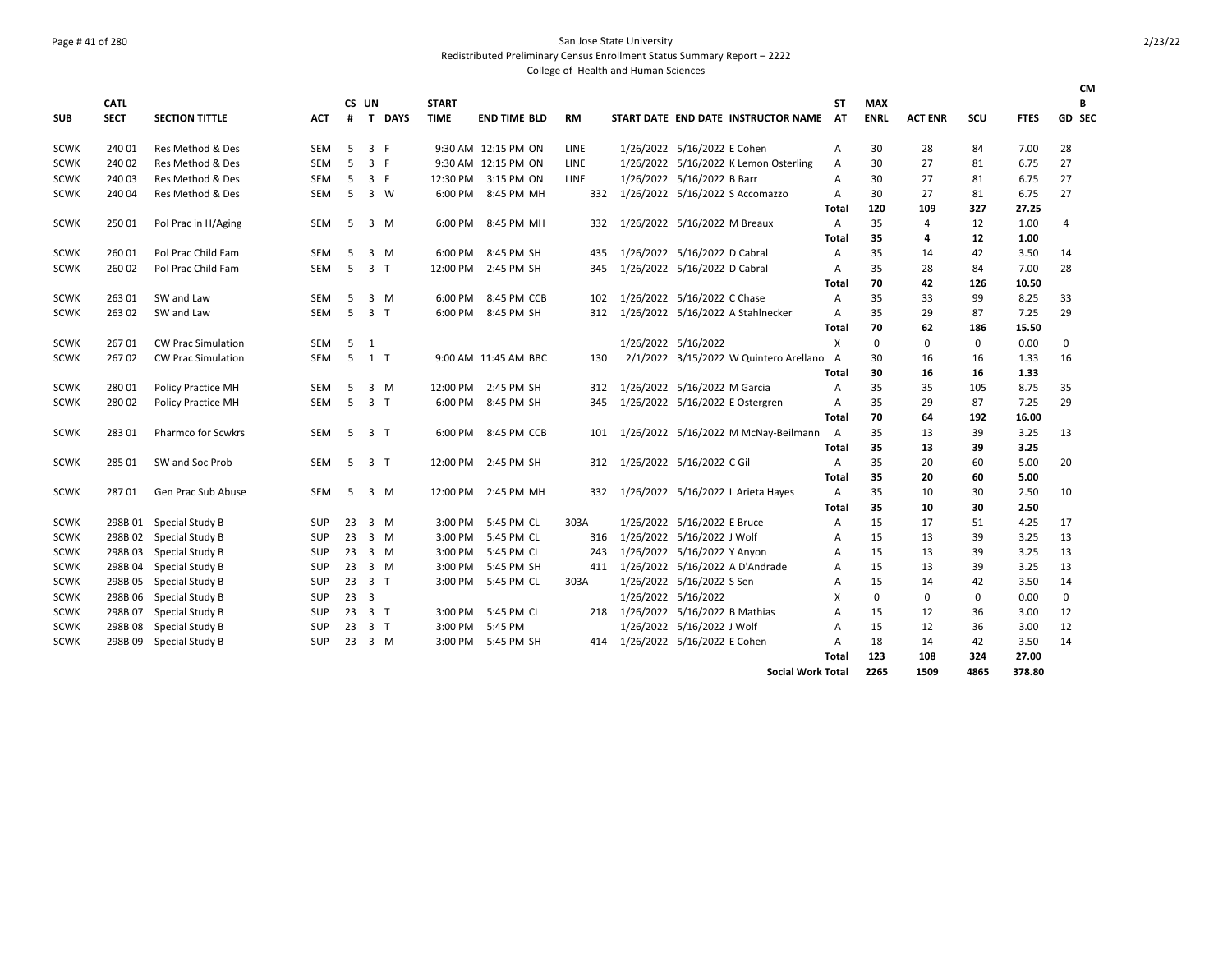**SUB**

# Page # 41 of 280 San Jose State University

Redistributed Preliminary Census Enrollment Status Summary Report – 2222

|      |                            |                           |            |                |                |             |                             |                      |             |     | College of Health and Human Sciences |                                          |          |                           |                |     |             |    |
|------|----------------------------|---------------------------|------------|----------------|----------------|-------------|-----------------------------|----------------------|-------------|-----|--------------------------------------|------------------------------------------|----------|---------------------------|----------------|-----|-------------|----|
| SUB  | <b>CATL</b><br><b>SECT</b> | <b>SECTION TITTLE</b>     | <b>ACT</b> | <b>CS</b><br># | UN<br>T.       | <b>DAYS</b> | <b>START</b><br><b>TIME</b> | <b>END TIME BLD</b>  | <b>RM</b>   |     |                                      | START DATE END DATE INSTRUCTOR NAME      | ST<br>AT | <b>MAX</b><br><b>ENRL</b> | <b>ACT ENR</b> | scu | <b>FTES</b> | GD |
| SCWK | 240 01                     | Res Method & Des          | <b>SEM</b> | -5             |                | 3 F         |                             | 9:30 AM 12:15 PM ON  | LINE        |     |                                      | 1/26/2022 5/16/2022 E Cohen              | А        | 30                        | 28             | 84  | 7.00        | 28 |
| SCWK | 240 02                     | Res Method & Des          | <b>SEM</b> | -5             | 3 F            |             |                             | 9:30 AM 12:15 PM ON  | <b>LINE</b> |     |                                      | 1/26/2022 5/16/2022 K Lemon Osterling    | Α        | 30                        | 27             | 81  | 6.75        | 27 |
| SCWK | 240 03                     | Res Method & Des          | SEM        | .5             | 3 F            |             | 12:30 PM                    | 3:15 PM ON           | <b>LINE</b> |     |                                      | 1/26/2022 5/16/2022 B Barr               | А        | 30                        | 27             | 81  | 6.75        | 27 |
| SCWK | 240 04                     | Res Method & Des          | SEM        | -5             |                | 3 W         | 6:00 PM                     | 8:45 PM MH           |             | 332 |                                      | 1/26/2022 5/16/2022 S Accomazzo          | A        | 30                        | 27             | 81  | 6.75        | 27 |
|      |                            |                           |            |                |                |             |                             |                      |             |     |                                      |                                          | Total    | 120                       | 109            | 327 | 27.25       |    |
| SCWK | 250 01                     | Pol Prac in H/Aging       | SEM        | 5              |                | $3 \, M$    | 6:00 PM                     | 8:45 PM MH           |             | 332 |                                      | 1/26/2022 5/16/2022 M Breaux             | A        | 35                        | 4              | 12  | 1.00        | 4  |
|      |                            |                           |            |                |                |             |                             |                      |             |     |                                      |                                          | Total    | 35                        | 4              | 12  | 1.00        |    |
| SCWK | 260 01                     | Pol Prac Child Fam        | <b>SEM</b> | -5             |                | 3 M         | 6:00 PM                     | 8:45 PM SH           |             | 435 |                                      | 1/26/2022 5/16/2022 D Cabral             | A        | 35                        | 14             | 42  | 3.50        | 14 |
| SCWK | 260 02                     | Pol Prac Child Fam        | <b>SEM</b> | -5             | 3 <sub>1</sub> |             | 12:00 PM                    | 2:45 PM SH           |             | 345 |                                      | 1/26/2022 5/16/2022 D Cabral             | A        | 35                        | 28             | 84  | 7.00        | 28 |
|      |                            |                           |            |                |                |             |                             |                      |             |     |                                      |                                          | Total    | 70                        | 42             | 126 | 10.50       |    |
| SCWK | 263 01                     | SW and Law                | <b>SEM</b> | -5             |                | 3 M         | 6:00 PM                     | 8:45 PM CCB          |             | 102 |                                      | 1/26/2022 5/16/2022 C Chase              | A        | 35                        | 33             | 99  | 8.25        | 33 |
| SCWK | 263 02                     | SW and Law                | <b>SEM</b> | -5             | 3 <sub>1</sub> |             | 6:00 PM                     | 8:45 PM SH           |             | 312 |                                      | 1/26/2022 5/16/2022 A Stahlnecker        | A        | 35                        | 29             | 87  | 7.25        | 29 |
|      |                            |                           |            |                |                |             |                             |                      |             |     |                                      |                                          | Total    | 70                        | 62             | 186 | 15.50       |    |
| SCWK | 26701                      | <b>CW Prac Simulation</b> | SEM        | -5             | 1              |             |                             |                      |             |     |                                      | 1/26/2022 5/16/2022                      | х        | 0                         | 0              | 0   | 0.00        | 0  |
| SCWK | 26702                      | <b>CW Prac Simulation</b> | <b>SEM</b> | 5              | 1 T            |             |                             | 9:00 AM 11:45 AM BBC |             | 130 |                                      | 2/1/2022 3/15/2022 W Quintero Arellano A |          | 30                        | 16             | 16  | 1.33        | 16 |
|      |                            |                           |            |                |                |             |                             |                      |             |     |                                      |                                          | Total    | 30                        | 16             | 16  | 1.33        |    |
| SCWK | 280 01                     | <b>Policy Practice MH</b> | <b>SEM</b> | -5             |                | $3 \, M$    | 12:00 PM                    | 2:45 PM SH           |             | 312 |                                      | 1/26/2022 5/16/2022 M Garcia             | Α        | 35                        | 35             | 105 | 8.75        | 35 |
| SCWK | 280 02                     | <b>Policy Practice MH</b> | <b>SEM</b> | -5             | 3 <sub>1</sub> |             | 6:00 PM                     | 8:45 PM SH           |             | 345 |                                      | 1/26/2022 5/16/2022 E Ostergren          | A        | 35                        | 29             | 87  | 7.25        | 29 |
|      |                            |                           |            |                |                |             |                             |                      |             |     |                                      |                                          | Total    | 70                        | 64             | 192 | 16.00       |    |
| SCWK | 28301                      | <b>Pharmco for Scwkrs</b> | <b>SEM</b> | -5             | 3 <sub>1</sub> |             | 6:00 PM                     | 8:45 PM CCB          |             | 101 |                                      | 1/26/2022 5/16/2022 M McNay-Beilmann     | A        | 35                        | 13             | 39  | 3.25        | 13 |
|      |                            |                           |            |                |                |             |                             |                      |             |     |                                      |                                          | Total    | 35                        | 13             | 39  | 3.25        |    |
|      |                            |                           |            |                |                |             |                             |                      |             |     |                                      |                                          |          |                           |                |     |             |    |

SCWK 285 01 SW and Soc Prob SEM 5 3 T 12:00 PM 2:45 PM SH 312 1/26/2022 5/16/2022 C Gil A 35 20 60 5.00 20

SCWK 287 01 Gen Prac Sub Abuse SEM 5 3 M 12:00 PM 2:45 PM MH 332 1/26/2022 5/16/2022 L Arieta Hayes A 35 10 30 2.50 10

SCWK 298B 01 Special Study B SUP 23 3 M 3:00 PM 5:45 PM CL 303A 1/26/2022 5/16/2022 E Bruce A 15 17 51 4.25 17 SCWK 298B 02 Special Study B SUP 23 3 M 3:00 PM 5:45 PM CL 316 1/26/2022 5/16/2022 J Wolf A 15 13 39 3.25 13 SCWK 298B 03 Special Study B SUP 23 3 M 3:00 PM 5:45 PM CL 243 1/26/2022 5/16/2022 Y Anyon A 15 13 39 3.25 13 SCWK 298B 04 Special Study B SUP 23 3 M 3:00 PM 5:45 PM SH 411 1/26/2022 5/16/2022 A D'Andrade A 15 13 39 3.25 13 SCWK 298B 05 Special Study B SUP 23 3 T 3:00 PM 5:45 PM CL 303A 1/26/2022 5/16/2022 S Sen A 15 14 42 3.50 14 SCWK 298B 06 Special Study B SUP 23 3 1/26/2022 5/16/2022 X 0 0 0 0.00 0 SCWK 298B 07 Special Study B SUP 23 3 T 3:00 PM 5:45 PM CL 218 1/26/2022 5/16/2022 B Mathias A 15 12 36 3.00 12 SCWK 298B 08 Special Study B SUP 23 3 T 3:00 PM 5:45 PM 1/26/2022 5/16/2022 J Wolf A 15 12 36 3.00 12 SCWK 298B 09 Special Study B SUP 23 3 M 3:00 PM 5:45 PM SH 414 1/26/2022 5/16/2022 E Cohen A 18 14 42 3.50 14 2/23/22

**CM B SEC**

**Total 35 20 60 5.00**

**Total 35 10 30 2.50**

**Total 123 108 324 27.00**

**Social Work Total 2265 1509 4865 378.80**